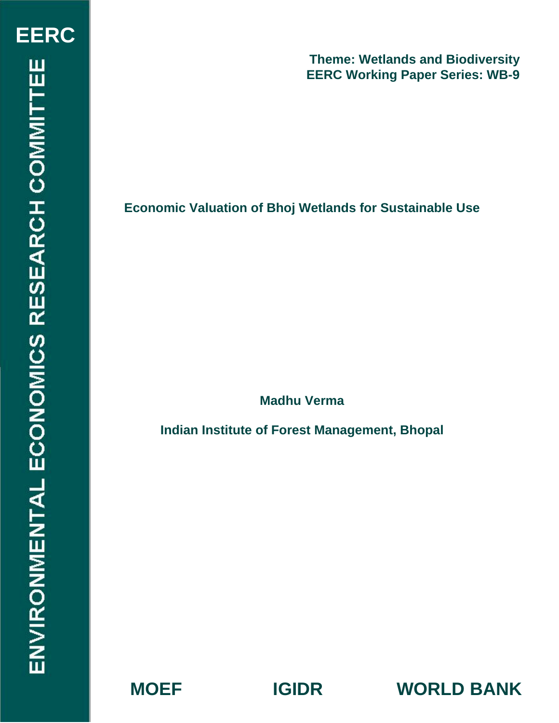# **Economic Valuation of Bhoj Wetlands for Sustainable Use**

**Madhu Verma** 

**Indian Institute of Forest Management, Bhopal** 

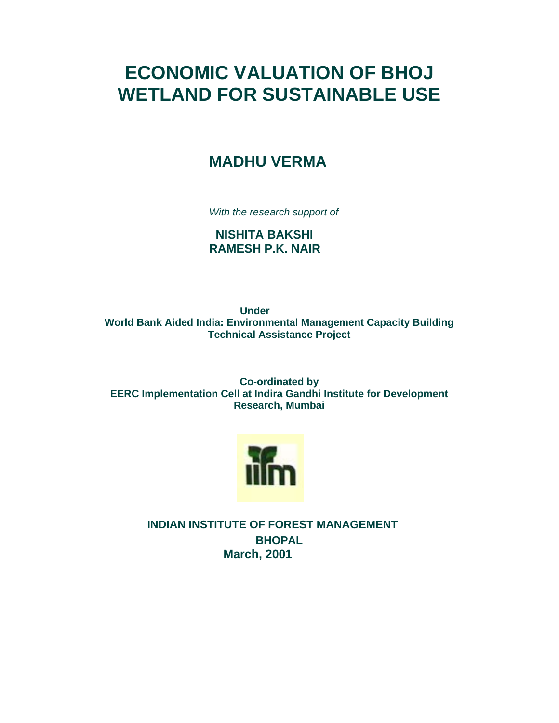# **ECONOMIC VALUATION OF BHOJ WETLAND FOR SUSTAINABLE USE**

# **MADHU VERMA**

*With the research support of* 

 **NISHITA BAKSHI RAMESH P.K. NAIR** 

**Under World Bank Aided India: Environmental Management Capacity Building Technical Assistance Project** 

**Co-ordinated by EERC Implementation Cell at Indira Gandhi Institute for Development Research, Mumbai** 



**INDIAN INSTITUTE OF FOREST MANAGEMENT BHOPAL March, 2001**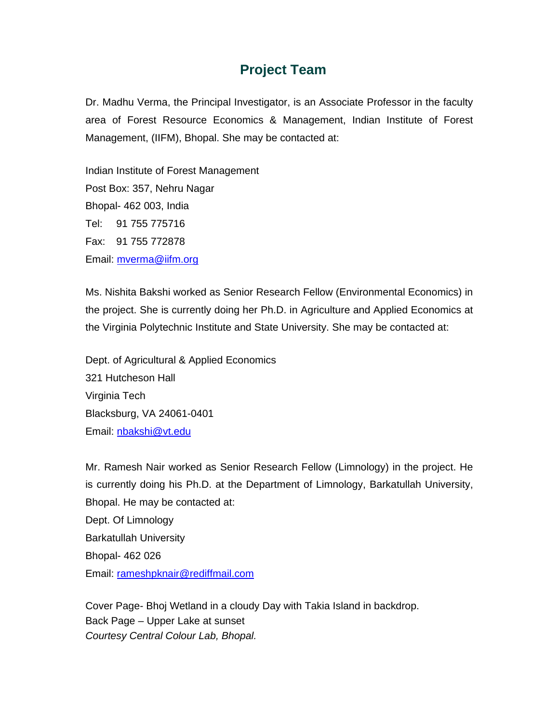# **Project Team**

Dr. Madhu Verma, the Principal Investigator, is an Associate Professor in the faculty area of Forest Resource Economics & Management, Indian Institute of Forest Management, (IIFM), Bhopal. She may be contacted at:

Indian Institute of Forest Management Post Box: 357, Nehru Nagar Bhopal- 462 003, India Tel: 91 755 775716 Fax: 91 755 772878 Email: mverma@iifm.org

Ms. Nishita Bakshi worked as Senior Research Fellow (Environmental Economics) in the project. She is currently doing her Ph.D. in Agriculture and Applied Economics at the Virginia Polytechnic Institute and State University. She may be contacted at:

Dept. of Agricultural & Applied Economics 321 Hutcheson Hall Virginia Tech Blacksburg, VA 24061-0401 Email: nbakshi@vt.edu

Mr. Ramesh Nair worked as Senior Research Fellow (Limnology) in the project. He is currently doing his Ph.D. at the Department of Limnology, Barkatullah University, Bhopal. He may be contacted at: Dept. Of Limnology Barkatullah University Bhopal- 462 026 Email: rameshpknair@rediffmail.com

Cover Page- Bhoj Wetland in a cloudy Day with Takia Island in backdrop. Back Page – Upper Lake at sunset *Courtesy Central Colour Lab, Bhopal.*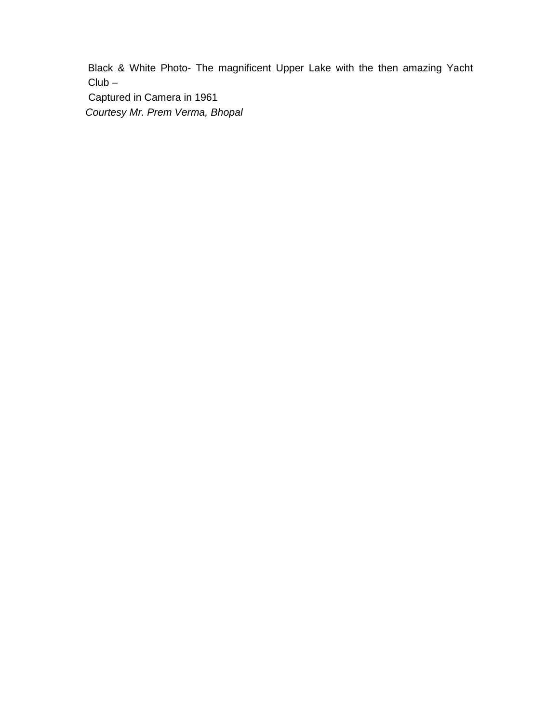Black & White Photo- The magnificent Upper Lake with the then amazing Yacht Club –

 Captured in Camera in 1961 *Courtesy Mr. Prem Verma, Bhopal*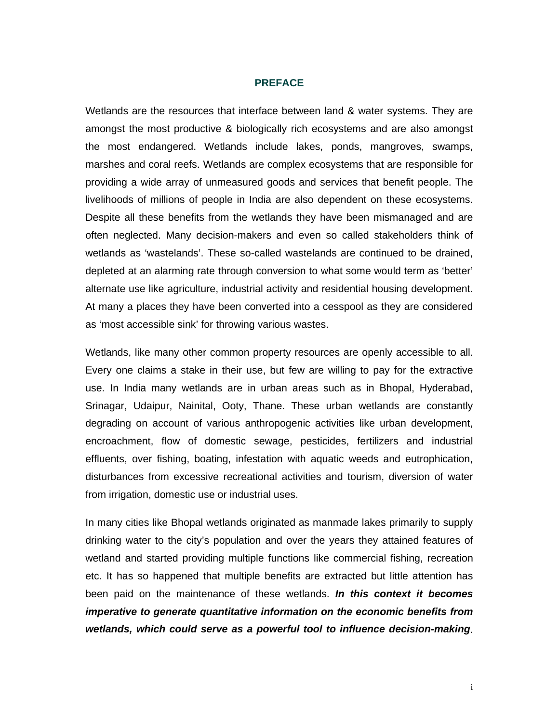#### **PREFACE**

Wetlands are the resources that interface between land & water systems. They are amongst the most productive & biologically rich ecosystems and are also amongst the most endangered. Wetlands include lakes, ponds, mangroves, swamps, marshes and coral reefs. Wetlands are complex ecosystems that are responsible for providing a wide array of unmeasured goods and services that benefit people. The livelihoods of millions of people in India are also dependent on these ecosystems. Despite all these benefits from the wetlands they have been mismanaged and are often neglected. Many decision-makers and even so called stakeholders think of wetlands as 'wastelands'. These so-called wastelands are continued to be drained, depleted at an alarming rate through conversion to what some would term as 'better' alternate use like agriculture, industrial activity and residential housing development. At many a places they have been converted into a cesspool as they are considered as 'most accessible sink' for throwing various wastes.

Wetlands, like many other common property resources are openly accessible to all. Every one claims a stake in their use, but few are willing to pay for the extractive use. In India many wetlands are in urban areas such as in Bhopal, Hyderabad, Srinagar, Udaipur, Nainital, Ooty, Thane. These urban wetlands are constantly degrading on account of various anthropogenic activities like urban development, encroachment, flow of domestic sewage, pesticides, fertilizers and industrial effluents, over fishing, boating, infestation with aquatic weeds and eutrophication, disturbances from excessive recreational activities and tourism, diversion of water from irrigation, domestic use or industrial uses.

In many cities like Bhopal wetlands originated as manmade lakes primarily to supply drinking water to the city's population and over the years they attained features of wetland and started providing multiple functions like commercial fishing, recreation etc. It has so happened that multiple benefits are extracted but little attention has been paid on the maintenance of these wetlands. *In this context it becomes imperative to generate quantitative information on the economic benefits from wetlands, which could serve as a powerful tool to influence decision-making*.

i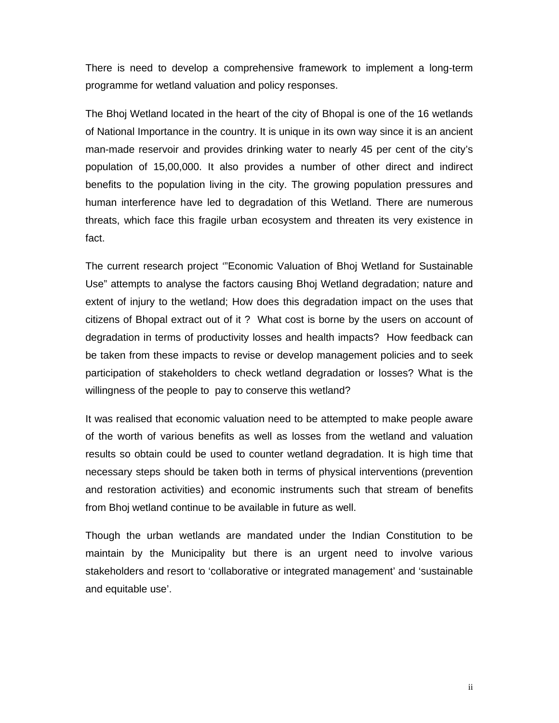There is need to develop a comprehensive framework to implement a long-term programme for wetland valuation and policy responses.

The Bhoj Wetland located in the heart of the city of Bhopal is one of the 16 wetlands of National Importance in the country. It is unique in its own way since it is an ancient man-made reservoir and provides drinking water to nearly 45 per cent of the city's population of 15,00,000. It also provides a number of other direct and indirect benefits to the population living in the city. The growing population pressures and human interference have led to degradation of this Wetland. There are numerous threats, which face this fragile urban ecosystem and threaten its very existence in fact.

The current research project '"Economic Valuation of Bhoj Wetland for Sustainable Use" attempts to analyse the factors causing Bhoj Wetland degradation; nature and extent of injury to the wetland; How does this degradation impact on the uses that citizens of Bhopal extract out of it ? What cost is borne by the users on account of degradation in terms of productivity losses and health impacts? How feedback can be taken from these impacts to revise or develop management policies and to seek participation of stakeholders to check wetland degradation or losses? What is the willingness of the people to pay to conserve this wetland?

It was realised that economic valuation need to be attempted to make people aware of the worth of various benefits as well as losses from the wetland and valuation results so obtain could be used to counter wetland degradation. It is high time that necessary steps should be taken both in terms of physical interventions (prevention and restoration activities) and economic instruments such that stream of benefits from Bhoj wetland continue to be available in future as well.

Though the urban wetlands are mandated under the Indian Constitution to be maintain by the Municipality but there is an urgent need to involve various stakeholders and resort to 'collaborative or integrated management' and 'sustainable and equitable use'.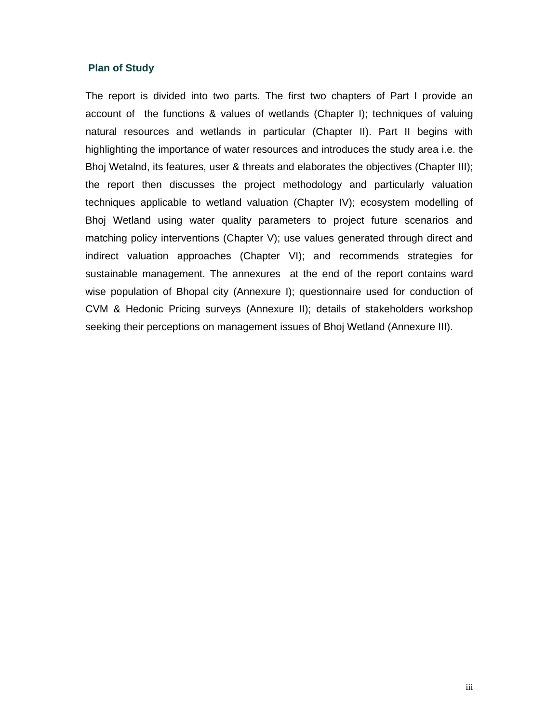#### **Plan of Study**

The report is divided into two parts. The first two chapters of Part I provide an account of the functions & values of wetlands (Chapter I); techniques of valuing natural resources and wetlands in particular (Chapter II). Part II begins with highlighting the importance of water resources and introduces the study area i.e. the Bhoj Wetalnd, its features, user & threats and elaborates the objectives (Chapter III); the report then discusses the project methodology and particularly valuation techniques applicable to wetland valuation (Chapter IV); ecosystem modelling of Bhoj Wetland using water quality parameters to project future scenarios and matching policy interventions (Chapter V); use values generated through direct and indirect valuation approaches (Chapter VI); and recommends strategies for sustainable management. The annexures at the end of the report contains ward wise population of Bhopal city (Annexure I); questionnaire used for conduction of CVM & Hedonic Pricing surveys (Annexure II); details of stakeholders workshop seeking their perceptions on management issues of Bhoj Wetland (Annexure III).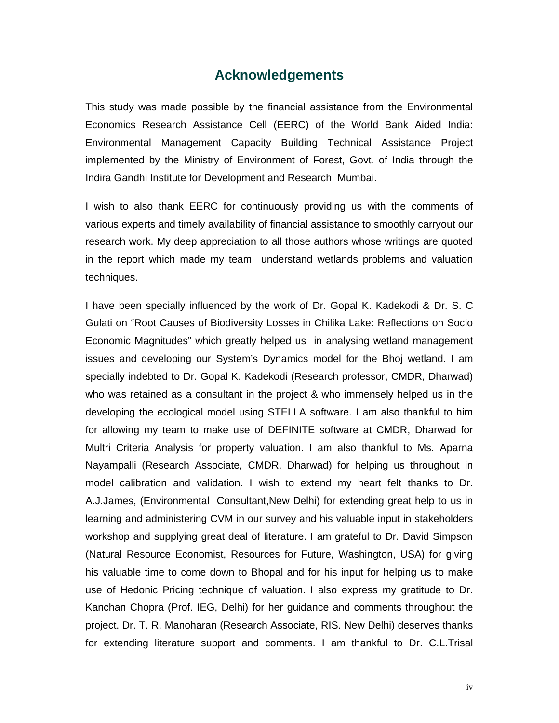# **Acknowledgements**

This study was made possible by the financial assistance from the Environmental Economics Research Assistance Cell (EERC) of the World Bank Aided India: Environmental Management Capacity Building Technical Assistance Project implemented by the Ministry of Environment of Forest, Govt. of India through the Indira Gandhi Institute for Development and Research, Mumbai.

I wish to also thank EERC for continuously providing us with the comments of various experts and timely availability of financial assistance to smoothly carryout our research work. My deep appreciation to all those authors whose writings are quoted in the report which made my team understand wetlands problems and valuation techniques.

I have been specially influenced by the work of Dr. Gopal K. Kadekodi & Dr. S. C Gulati on "Root Causes of Biodiversity Losses in Chilika Lake: Reflections on Socio Economic Magnitudes" which greatly helped us in analysing wetland management issues and developing our System's Dynamics model for the Bhoj wetland. I am specially indebted to Dr. Gopal K. Kadekodi (Research professor, CMDR, Dharwad) who was retained as a consultant in the project & who immensely helped us in the developing the ecological model using STELLA software. I am also thankful to him for allowing my team to make use of DEFINITE software at CMDR, Dharwad for Multri Criteria Analysis for property valuation. I am also thankful to Ms. Aparna Nayampalli (Research Associate, CMDR, Dharwad) for helping us throughout in model calibration and validation. I wish to extend my heart felt thanks to Dr. A.J.James, (Environmental Consultant,New Delhi) for extending great help to us in learning and administering CVM in our survey and his valuable input in stakeholders workshop and supplying great deal of literature. I am grateful to Dr. David Simpson (Natural Resource Economist, Resources for Future, Washington, USA) for giving his valuable time to come down to Bhopal and for his input for helping us to make use of Hedonic Pricing technique of valuation. I also express my gratitude to Dr. Kanchan Chopra (Prof. IEG, Delhi) for her guidance and comments throughout the project. Dr. T. R. Manoharan (Research Associate, RIS. New Delhi) deserves thanks for extending literature support and comments. I am thankful to Dr. C.L.Trisal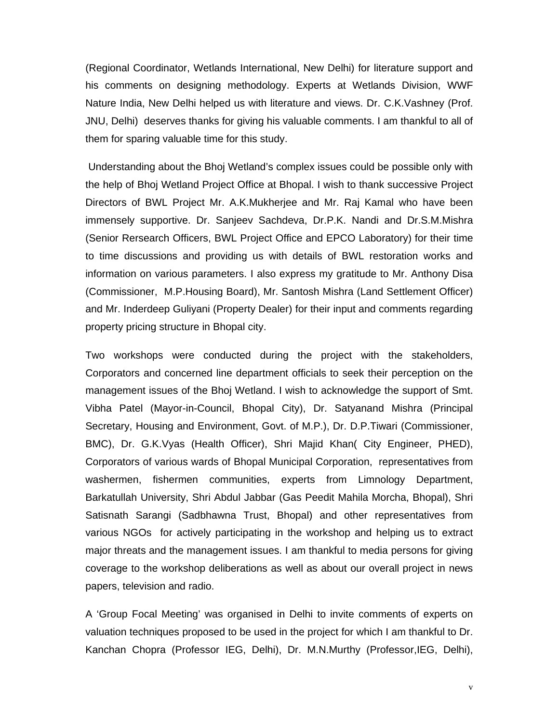(Regional Coordinator, Wetlands International, New Delhi) for literature support and his comments on designing methodology. Experts at Wetlands Division, WWF Nature India, New Delhi helped us with literature and views. Dr. C.K.Vashney (Prof. JNU, Delhi) deserves thanks for giving his valuable comments. I am thankful to all of them for sparing valuable time for this study.

 Understanding about the Bhoj Wetland's complex issues could be possible only with the help of Bhoj Wetland Project Office at Bhopal. I wish to thank successive Project Directors of BWL Project Mr. A.K.Mukherjee and Mr. Raj Kamal who have been immensely supportive. Dr. Sanjeev Sachdeva, Dr.P.K. Nandi and Dr.S.M.Mishra (Senior Rersearch Officers, BWL Project Office and EPCO Laboratory) for their time to time discussions and providing us with details of BWL restoration works and information on various parameters. I also express my gratitude to Mr. Anthony Disa (Commissioner, M.P.Housing Board), Mr. Santosh Mishra (Land Settlement Officer) and Mr. Inderdeep Guliyani (Property Dealer) for their input and comments regarding property pricing structure in Bhopal city.

Two workshops were conducted during the project with the stakeholders, Corporators and concerned line department officials to seek their perception on the management issues of the Bhoj Wetland. I wish to acknowledge the support of Smt. Vibha Patel (Mayor-in-Council, Bhopal City), Dr. Satyanand Mishra (Principal Secretary, Housing and Environment, Govt. of M.P.), Dr. D.P.Tiwari (Commissioner, BMC), Dr. G.K.Vyas (Health Officer), Shri Majid Khan( City Engineer, PHED), Corporators of various wards of Bhopal Municipal Corporation, representatives from washermen, fishermen communities, experts from Limnology Department, Barkatullah University, Shri Abdul Jabbar (Gas Peedit Mahila Morcha, Bhopal), Shri Satisnath Sarangi (Sadbhawna Trust, Bhopal) and other representatives from various NGOs for actively participating in the workshop and helping us to extract major threats and the management issues. I am thankful to media persons for giving coverage to the workshop deliberations as well as about our overall project in news papers, television and radio.

A 'Group Focal Meeting' was organised in Delhi to invite comments of experts on valuation techniques proposed to be used in the project for which I am thankful to Dr. Kanchan Chopra (Professor IEG, Delhi), Dr. M.N.Murthy (Professor,IEG, Delhi),

v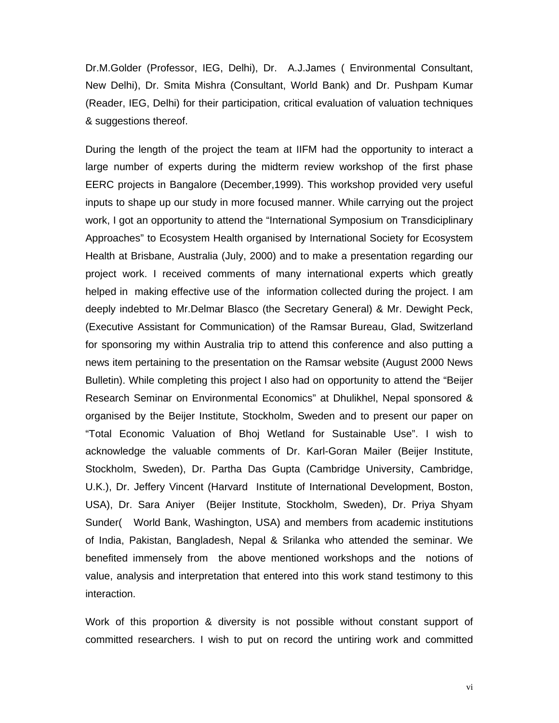Dr.M.Golder (Professor, IEG, Delhi), Dr. A.J.James ( Environmental Consultant, New Delhi), Dr. Smita Mishra (Consultant, World Bank) and Dr. Pushpam Kumar (Reader, IEG, Delhi) for their participation, critical evaluation of valuation techniques & suggestions thereof.

During the length of the project the team at IIFM had the opportunity to interact a large number of experts during the midterm review workshop of the first phase EERC projects in Bangalore (December,1999). This workshop provided very useful inputs to shape up our study in more focused manner. While carrying out the project work, I got an opportunity to attend the "International Symposium on Transdiciplinary Approaches" to Ecosystem Health organised by International Society for Ecosystem Health at Brisbane, Australia (July, 2000) and to make a presentation regarding our project work. I received comments of many international experts which greatly helped in making effective use of the information collected during the project. I am deeply indebted to Mr.Delmar Blasco (the Secretary General) & Mr. Dewight Peck, (Executive Assistant for Communication) of the Ramsar Bureau, Glad, Switzerland for sponsoring my within Australia trip to attend this conference and also putting a news item pertaining to the presentation on the Ramsar website (August 2000 News Bulletin). While completing this project I also had on opportunity to attend the "Beijer Research Seminar on Environmental Economics" at Dhulikhel, Nepal sponsored & organised by the Beijer Institute, Stockholm, Sweden and to present our paper on "Total Economic Valuation of Bhoj Wetland for Sustainable Use". I wish to acknowledge the valuable comments of Dr. Karl-Goran Mailer (Beijer Institute, Stockholm, Sweden), Dr. Partha Das Gupta (Cambridge University, Cambridge, U.K.), Dr. Jeffery Vincent (Harvard Institute of International Development, Boston, USA), Dr. Sara Aniyer (Beijer Institute, Stockholm, Sweden), Dr. Priya Shyam Sunder( World Bank, Washington, USA) and members from academic institutions of India, Pakistan, Bangladesh, Nepal & Srilanka who attended the seminar. We benefited immensely from the above mentioned workshops and the notions of value, analysis and interpretation that entered into this work stand testimony to this interaction.

Work of this proportion & diversity is not possible without constant support of committed researchers. I wish to put on record the untiring work and committed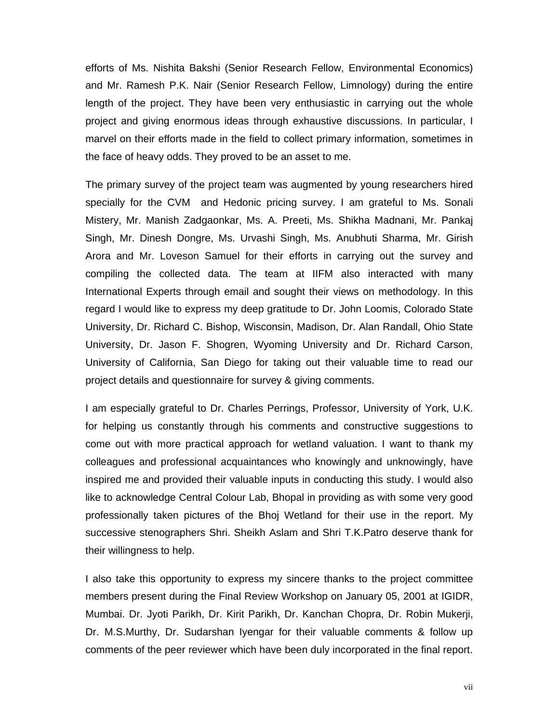efforts of Ms. Nishita Bakshi (Senior Research Fellow, Environmental Economics) and Mr. Ramesh P.K. Nair (Senior Research Fellow, Limnology) during the entire length of the project. They have been very enthusiastic in carrying out the whole project and giving enormous ideas through exhaustive discussions. In particular, I marvel on their efforts made in the field to collect primary information, sometimes in the face of heavy odds. They proved to be an asset to me.

The primary survey of the project team was augmented by young researchers hired specially for the CVM and Hedonic pricing survey. I am grateful to Ms. Sonali Mistery, Mr. Manish Zadgaonkar, Ms. A. Preeti, Ms. Shikha Madnani, Mr. Pankaj Singh, Mr. Dinesh Dongre, Ms. Urvashi Singh, Ms. Anubhuti Sharma, Mr. Girish Arora and Mr. Loveson Samuel for their efforts in carrying out the survey and compiling the collected data. The team at IIFM also interacted with many International Experts through email and sought their views on methodology. In this regard I would like to express my deep gratitude to Dr. John Loomis, Colorado State University, Dr. Richard C. Bishop, Wisconsin, Madison, Dr. Alan Randall, Ohio State University, Dr. Jason F. Shogren, Wyoming University and Dr. Richard Carson, University of California, San Diego for taking out their valuable time to read our project details and questionnaire for survey & giving comments.

I am especially grateful to Dr. Charles Perrings, Professor, University of York, U.K. for helping us constantly through his comments and constructive suggestions to come out with more practical approach for wetland valuation. I want to thank my colleagues and professional acquaintances who knowingly and unknowingly, have inspired me and provided their valuable inputs in conducting this study. I would also like to acknowledge Central Colour Lab, Bhopal in providing as with some very good professionally taken pictures of the Bhoj Wetland for their use in the report. My successive stenographers Shri. Sheikh Aslam and Shri T.K.Patro deserve thank for their willingness to help.

I also take this opportunity to express my sincere thanks to the project committee members present during the Final Review Workshop on January 05, 2001 at IGIDR, Mumbai. Dr. Jyoti Parikh, Dr. Kirit Parikh, Dr. Kanchan Chopra, Dr. Robin Mukerji, Dr. M.S.Murthy, Dr. Sudarshan Iyengar for their valuable comments & follow up comments of the peer reviewer which have been duly incorporated in the final report.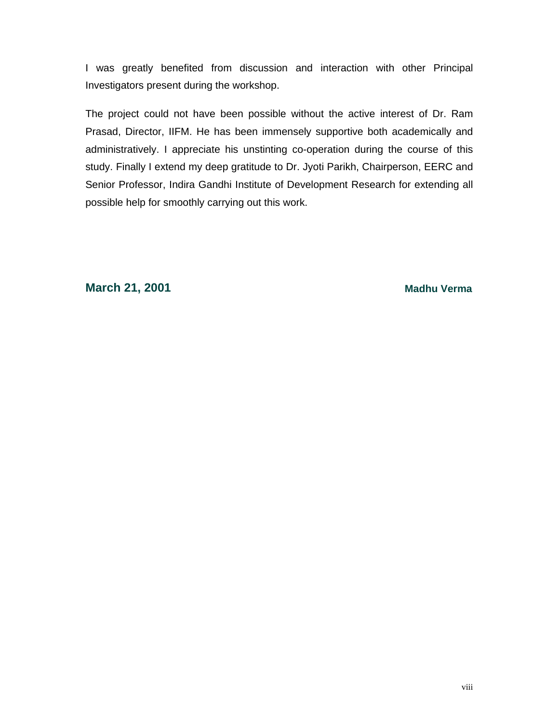I was greatly benefited from discussion and interaction with other Principal Investigators present during the workshop.

The project could not have been possible without the active interest of Dr. Ram Prasad, Director, IIFM. He has been immensely supportive both academically and administratively. I appreciate his unstinting co-operation during the course of this study. Finally I extend my deep gratitude to Dr. Jyoti Parikh, Chairperson, EERC and Senior Professor, Indira Gandhi Institute of Development Research for extending all possible help for smoothly carrying out this work.

**March 21, 2001** Madhu Verma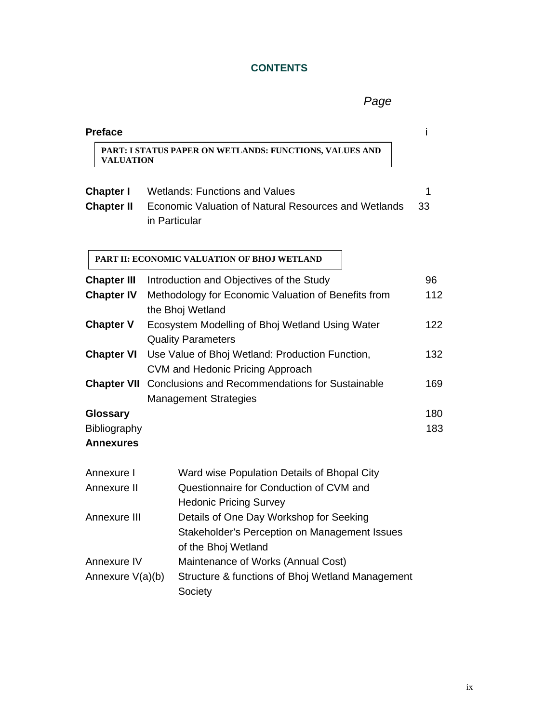# **CONTENTS**

*Page*

| <b>Preface</b>                                      |                                                                                                                         |            |
|-----------------------------------------------------|-------------------------------------------------------------------------------------------------------------------------|------------|
| <b>VALUATION</b>                                    | PART: I STATUS PAPER ON WETLANDS: FUNCTIONS, VALUES AND                                                                 |            |
| <b>Chapter I</b>                                    | <b>Wetlands: Functions and Values</b>                                                                                   | 1          |
| <b>Chapter II</b>                                   | Economic Valuation of Natural Resources and Wetlands<br>in Particular                                                   | 33         |
|                                                     | PART II: ECONOMIC VALUATION OF BHOJ WETLAND                                                                             |            |
| <b>Chapter III</b>                                  | Introduction and Objectives of the Study                                                                                | 96         |
| <b>Chapter IV</b>                                   | Methodology for Economic Valuation of Benefits from<br>the Bhoj Wetland                                                 | 112        |
| <b>Chapter V</b>                                    | Ecosystem Modelling of Bhoj Wetland Using Water<br><b>Quality Parameters</b>                                            | 122        |
| <b>Chapter VI</b>                                   | Use Value of Bhoj Wetland: Production Function,<br><b>CVM and Hedonic Pricing Approach</b>                              | 132        |
| <b>Chapter VII</b>                                  | <b>Conclusions and Recommendations for Sustainable</b><br><b>Management Strategies</b>                                  | 169        |
| <b>Glossary</b><br>Bibliography<br><b>Annexures</b> |                                                                                                                         | 180<br>183 |
| Annexure I<br>Annexure II                           | Ward wise Population Details of Bhopal City<br>Questionnaire for Conduction of CVM and<br><b>Hedonic Pricing Survey</b> |            |
| Annexure III                                        | Details of One Day Workshop for Seeking<br>Stakeholder's Perception on Management Issues<br>of the Bhoj Wetland         |            |
| Annexure IV<br>Annexure V(a)(b)                     | Maintenance of Works (Annual Cost)<br>Structure & functions of Bhoj Wetland Management<br>Society                       |            |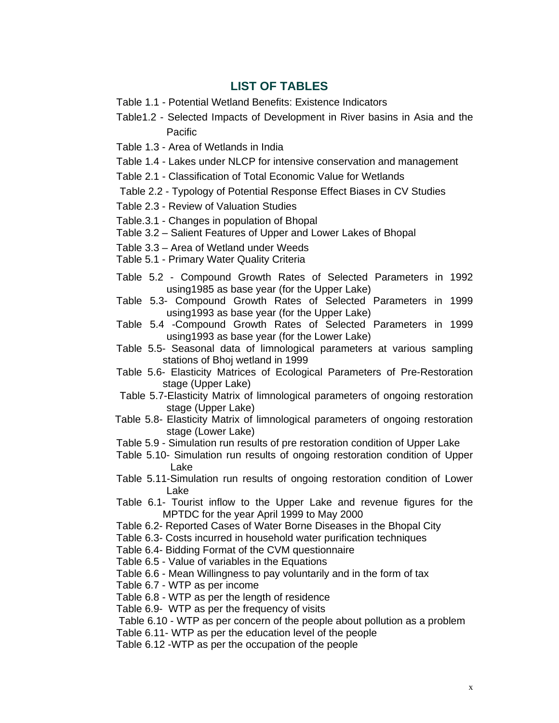# **LIST OF TABLES**

- Table 1.1 Potential Wetland Benefits: Existence Indicators
- Table1.2 Selected Impacts of Development in River basins in Asia and the **Pacific**
- Table 1.3 Area of Wetlands in India
- Table 1.4 Lakes under NLCP for intensive conservation and management
- Table 2.1 Classification of Total Economic Value for Wetlands
- Table 2.2 Typology of Potential Response Effect Biases in CV Studies
- Table 2.3 Review of Valuation Studies
- Table.3.1 Changes in population of Bhopal
- Table 3.2 Salient Features of Upper and Lower Lakes of Bhopal
- Table 3.3 Area of Wetland under Weeds
- Table 5.1 Primary Water Quality Criteria
- Table 5.2 Compound Growth Rates of Selected Parameters in 1992 using1985 as base year (for the Upper Lake)
- Table 5.3- Compound Growth Rates of Selected Parameters in 1999 using1993 as base year (for the Upper Lake)
- Table 5.4 -Compound Growth Rates of Selected Parameters in 1999 using1993 as base year (for the Lower Lake)
- Table 5.5- Seasonal data of limnological parameters at various sampling stations of Bhoj wetland in 1999
- Table 5.6- Elasticity Matrices of Ecological Parameters of Pre-Restoration stage (Upper Lake)
- Table 5.7-Elasticity Matrix of limnological parameters of ongoing restoration stage (Upper Lake)
- Table 5.8- Elasticity Matrix of limnological parameters of ongoing restoration stage (Lower Lake)
- Table 5.9 Simulation run results of pre restoration condition of Upper Lake
- Table 5.10- Simulation run results of ongoing restoration condition of Upper Lake
- Table 5.11-Simulation run results of ongoing restoration condition of Lower Lake
- Table 6.1- Tourist inflow to the Upper Lake and revenue figures for the MPTDC for the year April 1999 to May 2000
- Table 6.2- Reported Cases of Water Borne Diseases in the Bhopal City
- Table 6.3- Costs incurred in household water purification techniques
- Table 6.4- Bidding Format of the CVM questionnaire
- Table 6.5 Value of variables in the Equations
- Table 6.6 Mean Willingness to pay voluntarily and in the form of tax
- Table 6.7 WTP as per income
- Table 6.8 WTP as per the length of residence
- Table 6.9- WTP as per the frequency of visits

Table 6.10 - WTP as per concern of the people about pollution as a problem

- Table 6.11- WTP as per the education level of the people
- Table 6.12 -WTP as per the occupation of the people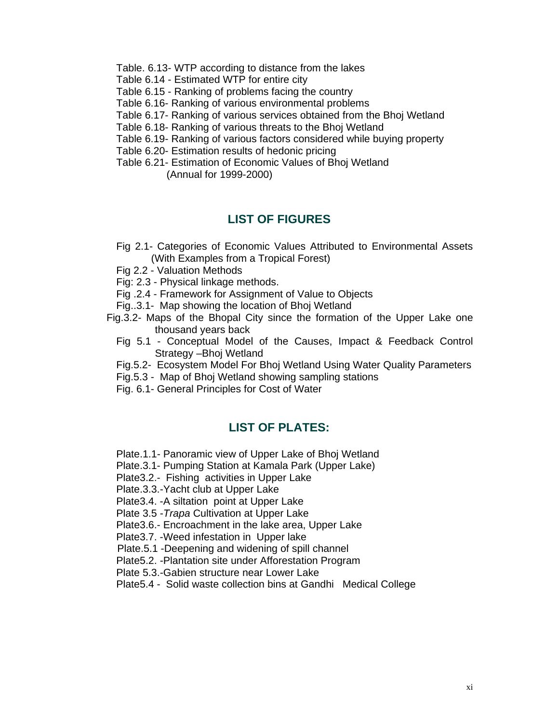- Table. 6.13- WTP according to distance from the lakes
- Table 6.14 Estimated WTP for entire city
- Table 6.15 Ranking of problems facing the country
- Table 6.16- Ranking of various environmental problems
- Table 6.17- Ranking of various services obtained from the Bhoj Wetland
- Table 6.18- Ranking of various threats to the Bhoj Wetland
- Table 6.19- Ranking of various factors considered while buying property
- Table 6.20- Estimation results of hedonic pricing
- Table 6.21- Estimation of Economic Values of Bhoj Wetland (Annual for 1999-2000)

# **LIST OF FIGURES**

- Fig 2.1- Categories of Economic Values Attributed to Environmental Assets (With Examples from a Tropical Forest)
- Fig 2.2 Valuation Methods
- Fig: 2.3 Physical linkage methods.
- Fig .2.4 Framework for Assignment of Value to Objects
- Fig..3.1- Map showing the location of Bhoj Wetland
- Fig.3.2- Maps of the Bhopal City since the formation of the Upper Lake one thousand years back
	- Fig 5.1 Conceptual Model of the Causes, Impact & Feedback Control Strategy –Bhoj Wetland
	- Fig.5.2- Ecosystem Model For Bhoj Wetland Using Water Quality Parameters
	- Fig.5.3 Map of Bhoj Wetland showing sampling stations
	- Fig. 6.1- General Principles for Cost of Water

# **LIST OF PLATES:**

- Plate.1.1- Panoramic view of Upper Lake of Bhoj Wetland
- Plate.3.1- Pumping Station at Kamala Park (Upper Lake)
- Plate3.2.- Fishing activities in Upper Lake
- Plate.3.3.-Yacht club at Upper Lake
- Plate3.4. -A siltation point at Upper Lake
- Plate 3.5 -*Trapa* Cultivation at Upper Lake
- Plate3.6.- Encroachment in the lake area, Upper Lake
- Plate3.7. -Weed infestation in Upper lake
- Plate.5.1 -Deepening and widening of spill channel
- Plate5.2. -Plantation site under Afforestation Program
- Plate 5.3.-Gabien structure near Lower Lake
- Plate5.4 Solid waste collection bins at Gandhi Medical College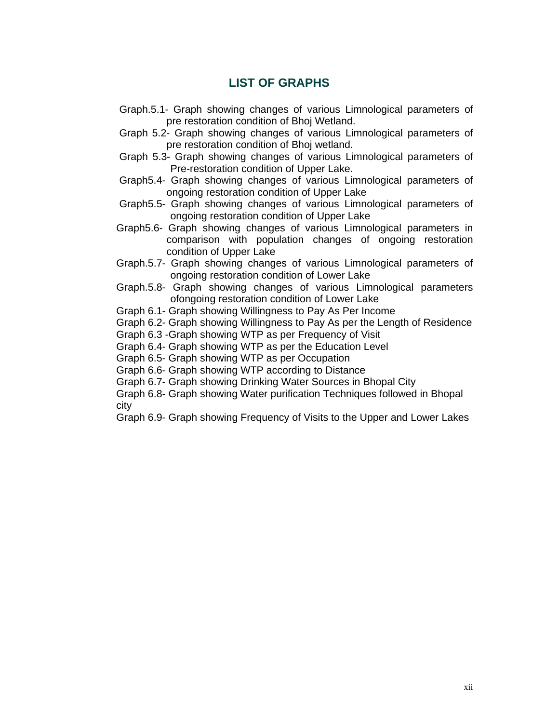# **LIST OF GRAPHS**

- Graph.5.1- Graph showing changes of various Limnological parameters of pre restoration condition of Bhoj Wetland.
- Graph 5.2- Graph showing changes of various Limnological parameters of pre restoration condition of Bhoj wetland.
- Graph 5.3- Graph showing changes of various Limnological parameters of Pre-restoration condition of Upper Lake.
- Graph5.4- Graph showing changes of various Limnological parameters of ongoing restoration condition of Upper Lake
- Graph5.5- Graph showing changes of various Limnological parameters of ongoing restoration condition of Upper Lake
- Graph5.6- Graph showing changes of various Limnological parameters in comparison with population changes of ongoing restoration condition of Upper Lake
- Graph.5.7- Graph showing changes of various Limnological parameters of ongoing restoration condition of Lower Lake
- Graph.5.8- Graph showing changes of various Limnological parameters ofongoing restoration condition of Lower Lake
- Graph 6.1- Graph showing Willingness to Pay As Per Income
- Graph 6.2- Graph showing Willingness to Pay As per the Length of Residence
- Graph 6.3 -Graph showing WTP as per Frequency of Visit
- Graph 6.4- Graph showing WTP as per the Education Level
- Graph 6.5- Graph showing WTP as per Occupation
- Graph 6.6- Graph showing WTP according to Distance
- Graph 6.7- Graph showing Drinking Water Sources in Bhopal City
- Graph 6.8- Graph showing Water purification Techniques followed in Bhopal city
- Graph 6.9- Graph showing Frequency of Visits to the Upper and Lower Lakes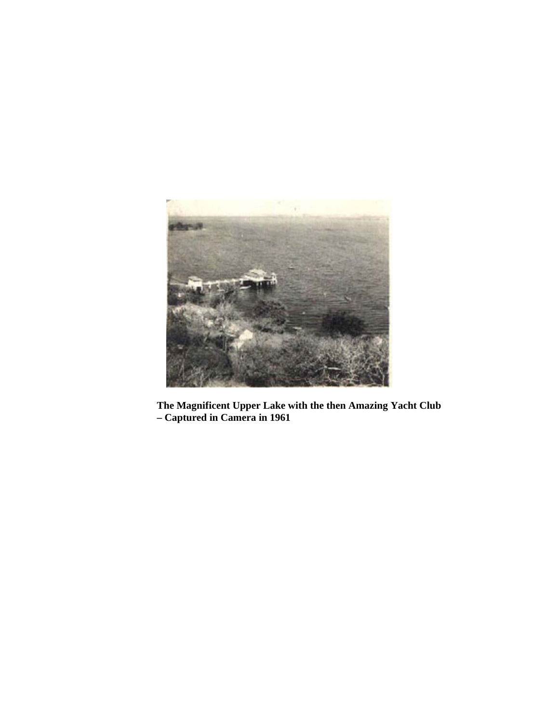

**The Magnificent Upper Lake with the then Amazing Yacht Club – Captured in Camera in 1961**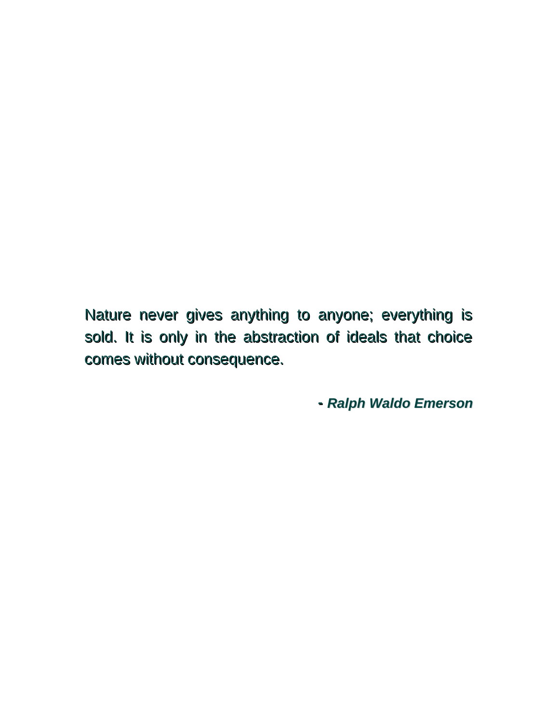Nature never gives anything to anyone; everything is sold. It is only in the abstraction of ideals that choice comes without consequence.

*-- Ralph Waldo Emerson*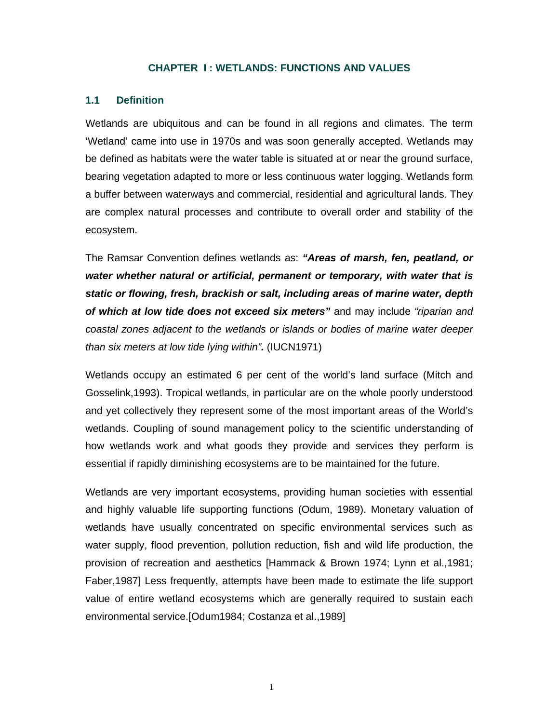#### **CHAPTER I : WETLANDS: FUNCTIONS AND VALUES**

#### **1.1 Definition**

Wetlands are ubiquitous and can be found in all regions and climates. The term 'Wetland' came into use in 1970s and was soon generally accepted. Wetlands may be defined as habitats were the water table is situated at or near the ground surface, bearing vegetation adapted to more or less continuous water logging. Wetlands form a buffer between waterways and commercial, residential and agricultural lands. They are complex natural processes and contribute to overall order and stability of the ecosystem.

The Ramsar Convention defines wetlands as: *"Areas of marsh, fen, peatland, or water whether natural or artificial, permanent or temporary, with water that is static or flowing, fresh, brackish or salt, including areas of marine water, depth of which at low tide does not exceed six meters"* and may include *"riparian and coastal zones adjacent to the wetlands or islands or bodies of marine water deeper than six meters at low tide lying within".* (IUCN1971)

Wetlands occupy an estimated 6 per cent of the world's land surface (Mitch and Gosselink,1993). Tropical wetlands, in particular are on the whole poorly understood and yet collectively they represent some of the most important areas of the World's wetlands. Coupling of sound management policy to the scientific understanding of how wetlands work and what goods they provide and services they perform is essential if rapidly diminishing ecosystems are to be maintained for the future.

Wetlands are very important ecosystems, providing human societies with essential and highly valuable life supporting functions (Odum, 1989). Monetary valuation of wetlands have usually concentrated on specific environmental services such as water supply, flood prevention, pollution reduction, fish and wild life production, the provision of recreation and aesthetics [Hammack & Brown 1974; Lynn et al.,1981; Faber,1987] Less frequently, attempts have been made to estimate the life support value of entire wetland ecosystems which are generally required to sustain each environmental service.[Odum1984; Costanza et al.,1989]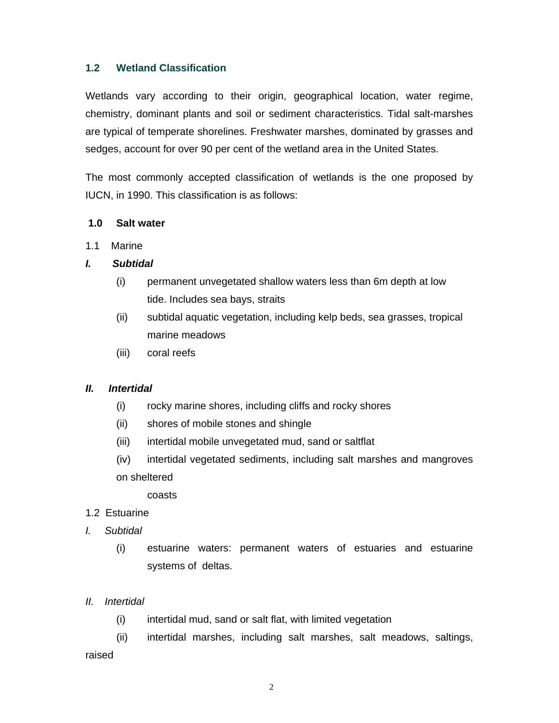#### **1.2 Wetland Classification**

Wetlands vary according to their origin, geographical location, water regime, chemistry, dominant plants and soil or sediment characteristics. Tidal salt-marshes are typical of temperate shorelines. Freshwater marshes, dominated by grasses and sedges, account for over 90 per cent of the wetland area in the United States.

The most commonly accepted classification of wetlands is the one proposed by IUCN, in 1990. This classification is as follows:

#### **1.0 Salt water**

1.1 Marine

#### *I. Subtidal*

- (i) permanent unvegetated shallow waters less than 6m depth at low tide. Includes sea bays, straits
- (ii) subtidal aquatic vegetation, including kelp beds, sea grasses, tropical marine meadows
- (iii) coral reefs

#### *II. Intertidal*

- (i) rocky marine shores, including cliffs and rocky shores
- (ii) shores of mobile stones and shingle
- (iii) intertidal mobile unvegetated mud, sand or saltflat
- (iv) intertidal vegetated sediments, including salt marshes and mangroves on sheltered

coasts

- 1.2 Estuarine
- *I. Subtidal* 
	- (i) estuarine waters: permanent waters of estuaries and estuarine systems of deltas.
- *II. Intertidal*
	- (i) intertidal mud, sand or salt flat, with limited vegetation
- (ii) intertidal marshes, including salt marshes, salt meadows, saltings, raised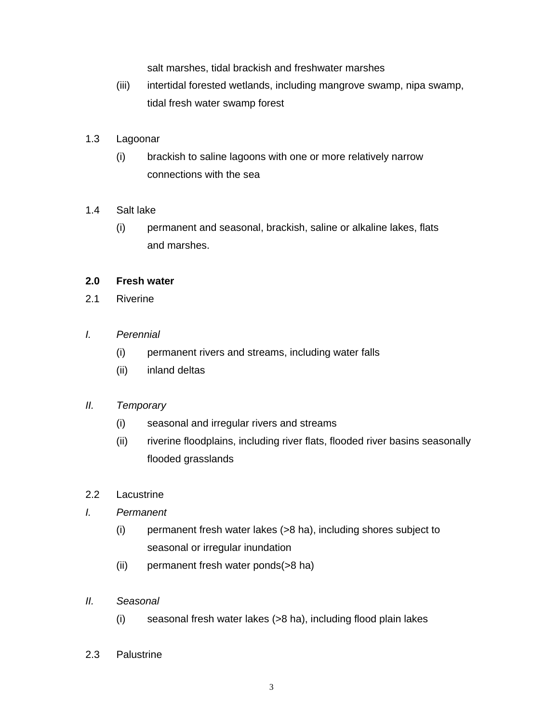salt marshes, tidal brackish and freshwater marshes

(iii) intertidal forested wetlands, including mangrove swamp, nipa swamp, tidal fresh water swamp forest

#### 1.3 Lagoonar

(i) brackish to saline lagoons with one or more relatively narrow connections with the sea

#### 1.4 Salt lake

(i) permanent and seasonal, brackish, saline or alkaline lakes, flats and marshes.

#### **2.0 Fresh water**

2.1 Riverine

#### *I. Perennial*

- (i) permanent rivers and streams, including water falls
- (ii) inland deltas

#### *II. Temporary*

- (i) seasonal and irregular rivers and streams
- (ii) riverine floodplains, including river flats, flooded river basins seasonally flooded grasslands
- 2.2 Lacustrine

#### *I. Permanent*

- (i) permanent fresh water lakes (>8 ha), including shores subject to seasonal or irregular inundation
- (ii) permanent fresh water ponds(>8 ha)
- *II. Seasonal* 
	- (i) seasonal fresh water lakes (>8 ha), including flood plain lakes
- 2.3 Palustrine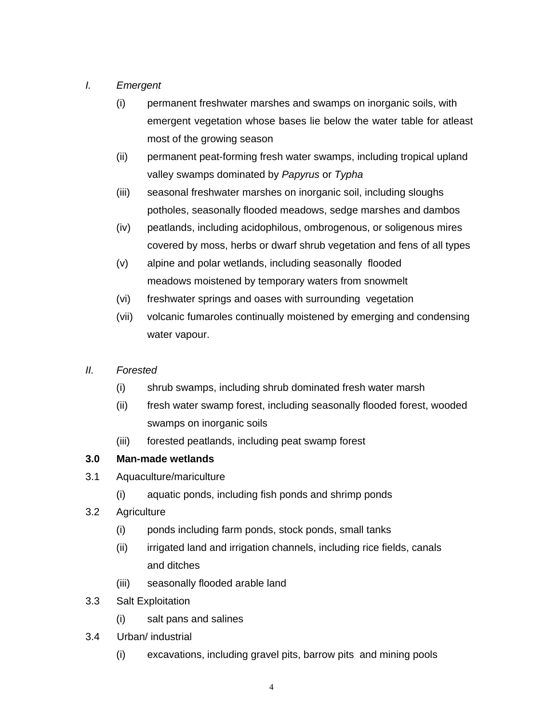### *I. Emergent*

- (i) permanent freshwater marshes and swamps on inorganic soils, with emergent vegetation whose bases lie below the water table for atleast most of the growing season
- (ii) permanent peat-forming fresh water swamps, including tropical upland valley swamps dominated by *Papyrus* or *Typha*
- (iii) seasonal freshwater marshes on inorganic soil, including sloughs potholes, seasonally flooded meadows, sedge marshes and dambos
- (iv) peatlands, including acidophilous, ombrogenous, or soligenous mires covered by moss, herbs or dwarf shrub vegetation and fens of all types
- (v) alpine and polar wetlands, including seasonally flooded meadows moistened by temporary waters from snowmelt
- (vi) freshwater springs and oases with surrounding vegetation
- (vii) volcanic fumaroles continually moistened by emerging and condensing water vapour.

### *II. Forested*

- (i) shrub swamps, including shrub dominated fresh water marsh
- (ii) fresh water swamp forest, including seasonally flooded forest, wooded swamps on inorganic soils
- (iii) forested peatlands, including peat swamp forest

### **3.0 Man-made wetlands**

- 3.1 Aquaculture/mariculture
	- (i) aquatic ponds, including fish ponds and shrimp ponds
- 3.2 Agriculture
	- (i) ponds including farm ponds, stock ponds, small tanks
	- (ii) irrigated land and irrigation channels, including rice fields, canals and ditches
	- (iii) seasonally flooded arable land
- 3.3 Salt Exploitation
	- (i) salt pans and salines
- 3.4 Urban/ industrial
	- (i) excavations, including gravel pits, barrow pits and mining pools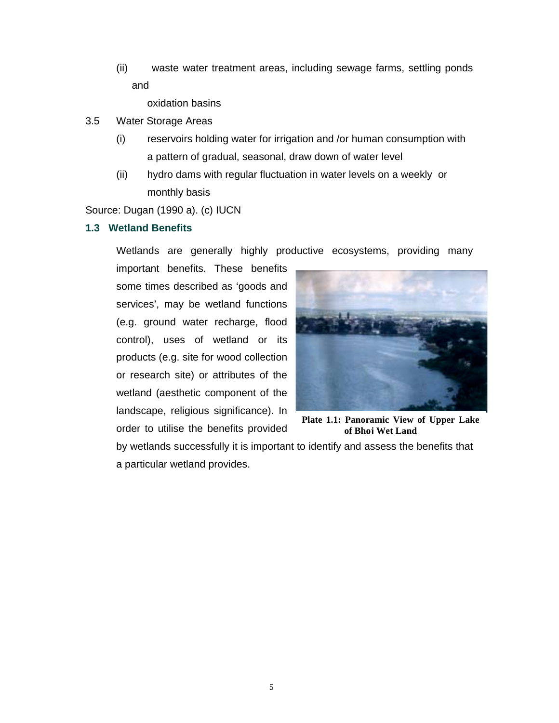(ii) waste water treatment areas, including sewage farms, settling ponds and

oxidation basins

- 3.5 Water Storage Areas
	- (i) reservoirs holding water for irrigation and /or human consumption with a pattern of gradual, seasonal, draw down of water level
	- (ii) hydro dams with regular fluctuation in water levels on a weekly or monthly basis

Source: Dugan (1990 a). (c) IUCN

#### **1.3 Wetland Benefits**

Wetlands are generally highly productive ecosystems, providing many

important benefits. These benefits some times described as 'goods and services', may be wetland functions (e.g. ground water recharge, flood control), uses of wetland or its products (e.g. site for wood collection or research site) or attributes of the wetland (aesthetic component of the landscape, religious significance). In order to utilise the benefits provided



**Plate 1.1: Panoramic View of Upper Lake of Bhoj Wet Land**

by wetlands successfully it is important to identify and assess the benefits that a particular wetland provides.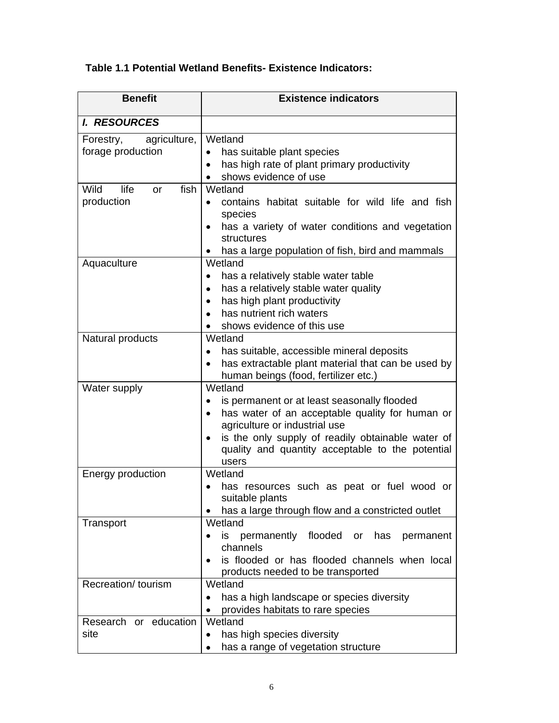# **Table 1.1 Potential Wetland Benefits- Existence Indicators:**

| <b>Benefit</b>                                 | <b>Existence indicators</b>                                                                                                                                                                                                                                                            |
|------------------------------------------------|----------------------------------------------------------------------------------------------------------------------------------------------------------------------------------------------------------------------------------------------------------------------------------------|
| <b>I. RESOURCES</b>                            |                                                                                                                                                                                                                                                                                        |
| agriculture,<br>Forestry,<br>forage production | Wetland<br>has suitable plant species<br>$\bullet$<br>has high rate of plant primary productivity<br>$\bullet$<br>shows evidence of use                                                                                                                                                |
| Wild<br>life<br>fish<br>or<br>production       | Wetland<br>contains habitat suitable for wild life and fish<br>$\bullet$<br>species<br>has a variety of water conditions and vegetation<br>structures<br>has a large population of fish, bird and mammals<br>٠                                                                         |
| Aquaculture                                    | Wetland<br>has a relatively stable water table<br>has a relatively stable water quality<br>$\bullet$<br>has high plant productivity<br>$\bullet$<br>has nutrient rich waters<br>shows evidence of this use                                                                             |
| Natural products                               | Wetland<br>has suitable, accessible mineral deposits<br>$\bullet$<br>has extractable plant material that can be used by<br>$\bullet$<br>human beings (food, fertilizer etc.)                                                                                                           |
| Water supply                                   | Wetland<br>is permanent or at least seasonally flooded<br>has water of an acceptable quality for human or<br>$\bullet$<br>agriculture or industrial use<br>is the only supply of readily obtainable water of<br>$\bullet$<br>quality and quantity acceptable to the potential<br>users |
| Energy production                              | Wetland<br>has resources such as peat or fuel wood or<br>suitable plants<br>has a large through flow and a constricted outlet                                                                                                                                                          |
| Transport                                      | Wetland<br>flooded or<br>permanently<br>has<br>is.<br>permanent<br>channels<br>is flooded or has flooded channels when local<br>$\bullet$<br>products needed to be transported                                                                                                         |
| Recreation/ tourism                            | Wetland<br>has a high landscape or species diversity<br>$\bullet$<br>provides habitats to rare species                                                                                                                                                                                 |
| Research or education<br>site                  | Wetland<br>has high species diversity<br>$\bullet$<br>has a range of vegetation structure<br>$\bullet$                                                                                                                                                                                 |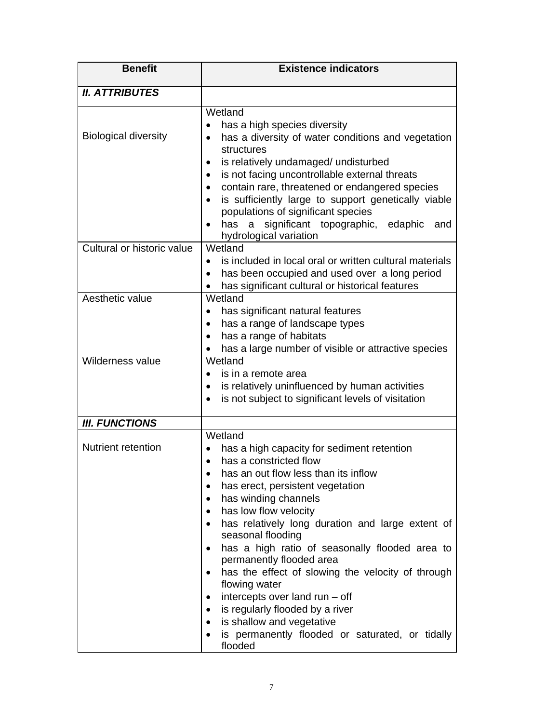| <b>Benefit</b>              | <b>Existence indicators</b>                                                                                                                                                                                                                                                                                                                                                                                                                                                                                                                                                                                         |
|-----------------------------|---------------------------------------------------------------------------------------------------------------------------------------------------------------------------------------------------------------------------------------------------------------------------------------------------------------------------------------------------------------------------------------------------------------------------------------------------------------------------------------------------------------------------------------------------------------------------------------------------------------------|
| <b>II. ATTRIBUTES</b>       |                                                                                                                                                                                                                                                                                                                                                                                                                                                                                                                                                                                                                     |
| <b>Biological diversity</b> | Wetland<br>has a high species diversity<br>$\bullet$<br>has a diversity of water conditions and vegetation<br>structures<br>is relatively undamaged/ undisturbed<br>$\bullet$<br>is not facing uncontrollable external threats<br>$\bullet$<br>contain rare, threatened or endangered species<br>is sufficiently large to support genetically viable<br>populations of significant species<br>significant topographic, edaphic<br>has<br>a<br>and<br>hydrological variation                                                                                                                                         |
| Cultural or historic value  | Wetland<br>is included in local oral or written cultural materials<br>$\bullet$<br>has been occupied and used over a long period<br>$\bullet$<br>has significant cultural or historical features                                                                                                                                                                                                                                                                                                                                                                                                                    |
| Aesthetic value             | Wetland<br>has significant natural features<br>$\bullet$<br>has a range of landscape types<br>has a range of habitats<br>$\bullet$<br>has a large number of visible or attractive species                                                                                                                                                                                                                                                                                                                                                                                                                           |
| Wilderness value            | Wetland<br>is in a remote area<br>is relatively uninfluenced by human activities<br>$\bullet$<br>is not subject to significant levels of visitation<br>$\bullet$                                                                                                                                                                                                                                                                                                                                                                                                                                                    |
| <b>III. FUNCTIONS</b>       |                                                                                                                                                                                                                                                                                                                                                                                                                                                                                                                                                                                                                     |
| <b>Nutrient retention</b>   | Wetland<br>has a high capacity for sediment retention<br>has a constricted flow<br>has an out flow less than its inflow<br>has erect, persistent vegetation<br>has winding channels<br>has low flow velocity<br>has relatively long duration and large extent of<br>seasonal flooding<br>has a high ratio of seasonally flooded area to<br>permanently flooded area<br>has the effect of slowing the velocity of through<br>٠<br>flowing water<br>intercepts over land run - off<br>٠<br>is regularly flooded by a river<br>is shallow and vegetative<br>is permanently flooded or saturated, or tidally<br>flooded |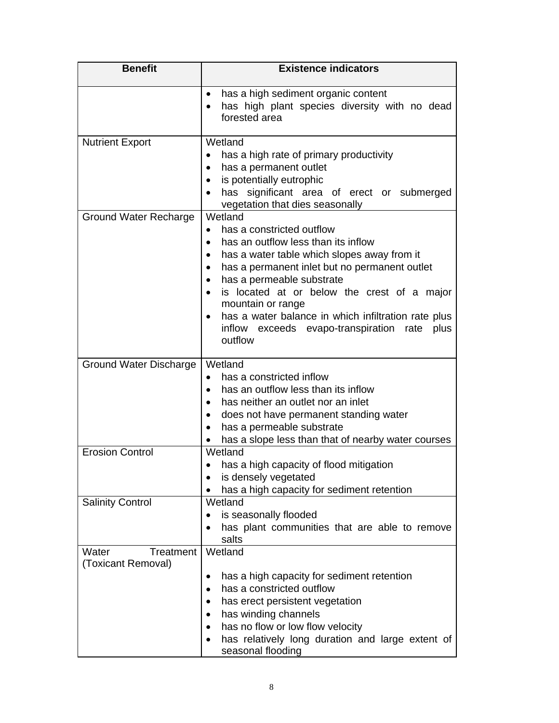| <b>Benefit</b>                                         | <b>Existence indicators</b>                                                                                                                                                                                                                                                                                                                                                                                                                             |
|--------------------------------------------------------|---------------------------------------------------------------------------------------------------------------------------------------------------------------------------------------------------------------------------------------------------------------------------------------------------------------------------------------------------------------------------------------------------------------------------------------------------------|
|                                                        | has a high sediment organic content<br>has high plant species diversity with no dead<br>forested area                                                                                                                                                                                                                                                                                                                                                   |
| <b>Nutrient Export</b><br><b>Ground Water Recharge</b> | Wetland<br>has a high rate of primary productivity<br>has a permanent outlet<br>$\bullet$<br>is potentially eutrophic<br>$\bullet$<br>has significant area of erect or submerged<br>vegetation that dies seasonally<br>Wetland                                                                                                                                                                                                                          |
|                                                        | has a constricted outflow<br>$\bullet$<br>has an outflow less than its inflow<br>has a water table which slopes away from it<br>$\bullet$<br>has a permanent inlet but no permanent outlet<br>$\bullet$<br>has a permeable substrate<br>is located at or below the crest of a major<br>$\bullet$<br>mountain or range<br>has a water balance in which infiltration rate plus<br>$\bullet$<br>inflow exceeds evapo-transpiration rate<br>plus<br>outflow |
| <b>Ground Water Discharge</b>                          | Wetland<br>has a constricted inflow<br>$\bullet$<br>has an outflow less than its inflow<br>has neither an outlet nor an inlet<br>$\bullet$<br>does not have permanent standing water<br>$\bullet$<br>has a permeable substrate<br>has a slope less than that of nearby water courses                                                                                                                                                                    |
| <b>Erosion Control</b>                                 | Wetland<br>has a high capacity of flood mitigation<br>is densely vegetated<br>has a high capacity for sediment retention                                                                                                                                                                                                                                                                                                                                |
| <b>Salinity Control</b>                                | Wetland<br>is seasonally flooded<br>has plant communities that are able to remove<br>salts                                                                                                                                                                                                                                                                                                                                                              |
| Treatment<br>Water<br>(Toxicant Removal)               | Wetland<br>has a high capacity for sediment retention<br>has a constricted outflow<br>has erect persistent vegetation<br>has winding channels<br>has no flow or low flow velocity<br>has relatively long duration and large extent of<br>seasonal flooding                                                                                                                                                                                              |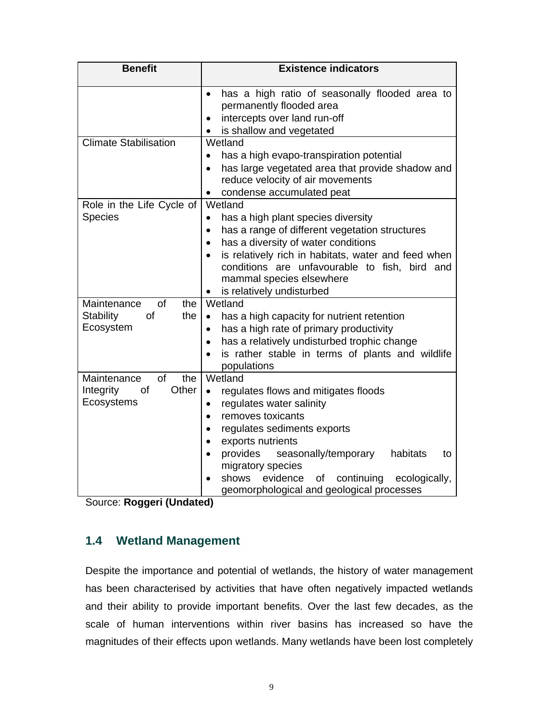| <b>Benefit</b>                                                            | <b>Existence indicators</b>                                                                                                                                                                                                                                                                                                                                                                                          |
|---------------------------------------------------------------------------|----------------------------------------------------------------------------------------------------------------------------------------------------------------------------------------------------------------------------------------------------------------------------------------------------------------------------------------------------------------------------------------------------------------------|
|                                                                           | has a high ratio of seasonally flooded area to<br>$\bullet$<br>permanently flooded area<br>intercepts over land run-off<br>$\bullet$<br>is shallow and vegetated                                                                                                                                                                                                                                                     |
| <b>Climate Stabilisation</b>                                              | Wetland<br>has a high evapo-transpiration potential<br>$\bullet$<br>has large vegetated area that provide shadow and<br>$\bullet$<br>reduce velocity of air movements<br>condense accumulated peat<br>$\bullet$                                                                                                                                                                                                      |
| Role in the Life Cycle of<br><b>Species</b>                               | Wetland<br>has a high plant species diversity<br>$\bullet$<br>has a range of different vegetation structures<br>$\bullet$<br>has a diversity of water conditions<br>$\bullet$<br>is relatively rich in habitats, water and feed when<br>$\bullet$<br>conditions are unfavourable to fish, bird and<br>mammal species elsewhere<br>is relatively undisturbed<br>$\bullet$                                             |
| of<br>Maintenance<br>the<br><b>Stability</b><br>of<br>the<br>Ecosystem    | Wetland<br>has a high capacity for nutrient retention<br>$\bullet$<br>has a high rate of primary productivity<br>$\bullet$<br>has a relatively undisturbed trophic change<br>$\bullet$<br>is rather stable in terms of plants and wildlife<br>$\bullet$<br>populations                                                                                                                                               |
| the<br>Maintenance<br><b>of</b><br>Other<br>Integrity<br>of<br>Ecosystems | Wetland<br>regulates flows and mitigates floods<br>$\bullet$<br>regulates water salinity<br>$\bullet$<br>removes toxicants<br>$\bullet$<br>regulates sediments exports<br>$\bullet$<br>exports nutrients<br>$\bullet$<br>provides<br>seasonally/temporary<br>habitats<br>to<br>$\bullet$<br>migratory species<br>shows<br>evidence<br>continuing<br>ecologically,<br>οf<br>geomorphological and geological processes |

Source: **Roggeri (Undated)** 

# **1.4 Wetland Management**

Despite the importance and potential of wetlands, the history of water management has been characterised by activities that have often negatively impacted wetlands and their ability to provide important benefits. Over the last few decades, as the scale of human interventions within river basins has increased so have the magnitudes of their effects upon wetlands. Many wetlands have been lost completely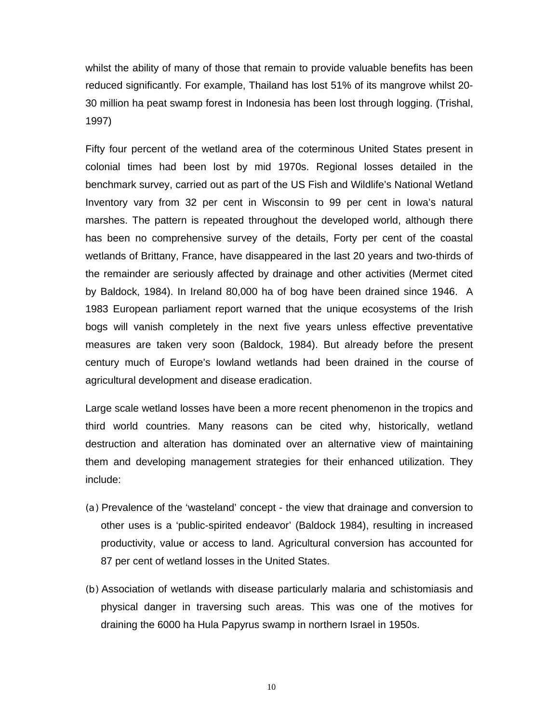whilst the ability of many of those that remain to provide valuable benefits has been reduced significantly. For example, Thailand has lost 51% of its mangrove whilst 20- 30 million ha peat swamp forest in Indonesia has been lost through logging. (Trishal, 1997)

Fifty four percent of the wetland area of the coterminous United States present in colonial times had been lost by mid 1970s. Regional losses detailed in the benchmark survey, carried out as part of the US Fish and Wildlife's National Wetland Inventory vary from 32 per cent in Wisconsin to 99 per cent in Iowa's natural marshes. The pattern is repeated throughout the developed world, although there has been no comprehensive survey of the details, Forty per cent of the coastal wetlands of Brittany, France, have disappeared in the last 20 years and two-thirds of the remainder are seriously affected by drainage and other activities (Mermet cited by Baldock, 1984). In Ireland 80,000 ha of bog have been drained since 1946. A 1983 European parliament report warned that the unique ecosystems of the Irish bogs will vanish completely in the next five years unless effective preventative measures are taken very soon (Baldock, 1984). But already before the present century much of Europe's lowland wetlands had been drained in the course of agricultural development and disease eradication.

Large scale wetland losses have been a more recent phenomenon in the tropics and third world countries. Many reasons can be cited why, historically, wetland destruction and alteration has dominated over an alternative view of maintaining them and developing management strategies for their enhanced utilization. They include:

- (a) Prevalence of the 'wasteland' concept the view that drainage and conversion to other uses is a 'public-spirited endeavor' (Baldock 1984), resulting in increased productivity, value or access to land. Agricultural conversion has accounted for 87 per cent of wetland losses in the United States.
- (b) Association of wetlands with disease particularly malaria and schistomiasis and physical danger in traversing such areas. This was one of the motives for draining the 6000 ha Hula Papyrus swamp in northern Israel in 1950s.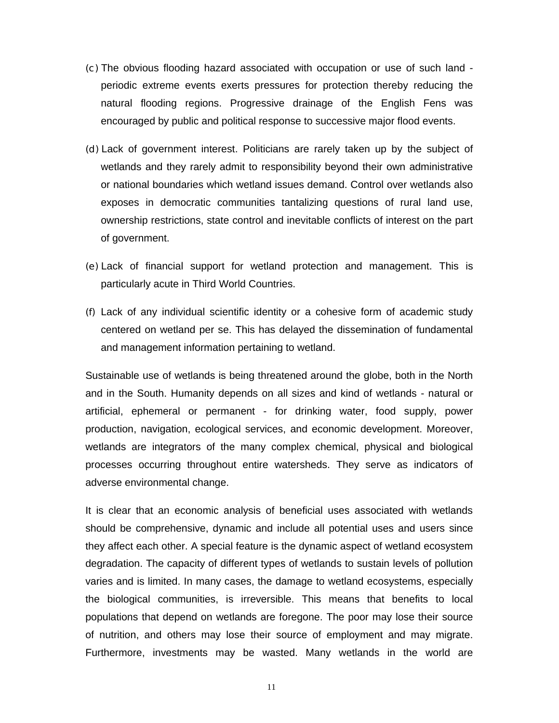- (c) The obvious flooding hazard associated with occupation or use of such land periodic extreme events exerts pressures for protection thereby reducing the natural flooding regions. Progressive drainage of the English Fens was encouraged by public and political response to successive major flood events.
- (d) Lack of government interest. Politicians are rarely taken up by the subject of wetlands and they rarely admit to responsibility beyond their own administrative or national boundaries which wetland issues demand. Control over wetlands also exposes in democratic communities tantalizing questions of rural land use, ownership restrictions, state control and inevitable conflicts of interest on the part of government.
- (e) Lack of financial support for wetland protection and management. This is particularly acute in Third World Countries.
- (f) Lack of any individual scientific identity or a cohesive form of academic study centered on wetland per se. This has delayed the dissemination of fundamental and management information pertaining to wetland.

Sustainable use of wetlands is being threatened around the globe, both in the North and in the South. Humanity depends on all sizes and kind of wetlands - natural or artificial, ephemeral or permanent - for drinking water, food supply, power production, navigation, ecological services, and economic development. Moreover, wetlands are integrators of the many complex chemical, physical and biological processes occurring throughout entire watersheds. They serve as indicators of adverse environmental change.

It is clear that an economic analysis of beneficial uses associated with wetlands should be comprehensive, dynamic and include all potential uses and users since they affect each other. A special feature is the dynamic aspect of wetland ecosystem degradation. The capacity of different types of wetlands to sustain levels of pollution varies and is limited. In many cases, the damage to wetland ecosystems, especially the biological communities, is irreversible. This means that benefits to local populations that depend on wetlands are foregone. The poor may lose their source of nutrition, and others may lose their source of employment and may migrate. Furthermore, investments may be wasted. Many wetlands in the world are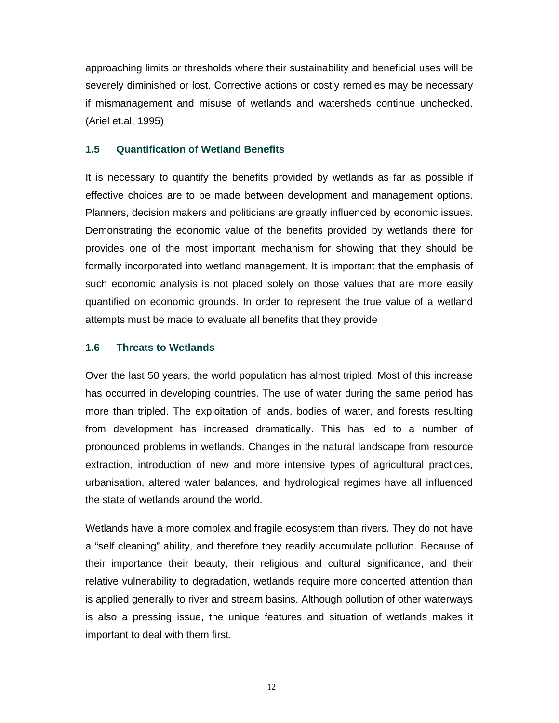approaching limits or thresholds where their sustainability and beneficial uses will be severely diminished or lost. Corrective actions or costly remedies may be necessary if mismanagement and misuse of wetlands and watersheds continue unchecked. (Ariel et.al, 1995)

#### **1.5 Quantification of Wetland Benefits**

It is necessary to quantify the benefits provided by wetlands as far as possible if effective choices are to be made between development and management options. Planners, decision makers and politicians are greatly influenced by economic issues. Demonstrating the economic value of the benefits provided by wetlands there for provides one of the most important mechanism for showing that they should be formally incorporated into wetland management. It is important that the emphasis of such economic analysis is not placed solely on those values that are more easily quantified on economic grounds. In order to represent the true value of a wetland attempts must be made to evaluate all benefits that they provide

#### **1.6 Threats to Wetlands**

Over the last 50 years, the world population has almost tripled. Most of this increase has occurred in developing countries. The use of water during the same period has more than tripled. The exploitation of lands, bodies of water, and forests resulting from development has increased dramatically. This has led to a number of pronounced problems in wetlands. Changes in the natural landscape from resource extraction, introduction of new and more intensive types of agricultural practices, urbanisation, altered water balances, and hydrological regimes have all influenced the state of wetlands around the world.

Wetlands have a more complex and fragile ecosystem than rivers. They do not have a "self cleaning" ability, and therefore they readily accumulate pollution. Because of their importance their beauty, their religious and cultural significance, and their relative vulnerability to degradation, wetlands require more concerted attention than is applied generally to river and stream basins. Although pollution of other waterways is also a pressing issue, the unique features and situation of wetlands makes it important to deal with them first.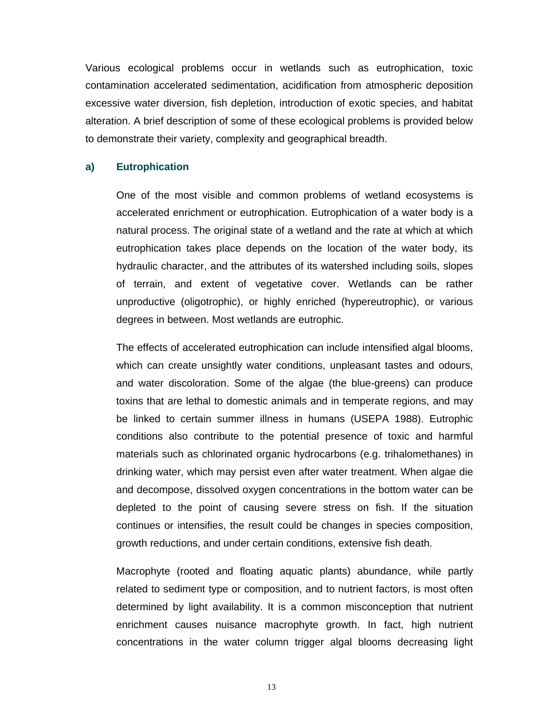Various ecological problems occur in wetlands such as eutrophication, toxic contamination accelerated sedimentation, acidification from atmospheric deposition excessive water diversion, fish depletion, introduction of exotic species, and habitat alteration. A brief description of some of these ecological problems is provided below to demonstrate their variety, complexity and geographical breadth.

#### **a) Eutrophication**

One of the most visible and common problems of wetland ecosystems is accelerated enrichment or eutrophication. Eutrophication of a water body is a natural process. The original state of a wetland and the rate at which at which eutrophication takes place depends on the location of the water body, its hydraulic character, and the attributes of its watershed including soils, slopes of terrain, and extent of vegetative cover. Wetlands can be rather unproductive (oligotrophic), or highly enriched (hypereutrophic), or various degrees in between. Most wetlands are eutrophic.

The effects of accelerated eutrophication can include intensified algal blooms, which can create unsightly water conditions, unpleasant tastes and odours, and water discoloration. Some of the algae (the blue-greens) can produce toxins that are lethal to domestic animals and in temperate regions, and may be linked to certain summer illness in humans (USEPA 1988). Eutrophic conditions also contribute to the potential presence of toxic and harmful materials such as chlorinated organic hydrocarbons (e.g. trihalomethanes) in drinking water, which may persist even after water treatment. When algae die and decompose, dissolved oxygen concentrations in the bottom water can be depleted to the point of causing severe stress on fish. If the situation continues or intensifies, the result could be changes in species composition, growth reductions, and under certain conditions, extensive fish death.

Macrophyte (rooted and floating aquatic plants) abundance, while partly related to sediment type or composition, and to nutrient factors, is most often determined by light availability. It is a common misconception that nutrient enrichment causes nuisance macrophyte growth. In fact, high nutrient concentrations in the water column trigger algal blooms decreasing light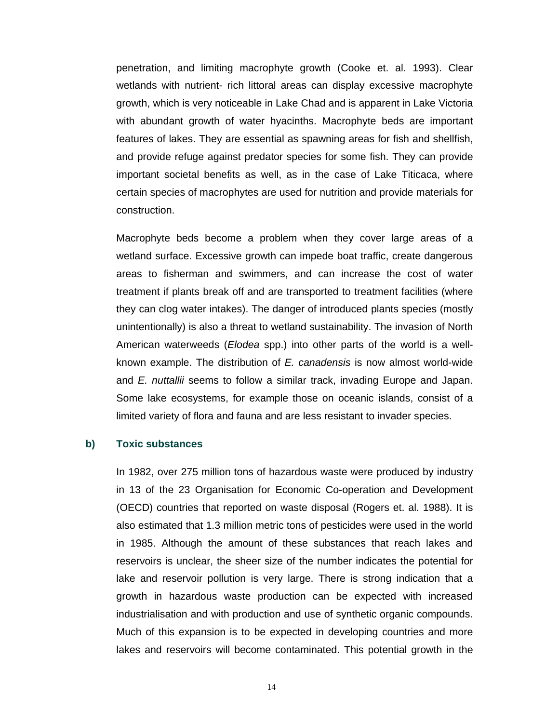penetration, and limiting macrophyte growth (Cooke et. al. 1993). Clear wetlands with nutrient- rich littoral areas can display excessive macrophyte growth, which is very noticeable in Lake Chad and is apparent in Lake Victoria with abundant growth of water hyacinths. Macrophyte beds are important features of lakes. They are essential as spawning areas for fish and shellfish, and provide refuge against predator species for some fish. They can provide important societal benefits as well, as in the case of Lake Titicaca, where certain species of macrophytes are used for nutrition and provide materials for construction.

Macrophyte beds become a problem when they cover large areas of a wetland surface. Excessive growth can impede boat traffic, create dangerous areas to fisherman and swimmers, and can increase the cost of water treatment if plants break off and are transported to treatment facilities (where they can clog water intakes). The danger of introduced plants species (mostly unintentionally) is also a threat to wetland sustainability. The invasion of North American waterweeds (*Elodea* spp.) into other parts of the world is a wellknown example. The distribution of *E. canadensis* is now almost world-wide and *E. nuttallii* seems to follow a similar track, invading Europe and Japan. Some lake ecosystems, for example those on oceanic islands, consist of a limited variety of flora and fauna and are less resistant to invader species.

#### **b) Toxic substances**

In 1982, over 275 million tons of hazardous waste were produced by industry in 13 of the 23 Organisation for Economic Co-operation and Development (OECD) countries that reported on waste disposal (Rogers et. al. 1988). It is also estimated that 1.3 million metric tons of pesticides were used in the world in 1985. Although the amount of these substances that reach lakes and reservoirs is unclear, the sheer size of the number indicates the potential for lake and reservoir pollution is very large. There is strong indication that a growth in hazardous waste production can be expected with increased industrialisation and with production and use of synthetic organic compounds. Much of this expansion is to be expected in developing countries and more lakes and reservoirs will become contaminated. This potential growth in the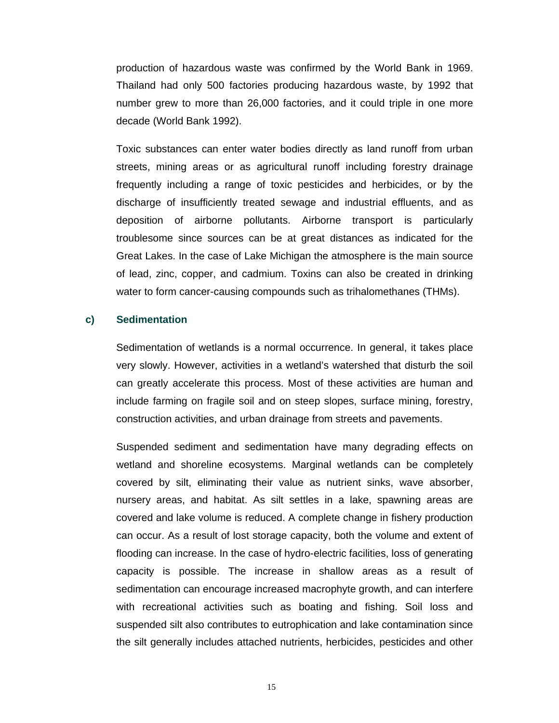production of hazardous waste was confirmed by the World Bank in 1969. Thailand had only 500 factories producing hazardous waste, by 1992 that number grew to more than 26,000 factories, and it could triple in one more decade (World Bank 1992).

Toxic substances can enter water bodies directly as land runoff from urban streets, mining areas or as agricultural runoff including forestry drainage frequently including a range of toxic pesticides and herbicides, or by the discharge of insufficiently treated sewage and industrial effluents, and as deposition of airborne pollutants. Airborne transport is particularly troublesome since sources can be at great distances as indicated for the Great Lakes. In the case of Lake Michigan the atmosphere is the main source of lead, zinc, copper, and cadmium. Toxins can also be created in drinking water to form cancer-causing compounds such as trihalomethanes (THMs).

#### **c) Sedimentation**

Sedimentation of wetlands is a normal occurrence. In general, it takes place very slowly. However, activities in a wetland's watershed that disturb the soil can greatly accelerate this process. Most of these activities are human and include farming on fragile soil and on steep slopes, surface mining, forestry, construction activities, and urban drainage from streets and pavements.

Suspended sediment and sedimentation have many degrading effects on wetland and shoreline ecosystems. Marginal wetlands can be completely covered by silt, eliminating their value as nutrient sinks, wave absorber, nursery areas, and habitat. As silt settles in a lake, spawning areas are covered and lake volume is reduced. A complete change in fishery production can occur. As a result of lost storage capacity, both the volume and extent of flooding can increase. In the case of hydro-electric facilities, loss of generating capacity is possible. The increase in shallow areas as a result of sedimentation can encourage increased macrophyte growth, and can interfere with recreational activities such as boating and fishing. Soil loss and suspended silt also contributes to eutrophication and lake contamination since the silt generally includes attached nutrients, herbicides, pesticides and other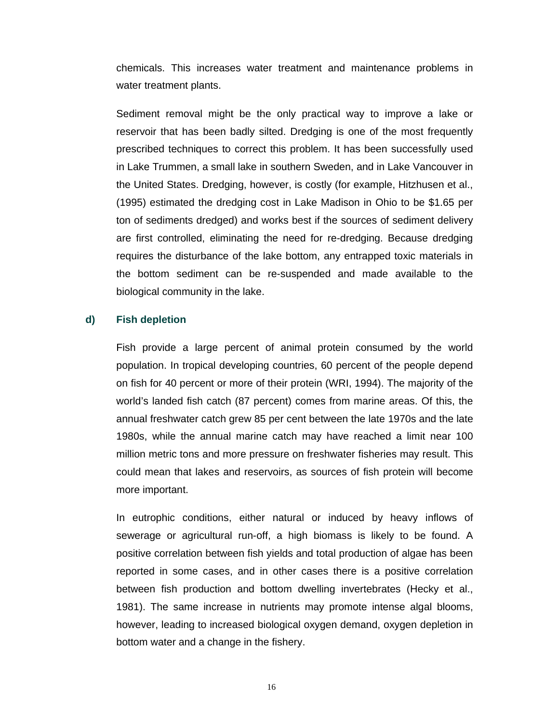chemicals. This increases water treatment and maintenance problems in water treatment plants.

Sediment removal might be the only practical way to improve a lake or reservoir that has been badly silted. Dredging is one of the most frequently prescribed techniques to correct this problem. It has been successfully used in Lake Trummen, a small lake in southern Sweden, and in Lake Vancouver in the United States. Dredging, however, is costly (for example, Hitzhusen et al., (1995) estimated the dredging cost in Lake Madison in Ohio to be \$1.65 per ton of sediments dredged) and works best if the sources of sediment delivery are first controlled, eliminating the need for re-dredging. Because dredging requires the disturbance of the lake bottom, any entrapped toxic materials in the bottom sediment can be re-suspended and made available to the biological community in the lake.

#### **d) Fish depletion**

Fish provide a large percent of animal protein consumed by the world population. In tropical developing countries, 60 percent of the people depend on fish for 40 percent or more of their protein (WRI, 1994). The majority of the world's landed fish catch (87 percent) comes from marine areas. Of this, the annual freshwater catch grew 85 per cent between the late 1970s and the late 1980s, while the annual marine catch may have reached a limit near 100 million metric tons and more pressure on freshwater fisheries may result. This could mean that lakes and reservoirs, as sources of fish protein will become more important.

In eutrophic conditions, either natural or induced by heavy inflows of sewerage or agricultural run-off, a high biomass is likely to be found. A positive correlation between fish yields and total production of algae has been reported in some cases, and in other cases there is a positive correlation between fish production and bottom dwelling invertebrates (Hecky et al., 1981). The same increase in nutrients may promote intense algal blooms, however, leading to increased biological oxygen demand, oxygen depletion in bottom water and a change in the fishery.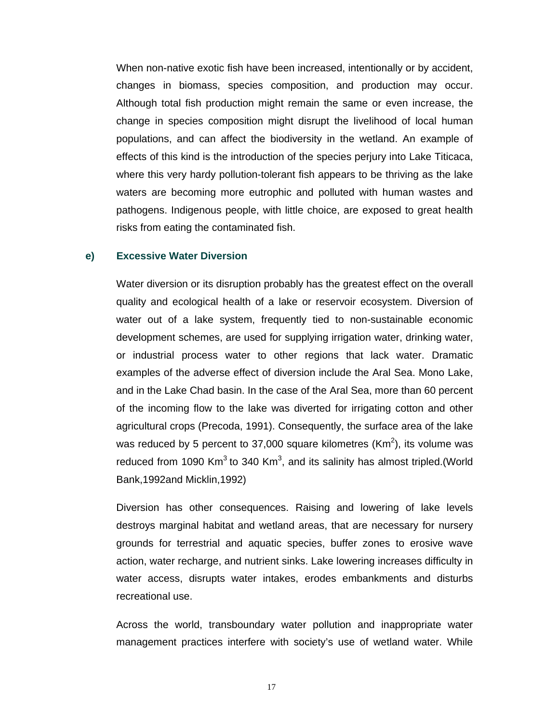When non-native exotic fish have been increased, intentionally or by accident, changes in biomass, species composition, and production may occur. Although total fish production might remain the same or even increase, the change in species composition might disrupt the livelihood of local human populations, and can affect the biodiversity in the wetland. An example of effects of this kind is the introduction of the species perjury into Lake Titicaca, where this very hardy pollution-tolerant fish appears to be thriving as the lake waters are becoming more eutrophic and polluted with human wastes and pathogens. Indigenous people, with little choice, are exposed to great health risks from eating the contaminated fish.

#### **e) Excessive Water Diversion**

Water diversion or its disruption probably has the greatest effect on the overall quality and ecological health of a lake or reservoir ecosystem. Diversion of water out of a lake system, frequently tied to non-sustainable economic development schemes, are used for supplying irrigation water, drinking water, or industrial process water to other regions that lack water. Dramatic examples of the adverse effect of diversion include the Aral Sea. Mono Lake, and in the Lake Chad basin. In the case of the Aral Sea, more than 60 percent of the incoming flow to the lake was diverted for irrigating cotton and other agricultural crops (Precoda, 1991). Consequently, the surface area of the lake was reduced by 5 percent to 37,000 square kilometres (Km<sup>2</sup>), its volume was reduced from 1090 Km<sup>3</sup> to 340 Km<sup>3</sup>, and its salinity has almost tripled.(World Bank,1992and Micklin,1992)

Diversion has other consequences. Raising and lowering of lake levels destroys marginal habitat and wetland areas, that are necessary for nursery grounds for terrestrial and aquatic species, buffer zones to erosive wave action, water recharge, and nutrient sinks. Lake lowering increases difficulty in water access, disrupts water intakes, erodes embankments and disturbs recreational use.

Across the world, transboundary water pollution and inappropriate water management practices interfere with society's use of wetland water. While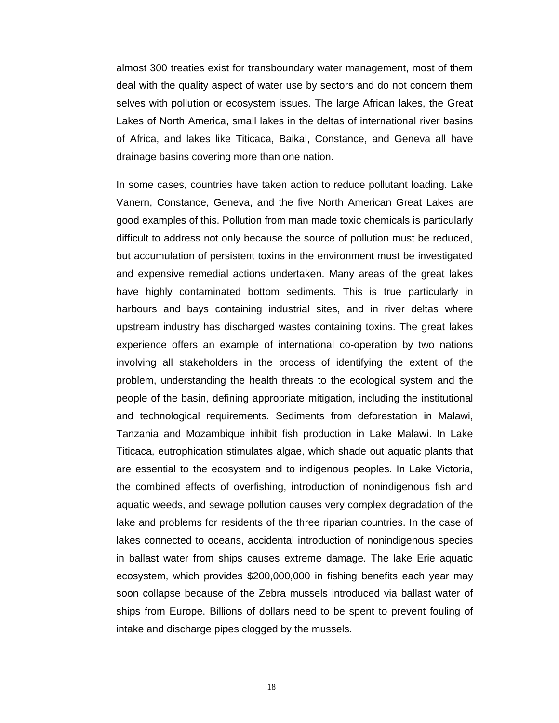almost 300 treaties exist for transboundary water management, most of them deal with the quality aspect of water use by sectors and do not concern them selves with pollution or ecosystem issues. The large African lakes, the Great Lakes of North America, small lakes in the deltas of international river basins of Africa, and lakes like Titicaca, Baikal, Constance, and Geneva all have drainage basins covering more than one nation.

In some cases, countries have taken action to reduce pollutant loading. Lake Vanern, Constance, Geneva, and the five North American Great Lakes are good examples of this. Pollution from man made toxic chemicals is particularly difficult to address not only because the source of pollution must be reduced, but accumulation of persistent toxins in the environment must be investigated and expensive remedial actions undertaken. Many areas of the great lakes have highly contaminated bottom sediments. This is true particularly in harbours and bays containing industrial sites, and in river deltas where upstream industry has discharged wastes containing toxins. The great lakes experience offers an example of international co-operation by two nations involving all stakeholders in the process of identifying the extent of the problem, understanding the health threats to the ecological system and the people of the basin, defining appropriate mitigation, including the institutional and technological requirements. Sediments from deforestation in Malawi, Tanzania and Mozambique inhibit fish production in Lake Malawi. In Lake Titicaca, eutrophication stimulates algae, which shade out aquatic plants that are essential to the ecosystem and to indigenous peoples. In Lake Victoria, the combined effects of overfishing, introduction of nonindigenous fish and aquatic weeds, and sewage pollution causes very complex degradation of the lake and problems for residents of the three riparian countries. In the case of lakes connected to oceans, accidental introduction of nonindigenous species in ballast water from ships causes extreme damage. The lake Erie aquatic ecosystem, which provides \$200,000,000 in fishing benefits each year may soon collapse because of the Zebra mussels introduced via ballast water of ships from Europe. Billions of dollars need to be spent to prevent fouling of intake and discharge pipes clogged by the mussels.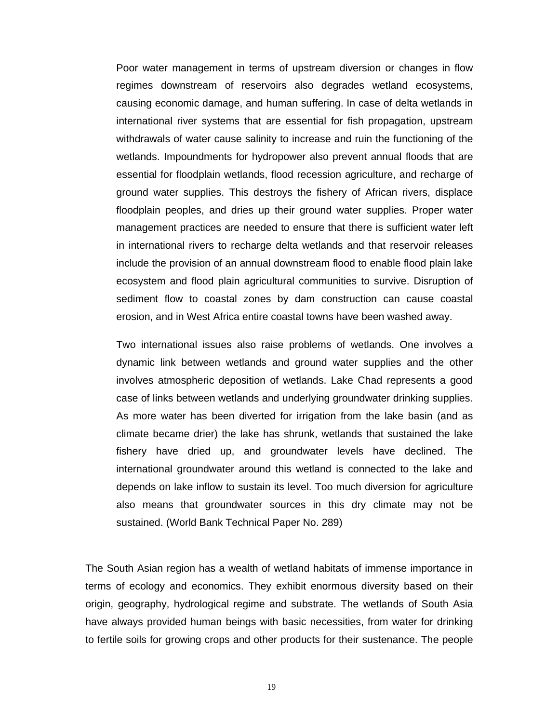Poor water management in terms of upstream diversion or changes in flow regimes downstream of reservoirs also degrades wetland ecosystems, causing economic damage, and human suffering. In case of delta wetlands in international river systems that are essential for fish propagation, upstream withdrawals of water cause salinity to increase and ruin the functioning of the wetlands. Impoundments for hydropower also prevent annual floods that are essential for floodplain wetlands, flood recession agriculture, and recharge of ground water supplies. This destroys the fishery of African rivers, displace floodplain peoples, and dries up their ground water supplies. Proper water management practices are needed to ensure that there is sufficient water left in international rivers to recharge delta wetlands and that reservoir releases include the provision of an annual downstream flood to enable flood plain lake ecosystem and flood plain agricultural communities to survive. Disruption of sediment flow to coastal zones by dam construction can cause coastal erosion, and in West Africa entire coastal towns have been washed away.

Two international issues also raise problems of wetlands. One involves a dynamic link between wetlands and ground water supplies and the other involves atmospheric deposition of wetlands. Lake Chad represents a good case of links between wetlands and underlying groundwater drinking supplies. As more water has been diverted for irrigation from the lake basin (and as climate became drier) the lake has shrunk, wetlands that sustained the lake fishery have dried up, and groundwater levels have declined. The international groundwater around this wetland is connected to the lake and depends on lake inflow to sustain its level. Too much diversion for agriculture also means that groundwater sources in this dry climate may not be sustained. (World Bank Technical Paper No. 289)

The South Asian region has a wealth of wetland habitats of immense importance in terms of ecology and economics. They exhibit enormous diversity based on their origin, geography, hydrological regime and substrate. The wetlands of South Asia have always provided human beings with basic necessities, from water for drinking to fertile soils for growing crops and other products for their sustenance. The people

19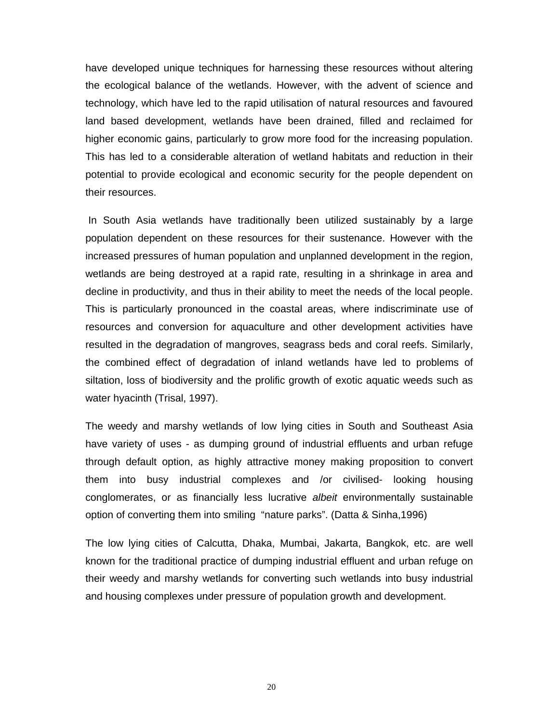have developed unique techniques for harnessing these resources without altering the ecological balance of the wetlands. However, with the advent of science and technology, which have led to the rapid utilisation of natural resources and favoured land based development, wetlands have been drained, filled and reclaimed for higher economic gains, particularly to grow more food for the increasing population. This has led to a considerable alteration of wetland habitats and reduction in their potential to provide ecological and economic security for the people dependent on their resources.

 In South Asia wetlands have traditionally been utilized sustainably by a large population dependent on these resources for their sustenance. However with the increased pressures of human population and unplanned development in the region, wetlands are being destroyed at a rapid rate, resulting in a shrinkage in area and decline in productivity, and thus in their ability to meet the needs of the local people. This is particularly pronounced in the coastal areas, where indiscriminate use of resources and conversion for aquaculture and other development activities have resulted in the degradation of mangroves, seagrass beds and coral reefs. Similarly, the combined effect of degradation of inland wetlands have led to problems of siltation, loss of biodiversity and the prolific growth of exotic aquatic weeds such as water hyacinth (Trisal, 1997).

The weedy and marshy wetlands of low lying cities in South and Southeast Asia have variety of uses - as dumping ground of industrial effluents and urban refuge through default option, as highly attractive money making proposition to convert them into busy industrial complexes and /or civilised- looking housing conglomerates, or as financially less lucrative *albeit* environmentally sustainable option of converting them into smiling "nature parks". (Datta & Sinha,1996)

The low lying cities of Calcutta, Dhaka, Mumbai, Jakarta, Bangkok, etc. are well known for the traditional practice of dumping industrial effluent and urban refuge on their weedy and marshy wetlands for converting such wetlands into busy industrial and housing complexes under pressure of population growth and development.

20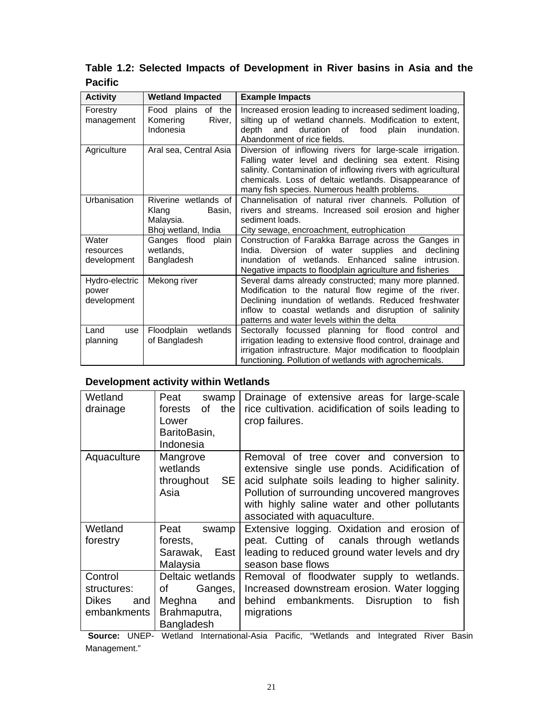# **Table 1.2: Selected Impacts of Development in River basins in Asia and the Pacific**

| <b>Activity</b>                        | <b>Wetland Impacted</b>                                                     | <b>Example Impacts</b>                                                                                                                                                                                                                                                                      |  |  |
|----------------------------------------|-----------------------------------------------------------------------------|---------------------------------------------------------------------------------------------------------------------------------------------------------------------------------------------------------------------------------------------------------------------------------------------|--|--|
| Forestry<br>management                 | Food plains of the<br>Komering<br>River.<br>Indonesia                       | Increased erosion leading to increased sediment loading,<br>silting up of wetland channels. Modification to extent,<br>duration of food<br>depth<br>and<br>plain<br>inundation.<br>Abandonment of rice fields.                                                                              |  |  |
| Agriculture                            | Aral sea, Central Asia                                                      | Diversion of inflowing rivers for large-scale irrigation.<br>Falling water level and declining sea extent. Rising<br>salinity. Contamination of inflowing rivers with agricultural<br>chemicals. Loss of deltaic wetlands. Disappearance of<br>many fish species. Numerous health problems. |  |  |
| Urbanisation                           | Riverine wetlands of<br>Klang<br>Basin,<br>Malaysia.<br>Bhoj wetland, India | Channelisation of natural river channels. Pollution of<br>rivers and streams. Increased soil erosion and higher<br>sediment loads.<br>City sewage, encroachment, eutrophication                                                                                                             |  |  |
| Water<br>resources<br>development      | Ganges flood plain<br>wetlands,<br>Bangladesh                               | Construction of Farakka Barrage across the Ganges in<br>India. Diversion of water supplies and declining<br>inundation of wetlands. Enhanced saline<br>intrusion.<br>Negative impacts to floodplain agriculture and fisheries                                                               |  |  |
| Hydro-electric<br>power<br>development | Mekong river                                                                | Several dams already constructed; many more planned.<br>Modification to the natural flow regime of the river.<br>Declining inundation of wetlands. Reduced freshwater<br>inflow to coastal wetlands and disruption of salinity<br>patterns and water levels within the delta                |  |  |
| Land<br>use<br>planning                | Floodplain<br>wetlands<br>of Bangladesh                                     | Sectorally focussed planning for flood control and<br>irrigation leading to extensive flood control, drainage and<br>irrigation infrastructure. Major modification to floodplain<br>functioning. Pollution of wetlands with agrochemicals.                                                  |  |  |

### **Development activity within Wetlands**

| Wetland<br>drainage                                   | Peat<br>swamp<br>of the<br>forests<br>Lower<br>BaritoBasin,<br>Indonesia                                                                                                                       | Drainage of extensive areas for large-scale<br>rice cultivation. acidification of soils leading to<br>crop failures.                                                                                                                                                        |
|-------------------------------------------------------|------------------------------------------------------------------------------------------------------------------------------------------------------------------------------------------------|-----------------------------------------------------------------------------------------------------------------------------------------------------------------------------------------------------------------------------------------------------------------------------|
| Aquaculture                                           | Mangrove<br>wetlands<br>SE I<br>throughout<br>Asia                                                                                                                                             | Removal of tree cover and conversion to<br>extensive single use ponds. Acidification of<br>acid sulphate soils leading to higher salinity.<br>Pollution of surrounding uncovered mangroves<br>with highly saline water and other pollutants<br>associated with aquaculture. |
| Wetland<br>forestry                                   | Peat<br>swamp<br>forests,<br>Sarawak, East<br>Malaysia                                                                                                                                         | Extensive logging. Oxidation and erosion of<br>peat. Cutting of canals through wetlands<br>leading to reduced ground water levels and dry<br>season base flows                                                                                                              |
| Control<br>structures:<br>Dikes<br>and<br>embankments | Deltaic wetlands<br>Ganges,  <br>of the control of the control of the control of the control of the control of the control of the control of th<br>and<br>Meghna<br>Brahmaputra,<br>Bangladesh | Removal of floodwater supply to wetlands.<br>Increased downstream erosion. Water logging<br>behind embankments. Disruption to<br>fish<br>migrations                                                                                                                         |

**Source:** UNEP- Wetland International-Asia Pacific, "Wetlands and Integrated River Basin Management."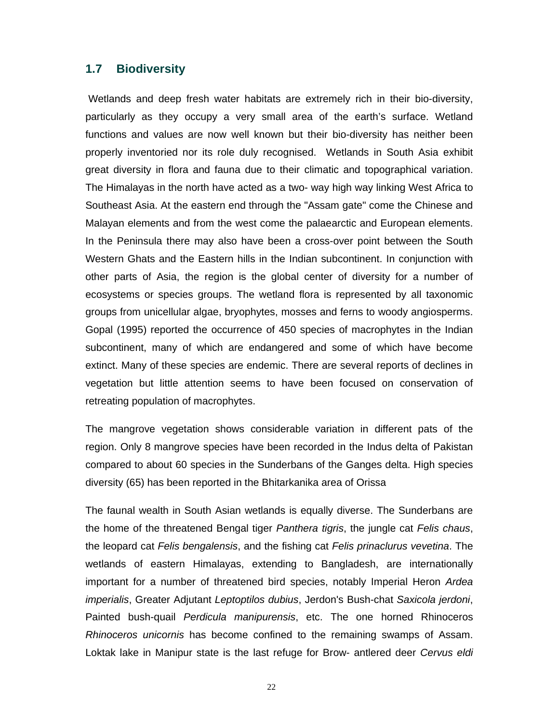## **1.7 Biodiversity**

 Wetlands and deep fresh water habitats are extremely rich in their bio-diversity, particularly as they occupy a very small area of the earth's surface. Wetland functions and values are now well known but their bio-diversity has neither been properly inventoried nor its role duly recognised. Wetlands in South Asia exhibit great diversity in flora and fauna due to their climatic and topographical variation. The Himalayas in the north have acted as a two- way high way linking West Africa to Southeast Asia. At the eastern end through the "Assam gate" come the Chinese and Malayan elements and from the west come the palaearctic and European elements. In the Peninsula there may also have been a cross-over point between the South Western Ghats and the Eastern hills in the Indian subcontinent. In conjunction with other parts of Asia, the region is the global center of diversity for a number of ecosystems or species groups. The wetland flora is represented by all taxonomic groups from unicellular algae, bryophytes, mosses and ferns to woody angiosperms. Gopal (1995) reported the occurrence of 450 species of macrophytes in the Indian subcontinent, many of which are endangered and some of which have become extinct. Many of these species are endemic. There are several reports of declines in vegetation but little attention seems to have been focused on conservation of retreating population of macrophytes.

The mangrove vegetation shows considerable variation in different pats of the region. Only 8 mangrove species have been recorded in the Indus delta of Pakistan compared to about 60 species in the Sunderbans of the Ganges delta. High species diversity (65) has been reported in the Bhitarkanika area of Orissa

The faunal wealth in South Asian wetlands is equally diverse. The Sunderbans are the home of the threatened Bengal tiger *Panthera tigris*, the jungle cat *Felis chaus*, the leopard cat *Felis bengalensis*, and the fishing cat *Felis prinaclurus vevetina*. The wetlands of eastern Himalayas, extending to Bangladesh, are internationally important for a number of threatened bird species, notably Imperial Heron *Ardea imperialis*, Greater Adjutant *Leptoptilos dubius*, Jerdon's Bush-chat *Saxicola jerdoni*, Painted bush-quail *Perdicula manipurensis*, etc. The one horned Rhinoceros *Rhinoceros unicornis* has become confined to the remaining swamps of Assam. Loktak lake in Manipur state is the last refuge for Brow- antlered deer *Cervus eldi*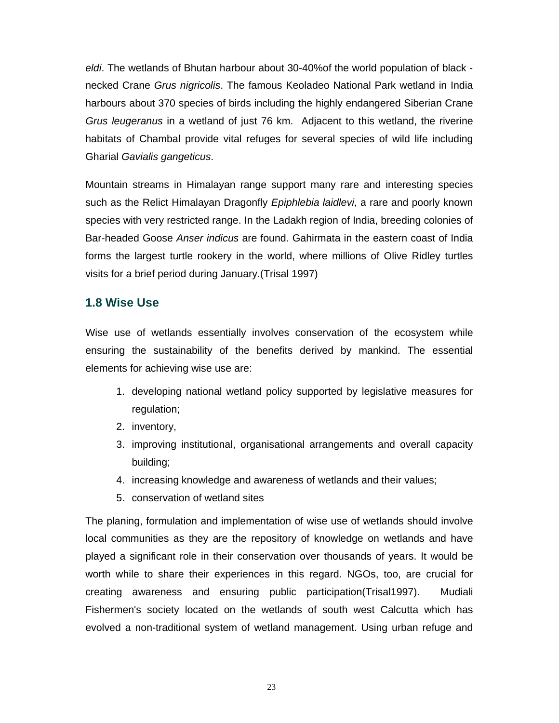*eldi*. The wetlands of Bhutan harbour about 30-40%of the world population of black necked Crane *Grus nigricolis*. The famous Keoladeo National Park wetland in India harbours about 370 species of birds including the highly endangered Siberian Crane *Grus leugeranus* in a wetland of just 76 km. Adjacent to this wetland, the riverine habitats of Chambal provide vital refuges for several species of wild life including Gharial *Gavialis gangeticus*.

Mountain streams in Himalayan range support many rare and interesting species such as the Relict Himalayan Dragonfly *Epiphlebia laidlevi*, a rare and poorly known species with very restricted range. In the Ladakh region of India, breeding colonies of Bar-headed Goose *Anser indicus* are found. Gahirmata in the eastern coast of India forms the largest turtle rookery in the world, where millions of Olive Ridley turtles visits for a brief period during January.(Trisal 1997)

# **1.8 Wise Use**

Wise use of wetlands essentially involves conservation of the ecosystem while ensuring the sustainability of the benefits derived by mankind. The essential elements for achieving wise use are:

- 1. developing national wetland policy supported by legislative measures for regulation;
- 2. inventory,
- 3. improving institutional, organisational arrangements and overall capacity building;
- 4. increasing knowledge and awareness of wetlands and their values;
- 5. conservation of wetland sites

The planing, formulation and implementation of wise use of wetlands should involve local communities as they are the repository of knowledge on wetlands and have played a significant role in their conservation over thousands of years. It would be worth while to share their experiences in this regard. NGOs, too, are crucial for creating awareness and ensuring public participation(Trisal1997). Mudiali Fishermen's society located on the wetlands of south west Calcutta which has evolved a non-traditional system of wetland management. Using urban refuge and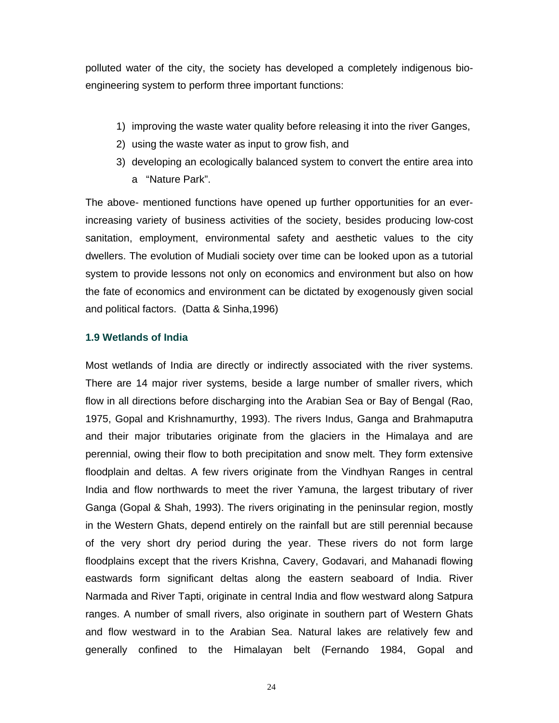polluted water of the city, the society has developed a completely indigenous bioengineering system to perform three important functions:

- 1) improving the waste water quality before releasing it into the river Ganges,
- 2) using the waste water as input to grow fish, and
- 3) developing an ecologically balanced system to convert the entire area into a "Nature Park".

The above- mentioned functions have opened up further opportunities for an everincreasing variety of business activities of the society, besides producing low-cost sanitation, employment, environmental safety and aesthetic values to the city dwellers. The evolution of Mudiali society over time can be looked upon as a tutorial system to provide lessons not only on economics and environment but also on how the fate of economics and environment can be dictated by exogenously given social and political factors. (Datta & Sinha,1996)

### **1.9 Wetlands of India**

Most wetlands of India are directly or indirectly associated with the river systems. There are 14 major river systems, beside a large number of smaller rivers, which flow in all directions before discharging into the Arabian Sea or Bay of Bengal (Rao, 1975, Gopal and Krishnamurthy, 1993). The rivers Indus, Ganga and Brahmaputra and their major tributaries originate from the glaciers in the Himalaya and are perennial, owing their flow to both precipitation and snow melt. They form extensive floodplain and deltas. A few rivers originate from the Vindhyan Ranges in central India and flow northwards to meet the river Yamuna, the largest tributary of river Ganga (Gopal & Shah, 1993). The rivers originating in the peninsular region, mostly in the Western Ghats, depend entirely on the rainfall but are still perennial because of the very short dry period during the year. These rivers do not form large floodplains except that the rivers Krishna, Cavery, Godavari, and Mahanadi flowing eastwards form significant deltas along the eastern seaboard of India. River Narmada and River Tapti, originate in central India and flow westward along Satpura ranges. A number of small rivers, also originate in southern part of Western Ghats and flow westward in to the Arabian Sea. Natural lakes are relatively few and generally confined to the Himalayan belt (Fernando 1984, Gopal and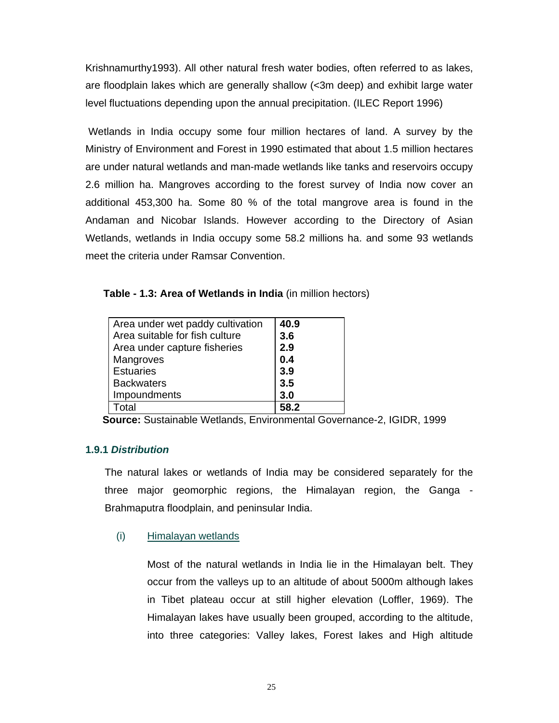Krishnamurthy1993). All other natural fresh water bodies, often referred to as lakes, are floodplain lakes which are generally shallow (<3m deep) and exhibit large water level fluctuations depending upon the annual precipitation. (ILEC Report 1996)

 Wetlands in India occupy some four million hectares of land. A survey by the Ministry of Environment and Forest in 1990 estimated that about 1.5 million hectares are under natural wetlands and man-made wetlands like tanks and reservoirs occupy 2.6 million ha. Mangroves according to the forest survey of India now cover an additional 453,300 ha. Some 80 % of the total mangrove area is found in the Andaman and Nicobar Islands. However according to the Directory of Asian Wetlands, wetlands in India occupy some 58.2 millions ha. and some 93 wetlands meet the criteria under Ramsar Convention.

 **Table - 1.3: Area of Wetlands in India** (in million hectors)

| Area under wet paddy cultivation | 40.9       |
|----------------------------------|------------|
| Area suitable for fish culture   | 3.6        |
| Area under capture fisheries     | 2.9        |
| Mangroves                        | 0.4        |
| <b>Estuaries</b>                 | 3.9        |
| <b>Backwaters</b>                | 3.5        |
| Impoundments                     | 3.0        |
| Total                            | <b>582</b> |

**Source:** Sustainable Wetlands, Environmental Governance-2, IGIDR, 1999

## **1.9.1** *Distribution*

The natural lakes or wetlands of India may be considered separately for the three major geomorphic regions, the Himalayan region, the Ganga - Brahmaputra floodplain, and peninsular India.

### (i) Himalayan wetlands

Most of the natural wetlands in India lie in the Himalayan belt. They occur from the valleys up to an altitude of about 5000m although lakes in Tibet plateau occur at still higher elevation (Loffler, 1969). The Himalayan lakes have usually been grouped, according to the altitude, into three categories: Valley lakes, Forest lakes and High altitude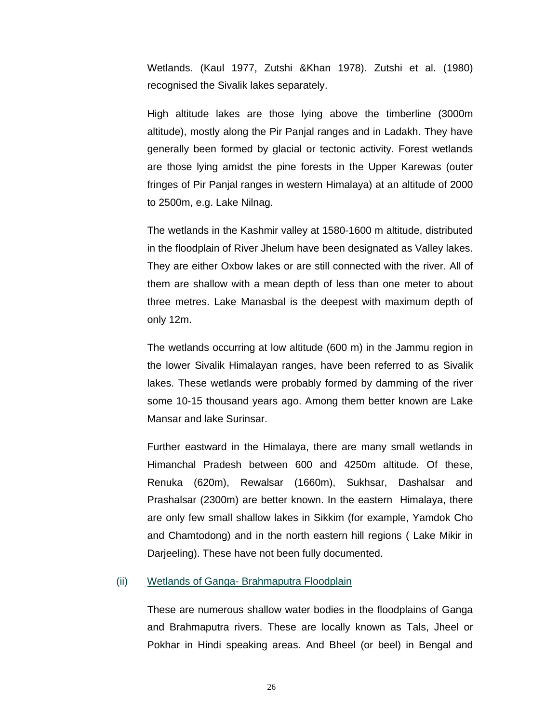Wetlands. (Kaul 1977, Zutshi &Khan 1978). Zutshi et al. (1980) recognised the Sivalik lakes separately.

High altitude lakes are those lying above the timberline (3000m altitude), mostly along the Pir Panjal ranges and in Ladakh. They have generally been formed by glacial or tectonic activity. Forest wetlands are those lying amidst the pine forests in the Upper Karewas (outer fringes of Pir Panjal ranges in western Himalaya) at an altitude of 2000 to 2500m, e.g. Lake Nilnag.

The wetlands in the Kashmir valley at 1580-1600 m altitude, distributed in the floodplain of River Jhelum have been designated as Valley lakes. They are either Oxbow lakes or are still connected with the river. All of them are shallow with a mean depth of less than one meter to about three metres. Lake Manasbal is the deepest with maximum depth of only 12m.

The wetlands occurring at low altitude (600 m) in the Jammu region in the lower Sivalik Himalayan ranges, have been referred to as Sivalik lakes. These wetlands were probably formed by damming of the river some 10-15 thousand years ago. Among them better known are Lake Mansar and lake Surinsar.

Further eastward in the Himalaya, there are many small wetlands in Himanchal Pradesh between 600 and 4250m altitude. Of these, Renuka (620m), Rewalsar (1660m), Sukhsar, Dashalsar and Prashalsar (2300m) are better known. In the eastern Himalaya, there are only few small shallow lakes in Sikkim (for example, Yamdok Cho and Chamtodong) and in the north eastern hill regions ( Lake Mikir in Darjeeling). These have not been fully documented.

#### (ii) Wetlands of Ganga- Brahmaputra Floodplain

These are numerous shallow water bodies in the floodplains of Ganga and Brahmaputra rivers. These are locally known as Tals, Jheel or Pokhar in Hindi speaking areas. And Bheel (or beel) in Bengal and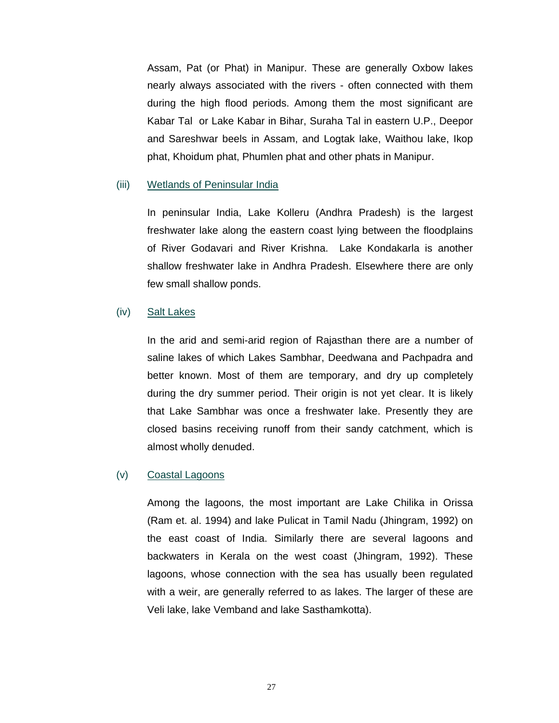Assam, Pat (or Phat) in Manipur. These are generally Oxbow lakes nearly always associated with the rivers - often connected with them during the high flood periods. Among them the most significant are Kabar Tal or Lake Kabar in Bihar, Suraha Tal in eastern U.P., Deepor and Sareshwar beels in Assam, and Logtak lake, Waithou lake, Ikop phat, Khoidum phat, Phumlen phat and other phats in Manipur.

### (iii) Wetlands of Peninsular India

In peninsular India, Lake Kolleru (Andhra Pradesh) is the largest freshwater lake along the eastern coast lying between the floodplains of River Godavari and River Krishna. Lake Kondakarla is another shallow freshwater lake in Andhra Pradesh. Elsewhere there are only few small shallow ponds.

### (iv) Salt Lakes

In the arid and semi-arid region of Rajasthan there are a number of saline lakes of which Lakes Sambhar, Deedwana and Pachpadra and better known. Most of them are temporary, and dry up completely during the dry summer period. Their origin is not yet clear. It is likely that Lake Sambhar was once a freshwater lake. Presently they are closed basins receiving runoff from their sandy catchment, which is almost wholly denuded.

#### (v) Coastal Lagoons

Among the lagoons, the most important are Lake Chilika in Orissa (Ram et. al. 1994) and lake Pulicat in Tamil Nadu (Jhingram, 1992) on the east coast of India. Similarly there are several lagoons and backwaters in Kerala on the west coast (Jhingram, 1992). These lagoons, whose connection with the sea has usually been regulated with a weir, are generally referred to as lakes. The larger of these are Veli lake, lake Vemband and lake Sasthamkotta).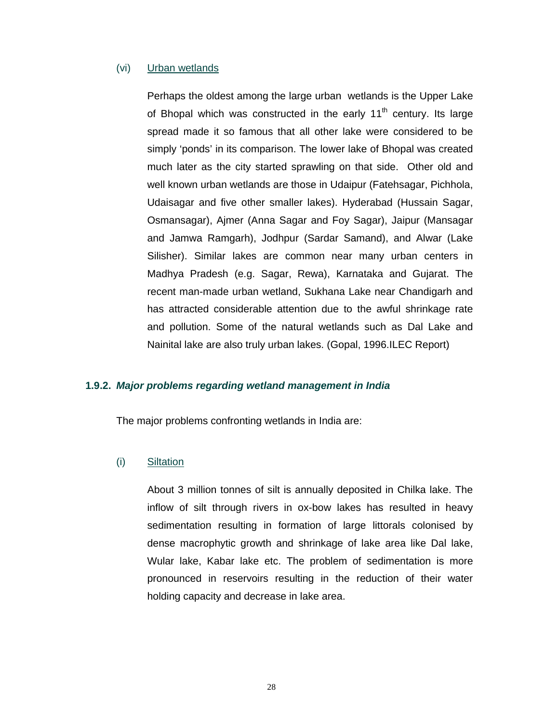### (vi) Urban wetlands

Perhaps the oldest among the large urban wetlands is the Upper Lake of Bhopal which was constructed in the early  $11<sup>th</sup>$  century. Its large spread made it so famous that all other lake were considered to be simply 'ponds' in its comparison. The lower lake of Bhopal was created much later as the city started sprawling on that side. Other old and well known urban wetlands are those in Udaipur (Fatehsagar, Pichhola, Udaisagar and five other smaller lakes). Hyderabad (Hussain Sagar, Osmansagar), Ajmer (Anna Sagar and Foy Sagar), Jaipur (Mansagar and Jamwa Ramgarh), Jodhpur (Sardar Samand), and Alwar (Lake Silisher). Similar lakes are common near many urban centers in Madhya Pradesh (e.g. Sagar, Rewa), Karnataka and Gujarat. The recent man-made urban wetland, Sukhana Lake near Chandigarh and has attracted considerable attention due to the awful shrinkage rate and pollution. Some of the natural wetlands such as Dal Lake and Nainital lake are also truly urban lakes. (Gopal, 1996.ILEC Report)

### **1.9.2.** *Major problems regarding wetland management in India*

The major problems confronting wetlands in India are:

#### (i) Siltation

About 3 million tonnes of silt is annually deposited in Chilka lake. The inflow of silt through rivers in ox-bow lakes has resulted in heavy sedimentation resulting in formation of large littorals colonised by dense macrophytic growth and shrinkage of lake area like Dal lake, Wular lake, Kabar lake etc. The problem of sedimentation is more pronounced in reservoirs resulting in the reduction of their water holding capacity and decrease in lake area.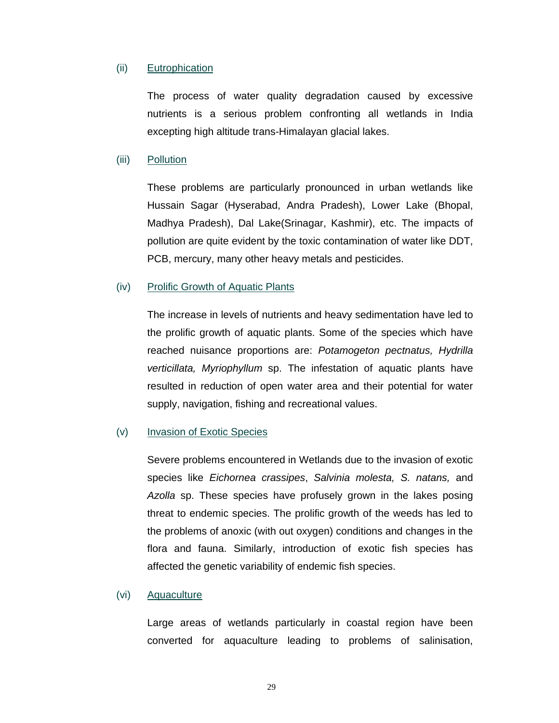### (ii) Eutrophication

The process of water quality degradation caused by excessive nutrients is a serious problem confronting all wetlands in India excepting high altitude trans-Himalayan glacial lakes.

#### (iii) Pollution

These problems are particularly pronounced in urban wetlands like Hussain Sagar (Hyserabad, Andra Pradesh), Lower Lake (Bhopal, Madhya Pradesh), Dal Lake(Srinagar, Kashmir), etc. The impacts of pollution are quite evident by the toxic contamination of water like DDT, PCB, mercury, many other heavy metals and pesticides.

#### (iv) Prolific Growth of Aquatic Plants

The increase in levels of nutrients and heavy sedimentation have led to the prolific growth of aquatic plants. Some of the species which have reached nuisance proportions are: *Potamogeton pectnatus, Hydrilla verticillata, Myriophyllum* sp. The infestation of aquatic plants have resulted in reduction of open water area and their potential for water supply, navigation, fishing and recreational values.

### (v) Invasion of Exotic Species

Severe problems encountered in Wetlands due to the invasion of exotic species like *Eichornea crassipes*, *Salvinia molesta, S. natans,* and *Azolla* sp. These species have profusely grown in the lakes posing threat to endemic species. The prolific growth of the weeds has led to the problems of anoxic (with out oxygen) conditions and changes in the flora and fauna. Similarly, introduction of exotic fish species has affected the genetic variability of endemic fish species.

#### (vi) Aquaculture

Large areas of wetlands particularly in coastal region have been converted for aquaculture leading to problems of salinisation,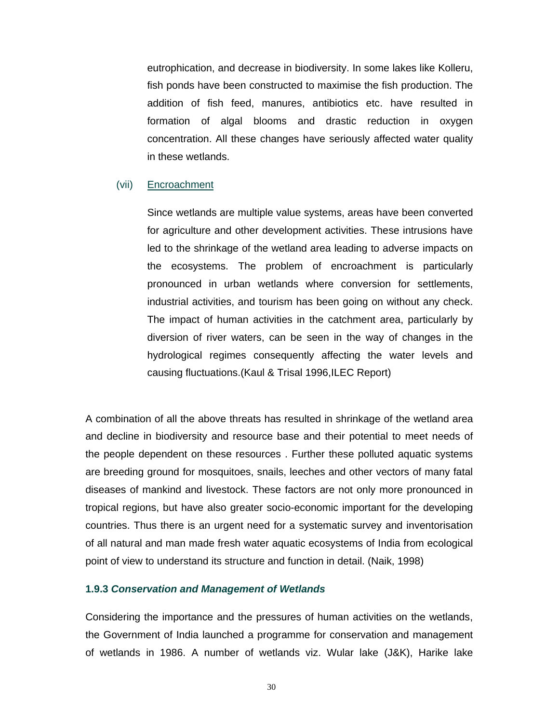eutrophication, and decrease in biodiversity. In some lakes like Kolleru, fish ponds have been constructed to maximise the fish production. The addition of fish feed, manures, antibiotics etc. have resulted in formation of algal blooms and drastic reduction in oxygen concentration. All these changes have seriously affected water quality in these wetlands.

### (vii) Encroachment

Since wetlands are multiple value systems, areas have been converted for agriculture and other development activities. These intrusions have led to the shrinkage of the wetland area leading to adverse impacts on the ecosystems. The problem of encroachment is particularly pronounced in urban wetlands where conversion for settlements, industrial activities, and tourism has been going on without any check. The impact of human activities in the catchment area, particularly by diversion of river waters, can be seen in the way of changes in the hydrological regimes consequently affecting the water levels and causing fluctuations.(Kaul & Trisal 1996,ILEC Report)

A combination of all the above threats has resulted in shrinkage of the wetland area and decline in biodiversity and resource base and their potential to meet needs of the people dependent on these resources . Further these polluted aquatic systems are breeding ground for mosquitoes, snails, leeches and other vectors of many fatal diseases of mankind and livestock. These factors are not only more pronounced in tropical regions, but have also greater socio-economic important for the developing countries. Thus there is an urgent need for a systematic survey and inventorisation of all natural and man made fresh water aquatic ecosystems of India from ecological point of view to understand its structure and function in detail. (Naik, 1998)

### **1.9.3** *Conservation and Management of Wetlands*

Considering the importance and the pressures of human activities on the wetlands, the Government of India launched a programme for conservation and management of wetlands in 1986. A number of wetlands viz. Wular lake (J&K), Harike lake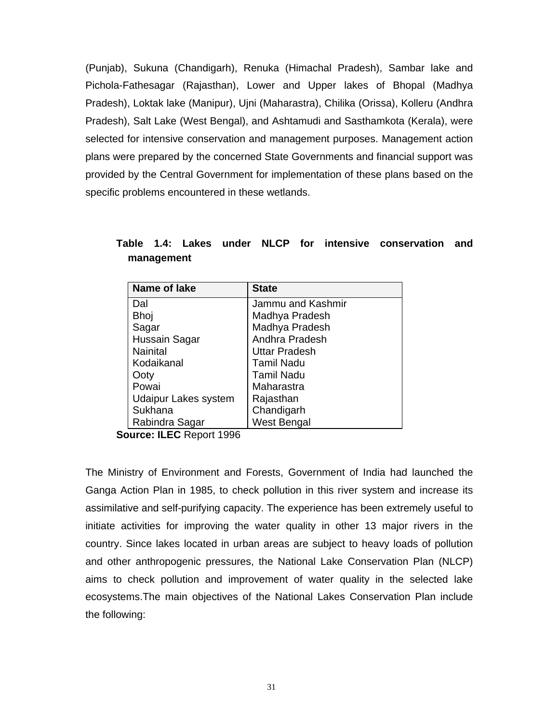(Punjab), Sukuna (Chandigarh), Renuka (Himachal Pradesh), Sambar lake and Pichola-Fathesagar (Rajasthan), Lower and Upper lakes of Bhopal (Madhya Pradesh), Loktak lake (Manipur), Ujni (Maharastra), Chilika (Orissa), Kolleru (Andhra Pradesh), Salt Lake (West Bengal), and Ashtamudi and Sasthamkota (Kerala), were selected for intensive conservation and management purposes. Management action plans were prepared by the concerned State Governments and financial support was provided by the Central Government for implementation of these plans based on the specific problems encountered in these wetlands.

| Name of lake                | <b>State</b>         |  |  |
|-----------------------------|----------------------|--|--|
| Dal                         | Jammu and Kashmir    |  |  |
| <b>Bhoj</b>                 | Madhya Pradesh       |  |  |
| Sagar                       | Madhya Pradesh       |  |  |
| Hussain Sagar               | Andhra Pradesh       |  |  |
| <b>Nainital</b>             | <b>Uttar Pradesh</b> |  |  |
| Kodaikanal                  | <b>Tamil Nadu</b>    |  |  |
| Ooty                        | <b>Tamil Nadu</b>    |  |  |
| Powai                       | Maharastra           |  |  |
| <b>Udaipur Lakes system</b> | Rajasthan            |  |  |
| Sukhana                     | Chandigarh           |  |  |
| Rabindra Sagar              | West Bengal          |  |  |

**Table 1.4: Lakes under NLCP for intensive conservation and management** 

**Source: ILEC** Report 1996

The Ministry of Environment and Forests, Government of India had launched the Ganga Action Plan in 1985, to check pollution in this river system and increase its assimilative and self-purifying capacity. The experience has been extremely useful to initiate activities for improving the water quality in other 13 major rivers in the country. Since lakes located in urban areas are subject to heavy loads of pollution and other anthropogenic pressures, the National Lake Conservation Plan (NLCP) aims to check pollution and improvement of water quality in the selected lake ecosystems.The main objectives of the National Lakes Conservation Plan include the following: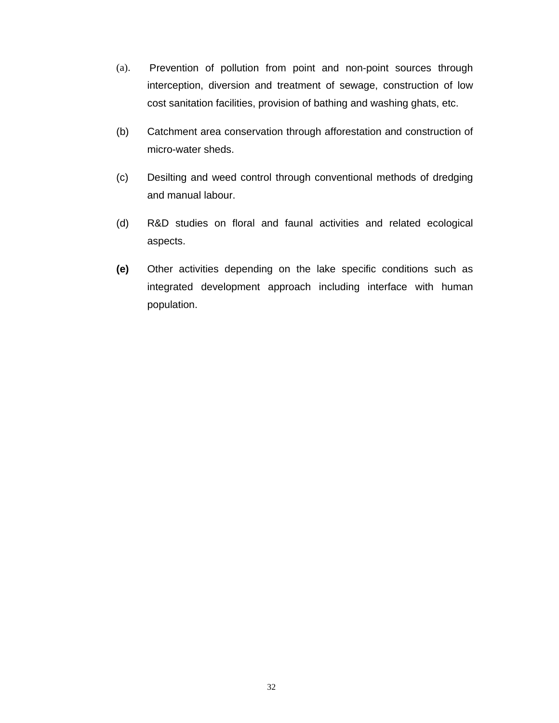- (a). Prevention of pollution from point and non-point sources through interception, diversion and treatment of sewage, construction of low cost sanitation facilities, provision of bathing and washing ghats, etc.
- (b) Catchment area conservation through afforestation and construction of micro-water sheds.
- (c) Desilting and weed control through conventional methods of dredging and manual labour.
- (d) R&D studies on floral and faunal activities and related ecological aspects.
- **(e)** Other activities depending on the lake specific conditions such as integrated development approach including interface with human population.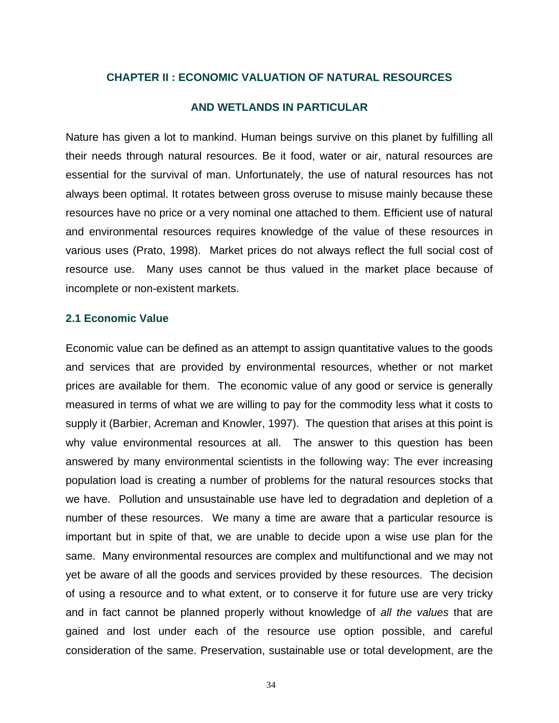### **CHAPTER II : ECONOMIC VALUATION OF NATURAL RESOURCES**

### **AND WETLANDS IN PARTICULAR**

Nature has given a lot to mankind. Human beings survive on this planet by fulfilling all their needs through natural resources. Be it food, water or air, natural resources are essential for the survival of man. Unfortunately, the use of natural resources has not always been optimal. It rotates between gross overuse to misuse mainly because these resources have no price or a very nominal one attached to them. Efficient use of natural and environmental resources requires knowledge of the value of these resources in various uses (Prato, 1998). Market prices do not always reflect the full social cost of resource use. Many uses cannot be thus valued in the market place because of incomplete or non-existent markets.

### **2.1 Economic Value**

Economic value can be defined as an attempt to assign quantitative values to the goods and services that are provided by environmental resources, whether or not market prices are available for them. The economic value of any good or service is generally measured in terms of what we are willing to pay for the commodity less what it costs to supply it (Barbier, Acreman and Knowler, 1997). The question that arises at this point is why value environmental resources at all. The answer to this question has been answered by many environmental scientists in the following way: The ever increasing population load is creating a number of problems for the natural resources stocks that we have. Pollution and unsustainable use have led to degradation and depletion of a number of these resources. We many a time are aware that a particular resource is important but in spite of that, we are unable to decide upon a wise use plan for the same. Many environmental resources are complex and multifunctional and we may not yet be aware of all the goods and services provided by these resources. The decision of using a resource and to what extent, or to conserve it for future use are very tricky and in fact cannot be planned properly without knowledge of *all the values* that are gained and lost under each of the resource use option possible, and careful consideration of the same. Preservation, sustainable use or total development, are the

34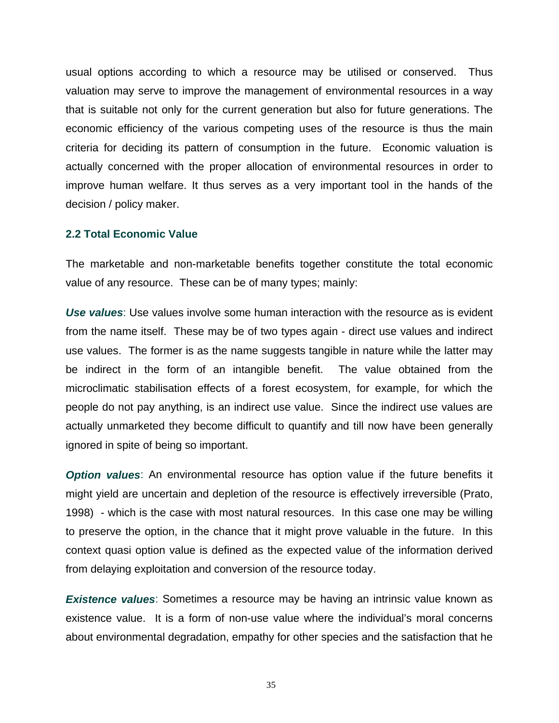usual options according to which a resource may be utilised or conserved. Thus valuation may serve to improve the management of environmental resources in a way that is suitable not only for the current generation but also for future generations. The economic efficiency of the various competing uses of the resource is thus the main criteria for deciding its pattern of consumption in the future. Economic valuation is actually concerned with the proper allocation of environmental resources in order to improve human welfare. It thus serves as a very important tool in the hands of the decision / policy maker.

### **2.2 Total Economic Value**

The marketable and non-marketable benefits together constitute the total economic value of any resource. These can be of many types; mainly:

*Use values*: Use values involve some human interaction with the resource as is evident from the name itself. These may be of two types again - direct use values and indirect use values. The former is as the name suggests tangible in nature while the latter may be indirect in the form of an intangible benefit. The value obtained from the microclimatic stabilisation effects of a forest ecosystem, for example, for which the people do not pay anything, is an indirect use value. Since the indirect use values are actually unmarketed they become difficult to quantify and till now have been generally ignored in spite of being so important.

**Option values**: An environmental resource has option value if the future benefits it might yield are uncertain and depletion of the resource is effectively irreversible (Prato, 1998) - which is the case with most natural resources. In this case one may be willing to preserve the option, in the chance that it might prove valuable in the future. In this context quasi option value is defined as the expected value of the information derived from delaying exploitation and conversion of the resource today.

*Existence values*: Sometimes a resource may be having an intrinsic value known as existence value. It is a form of non-use value where the individual's moral concerns about environmental degradation, empathy for other species and the satisfaction that he

35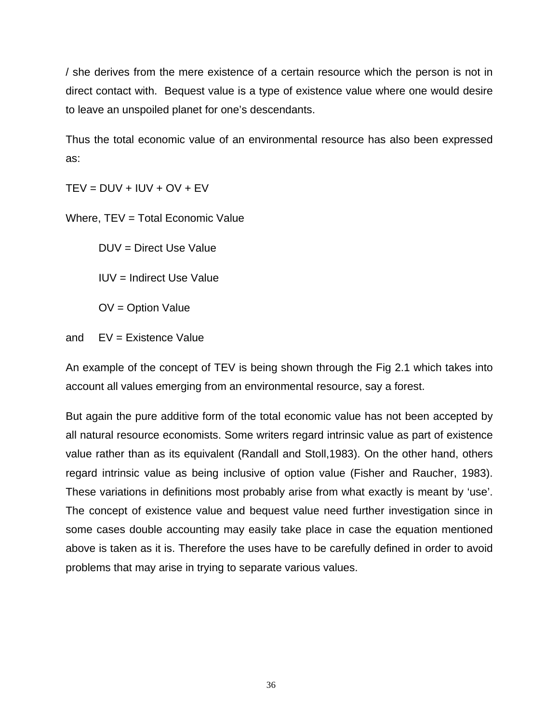/ she derives from the mere existence of a certain resource which the person is not in direct contact with. Bequest value is a type of existence value where one would desire to leave an unspoiled planet for one's descendants.

Thus the total economic value of an environmental resource has also been expressed as:

 $TEV = DUV + IUV + OV + EV$ 

Where, TEV = Total Economic Value

DUV = Direct Use Value

IUV = Indirect Use Value

OV = Option Value

and EV = Existence Value

An example of the concept of TEV is being shown through the Fig 2.1 which takes into account all values emerging from an environmental resource, say a forest.

But again the pure additive form of the total economic value has not been accepted by all natural resource economists. Some writers regard intrinsic value as part of existence value rather than as its equivalent (Randall and Stoll,1983). On the other hand, others regard intrinsic value as being inclusive of option value (Fisher and Raucher, 1983). These variations in definitions most probably arise from what exactly is meant by 'use'. The concept of existence value and bequest value need further investigation since in some cases double accounting may easily take place in case the equation mentioned above is taken as it is. Therefore the uses have to be carefully defined in order to avoid problems that may arise in trying to separate various values.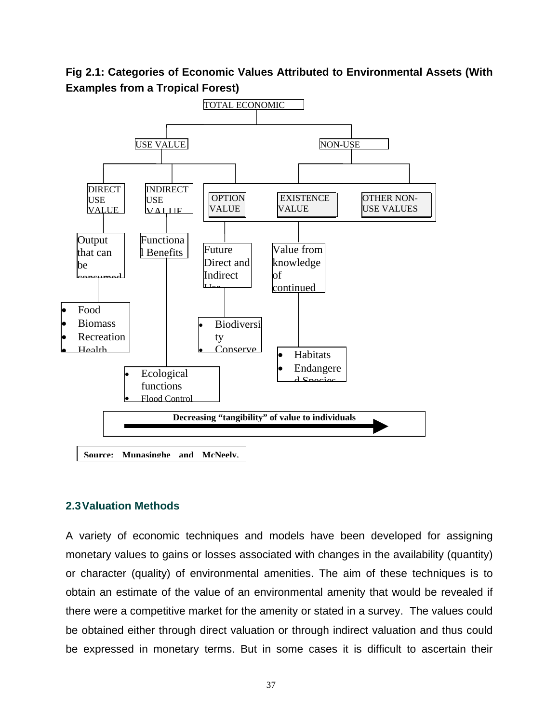**Fig 2.1: Categories of Economic Values Attributed to Environmental Assets (With Examples from a Tropical Forest)** 



### **2.3 Valuation Methods**

A variety of economic techniques and models have been developed for assigning monetary values to gains or losses associated with changes in the availability (quantity) or character (quality) of environmental amenities. The aim of these techniques is to obtain an estimate of the value of an environmental amenity that would be revealed if there were a competitive market for the amenity or stated in a survey. The values could be obtained either through direct valuation or through indirect valuation and thus could be expressed in monetary terms. But in some cases it is difficult to ascertain their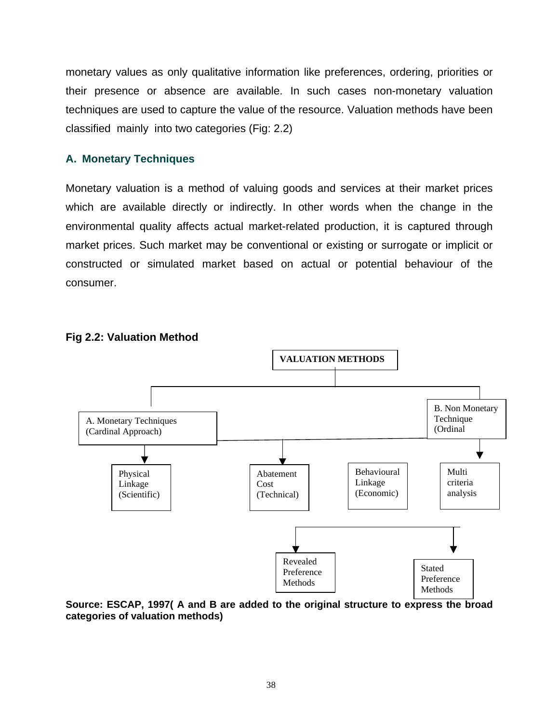monetary values as only qualitative information like preferences, ordering, priorities or their presence or absence are available. In such cases non-monetary valuation techniques are used to capture the value of the resource. Valuation methods have been classified mainly into two categories (Fig: 2.2)

## **A. Monetary Techniques**

Monetary valuation is a method of valuing goods and services at their market prices which are available directly or indirectly. In other words when the change in the environmental quality affects actual market-related production, it is captured through market prices. Such market may be conventional or existing or surrogate or implicit or constructed or simulated market based on actual or potential behaviour of the consumer.



## **Fig 2.2: Valuation Method**

**Source: ESCAP, 1997( A and B are added to the original structure to express the broad categories of valuation methods)**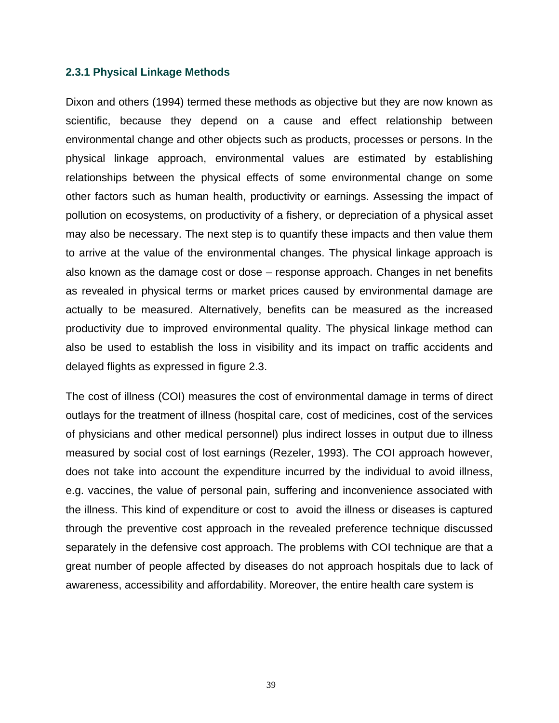### **2.3.1 Physical Linkage Methods**

Dixon and others (1994) termed these methods as objective but they are now known as scientific, because they depend on a cause and effect relationship between environmental change and other objects such as products, processes or persons. In the physical linkage approach, environmental values are estimated by establishing relationships between the physical effects of some environmental change on some other factors such as human health, productivity or earnings. Assessing the impact of pollution on ecosystems, on productivity of a fishery, or depreciation of a physical asset may also be necessary. The next step is to quantify these impacts and then value them to arrive at the value of the environmental changes. The physical linkage approach is also known as the damage cost or dose – response approach. Changes in net benefits as revealed in physical terms or market prices caused by environmental damage are actually to be measured. Alternatively, benefits can be measured as the increased productivity due to improved environmental quality. The physical linkage method can also be used to establish the loss in visibility and its impact on traffic accidents and delayed flights as expressed in figure 2.3.

The cost of illness (COI) measures the cost of environmental damage in terms of direct outlays for the treatment of illness (hospital care, cost of medicines, cost of the services of physicians and other medical personnel) plus indirect losses in output due to illness measured by social cost of lost earnings (Rezeler, 1993). The COI approach however, does not take into account the expenditure incurred by the individual to avoid illness, e.g. vaccines, the value of personal pain, suffering and inconvenience associated with the illness. This kind of expenditure or cost to avoid the illness or diseases is captured through the preventive cost approach in the revealed preference technique discussed separately in the defensive cost approach. The problems with COI technique are that a great number of people affected by diseases do not approach hospitals due to lack of awareness, accessibility and affordability. Moreover, the entire health care system is

39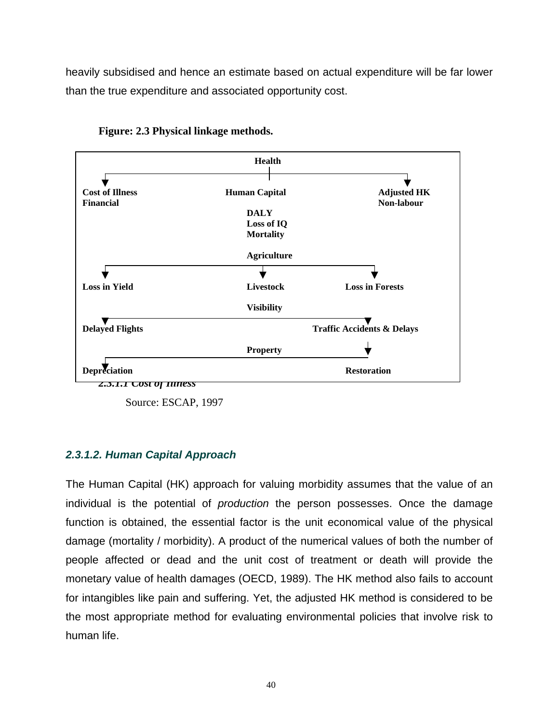heavily subsidised and hence an estimate based on actual expenditure will be far lower than the true expenditure and associated opportunity cost.



**Figure: 2.3 Physical linkage methods.** 

## *2.3.1.2. Human Capital Approach*

The Human Capital (HK) approach for valuing morbidity assumes that the value of an individual is the potential of *production* the person possesses. Once the damage function is obtained, the essential factor is the unit economical value of the physical damage (mortality / morbidity). A product of the numerical values of both the number of people affected or dead and the unit cost of treatment or death will provide the monetary value of health damages (OECD, 1989). The HK method also fails to account for intangibles like pain and suffering. Yet, the adjusted HK method is considered to be the most appropriate method for evaluating environmental policies that involve risk to human life.

Source: ESCAP, 1997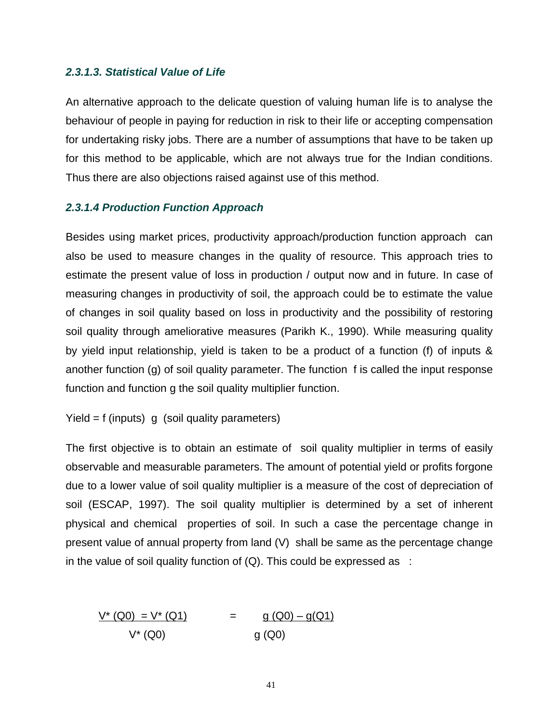### *2.3.1.3. Statistical Value of Life*

An alternative approach to the delicate question of valuing human life is to analyse the behaviour of people in paying for reduction in risk to their life or accepting compensation for undertaking risky jobs. There are a number of assumptions that have to be taken up for this method to be applicable, which are not always true for the Indian conditions. Thus there are also objections raised against use of this method.

## *2.3.1.4 Production Function Approach*

Besides using market prices, productivity approach/production function approach can also be used to measure changes in the quality of resource. This approach tries to estimate the present value of loss in production / output now and in future. In case of measuring changes in productivity of soil, the approach could be to estimate the value of changes in soil quality based on loss in productivity and the possibility of restoring soil quality through ameliorative measures (Parikh K., 1990). While measuring quality by yield input relationship, yield is taken to be a product of a function (f) of inputs & another function (g) of soil quality parameter. The function f is called the input response function and function g the soil quality multiplier function.

Yield =  $f$  (inputs) g (soil quality parameters)

The first objective is to obtain an estimate of soil quality multiplier in terms of easily observable and measurable parameters. The amount of potential yield or profits forgone due to a lower value of soil quality multiplier is a measure of the cost of depreciation of soil (ESCAP, 1997). The soil quality multiplier is determined by a set of inherent physical and chemical properties of soil. In such a case the percentage change in present value of annual property from land (V) shall be same as the percentage change in the value of soil quality function of  $(Q)$ . This could be expressed as :

$$
\frac{V^* (Q0) = V^* (Q1)}{V^* (Q0)} = \frac{g (Q0) - g(Q1)}{g (Q0)}
$$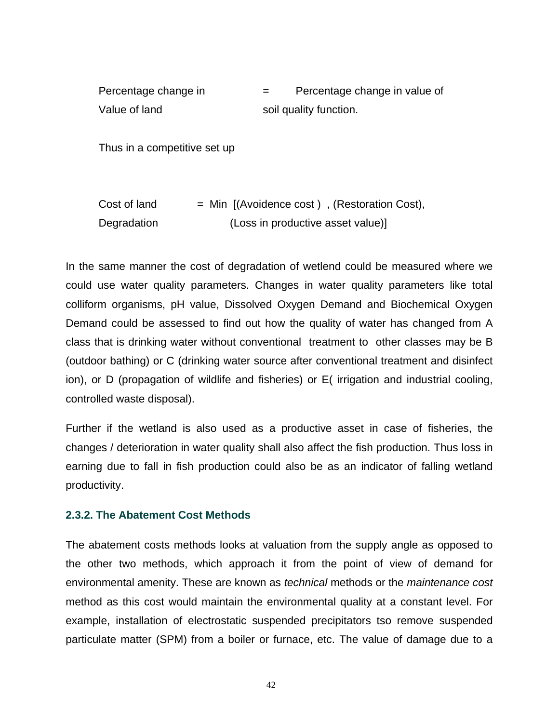| Percentage change in         |  |                        | Percentage change in value of                               |  |
|------------------------------|--|------------------------|-------------------------------------------------------------|--|
| Value of land                |  | soil quality function. |                                                             |  |
| Thus in a competitive set up |  |                        |                                                             |  |
|                              |  |                        |                                                             |  |
| Cost of land                 |  |                        | $=$ Min $($ Avoidence cost $)$ , $($ Restoration Cost $)$ , |  |
| Degradation                  |  |                        | (Loss in productive asset value)]                           |  |

In the same manner the cost of degradation of wetlend could be measured where we could use water quality parameters. Changes in water quality parameters like total colliform organisms, pH value, Dissolved Oxygen Demand and Biochemical Oxygen Demand could be assessed to find out how the quality of water has changed from A class that is drinking water without conventional treatment to other classes may be B (outdoor bathing) or C (drinking water source after conventional treatment and disinfect ion), or D (propagation of wildlife and fisheries) or E( irrigation and industrial cooling, controlled waste disposal).

Further if the wetland is also used as a productive asset in case of fisheries, the changes / deterioration in water quality shall also affect the fish production. Thus loss in earning due to fall in fish production could also be as an indicator of falling wetland productivity.

### **2.3.2. The Abatement Cost Methods**

The abatement costs methods looks at valuation from the supply angle as opposed to the other two methods, which approach it from the point of view of demand for environmental amenity. These are known as *technical* methods or the *maintenance cost* method as this cost would maintain the environmental quality at a constant level. For example, installation of electrostatic suspended precipitators tso remove suspended particulate matter (SPM) from a boiler or furnace, etc. The value of damage due to a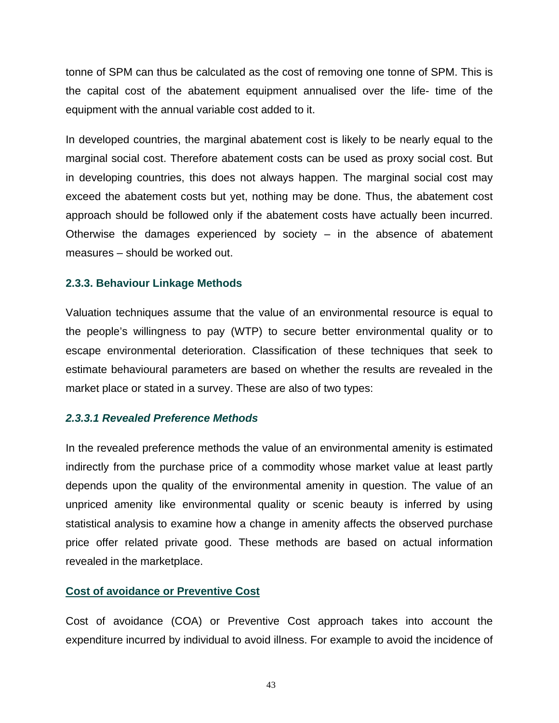tonne of SPM can thus be calculated as the cost of removing one tonne of SPM. This is the capital cost of the abatement equipment annualised over the life- time of the equipment with the annual variable cost added to it.

In developed countries, the marginal abatement cost is likely to be nearly equal to the marginal social cost. Therefore abatement costs can be used as proxy social cost. But in developing countries, this does not always happen. The marginal social cost may exceed the abatement costs but yet, nothing may be done. Thus, the abatement cost approach should be followed only if the abatement costs have actually been incurred. Otherwise the damages experienced by society – in the absence of abatement measures – should be worked out.

## **2.3.3. Behaviour Linkage Methods**

Valuation techniques assume that the value of an environmental resource is equal to the people's willingness to pay (WTP) to secure better environmental quality or to escape environmental deterioration. Classification of these techniques that seek to estimate behavioural parameters are based on whether the results are revealed in the market place or stated in a survey. These are also of two types:

## *2.3.3.1 Revealed Preference Methods*

In the revealed preference methods the value of an environmental amenity is estimated indirectly from the purchase price of a commodity whose market value at least partly depends upon the quality of the environmental amenity in question. The value of an unpriced amenity like environmental quality or scenic beauty is inferred by using statistical analysis to examine how a change in amenity affects the observed purchase price offer related private good. These methods are based on actual information revealed in the marketplace.

# **Cost of avoidance or Preventive Cost**

Cost of avoidance (COA) or Preventive Cost approach takes into account the expenditure incurred by individual to avoid illness. For example to avoid the incidence of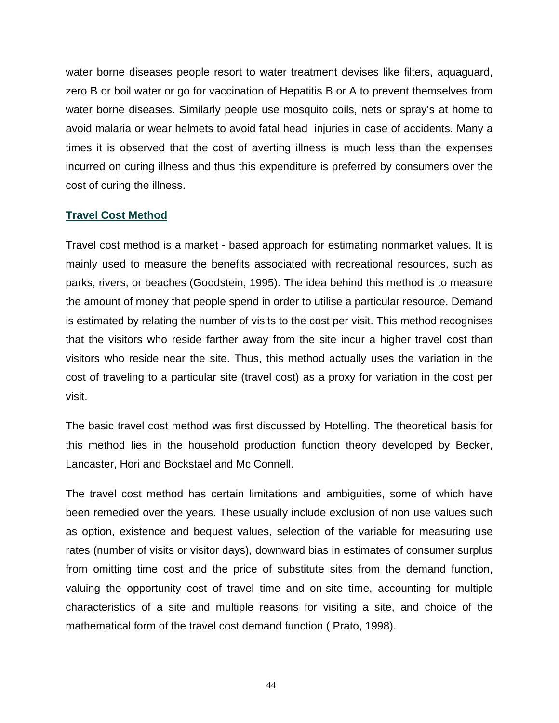water borne diseases people resort to water treatment devises like filters, aquaguard, zero B or boil water or go for vaccination of Hepatitis B or A to prevent themselves from water borne diseases. Similarly people use mosquito coils, nets or spray's at home to avoid malaria or wear helmets to avoid fatal head injuries in case of accidents. Many a times it is observed that the cost of averting illness is much less than the expenses incurred on curing illness and thus this expenditure is preferred by consumers over the cost of curing the illness.

### **Travel Cost Method**

Travel cost method is a market - based approach for estimating nonmarket values. It is mainly used to measure the benefits associated with recreational resources, such as parks, rivers, or beaches (Goodstein, 1995). The idea behind this method is to measure the amount of money that people spend in order to utilise a particular resource. Demand is estimated by relating the number of visits to the cost per visit. This method recognises that the visitors who reside farther away from the site incur a higher travel cost than visitors who reside near the site. Thus, this method actually uses the variation in the cost of traveling to a particular site (travel cost) as a proxy for variation in the cost per visit.

The basic travel cost method was first discussed by Hotelling. The theoretical basis for this method lies in the household production function theory developed by Becker, Lancaster, Hori and Bockstael and Mc Connell.

The travel cost method has certain limitations and ambiguities, some of which have been remedied over the years. These usually include exclusion of non use values such as option, existence and bequest values, selection of the variable for measuring use rates (number of visits or visitor days), downward bias in estimates of consumer surplus from omitting time cost and the price of substitute sites from the demand function, valuing the opportunity cost of travel time and on-site time, accounting for multiple characteristics of a site and multiple reasons for visiting a site, and choice of the mathematical form of the travel cost demand function ( Prato, 1998).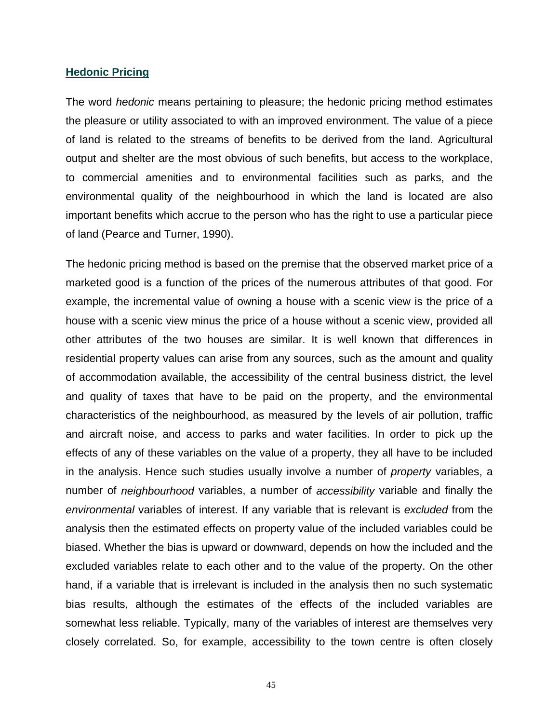#### **Hedonic Pricing**

The word *hedonic* means pertaining to pleasure; the hedonic pricing method estimates the pleasure or utility associated to with an improved environment. The value of a piece of land is related to the streams of benefits to be derived from the land. Agricultural output and shelter are the most obvious of such benefits, but access to the workplace, to commercial amenities and to environmental facilities such as parks, and the environmental quality of the neighbourhood in which the land is located are also important benefits which accrue to the person who has the right to use a particular piece of land (Pearce and Turner, 1990).

The hedonic pricing method is based on the premise that the observed market price of a marketed good is a function of the prices of the numerous attributes of that good. For example, the incremental value of owning a house with a scenic view is the price of a house with a scenic view minus the price of a house without a scenic view, provided all other attributes of the two houses are similar. It is well known that differences in residential property values can arise from any sources, such as the amount and quality of accommodation available, the accessibility of the central business district, the level and quality of taxes that have to be paid on the property, and the environmental characteristics of the neighbourhood, as measured by the levels of air pollution, traffic and aircraft noise, and access to parks and water facilities. In order to pick up the effects of any of these variables on the value of a property, they all have to be included in the analysis. Hence such studies usually involve a number of *property* variables, a number of *neighbourhood* variables, a number of *accessibility* variable and finally the *environmental* variables of interest. If any variable that is relevant is *excluded* from the analysis then the estimated effects on property value of the included variables could be biased. Whether the bias is upward or downward, depends on how the included and the excluded variables relate to each other and to the value of the property. On the other hand, if a variable that is irrelevant is included in the analysis then no such systematic bias results, although the estimates of the effects of the included variables are somewhat less reliable. Typically, many of the variables of interest are themselves very closely correlated. So, for example, accessibility to the town centre is often closely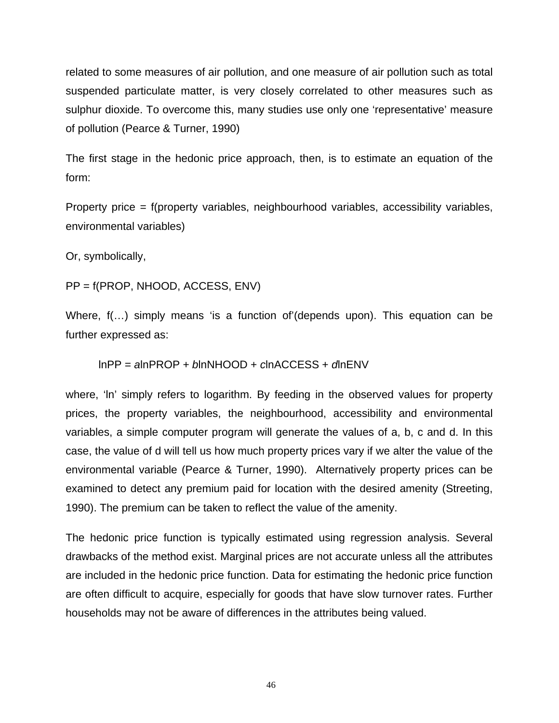related to some measures of air pollution, and one measure of air pollution such as total suspended particulate matter, is very closely correlated to other measures such as sulphur dioxide. To overcome this, many studies use only one 'representative' measure of pollution (Pearce & Turner, 1990)

The first stage in the hedonic price approach, then, is to estimate an equation of the form:

Property price = f(property variables, neighbourhood variables, accessibility variables, environmental variables)

Or, symbolically,

PP = f(PROP, NHOOD, ACCESS, ENV)

Where, f(…) simply means 'is a function of'(depends upon). This equation can be further expressed as:

lnPP = *a*lnPROP + *b*lnNHOOD + *c*lnACCESS + *d*lnENV

where, 'In' simply refers to logarithm. By feeding in the observed values for property prices, the property variables, the neighbourhood, accessibility and environmental variables, a simple computer program will generate the values of a, b, c and d. In this case, the value of d will tell us how much property prices vary if we alter the value of the environmental variable (Pearce & Turner, 1990). Alternatively property prices can be examined to detect any premium paid for location with the desired amenity (Streeting, 1990). The premium can be taken to reflect the value of the amenity.

The hedonic price function is typically estimated using regression analysis. Several drawbacks of the method exist. Marginal prices are not accurate unless all the attributes are included in the hedonic price function. Data for estimating the hedonic price function are often difficult to acquire, especially for goods that have slow turnover rates. Further households may not be aware of differences in the attributes being valued.

46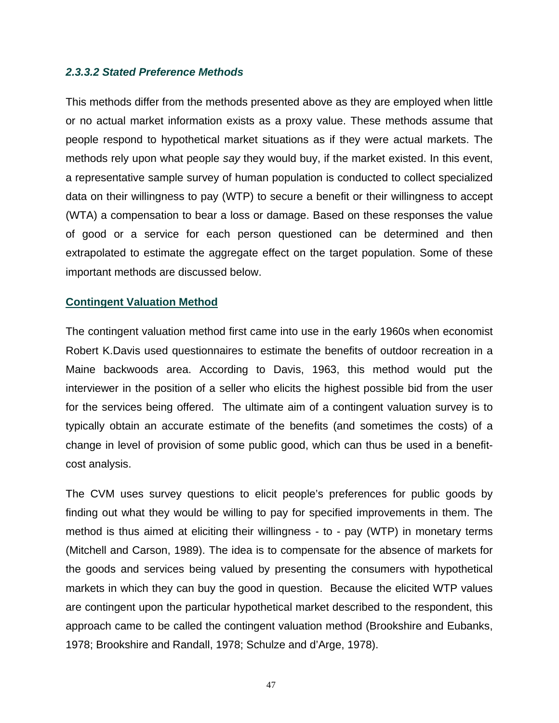### *2.3.3.2 Stated Preference Methods*

This methods differ from the methods presented above as they are employed when little or no actual market information exists as a proxy value. These methods assume that people respond to hypothetical market situations as if they were actual markets. The methods rely upon what people *say* they would buy, if the market existed. In this event, a representative sample survey of human population is conducted to collect specialized data on their willingness to pay (WTP) to secure a benefit or their willingness to accept (WTA) a compensation to bear a loss or damage. Based on these responses the value of good or a service for each person questioned can be determined and then extrapolated to estimate the aggregate effect on the target population. Some of these important methods are discussed below.

### **Contingent Valuation Method**

The contingent valuation method first came into use in the early 1960s when economist Robert K.Davis used questionnaires to estimate the benefits of outdoor recreation in a Maine backwoods area. According to Davis, 1963, this method would put the interviewer in the position of a seller who elicits the highest possible bid from the user for the services being offered. The ultimate aim of a contingent valuation survey is to typically obtain an accurate estimate of the benefits (and sometimes the costs) of a change in level of provision of some public good, which can thus be used in a benefitcost analysis.

The CVM uses survey questions to elicit people's preferences for public goods by finding out what they would be willing to pay for specified improvements in them. The method is thus aimed at eliciting their willingness - to - pay (WTP) in monetary terms (Mitchell and Carson, 1989). The idea is to compensate for the absence of markets for the goods and services being valued by presenting the consumers with hypothetical markets in which they can buy the good in question. Because the elicited WTP values are contingent upon the particular hypothetical market described to the respondent, this approach came to be called the contingent valuation method (Brookshire and Eubanks, 1978; Brookshire and Randall, 1978; Schulze and d'Arge, 1978).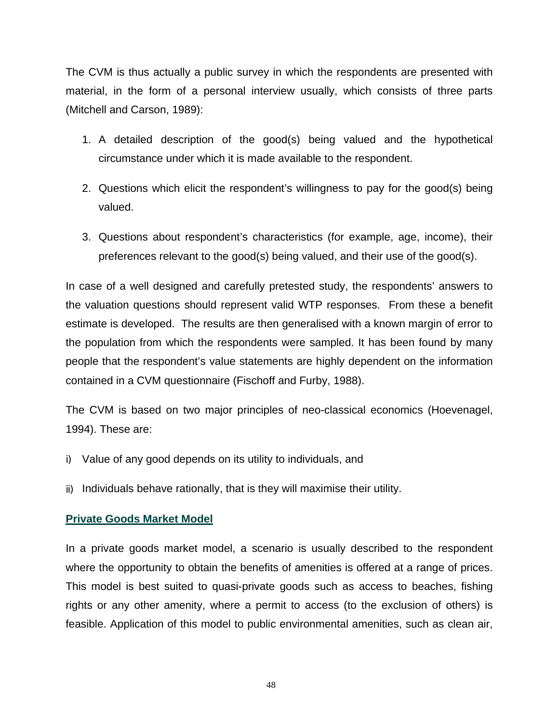The CVM is thus actually a public survey in which the respondents are presented with material, in the form of a personal interview usually, which consists of three parts (Mitchell and Carson, 1989):

- 1. A detailed description of the good(s) being valued and the hypothetical circumstance under which it is made available to the respondent.
- 2. Questions which elicit the respondent's willingness to pay for the good(s) being valued.
- 3. Questions about respondent's characteristics (for example, age, income), their preferences relevant to the good(s) being valued, and their use of the good(s).

In case of a well designed and carefully pretested study, the respondents' answers to the valuation questions should represent valid WTP responses. From these a benefit estimate is developed. The results are then generalised with a known margin of error to the population from which the respondents were sampled. It has been found by many people that the respondent's value statements are highly dependent on the information contained in a CVM questionnaire (Fischoff and Furby, 1988).

The CVM is based on two major principles of neo-classical economics (Hoevenagel, 1994). These are:

- i) Value of any good depends on its utility to individuals, and
- ii) Individuals behave rationally, that is they will maximise their utility.

## **Private Goods Market Model**

In a private goods market model, a scenario is usually described to the respondent where the opportunity to obtain the benefits of amenities is offered at a range of prices. This model is best suited to quasi-private goods such as access to beaches, fishing rights or any other amenity, where a permit to access (to the exclusion of others) is feasible. Application of this model to public environmental amenities, such as clean air,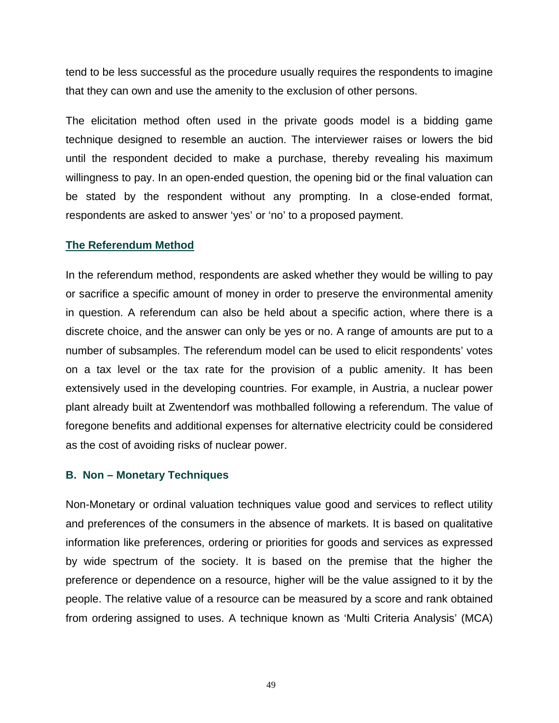tend to be less successful as the procedure usually requires the respondents to imagine that they can own and use the amenity to the exclusion of other persons.

The elicitation method often used in the private goods model is a bidding game technique designed to resemble an auction. The interviewer raises or lowers the bid until the respondent decided to make a purchase, thereby revealing his maximum willingness to pay. In an open-ended question, the opening bid or the final valuation can be stated by the respondent without any prompting. In a close-ended format, respondents are asked to answer 'yes' or 'no' to a proposed payment.

### **The Referendum Method**

In the referendum method, respondents are asked whether they would be willing to pay or sacrifice a specific amount of money in order to preserve the environmental amenity in question. A referendum can also be held about a specific action, where there is a discrete choice, and the answer can only be yes or no. A range of amounts are put to a number of subsamples. The referendum model can be used to elicit respondents' votes on a tax level or the tax rate for the provision of a public amenity. It has been extensively used in the developing countries. For example, in Austria, a nuclear power plant already built at Zwentendorf was mothballed following a referendum. The value of foregone benefits and additional expenses for alternative electricity could be considered as the cost of avoiding risks of nuclear power.

## **B. Non – Monetary Techniques**

Non-Monetary or ordinal valuation techniques value good and services to reflect utility and preferences of the consumers in the absence of markets. It is based on qualitative information like preferences, ordering or priorities for goods and services as expressed by wide spectrum of the society. It is based on the premise that the higher the preference or dependence on a resource, higher will be the value assigned to it by the people. The relative value of a resource can be measured by a score and rank obtained from ordering assigned to uses. A technique known as 'Multi Criteria Analysis' (MCA)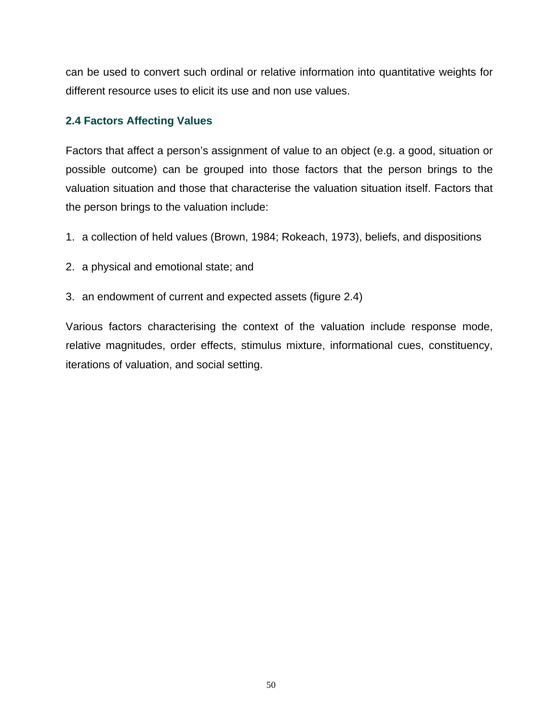can be used to convert such ordinal or relative information into quantitative weights for different resource uses to elicit its use and non use values.

## **2.4 Factors Affecting Values**

Factors that affect a person's assignment of value to an object (e.g. a good, situation or possible outcome) can be grouped into those factors that the person brings to the valuation situation and those that characterise the valuation situation itself. Factors that the person brings to the valuation include:

- 1. a collection of held values (Brown, 1984; Rokeach, 1973), beliefs, and dispositions
- 2. a physical and emotional state; and
- 3. an endowment of current and expected assets (figure 2.4)

Various factors characterising the context of the valuation include response mode, relative magnitudes, order effects, stimulus mixture, informational cues, constituency, iterations of valuation, and social setting.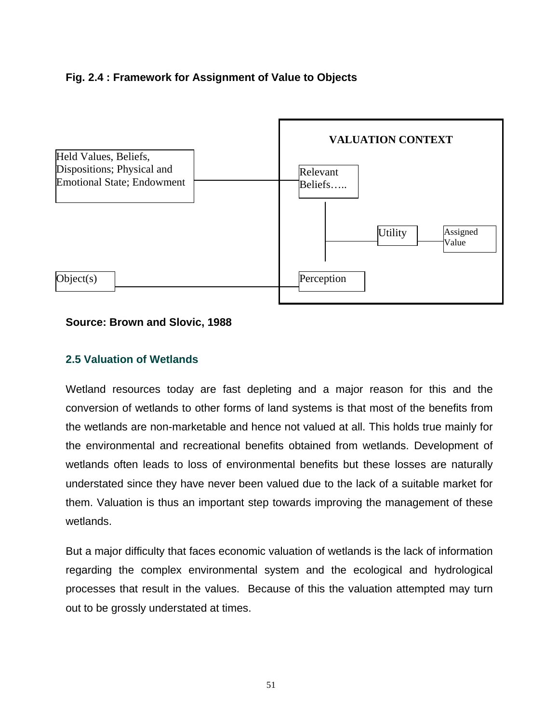# **Fig. 2.4 : Framework for Assignment of Value to Objects**



## **Source: Brown and Slovic, 1988**

## **2.5 Valuation of Wetlands**

Wetland resources today are fast depleting and a major reason for this and the conversion of wetlands to other forms of land systems is that most of the benefits from the wetlands are non-marketable and hence not valued at all. This holds true mainly for the environmental and recreational benefits obtained from wetlands. Development of wetlands often leads to loss of environmental benefits but these losses are naturally understated since they have never been valued due to the lack of a suitable market for them. Valuation is thus an important step towards improving the management of these wetlands.

But a major difficulty that faces economic valuation of wetlands is the lack of information regarding the complex environmental system and the ecological and hydrological processes that result in the values. Because of this the valuation attempted may turn out to be grossly understated at times.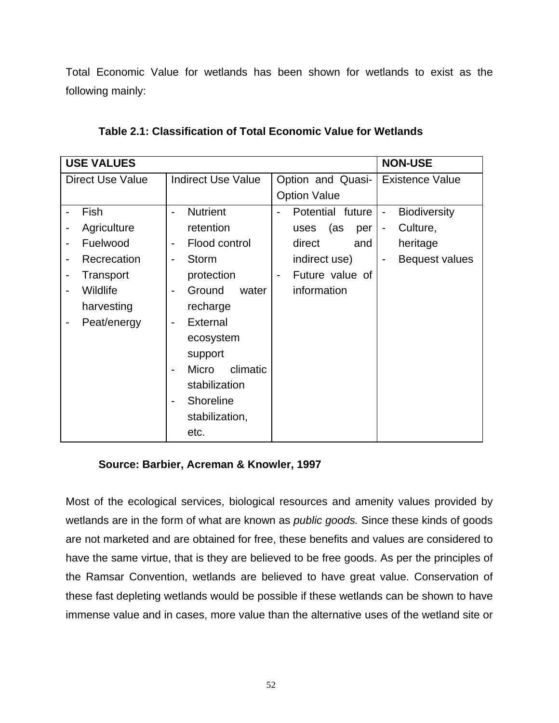Total Economic Value for wetlands has been shown for wetlands to exist as the following mainly:

|                         | <b>USE VALUES</b> | <b>NON-USE</b>                            |                     |                                                 |
|-------------------------|-------------------|-------------------------------------------|---------------------|-------------------------------------------------|
| <b>Direct Use Value</b> |                   | <b>Indirect Use Value</b>                 | Option and Quasi-   | <b>Existence Value</b>                          |
|                         |                   |                                           | <b>Option Value</b> |                                                 |
|                         | Fish              | <b>Nutrient</b><br>$\blacksquare$         | Potential future    | <b>Biodiversity</b><br>$\overline{\phantom{0}}$ |
|                         | Agriculture       | retention                                 | (as<br>uses<br>per  | Culture,<br>$\overline{\phantom{0}}$            |
|                         | Fuelwood          | Flood control<br>$\overline{\phantom{a}}$ | direct<br>and       | heritage                                        |
|                         | Recrecation       | <b>Storm</b><br>$\blacksquare$            | indirect use)       | Bequest values                                  |
|                         | Transport         | protection<br>$\overline{\phantom{a}}$    | Future value of     |                                                 |
|                         | Wildlife          | Ground<br>water<br>$\blacksquare$         | information         |                                                 |
|                         | harvesting        | recharge                                  |                     |                                                 |
| -                       | Peat/energy       | External<br>$\blacksquare$                |                     |                                                 |
|                         |                   | ecosystem                                 |                     |                                                 |
|                         |                   | support                                   |                     |                                                 |
|                         |                   | Micro<br>climatic<br>$\blacksquare$       |                     |                                                 |
|                         |                   | stabilization                             |                     |                                                 |
|                         |                   | Shoreline<br>$\blacksquare$               |                     |                                                 |
|                         |                   | stabilization,                            |                     |                                                 |
|                         |                   | etc.                                      |                     |                                                 |

**Table 2.1: Classification of Total Economic Value for Wetlands** 

# **Source: Barbier, Acreman & Knowler, 1997**

Most of the ecological services, biological resources and amenity values provided by wetlands are in the form of what are known as *public goods.* Since these kinds of goods are not marketed and are obtained for free, these benefits and values are considered to have the same virtue, that is they are believed to be free goods. As per the principles of the Ramsar Convention, wetlands are believed to have great value. Conservation of these fast depleting wetlands would be possible if these wetlands can be shown to have immense value and in cases, more value than the alternative uses of the wetland site or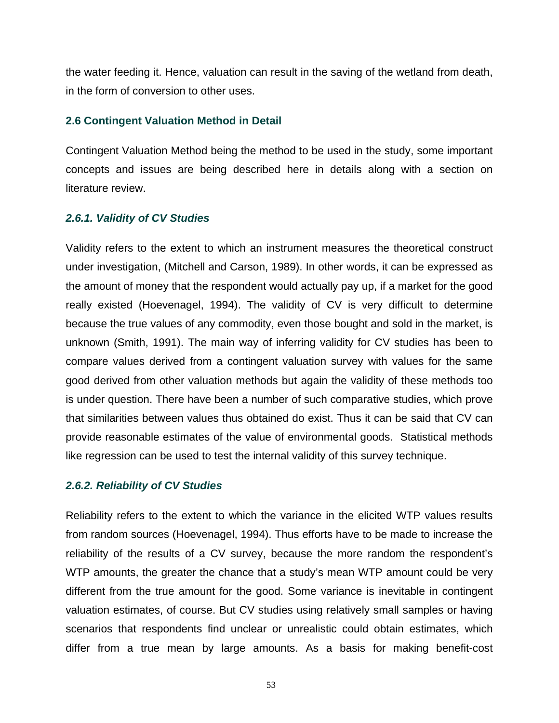the water feeding it. Hence, valuation can result in the saving of the wetland from death, in the form of conversion to other uses.

### **2.6 Contingent Valuation Method in Detail**

Contingent Valuation Method being the method to be used in the study, some important concepts and issues are being described here in details along with a section on literature review.

## *2.6.1. Validity of CV Studies*

Validity refers to the extent to which an instrument measures the theoretical construct under investigation, (Mitchell and Carson, 1989). In other words, it can be expressed as the amount of money that the respondent would actually pay up, if a market for the good really existed (Hoevenagel, 1994). The validity of CV is very difficult to determine because the true values of any commodity, even those bought and sold in the market, is unknown (Smith, 1991). The main way of inferring validity for CV studies has been to compare values derived from a contingent valuation survey with values for the same good derived from other valuation methods but again the validity of these methods too is under question. There have been a number of such comparative studies, which prove that similarities between values thus obtained do exist. Thus it can be said that CV can provide reasonable estimates of the value of environmental goods. Statistical methods like regression can be used to test the internal validity of this survey technique.

## *2.6.2. Reliability of CV Studies*

Reliability refers to the extent to which the variance in the elicited WTP values results from random sources (Hoevenagel, 1994). Thus efforts have to be made to increase the reliability of the results of a CV survey, because the more random the respondent's WTP amounts, the greater the chance that a study's mean WTP amount could be very different from the true amount for the good. Some variance is inevitable in contingent valuation estimates, of course. But CV studies using relatively small samples or having scenarios that respondents find unclear or unrealistic could obtain estimates, which differ from a true mean by large amounts. As a basis for making benefit-cost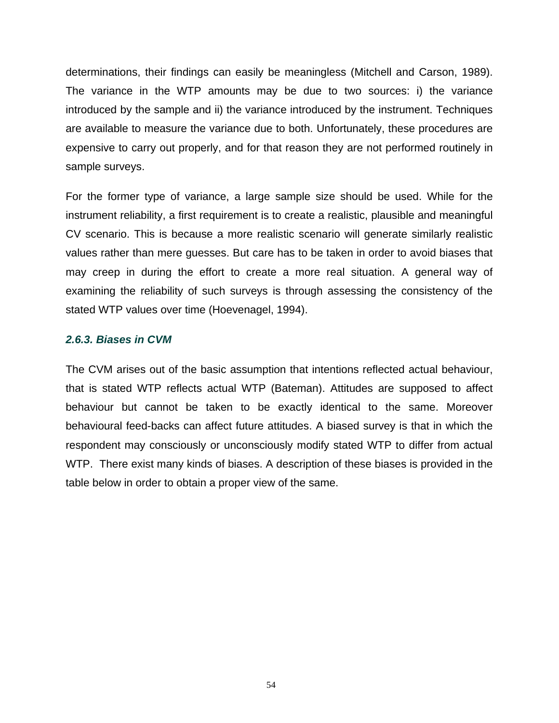determinations, their findings can easily be meaningless (Mitchell and Carson, 1989). The variance in the WTP amounts may be due to two sources: i) the variance introduced by the sample and ii) the variance introduced by the instrument. Techniques are available to measure the variance due to both. Unfortunately, these procedures are expensive to carry out properly, and for that reason they are not performed routinely in sample surveys.

For the former type of variance, a large sample size should be used. While for the instrument reliability, a first requirement is to create a realistic, plausible and meaningful CV scenario. This is because a more realistic scenario will generate similarly realistic values rather than mere guesses. But care has to be taken in order to avoid biases that may creep in during the effort to create a more real situation. A general way of examining the reliability of such surveys is through assessing the consistency of the stated WTP values over time (Hoevenagel, 1994).

### *2.6.3. Biases in CVM*

The CVM arises out of the basic assumption that intentions reflected actual behaviour, that is stated WTP reflects actual WTP (Bateman). Attitudes are supposed to affect behaviour but cannot be taken to be exactly identical to the same. Moreover behavioural feed-backs can affect future attitudes. A biased survey is that in which the respondent may consciously or unconsciously modify stated WTP to differ from actual WTP. There exist many kinds of biases. A description of these biases is provided in the table below in order to obtain a proper view of the same.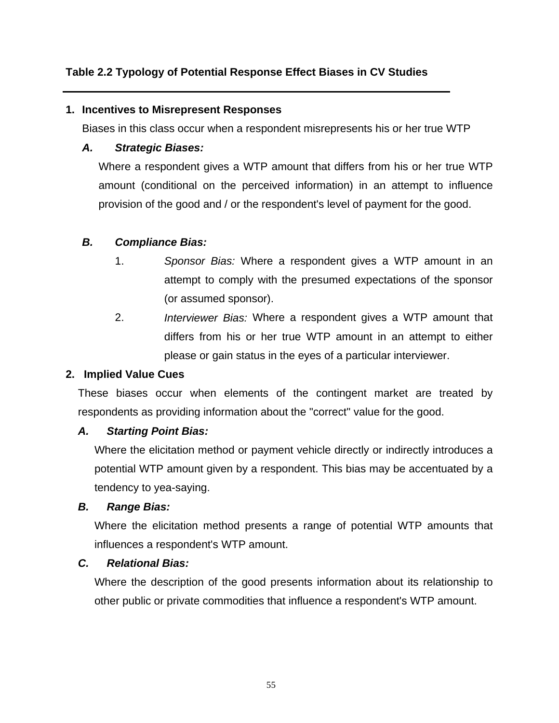# **Table 2.2 Typology of Potential Response Effect Biases in CV Studies**

## **1. Incentives to Misrepresent Responses**

Biases in this class occur when a respondent misrepresents his or her true WTP

# *A. Strategic Biases:*

Where a respondent gives a WTP amount that differs from his or her true WTP amount (conditional on the perceived information) in an attempt to influence provision of the good and / or the respondent's level of payment for the good.

# *B. Compliance Bias:*

- 1. *Sponsor Bias:* Where a respondent gives a WTP amount in an attempt to comply with the presumed expectations of the sponsor (or assumed sponsor).
- 2. *Interviewer Bias:* Where a respondent gives a WTP amount that differs from his or her true WTP amount in an attempt to either please or gain status in the eyes of a particular interviewer.

# **2. Implied Value Cues**

These biases occur when elements of the contingent market are treated by respondents as providing information about the "correct" value for the good.

# *A. Starting Point Bias:*

Where the elicitation method or payment vehicle directly or indirectly introduces a potential WTP amount given by a respondent. This bias may be accentuated by a tendency to yea-saying.

## *B. Range Bias:*

Where the elicitation method presents a range of potential WTP amounts that influences a respondent's WTP amount.

# *C. Relational Bias:*

Where the description of the good presents information about its relationship to other public or private commodities that influence a respondent's WTP amount.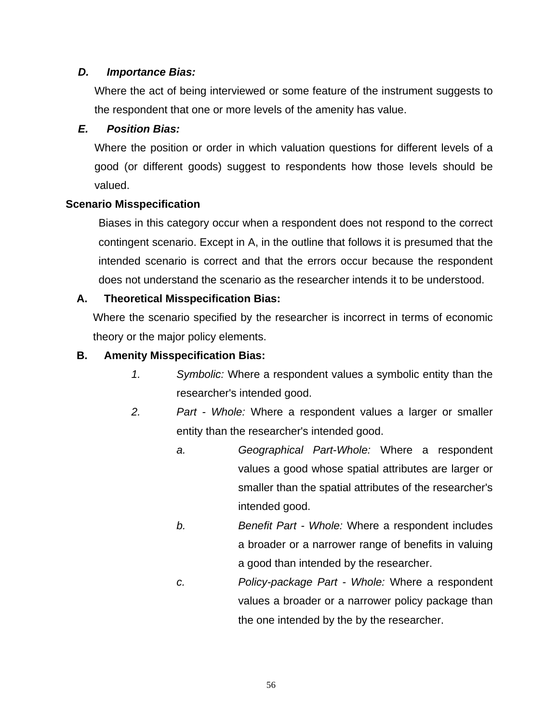## *D. Importance Bias:*

Where the act of being interviewed or some feature of the instrument suggests to the respondent that one or more levels of the amenity has value.

## *E. Position Bias:*

Where the position or order in which valuation questions for different levels of a good (or different goods) suggest to respondents how those levels should be valued.

## **Scenario Misspecification**

Biases in this category occur when a respondent does not respond to the correct contingent scenario. Except in A, in the outline that follows it is presumed that the intended scenario is correct and that the errors occur because the respondent does not understand the scenario as the researcher intends it to be understood.

## **A. Theoretical Misspecification Bias:**

Where the scenario specified by the researcher is incorrect in terms of economic theory or the major policy elements.

## **B. Amenity Misspecification Bias:**

- *1. Symbolic:* Where a respondent values a symbolic entity than the researcher's intended good.
- *2. Part - Whole:* Where a respondent values a larger or smaller entity than the researcher's intended good.
	- *a. Geographical Part-Whole:* Where a respondent values a good whose spatial attributes are larger or smaller than the spatial attributes of the researcher's intended good.
	- *b. Benefit Part Whole:* Where a respondent includes a broader or a narrower range of benefits in valuing a good than intended by the researcher.
	- *c. Policy-package Part Whole:* Where a respondent values a broader or a narrower policy package than the one intended by the by the researcher.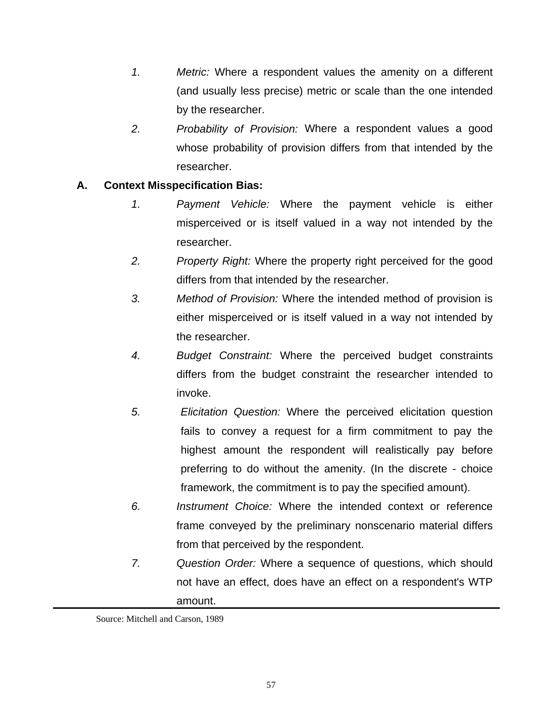- *1. Metric:* Where a respondent values the amenity on a different (and usually less precise) metric or scale than the one intended by the researcher.
- *2. Probability of Provision:* Where a respondent values a good whose probability of provision differs from that intended by the researcher.

## **A. Context Misspecification Bias:**

- *1. Payment Vehicle:* Where the payment vehicle is either misperceived or is itself valued in a way not intended by the researcher.
- *2. Property Right:* Where the property right perceived for the good differs from that intended by the researcher.
- *3. Method of Provision:* Where the intended method of provision is either misperceived or is itself valued in a way not intended by the researcher.
- *4. Budget Constraint:* Where the perceived budget constraints differs from the budget constraint the researcher intended to invoke.
- *5. Elicitation Question:* Where the perceived elicitation question fails to convey a request for a firm commitment to pay the highest amount the respondent will realistically pay before preferring to do without the amenity. (In the discrete - choice framework, the commitment is to pay the specified amount).
- *6. Instrument Choice:* Where the intended context or reference frame conveyed by the preliminary nonscenario material differs from that perceived by the respondent.
- *7. Question Order:* Where a sequence of questions, which should not have an effect, does have an effect on a respondent's WTP amount.

Source: Mitchell and Carson, 1989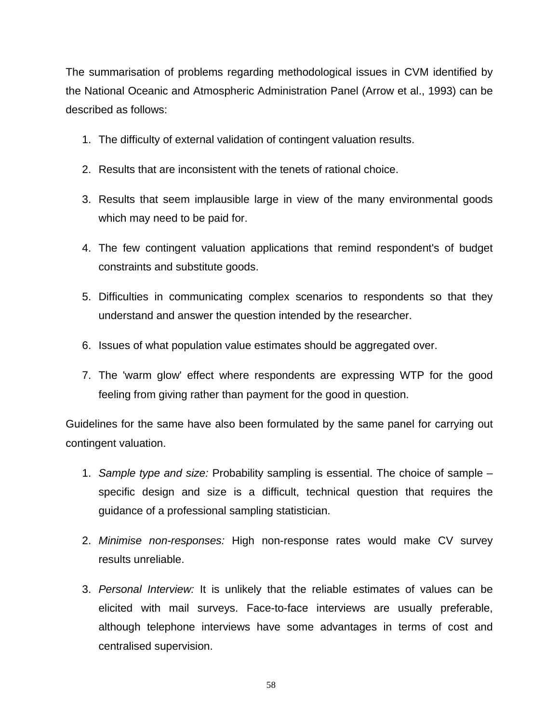The summarisation of problems regarding methodological issues in CVM identified by the National Oceanic and Atmospheric Administration Panel (Arrow et al., 1993) can be described as follows:

- 1. The difficulty of external validation of contingent valuation results.
- 2. Results that are inconsistent with the tenets of rational choice.
- 3. Results that seem implausible large in view of the many environmental goods which may need to be paid for.
- 4. The few contingent valuation applications that remind respondent's of budget constraints and substitute goods.
- 5. Difficulties in communicating complex scenarios to respondents so that they understand and answer the question intended by the researcher.
- 6. Issues of what population value estimates should be aggregated over.
- 7. The 'warm glow' effect where respondents are expressing WTP for the good feeling from giving rather than payment for the good in question.

Guidelines for the same have also been formulated by the same panel for carrying out contingent valuation.

- 1. *Sample type and size:* Probability sampling is essential. The choice of sample specific design and size is a difficult, technical question that requires the guidance of a professional sampling statistician.
- 2. *Minimise non-responses:* High non-response rates would make CV survey results unreliable.
- 3. *Personal Interview:* It is unlikely that the reliable estimates of values can be elicited with mail surveys. Face-to-face interviews are usually preferable, although telephone interviews have some advantages in terms of cost and centralised supervision.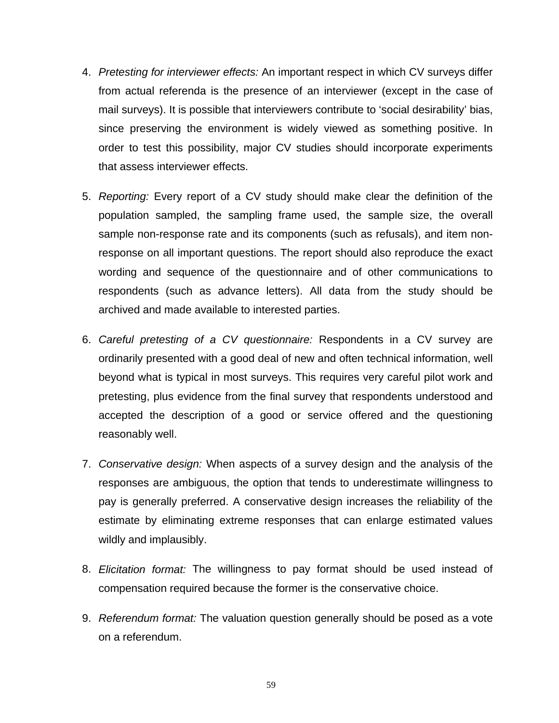- 4. *Pretesting for interviewer effects:* An important respect in which CV surveys differ from actual referenda is the presence of an interviewer (except in the case of mail surveys). It is possible that interviewers contribute to 'social desirability' bias, since preserving the environment is widely viewed as something positive. In order to test this possibility, major CV studies should incorporate experiments that assess interviewer effects.
- 5. *Reporting:* Every report of a CV study should make clear the definition of the population sampled, the sampling frame used, the sample size, the overall sample non-response rate and its components (such as refusals), and item nonresponse on all important questions. The report should also reproduce the exact wording and sequence of the questionnaire and of other communications to respondents (such as advance letters). All data from the study should be archived and made available to interested parties.
- 6. *Careful pretesting of a CV questionnaire:* Respondents in a CV survey are ordinarily presented with a good deal of new and often technical information, well beyond what is typical in most surveys. This requires very careful pilot work and pretesting, plus evidence from the final survey that respondents understood and accepted the description of a good or service offered and the questioning reasonably well.
- 7. *Conservative design:* When aspects of a survey design and the analysis of the responses are ambiguous, the option that tends to underestimate willingness to pay is generally preferred. A conservative design increases the reliability of the estimate by eliminating extreme responses that can enlarge estimated values wildly and implausibly.
- 8. *Elicitation format:* The willingness to pay format should be used instead of compensation required because the former is the conservative choice.
- 9. *Referendum format:* The valuation question generally should be posed as a vote on a referendum.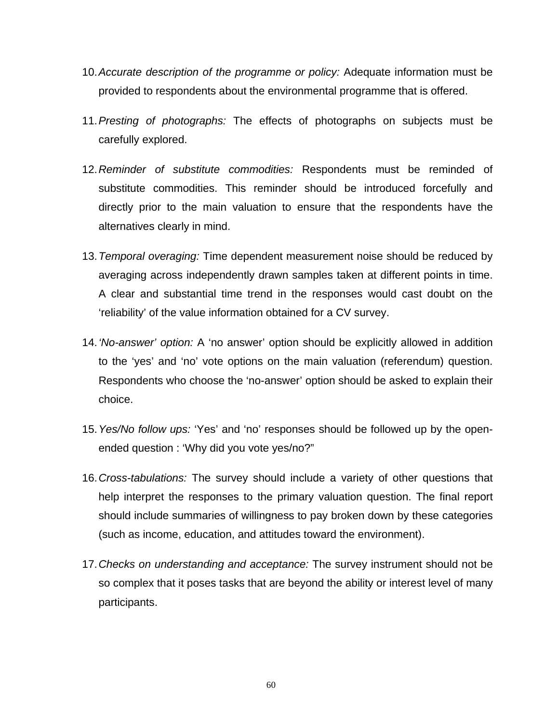- 10. *Accurate description of the programme or policy:* Adequate information must be provided to respondents about the environmental programme that is offered.
- 11. *Presting of photographs:* The effects of photographs on subjects must be carefully explored.
- 12. *Reminder of substitute commodities:* Respondents must be reminded of substitute commodities. This reminder should be introduced forcefully and directly prior to the main valuation to ensure that the respondents have the alternatives clearly in mind.
- 13. *Temporal overaging:* Time dependent measurement noise should be reduced by averaging across independently drawn samples taken at different points in time. A clear and substantial time trend in the responses would cast doubt on the 'reliability' of the value information obtained for a CV survey.
- 14. *'No-answer' option:* A 'no answer' option should be explicitly allowed in addition to the 'yes' and 'no' vote options on the main valuation (referendum) question. Respondents who choose the 'no-answer' option should be asked to explain their choice.
- 15. *Yes/No follow ups:* 'Yes' and 'no' responses should be followed up by the openended question : 'Why did you vote yes/no?"
- 16. *Cross-tabulations:* The survey should include a variety of other questions that help interpret the responses to the primary valuation question. The final report should include summaries of willingness to pay broken down by these categories (such as income, education, and attitudes toward the environment).
- 17. *Checks on understanding and acceptance:* The survey instrument should not be so complex that it poses tasks that are beyond the ability or interest level of many participants.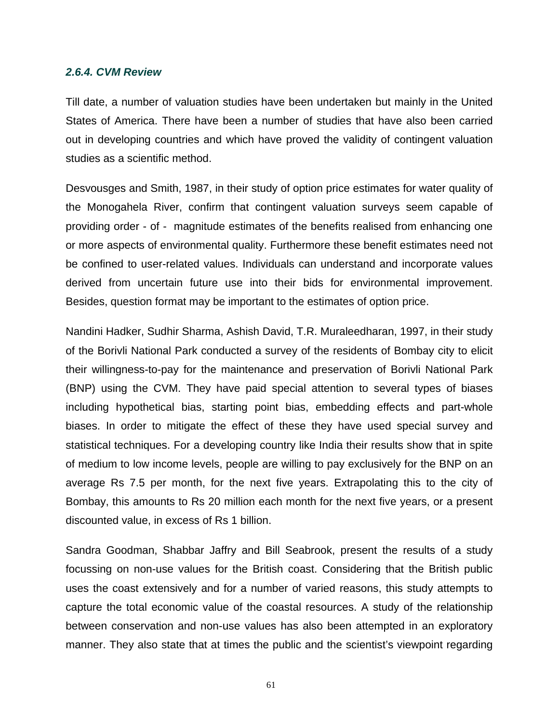#### *2.6.4. CVM Review*

Till date, a number of valuation studies have been undertaken but mainly in the United States of America. There have been a number of studies that have also been carried out in developing countries and which have proved the validity of contingent valuation studies as a scientific method.

Desvousges and Smith, 1987, in their study of option price estimates for water quality of the Monogahela River, confirm that contingent valuation surveys seem capable of providing order - of - magnitude estimates of the benefits realised from enhancing one or more aspects of environmental quality. Furthermore these benefit estimates need not be confined to user-related values. Individuals can understand and incorporate values derived from uncertain future use into their bids for environmental improvement. Besides, question format may be important to the estimates of option price.

Nandini Hadker, Sudhir Sharma, Ashish David, T.R. Muraleedharan, 1997, in their study of the Borivli National Park conducted a survey of the residents of Bombay city to elicit their willingness-to-pay for the maintenance and preservation of Borivli National Park (BNP) using the CVM. They have paid special attention to several types of biases including hypothetical bias, starting point bias, embedding effects and part-whole biases. In order to mitigate the effect of these they have used special survey and statistical techniques. For a developing country like India their results show that in spite of medium to low income levels, people are willing to pay exclusively for the BNP on an average Rs 7.5 per month, for the next five years. Extrapolating this to the city of Bombay, this amounts to Rs 20 million each month for the next five years, or a present discounted value, in excess of Rs 1 billion.

Sandra Goodman, Shabbar Jaffry and Bill Seabrook, present the results of a study focussing on non-use values for the British coast. Considering that the British public uses the coast extensively and for a number of varied reasons, this study attempts to capture the total economic value of the coastal resources. A study of the relationship between conservation and non-use values has also been attempted in an exploratory manner. They also state that at times the public and the scientist's viewpoint regarding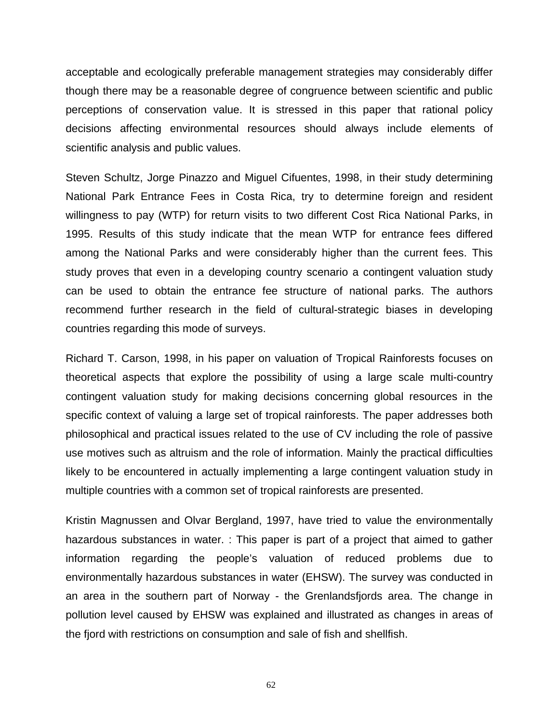acceptable and ecologically preferable management strategies may considerably differ though there may be a reasonable degree of congruence between scientific and public perceptions of conservation value. It is stressed in this paper that rational policy decisions affecting environmental resources should always include elements of scientific analysis and public values.

Steven Schultz, Jorge Pinazzo and Miguel Cifuentes, 1998, in their study determining National Park Entrance Fees in Costa Rica, try to determine foreign and resident willingness to pay (WTP) for return visits to two different Cost Rica National Parks, in 1995. Results of this study indicate that the mean WTP for entrance fees differed among the National Parks and were considerably higher than the current fees. This study proves that even in a developing country scenario a contingent valuation study can be used to obtain the entrance fee structure of national parks. The authors recommend further research in the field of cultural-strategic biases in developing countries regarding this mode of surveys.

Richard T. Carson, 1998, in his paper on valuation of Tropical Rainforests focuses on theoretical aspects that explore the possibility of using a large scale multi-country contingent valuation study for making decisions concerning global resources in the specific context of valuing a large set of tropical rainforests. The paper addresses both philosophical and practical issues related to the use of CV including the role of passive use motives such as altruism and the role of information. Mainly the practical difficulties likely to be encountered in actually implementing a large contingent valuation study in multiple countries with a common set of tropical rainforests are presented.

Kristin Magnussen and Olvar Bergland, 1997, have tried to value the environmentally hazardous substances in water. : This paper is part of a project that aimed to gather information regarding the people's valuation of reduced problems due to environmentally hazardous substances in water (EHSW). The survey was conducted in an area in the southern part of Norway - the Grenlandsfjords area. The change in pollution level caused by EHSW was explained and illustrated as changes in areas of the fjord with restrictions on consumption and sale of fish and shellfish.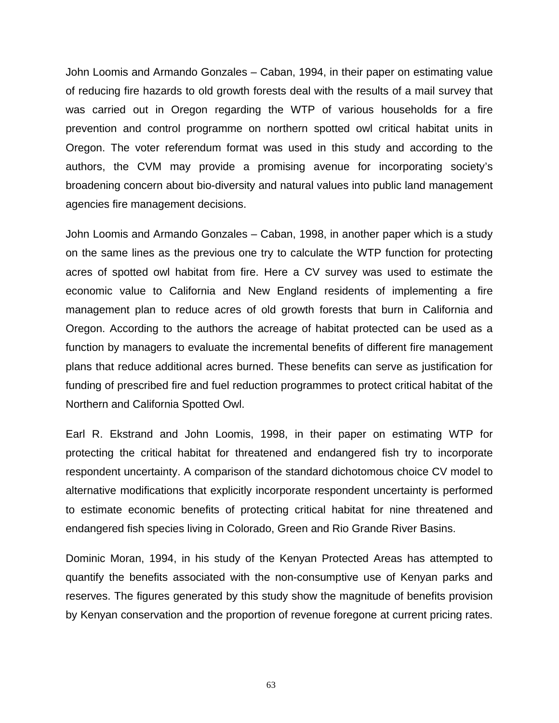John Loomis and Armando Gonzales – Caban, 1994, in their paper on estimating value of reducing fire hazards to old growth forests deal with the results of a mail survey that was carried out in Oregon regarding the WTP of various households for a fire prevention and control programme on northern spotted owl critical habitat units in Oregon. The voter referendum format was used in this study and according to the authors, the CVM may provide a promising avenue for incorporating society's broadening concern about bio-diversity and natural values into public land management agencies fire management decisions.

John Loomis and Armando Gonzales – Caban, 1998, in another paper which is a study on the same lines as the previous one try to calculate the WTP function for protecting acres of spotted owl habitat from fire. Here a CV survey was used to estimate the economic value to California and New England residents of implementing a fire management plan to reduce acres of old growth forests that burn in California and Oregon. According to the authors the acreage of habitat protected can be used as a function by managers to evaluate the incremental benefits of different fire management plans that reduce additional acres burned. These benefits can serve as justification for funding of prescribed fire and fuel reduction programmes to protect critical habitat of the Northern and California Spotted Owl.

Earl R. Ekstrand and John Loomis, 1998, in their paper on estimating WTP for protecting the critical habitat for threatened and endangered fish try to incorporate respondent uncertainty. A comparison of the standard dichotomous choice CV model to alternative modifications that explicitly incorporate respondent uncertainty is performed to estimate economic benefits of protecting critical habitat for nine threatened and endangered fish species living in Colorado, Green and Rio Grande River Basins.

Dominic Moran, 1994, in his study of the Kenyan Protected Areas has attempted to quantify the benefits associated with the non-consumptive use of Kenyan parks and reserves. The figures generated by this study show the magnitude of benefits provision by Kenyan conservation and the proportion of revenue foregone at current pricing rates.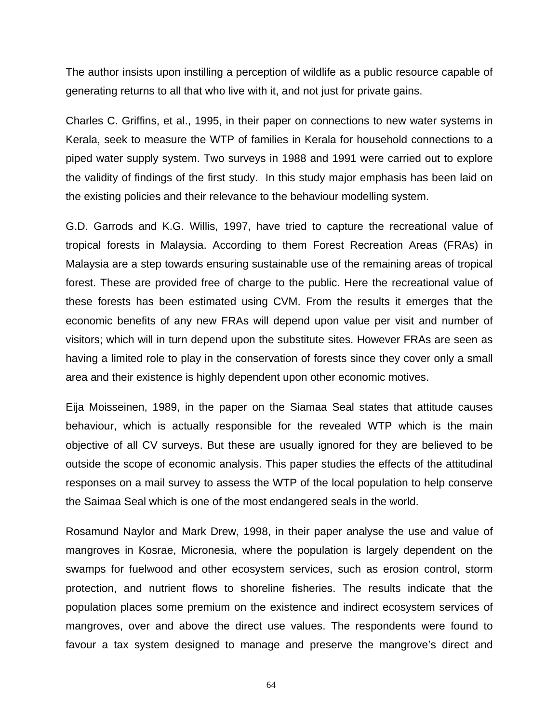The author insists upon instilling a perception of wildlife as a public resource capable of generating returns to all that who live with it, and not just for private gains.

Charles C. Griffins, et al., 1995, in their paper on connections to new water systems in Kerala, seek to measure the WTP of families in Kerala for household connections to a piped water supply system. Two surveys in 1988 and 1991 were carried out to explore the validity of findings of the first study. In this study major emphasis has been laid on the existing policies and their relevance to the behaviour modelling system.

G.D. Garrods and K.G. Willis, 1997, have tried to capture the recreational value of tropical forests in Malaysia. According to them Forest Recreation Areas (FRAs) in Malaysia are a step towards ensuring sustainable use of the remaining areas of tropical forest. These are provided free of charge to the public. Here the recreational value of these forests has been estimated using CVM. From the results it emerges that the economic benefits of any new FRAs will depend upon value per visit and number of visitors; which will in turn depend upon the substitute sites. However FRAs are seen as having a limited role to play in the conservation of forests since they cover only a small area and their existence is highly dependent upon other economic motives.

Eija Moisseinen, 1989, in the paper on the Siamaa Seal states that attitude causes behaviour, which is actually responsible for the revealed WTP which is the main objective of all CV surveys. But these are usually ignored for they are believed to be outside the scope of economic analysis. This paper studies the effects of the attitudinal responses on a mail survey to assess the WTP of the local population to help conserve the Saimaa Seal which is one of the most endangered seals in the world.

Rosamund Naylor and Mark Drew, 1998, in their paper analyse the use and value of mangroves in Kosrae, Micronesia, where the population is largely dependent on the swamps for fuelwood and other ecosystem services, such as erosion control, storm protection, and nutrient flows to shoreline fisheries. The results indicate that the population places some premium on the existence and indirect ecosystem services of mangroves, over and above the direct use values. The respondents were found to favour a tax system designed to manage and preserve the mangrove's direct and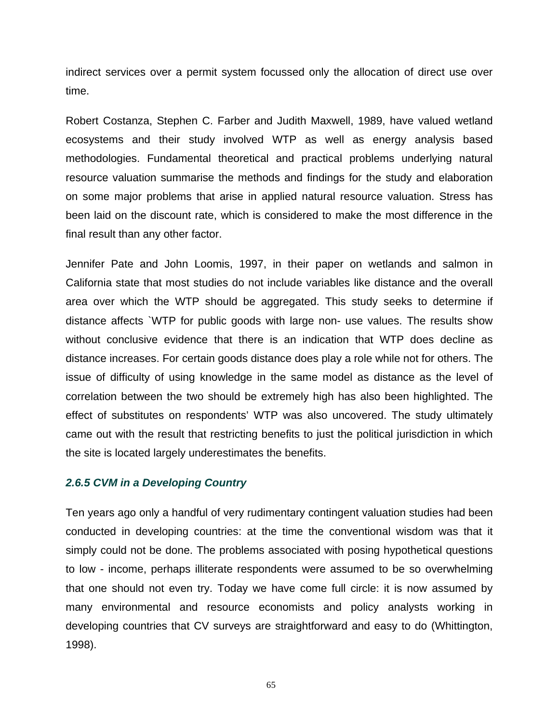indirect services over a permit system focussed only the allocation of direct use over time.

Robert Costanza, Stephen C. Farber and Judith Maxwell, 1989, have valued wetland ecosystems and their study involved WTP as well as energy analysis based methodologies. Fundamental theoretical and practical problems underlying natural resource valuation summarise the methods and findings for the study and elaboration on some major problems that arise in applied natural resource valuation. Stress has been laid on the discount rate, which is considered to make the most difference in the final result than any other factor.

Jennifer Pate and John Loomis, 1997, in their paper on wetlands and salmon in California state that most studies do not include variables like distance and the overall area over which the WTP should be aggregated. This study seeks to determine if distance affects `WTP for public goods with large non- use values. The results show without conclusive evidence that there is an indication that WTP does decline as distance increases. For certain goods distance does play a role while not for others. The issue of difficulty of using knowledge in the same model as distance as the level of correlation between the two should be extremely high has also been highlighted. The effect of substitutes on respondents' WTP was also uncovered. The study ultimately came out with the result that restricting benefits to just the political jurisdiction in which the site is located largely underestimates the benefits.

#### *2.6.5 CVM in a Developing Country*

Ten years ago only a handful of very rudimentary contingent valuation studies had been conducted in developing countries: at the time the conventional wisdom was that it simply could not be done. The problems associated with posing hypothetical questions to low - income, perhaps illiterate respondents were assumed to be so overwhelming that one should not even try. Today we have come full circle: it is now assumed by many environmental and resource economists and policy analysts working in developing countries that CV surveys are straightforward and easy to do (Whittington, 1998).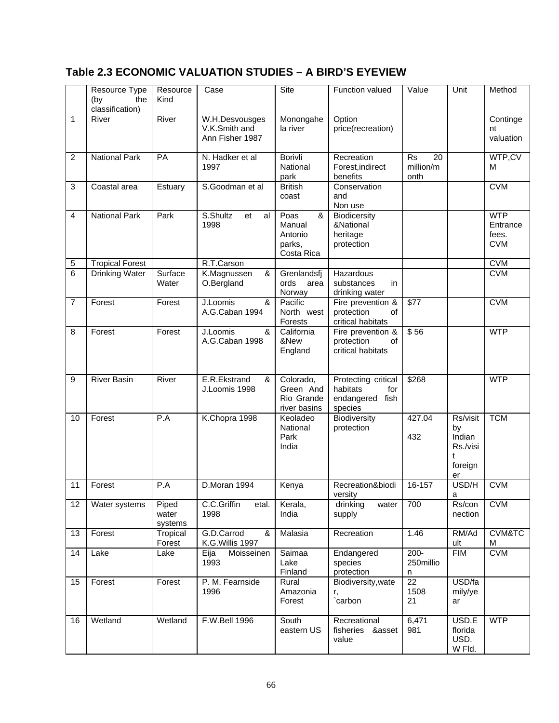## **Table 2.3 ECONOMIC VALUATION STUDIES – A BIRD'S EYEVIEW**

|                | Resource Type<br>the<br>(by<br>classification) | Resource<br>Kind          | Case                                               | Site                                                   | Function valued                                                         | Value                                | Unit                                                       | Method                                        |
|----------------|------------------------------------------------|---------------------------|----------------------------------------------------|--------------------------------------------------------|-------------------------------------------------------------------------|--------------------------------------|------------------------------------------------------------|-----------------------------------------------|
| 1              | River                                          | River                     | W.H.Desvousges<br>V.K.Smith and<br>Ann Fisher 1987 | Monongahe<br>la river                                  | Option<br>price(recreation)                                             |                                      |                                                            | Continge<br>nt<br>valuation                   |
| $\overline{c}$ | <b>National Park</b>                           | PA                        | N. Hadker et al<br>1997                            | Borivli<br>National<br>park                            | Recreation<br>Forest, indirect<br>benefits                              | <b>Rs</b><br>20<br>million/m<br>onth |                                                            | WTP,CV<br>м                                   |
| 3              | Coastal area                                   | Estuary                   | S.Goodman et al                                    | <b>British</b><br>coast                                | Conservation<br>and<br>Non use                                          |                                      |                                                            | <b>CVM</b>                                    |
| 4              | <b>National Park</b>                           | Park                      | S.Shultz<br>et<br>al<br>1998                       | Poas<br>&<br>Manual<br>Antonio<br>parks,<br>Costa Rica | Biodicersity<br>&National<br>heritage<br>protection                     |                                      |                                                            | <b>WTP</b><br>Entrance<br>fees.<br><b>CVM</b> |
| 5              | <b>Tropical Forest</b>                         |                           | R.T.Carson                                         |                                                        |                                                                         |                                      |                                                            | <b>CVM</b>                                    |
| 6              | <b>Drinking Water</b>                          | Surface<br>Water          | K.Magnussen<br>&<br>O.Bergland                     | Grenlandsfj<br>ords<br>area<br>Norway                  | Hazardous<br>substances<br>in<br>drinking water                         |                                      |                                                            | <b>CVM</b>                                    |
| 7              | Forest                                         | Forest                    | J.Loomis<br>&<br>A.G.Caban 1994                    | Pacific<br>North west<br>Forests                       | Fire prevention &<br>protection<br>of<br>critical habitats              | \$77                                 |                                                            | <b>CVM</b>                                    |
| 8              | Forest                                         | Forest                    | J.Loomis<br>&<br>A.G.Caban 1998                    | California<br>&New<br>England                          | Fire prevention &<br>protection<br>οf<br>critical habitats              | $\overline{$}$ 56                    |                                                            | <b>WTP</b>                                    |
| 9              | <b>River Basin</b>                             | River                     | E.R.Ekstrand<br>&<br>J.Loomis 1998                 | Colorado,<br>Green And<br>Rio Grande<br>river basins   | Protecting critical<br>habitats<br>for<br>endangered<br>fish<br>species | \$268                                |                                                            | <b>WTP</b>                                    |
| 10             | Forest                                         | P.A                       | K.Chopra 1998                                      | Keoladeo<br>National<br>Park<br>India                  | Biodiversity<br>protection                                              | 427.04<br>432                        | Rs/visit<br>by<br>Indian<br>Rs./visi<br>t<br>foreign<br>er | <b>TCM</b>                                    |
| 11             | Forest                                         | $\overline{P}$ .A         | D.Moran 1994                                       | Kenya                                                  | Recreation&biodi<br>versity                                             | 16-157                               | USD/H<br>a                                                 | <b>CVM</b>                                    |
| 12             | Water systems                                  | Piped<br>water<br>systems | C.C.Griffin<br>etal.<br>1998                       | Kerala,<br>India                                       | drinking<br>water<br>supply                                             | 700                                  | Rs/con<br>nection                                          | <b>CVM</b>                                    |
| 13             | Forest                                         | Tropical<br>Forest        | G.D.Carrod<br>&<br>K.G. Willis 1997                | Malasia                                                | Recreation                                                              | 1.46                                 | RM/Ad<br>ult                                               | CVM&TC<br>М                                   |
| 14             | Lake                                           | Lake                      | Moisseinen<br>Eija<br>1993                         | Saimaa<br>Lake<br>Finland                              | Endangered<br>species<br>protection                                     | $200 -$<br>250millio<br>n            | <b>FIM</b>                                                 | <b>CVM</b>                                    |
| 15             | Forest                                         | Forest                    | P. M. Fearnside<br>1996                            | Rural<br>Amazonia<br>Forest                            | Biodiversity, wate<br>r,<br>carbon                                      | 22<br>1508<br>21                     | USD/fa<br>mily/ye<br>ar                                    |                                               |
| 16             | Wetland                                        | Wetland                   | F.W.Bell 1996                                      | South<br>eastern US                                    | Recreational<br>fisheries &asset<br>value                               | 6,471<br>981                         | USD.E<br>florida<br>USD.<br>W Fld.                         | <b>WTP</b>                                    |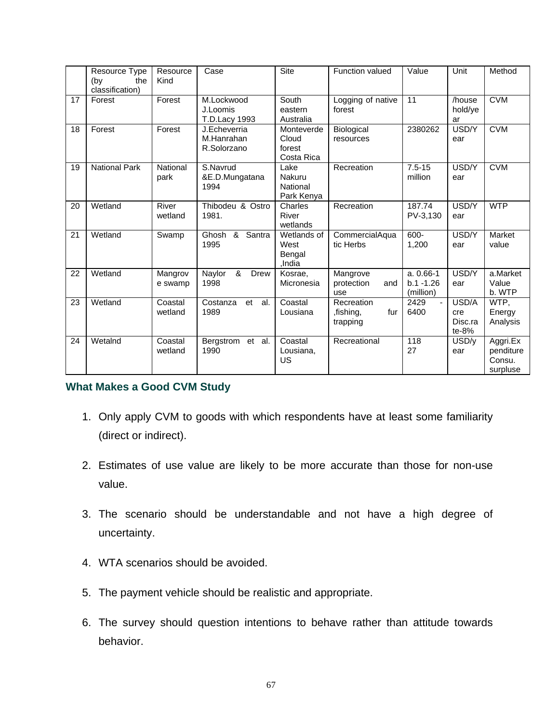|    | Resource Type<br>the<br>(by<br>classification) | Resource<br>Kind   | Case                                      | Site                                        | <b>Function valued</b>                     | Value                                    | Unit                               | Method                                      |
|----|------------------------------------------------|--------------------|-------------------------------------------|---------------------------------------------|--------------------------------------------|------------------------------------------|------------------------------------|---------------------------------------------|
| 17 | Forest                                         | Forest             | M.Lockwood<br>J.Loomis<br>T.D.Lacy 1993   | South<br>eastern<br>Australia               | Logging of native<br>forest                | 11                                       | /house<br>hold/ye<br>ar            | <b>CVM</b>                                  |
| 18 | Forest                                         | Forest             | J.Echeverria<br>M.Hanrahan<br>R.Solorzano | Monteverde<br>Cloud<br>forest<br>Costa Rica | Biological<br>resources                    | 2380262                                  | USD/Y<br>ear                       | <b>CVM</b>                                  |
| 19 | <b>National Park</b>                           | National<br>park   | S.Navrud<br>&E.D.Mungatana<br>1994        | Lake<br>Nakuru<br>National<br>Park Kenya    | Recreation                                 | $7.5 - 15$<br>million                    | USD/Y<br>ear                       | <b>CVM</b>                                  |
| 20 | Wetland                                        | River<br>wetland   | Thibodeu & Ostro<br>1981.                 | Charles<br>River<br>wetlands                | Recreation                                 | 187.74<br>PV-3,130                       | USD/Y<br>ear                       | <b>WTP</b>                                  |
| 21 | Wetland                                        | Swamp              | Santra<br>Ghosh &<br>1995                 | Wetlands of<br>West<br>Bengal<br>,India     | CommercialAqua<br>tic Herbs                | 600-<br>1,200                            | USD/Y<br>ear                       | Market<br>value                             |
| 22 | Wetland                                        | Mangrov<br>e swamp | &<br>Naylor<br><b>Drew</b><br>1998        | Kosrae.<br>Micronesia                       | Mangrove<br>protection<br>and<br>use       | $a. 0.66-1$<br>$b.1 - 1.26$<br>(million) | USD/Y<br>ear                       | a.Market<br>Value<br>b. WTP                 |
| 23 | Wetland                                        | Coastal<br>wetland | Costanza<br>et al.<br>1989                | Coastal<br>Lousiana                         | Recreation<br>,fishing,<br>fur<br>trapping | 2429<br>$\blacksquare$<br>6400           | USD/A<br>cre<br>Disc.ra<br>$te-8%$ | WTP,<br>Energy<br>Analysis                  |
| 24 | WetaInd                                        | Coastal<br>wetland | Bergstrom et al.<br>1990                  | Coastal<br>Lousiana,<br>US                  | Recreational                               | 118<br>27                                | USD/y<br>ear                       | Aggri.Ex<br>penditure<br>Consu.<br>surpluse |

## **What Makes a Good CVM Study**

- 1. Only apply CVM to goods with which respondents have at least some familiarity (direct or indirect).
- 2. Estimates of use value are likely to be more accurate than those for non-use value.
- 3. The scenario should be understandable and not have a high degree of uncertainty.
- 4. WTA scenarios should be avoided.
- 5. The payment vehicle should be realistic and appropriate.
- 6. The survey should question intentions to behave rather than attitude towards behavior.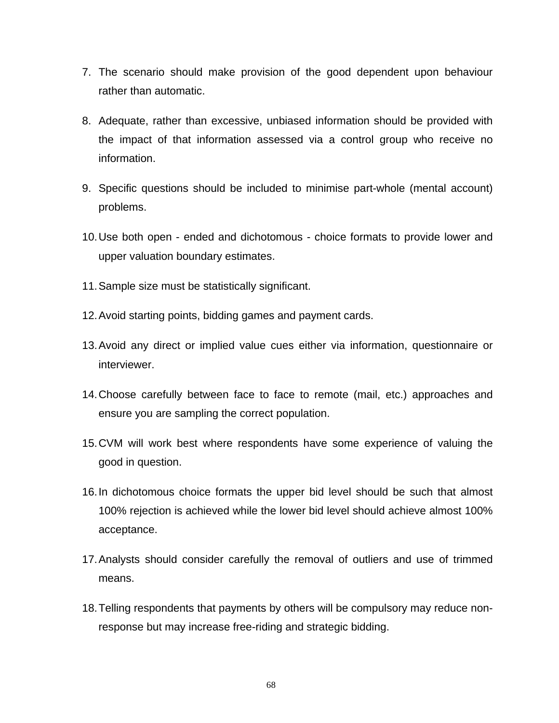- 7. The scenario should make provision of the good dependent upon behaviour rather than automatic.
- 8. Adequate, rather than excessive, unbiased information should be provided with the impact of that information assessed via a control group who receive no information.
- 9. Specific questions should be included to minimise part-whole (mental account) problems.
- 10. Use both open ended and dichotomous choice formats to provide lower and upper valuation boundary estimates.
- 11. Sample size must be statistically significant.
- 12. Avoid starting points, bidding games and payment cards.
- 13. Avoid any direct or implied value cues either via information, questionnaire or interviewer.
- 14. Choose carefully between face to face to remote (mail, etc.) approaches and ensure you are sampling the correct population.
- 15. CVM will work best where respondents have some experience of valuing the good in question.
- 16. In dichotomous choice formats the upper bid level should be such that almost 100% rejection is achieved while the lower bid level should achieve almost 100% acceptance.
- 17. Analysts should consider carefully the removal of outliers and use of trimmed means.
- 18. Telling respondents that payments by others will be compulsory may reduce nonresponse but may increase free-riding and strategic bidding.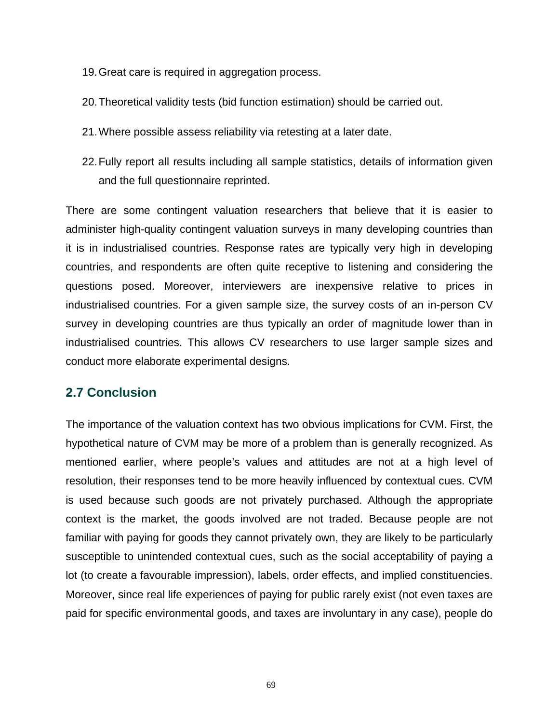- 19. Great care is required in aggregation process.
- 20. Theoretical validity tests (bid function estimation) should be carried out.
- 21. Where possible assess reliability via retesting at a later date.
- 22. Fully report all results including all sample statistics, details of information given and the full questionnaire reprinted.

There are some contingent valuation researchers that believe that it is easier to administer high-quality contingent valuation surveys in many developing countries than it is in industrialised countries. Response rates are typically very high in developing countries, and respondents are often quite receptive to listening and considering the questions posed. Moreover, interviewers are inexpensive relative to prices in industrialised countries. For a given sample size, the survey costs of an in-person CV survey in developing countries are thus typically an order of magnitude lower than in industrialised countries. This allows CV researchers to use larger sample sizes and conduct more elaborate experimental designs.

# **2.7 Conclusion**

The importance of the valuation context has two obvious implications for CVM. First, the hypothetical nature of CVM may be more of a problem than is generally recognized. As mentioned earlier, where people's values and attitudes are not at a high level of resolution, their responses tend to be more heavily influenced by contextual cues. CVM is used because such goods are not privately purchased. Although the appropriate context is the market, the goods involved are not traded. Because people are not familiar with paying for goods they cannot privately own, they are likely to be particularly susceptible to unintended contextual cues, such as the social acceptability of paying a lot (to create a favourable impression), labels, order effects, and implied constituencies. Moreover, since real life experiences of paying for public rarely exist (not even taxes are paid for specific environmental goods, and taxes are involuntary in any case), people do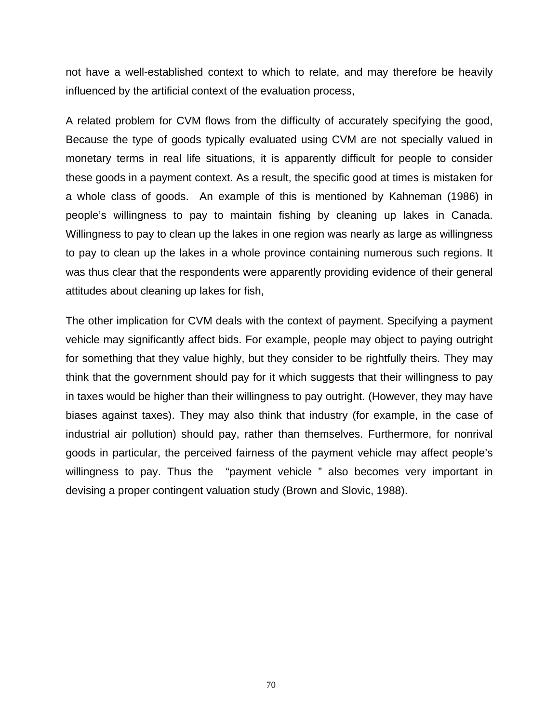not have a well-established context to which to relate, and may therefore be heavily influenced by the artificial context of the evaluation process,

A related problem for CVM flows from the difficulty of accurately specifying the good, Because the type of goods typically evaluated using CVM are not specially valued in monetary terms in real life situations, it is apparently difficult for people to consider these goods in a payment context. As a result, the specific good at times is mistaken for a whole class of goods. An example of this is mentioned by Kahneman (1986) in people's willingness to pay to maintain fishing by cleaning up lakes in Canada. Willingness to pay to clean up the lakes in one region was nearly as large as willingness to pay to clean up the lakes in a whole province containing numerous such regions. It was thus clear that the respondents were apparently providing evidence of their general attitudes about cleaning up lakes for fish,

The other implication for CVM deals with the context of payment. Specifying a payment vehicle may significantly affect bids. For example, people may object to paying outright for something that they value highly, but they consider to be rightfully theirs. They may think that the government should pay for it which suggests that their willingness to pay in taxes would be higher than their willingness to pay outright. (However, they may have biases against taxes). They may also think that industry (for example, in the case of industrial air pollution) should pay, rather than themselves. Furthermore, for nonrival goods in particular, the perceived fairness of the payment vehicle may affect people's willingness to pay. Thus the "payment vehicle " also becomes very important in devising a proper contingent valuation study (Brown and Slovic, 1988).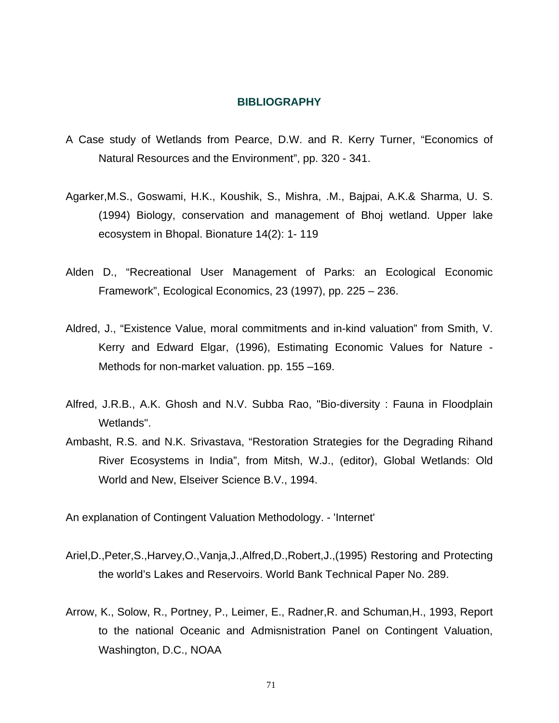#### **BIBLIOGRAPHY**

- A Case study of Wetlands from Pearce, D.W. and R. Kerry Turner, "Economics of Natural Resources and the Environment", pp. 320 - 341.
- Agarker,M.S., Goswami, H.K., Koushik, S., Mishra, .M., Bajpai, A.K.& Sharma, U. S. (1994) Biology, conservation and management of Bhoj wetland. Upper lake ecosystem in Bhopal. Bionature 14(2): 1- 119
- Alden D., "Recreational User Management of Parks: an Ecological Economic Framework", Ecological Economics, 23 (1997), pp. 225 – 236.
- Aldred, J., "Existence Value, moral commitments and in-kind valuation" from Smith, V. Kerry and Edward Elgar, (1996), Estimating Economic Values for Nature - Methods for non-market valuation. pp. 155 –169.
- Alfred, J.R.B., A.K. Ghosh and N.V. Subba Rao, "Bio-diversity : Fauna in Floodplain Wetlands".
- Ambasht, R.S. and N.K. Srivastava, "Restoration Strategies for the Degrading Rihand River Ecosystems in India", from Mitsh, W.J., (editor), Global Wetlands: Old World and New, Elseiver Science B.V., 1994.

An explanation of Contingent Valuation Methodology. - 'Internet'

- Ariel,D.,Peter,S.,Harvey,O.,Vanja,J.,Alfred,D.,Robert,J.,(1995) Restoring and Protecting the world's Lakes and Reservoirs. World Bank Technical Paper No. 289.
- Arrow, K., Solow, R., Portney, P., Leimer, E., Radner,R. and Schuman,H., 1993, Report to the national Oceanic and Admisnistration Panel on Contingent Valuation, Washington, D.C., NOAA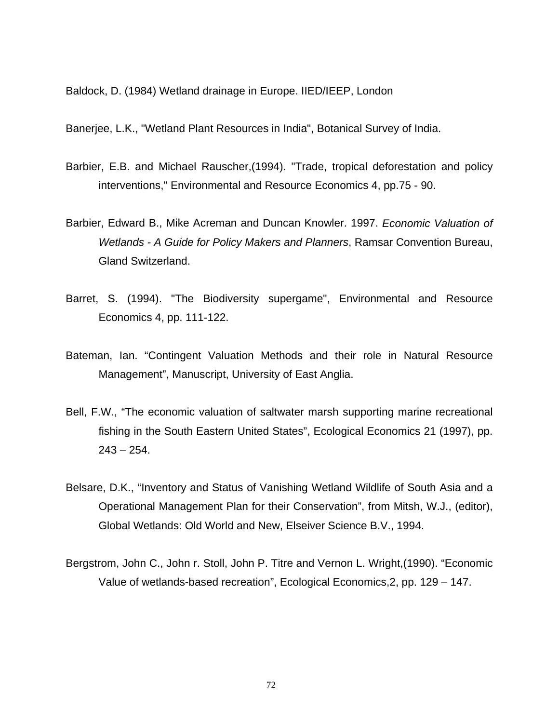Baldock, D. (1984) Wetland drainage in Europe. IIED/IEEP, London

Banerjee, L.K., "Wetland Plant Resources in India", Botanical Survey of India.

- Barbier, E.B. and Michael Rauscher,(1994). "Trade, tropical deforestation and policy interventions," Environmental and Resource Economics 4, pp.75 - 90.
- Barbier, Edward B., Mike Acreman and Duncan Knowler. 1997. *Economic Valuation of Wetlands - A Guide for Policy Makers and Planners*, Ramsar Convention Bureau, Gland Switzerland.
- Barret, S. (1994). "The Biodiversity supergame", Environmental and Resource Economics 4, pp. 111-122.
- Bateman, Ian. "Contingent Valuation Methods and their role in Natural Resource Management", Manuscript, University of East Anglia.
- Bell, F.W., "The economic valuation of saltwater marsh supporting marine recreational fishing in the South Eastern United States", Ecological Economics 21 (1997), pp.  $243 - 254$ .
- Belsare, D.K., "Inventory and Status of Vanishing Wetland Wildlife of South Asia and a Operational Management Plan for their Conservation", from Mitsh, W.J., (editor), Global Wetlands: Old World and New, Elseiver Science B.V., 1994.
- Bergstrom, John C., John r. Stoll, John P. Titre and Vernon L. Wright,(1990). "Economic Value of wetlands-based recreation", Ecological Economics,2, pp. 129 – 147.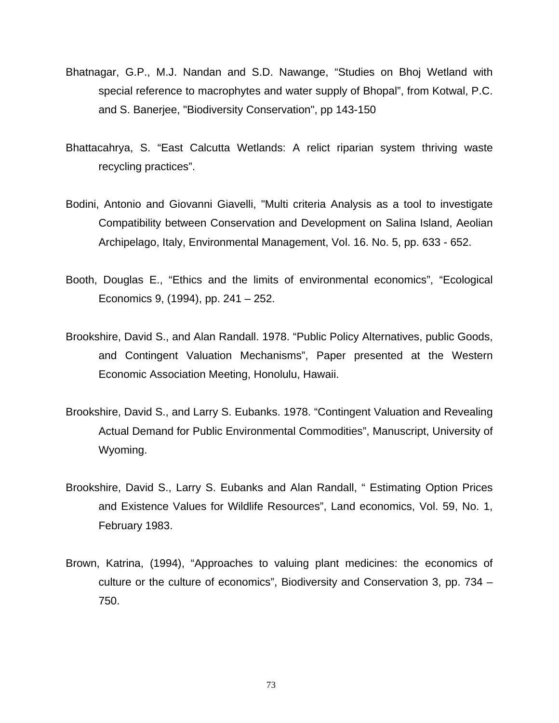- Bhatnagar, G.P., M.J. Nandan and S.D. Nawange, "Studies on Bhoj Wetland with special reference to macrophytes and water supply of Bhopal", from Kotwal, P.C. and S. Banerjee, "Biodiversity Conservation", pp 143-150
- Bhattacahrya, S. "East Calcutta Wetlands: A relict riparian system thriving waste recycling practices".
- Bodini, Antonio and Giovanni Giavelli, "Multi criteria Analysis as a tool to investigate Compatibility between Conservation and Development on Salina Island, Aeolian Archipelago, Italy, Environmental Management, Vol. 16. No. 5, pp. 633 - 652.
- Booth, Douglas E., "Ethics and the limits of environmental economics", "Ecological Economics 9, (1994), pp. 241 – 252.
- Brookshire, David S., and Alan Randall. 1978. "Public Policy Alternatives, public Goods, and Contingent Valuation Mechanisms", Paper presented at the Western Economic Association Meeting, Honolulu, Hawaii.
- Brookshire, David S., and Larry S. Eubanks. 1978. "Contingent Valuation and Revealing Actual Demand for Public Environmental Commodities", Manuscript, University of Wyoming.
- Brookshire, David S., Larry S. Eubanks and Alan Randall, " Estimating Option Prices and Existence Values for Wildlife Resources", Land economics, Vol. 59, No. 1, February 1983.
- Brown, Katrina, (1994), "Approaches to valuing plant medicines: the economics of culture or the culture of economics", Biodiversity and Conservation 3, pp. 734 – 750.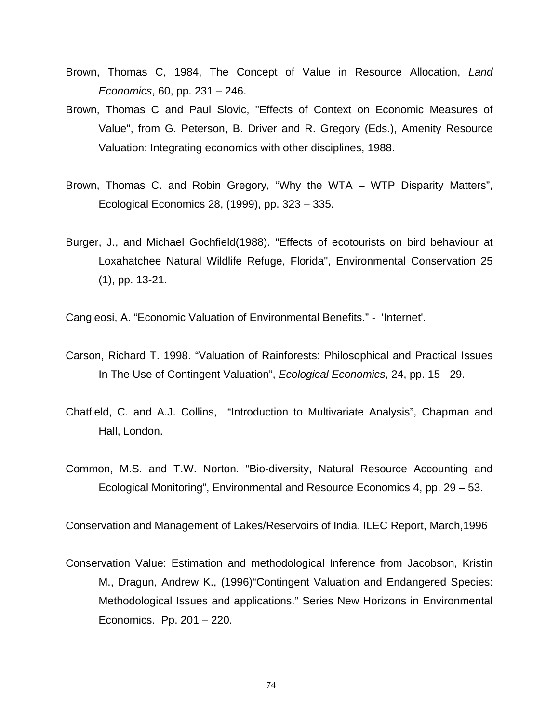- Brown, Thomas C, 1984, The Concept of Value in Resource Allocation, *Land Economics*, 60, pp. 231 – 246.
- Brown, Thomas C and Paul Slovic, "Effects of Context on Economic Measures of Value", from G. Peterson, B. Driver and R. Gregory (Eds.), Amenity Resource Valuation: Integrating economics with other disciplines, 1988.
- Brown, Thomas C. and Robin Gregory, "Why the WTA WTP Disparity Matters", Ecological Economics 28, (1999), pp. 323 – 335.
- Burger, J., and Michael Gochfield(1988). "Effects of ecotourists on bird behaviour at Loxahatchee Natural Wildlife Refuge, Florida", Environmental Conservation 25 (1), pp. 13-21.

Cangleosi, A. "Economic Valuation of Environmental Benefits." - 'Internet'.

- Carson, Richard T. 1998. "Valuation of Rainforests: Philosophical and Practical Issues In The Use of Contingent Valuation", *Ecological Economics*, 24, pp. 15 - 29.
- Chatfield, C. and A.J. Collins, "Introduction to Multivariate Analysis", Chapman and Hall, London.
- Common, M.S. and T.W. Norton. "Bio-diversity, Natural Resource Accounting and Ecological Monitoring", Environmental and Resource Economics 4, pp. 29 – 53.

Conservation and Management of Lakes/Reservoirs of India. ILEC Report, March,1996

Conservation Value: Estimation and methodological Inference from Jacobson, Kristin M., Dragun, Andrew K., (1996)"Contingent Valuation and Endangered Species: Methodological Issues and applications." Series New Horizons in Environmental Economics. Pp. 201 – 220.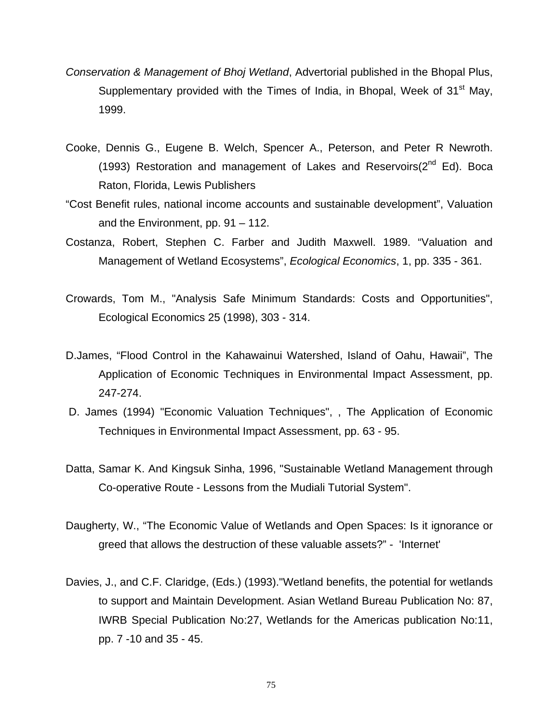- *Conservation & Management of Bhoj Wetland*, Advertorial published in the Bhopal Plus, Supplementary provided with the Times of India, in Bhopal, Week of 31<sup>st</sup> May, 1999.
- Cooke, Dennis G., Eugene B. Welch, Spencer A., Peterson, and Peter R Newroth. (1993) Restoration and management of Lakes and Reservoirs( $2^{nd}$  Ed). Boca Raton, Florida, Lewis Publishers
- "Cost Benefit rules, national income accounts and sustainable development", Valuation and the Environment, pp. 91 – 112.
- Costanza, Robert, Stephen C. Farber and Judith Maxwell. 1989. "Valuation and Management of Wetland Ecosystems", *Ecological Economics*, 1, pp. 335 - 361.
- Crowards, Tom M., "Analysis Safe Minimum Standards: Costs and Opportunities", Ecological Economics 25 (1998), 303 - 314.
- D.James, "Flood Control in the Kahawainui Watershed, Island of Oahu, Hawaii", The Application of Economic Techniques in Environmental Impact Assessment, pp. 247-274.
- D. James (1994) "Economic Valuation Techniques", , The Application of Economic Techniques in Environmental Impact Assessment, pp. 63 - 95.
- Datta, Samar K. And Kingsuk Sinha, 1996, "Sustainable Wetland Management through Co-operative Route - Lessons from the Mudiali Tutorial System".
- Daugherty, W., "The Economic Value of Wetlands and Open Spaces: Is it ignorance or greed that allows the destruction of these valuable assets?" - 'Internet'
- Davies, J., and C.F. Claridge, (Eds.) (1993)."Wetland benefits, the potential for wetlands to support and Maintain Development. Asian Wetland Bureau Publication No: 87, IWRB Special Publication No:27, Wetlands for the Americas publication No:11, pp. 7 -10 and 35 - 45.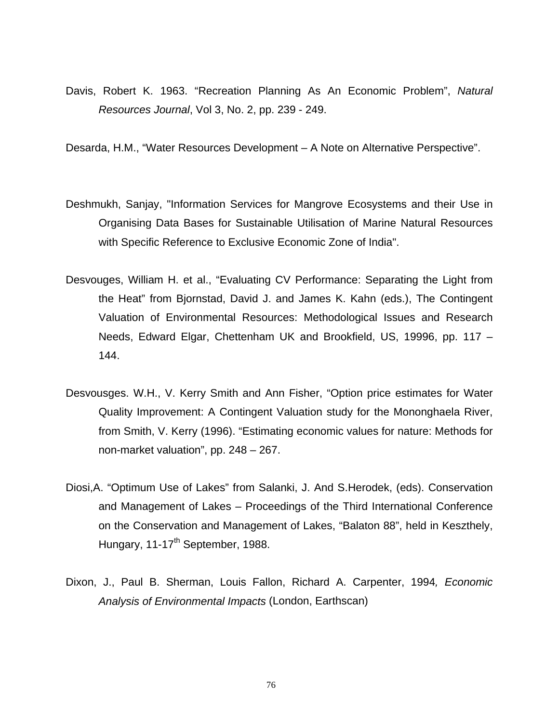Davis, Robert K. 1963. "Recreation Planning As An Economic Problem", *Natural Resources Journal*, Vol 3, No. 2, pp. 239 - 249.

Desarda, H.M., "Water Resources Development – A Note on Alternative Perspective".

- Deshmukh, Sanjay, "Information Services for Mangrove Ecosystems and their Use in Organising Data Bases for Sustainable Utilisation of Marine Natural Resources with Specific Reference to Exclusive Economic Zone of India".
- Desvouges, William H. et al., "Evaluating CV Performance: Separating the Light from the Heat" from Bjornstad, David J. and James K. Kahn (eds.), The Contingent Valuation of Environmental Resources: Methodological Issues and Research Needs, Edward Elgar, Chettenham UK and Brookfield, US, 19996, pp. 117 – 144.
- Desvousges. W.H., V. Kerry Smith and Ann Fisher, "Option price estimates for Water Quality Improvement: A Contingent Valuation study for the Mononghaela River, from Smith, V. Kerry (1996). "Estimating economic values for nature: Methods for non-market valuation", pp. 248 – 267.
- Diosi,A. "Optimum Use of Lakes" from Salanki, J. And S.Herodek, (eds). Conservation and Management of Lakes – Proceedings of the Third International Conference on the Conservation and Management of Lakes, "Balaton 88", held in Keszthely, Hungary, 11-17<sup>th</sup> September, 1988.
- Dixon, J., Paul B. Sherman, Louis Fallon, Richard A. Carpenter, 1994*, Economic Analysis of Environmental Impacts* (London, Earthscan)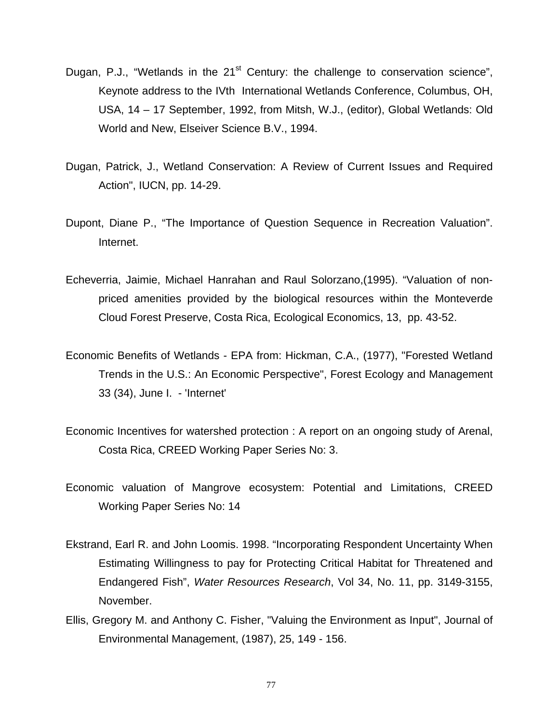- Dugan, P.J., "Wetlands in the 21<sup>st</sup> Century: the challenge to conservation science", Keynote address to the IVth International Wetlands Conference, Columbus, OH, USA, 14 – 17 September, 1992, from Mitsh, W.J., (editor), Global Wetlands: Old World and New, Elseiver Science B.V., 1994.
- Dugan, Patrick, J., Wetland Conservation: A Review of Current Issues and Required Action", IUCN, pp. 14-29.
- Dupont, Diane P., "The Importance of Question Sequence in Recreation Valuation". Internet.
- Echeverria, Jaimie, Michael Hanrahan and Raul Solorzano,(1995). "Valuation of nonpriced amenities provided by the biological resources within the Monteverde Cloud Forest Preserve, Costa Rica, Ecological Economics, 13, pp. 43-52.
- Economic Benefits of Wetlands EPA from: Hickman, C.A., (1977), "Forested Wetland Trends in the U.S.: An Economic Perspective", Forest Ecology and Management 33 (34), June I. - 'Internet'
- Economic Incentives for watershed protection : A report on an ongoing study of Arenal, Costa Rica, CREED Working Paper Series No: 3.
- Economic valuation of Mangrove ecosystem: Potential and Limitations, CREED Working Paper Series No: 14
- Ekstrand, Earl R. and John Loomis. 1998. "Incorporating Respondent Uncertainty When Estimating Willingness to pay for Protecting Critical Habitat for Threatened and Endangered Fish", *Water Resources Research*, Vol 34, No. 11, pp. 3149-3155, November.
- Ellis, Gregory M. and Anthony C. Fisher, "Valuing the Environment as Input", Journal of Environmental Management, (1987), 25, 149 - 156.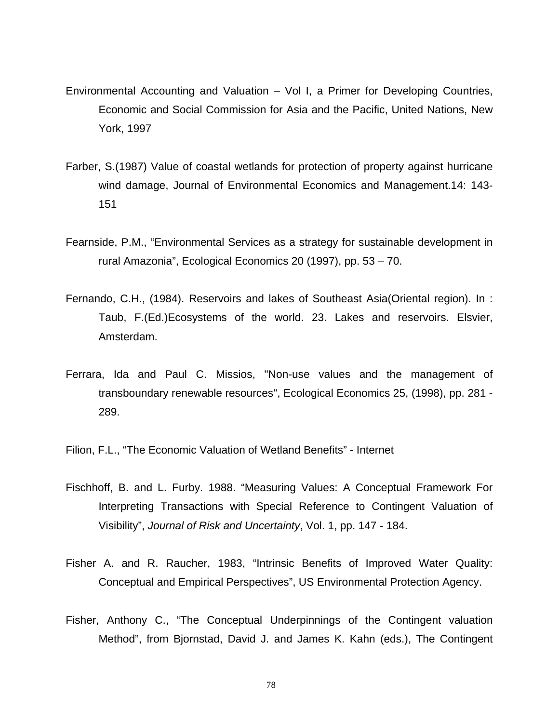- Environmental Accounting and Valuation Vol I, a Primer for Developing Countries, Economic and Social Commission for Asia and the Pacific, United Nations, New York, 1997
- Farber, S.(1987) Value of coastal wetlands for protection of property against hurricane wind damage, Journal of Environmental Economics and Management.14: 143- 151
- Fearnside, P.M., "Environmental Services as a strategy for sustainable development in rural Amazonia", Ecological Economics 20 (1997), pp. 53 – 70.
- Fernando, C.H., (1984). Reservoirs and lakes of Southeast Asia(Oriental region). In : Taub, F.(Ed.)Ecosystems of the world. 23. Lakes and reservoirs. Elsvier, Amsterdam.
- Ferrara, Ida and Paul C. Missios, "Non-use values and the management of transboundary renewable resources", Ecological Economics 25, (1998), pp. 281 - 289.
- Filion, F.L., "The Economic Valuation of Wetland Benefits" Internet
- Fischhoff, B. and L. Furby. 1988. "Measuring Values: A Conceptual Framework For Interpreting Transactions with Special Reference to Contingent Valuation of Visibility", *Journal of Risk and Uncertainty*, Vol. 1, pp. 147 - 184.
- Fisher A. and R. Raucher, 1983, "Intrinsic Benefits of Improved Water Quality: Conceptual and Empirical Perspectives", US Environmental Protection Agency.
- Fisher, Anthony C., "The Conceptual Underpinnings of the Contingent valuation Method", from Bjornstad, David J. and James K. Kahn (eds.), The Contingent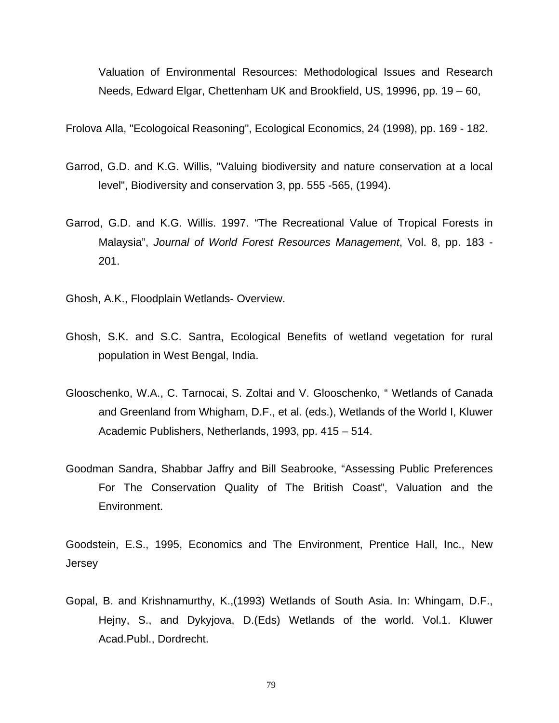Valuation of Environmental Resources: Methodological Issues and Research Needs, Edward Elgar, Chettenham UK and Brookfield, US, 19996, pp. 19 – 60,

Frolova Alla, "Ecologoical Reasoning", Ecological Economics, 24 (1998), pp. 169 - 182.

- Garrod, G.D. and K.G. Willis, "Valuing biodiversity and nature conservation at a local level", Biodiversity and conservation 3, pp. 555 -565, (1994).
- Garrod, G.D. and K.G. Willis. 1997. "The Recreational Value of Tropical Forests in Malaysia", *Journal of World Forest Resources Management*, Vol. 8, pp. 183 - 201.
- Ghosh, A.K., Floodplain Wetlands- Overview.
- Ghosh, S.K. and S.C. Santra, Ecological Benefits of wetland vegetation for rural population in West Bengal, India.
- Glooschenko, W.A., C. Tarnocai, S. Zoltai and V. Glooschenko, " Wetlands of Canada and Greenland from Whigham, D.F., et al. (eds.), Wetlands of the World I, Kluwer Academic Publishers, Netherlands, 1993, pp. 415 – 514.
- Goodman Sandra, Shabbar Jaffry and Bill Seabrooke, "Assessing Public Preferences For The Conservation Quality of The British Coast", Valuation and the Environment.

Goodstein, E.S., 1995, Economics and The Environment, Prentice Hall, Inc., New Jersey

Gopal, B. and Krishnamurthy, K.,(1993) Wetlands of South Asia. In: Whingam, D.F., Hejny, S., and Dykyjova, D.(Eds) Wetlands of the world. Vol.1. Kluwer Acad.Publ., Dordrecht.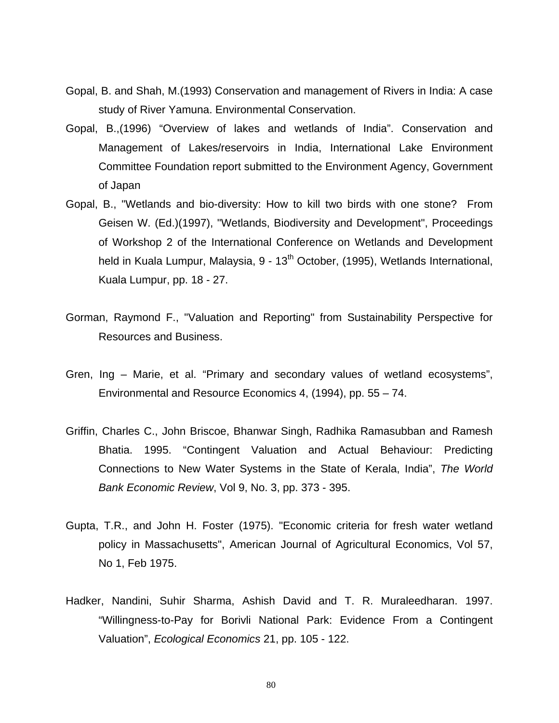- Gopal, B. and Shah, M.(1993) Conservation and management of Rivers in India: A case study of River Yamuna. Environmental Conservation.
- Gopal, B.,(1996) "Overview of lakes and wetlands of India". Conservation and Management of Lakes/reservoirs in India, International Lake Environment Committee Foundation report submitted to the Environment Agency, Government of Japan
- Gopal, B., "Wetlands and bio-diversity: How to kill two birds with one stone? From Geisen W. (Ed.)(1997), "Wetlands, Biodiversity and Development", Proceedings of Workshop 2 of the International Conference on Wetlands and Development held in Kuala Lumpur, Malaysia, 9 - 13<sup>th</sup> October, (1995), Wetlands International, Kuala Lumpur, pp. 18 - 27.
- Gorman, Raymond F., "Valuation and Reporting" from Sustainability Perspective for Resources and Business.
- Gren, Ing Marie, et al. "Primary and secondary values of wetland ecosystems", Environmental and Resource Economics 4, (1994), pp. 55 – 74.
- Griffin, Charles C., John Briscoe, Bhanwar Singh, Radhika Ramasubban and Ramesh Bhatia. 1995. "Contingent Valuation and Actual Behaviour: Predicting Connections to New Water Systems in the State of Kerala, India", *The World Bank Economic Review*, Vol 9, No. 3, pp. 373 - 395.
- Gupta, T.R., and John H. Foster (1975). "Economic criteria for fresh water wetland policy in Massachusetts", American Journal of Agricultural Economics, Vol 57, No 1, Feb 1975.
- Hadker, Nandini, Suhir Sharma, Ashish David and T. R. Muraleedharan. 1997. "Willingness-to-Pay for Borivli National Park: Evidence From a Contingent Valuation", *Ecological Economics* 21, pp. 105 - 122.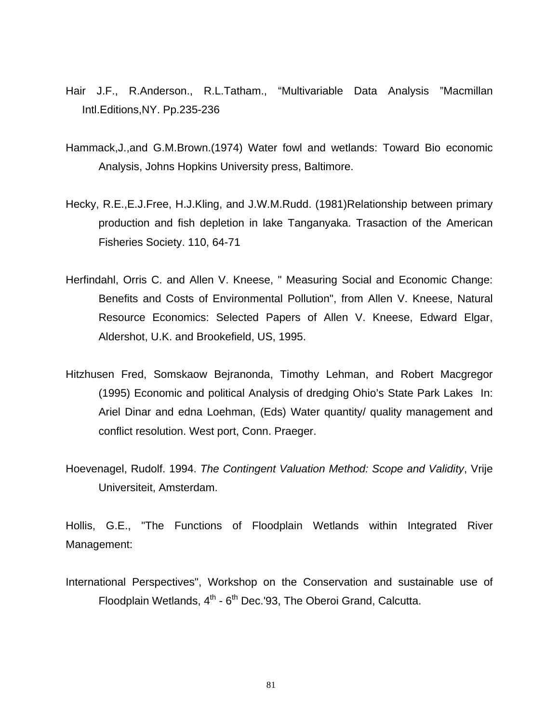- Hair J.F., R.Anderson., R.L.Tatham., "Multivariable Data Analysis "Macmillan Intl.Editions,NY. Pp.235-236
- Hammack,J.,and G.M.Brown.(1974) Water fowl and wetlands: Toward Bio economic Analysis, Johns Hopkins University press, Baltimore.
- Hecky, R.E.,E.J.Free, H.J.Kling, and J.W.M.Rudd. (1981)Relationship between primary production and fish depletion in lake Tanganyaka. Trasaction of the American Fisheries Society. 110, 64-71
- Herfindahl, Orris C. and Allen V. Kneese, " Measuring Social and Economic Change: Benefits and Costs of Environmental Pollution", from Allen V. Kneese, Natural Resource Economics: Selected Papers of Allen V. Kneese, Edward Elgar, Aldershot, U.K. and Brookefield, US, 1995.
- Hitzhusen Fred, Somskaow Bejranonda, Timothy Lehman, and Robert Macgregor (1995) Economic and political Analysis of dredging Ohio's State Park Lakes In: Ariel Dinar and edna Loehman, (Eds) Water quantity/ quality management and conflict resolution. West port, Conn. Praeger.
- Hoevenagel, Rudolf. 1994. *The Contingent Valuation Method: Scope and Validity*, Vrije Universiteit, Amsterdam.

Hollis, G.E., "The Functions of Floodplain Wetlands within Integrated River Management:

International Perspectives", Workshop on the Conservation and sustainable use of Floodplain Wetlands,  $4<sup>th</sup>$  -  $6<sup>th</sup>$  Dec.'93, The Oberoi Grand, Calcutta.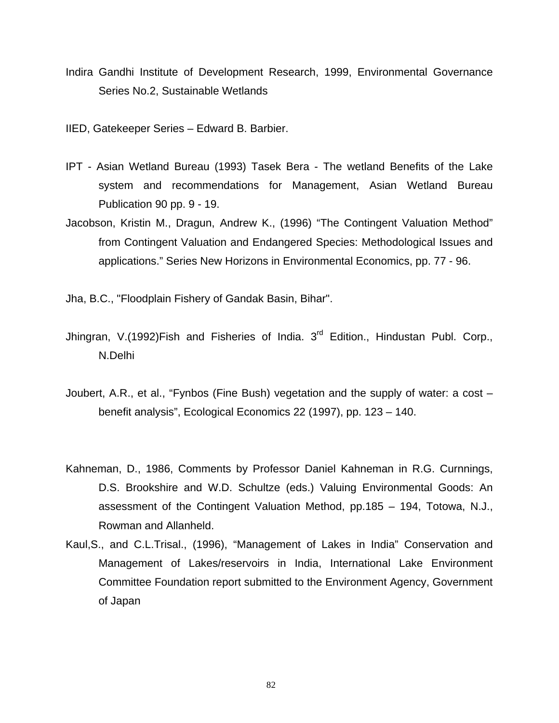- Indira Gandhi Institute of Development Research, 1999, Environmental Governance Series No.2, Sustainable Wetlands
- IIED, Gatekeeper Series Edward B. Barbier.
- IPT Asian Wetland Bureau (1993) Tasek Bera The wetland Benefits of the Lake system and recommendations for Management, Asian Wetland Bureau Publication 90 pp. 9 - 19.
- Jacobson, Kristin M., Dragun, Andrew K., (1996) "The Contingent Valuation Method" from Contingent Valuation and Endangered Species: Methodological Issues and applications." Series New Horizons in Environmental Economics, pp. 77 - 96.

Jha, B.C., "Floodplain Fishery of Gandak Basin, Bihar".

- Jhingran, V.(1992)Fish and Fisheries of India. 3<sup>rd</sup> Edition., Hindustan Publ. Corp., N.Delhi
- Joubert, A.R., et al., "Fynbos (Fine Bush) vegetation and the supply of water: a cost benefit analysis", Ecological Economics 22 (1997), pp. 123 – 140.
- Kahneman, D., 1986, Comments by Professor Daniel Kahneman in R.G. Curnnings, D.S. Brookshire and W.D. Schultze (eds.) Valuing Environmental Goods: An assessment of the Contingent Valuation Method, pp.185 – 194, Totowa, N.J., Rowman and Allanheld.
- Kaul,S., and C.L.Trisal., (1996), "Management of Lakes in India" Conservation and Management of Lakes/reservoirs in India, International Lake Environment Committee Foundation report submitted to the Environment Agency, Government of Japan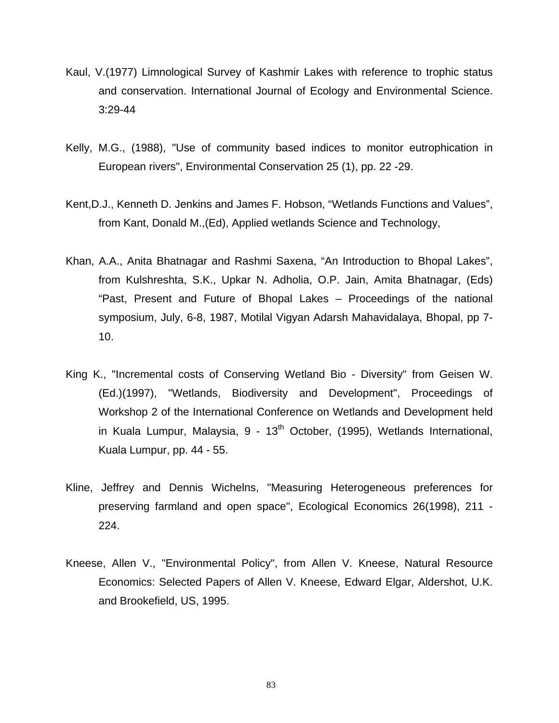- Kaul, V.(1977) Limnological Survey of Kashmir Lakes with reference to trophic status and conservation. International Journal of Ecology and Environmental Science. 3:29-44
- Kelly, M.G., (1988), "Use of community based indices to monitor eutrophication in European rivers", Environmental Conservation 25 (1), pp. 22 -29.
- Kent,D.J., Kenneth D. Jenkins and James F. Hobson, "Wetlands Functions and Values", from Kant, Donald M.,(Ed), Applied wetlands Science and Technology,
- Khan, A.A., Anita Bhatnagar and Rashmi Saxena, "An Introduction to Bhopal Lakes", from Kulshreshta, S.K., Upkar N. Adholia, O.P. Jain, Amita Bhatnagar, (Eds) "Past, Present and Future of Bhopal Lakes – Proceedings of the national symposium, July, 6-8, 1987, Motilal Vigyan Adarsh Mahavidalaya, Bhopal, pp 7- 10.
- King K., "Incremental costs of Conserving Wetland Bio Diversity" from Geisen W. (Ed.)(1997), "Wetlands, Biodiversity and Development", Proceedings of Workshop 2 of the International Conference on Wetlands and Development held in Kuala Lumpur, Malaysia,  $9 - 13<sup>th</sup>$  October, (1995), Wetlands International, Kuala Lumpur, pp. 44 - 55.
- Kline, Jeffrey and Dennis Wichelns, "Measuring Heterogeneous preferences for preserving farmland and open space", Ecological Economics 26(1998), 211 - 224.
- Kneese, Allen V., "Environmental Policy", from Allen V. Kneese, Natural Resource Economics: Selected Papers of Allen V. Kneese, Edward Elgar, Aldershot, U.K. and Brookefield, US, 1995.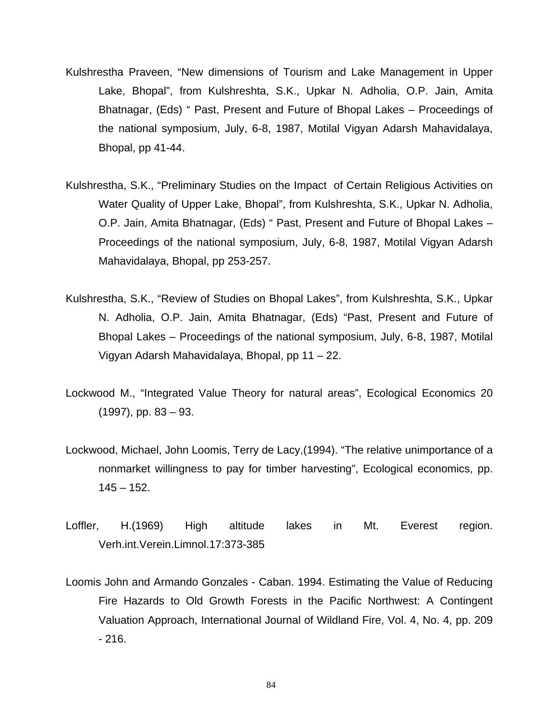- Kulshrestha Praveen, "New dimensions of Tourism and Lake Management in Upper Lake, Bhopal", from Kulshreshta, S.K., Upkar N. Adholia, O.P. Jain, Amita Bhatnagar, (Eds) " Past, Present and Future of Bhopal Lakes – Proceedings of the national symposium, July, 6-8, 1987, Motilal Vigyan Adarsh Mahavidalaya, Bhopal, pp 41-44.
- Kulshrestha, S.K., "Preliminary Studies on the Impact of Certain Religious Activities on Water Quality of Upper Lake, Bhopal", from Kulshreshta, S.K., Upkar N. Adholia, O.P. Jain, Amita Bhatnagar, (Eds) " Past, Present and Future of Bhopal Lakes – Proceedings of the national symposium, July, 6-8, 1987, Motilal Vigyan Adarsh Mahavidalaya, Bhopal, pp 253-257.
- Kulshrestha, S.K., "Review of Studies on Bhopal Lakes", from Kulshreshta, S.K., Upkar N. Adholia, O.P. Jain, Amita Bhatnagar, (Eds) "Past, Present and Future of Bhopal Lakes – Proceedings of the national symposium, July, 6-8, 1987, Motilal Vigyan Adarsh Mahavidalaya, Bhopal, pp 11 – 22.
- Lockwood M., "Integrated Value Theory for natural areas", Ecological Economics 20 (1997), pp. 83 – 93.
- Lockwood, Michael, John Loomis, Terry de Lacy,(1994). "The relative unimportance of a nonmarket willingness to pay for timber harvesting", Ecological economics, pp.  $145 - 152$ .
- Loffler, H.(1969) High altitude lakes in Mt. Everest region. Verh.int.Verein.Limnol.17:373-385
- Loomis John and Armando Gonzales Caban. 1994. Estimating the Value of Reducing Fire Hazards to Old Growth Forests in the Pacific Northwest: A Contingent Valuation Approach, International Journal of Wildland Fire, Vol. 4, No. 4, pp. 209 - 216.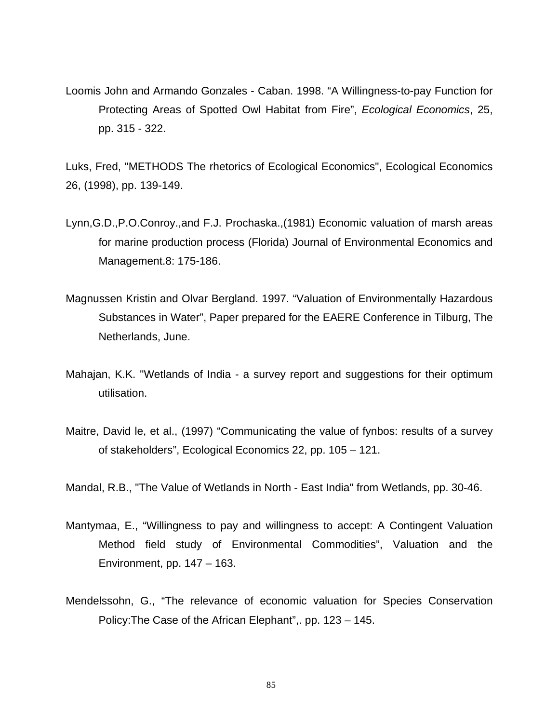Loomis John and Armando Gonzales - Caban. 1998. "A Willingness-to-pay Function for Protecting Areas of Spotted Owl Habitat from Fire", *Ecological Economics*, 25, pp. 315 - 322.

Luks, Fred, "METHODS The rhetorics of Ecological Economics", Ecological Economics 26, (1998), pp. 139-149.

- Lynn,G.D.,P.O.Conroy.,and F.J. Prochaska.,(1981) Economic valuation of marsh areas for marine production process (Florida) Journal of Environmental Economics and Management.8: 175-186.
- Magnussen Kristin and Olvar Bergland. 1997. "Valuation of Environmentally Hazardous Substances in Water", Paper prepared for the EAERE Conference in Tilburg, The Netherlands, June.
- Mahajan, K.K. "Wetlands of India a survey report and suggestions for their optimum utilisation.
- Maitre, David le, et al., (1997) "Communicating the value of fynbos: results of a survey of stakeholders", Ecological Economics 22, pp. 105 – 121.

Mandal, R.B., "The Value of Wetlands in North - East India" from Wetlands, pp. 30-46.

- Mantymaa, E., "Willingness to pay and willingness to accept: A Contingent Valuation Method field study of Environmental Commodities", Valuation and the Environment, pp. 147 – 163.
- Mendelssohn, G., "The relevance of economic valuation for Species Conservation Policy:The Case of the African Elephant",. pp. 123 – 145.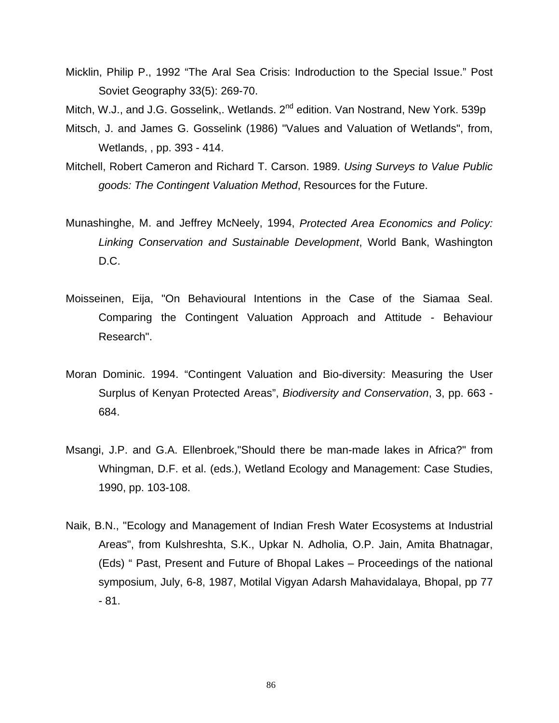Micklin, Philip P., 1992 "The Aral Sea Crisis: Indroduction to the Special Issue." Post Soviet Geography 33(5): 269-70.

Mitch, W.J., and J.G. Gosselink,. Wetlands. 2<sup>nd</sup> edition. Van Nostrand, New York. 539p

- Mitsch, J. and James G. Gosselink (1986) "Values and Valuation of Wetlands", from, Wetlands, , pp. 393 - 414.
- Mitchell, Robert Cameron and Richard T. Carson. 1989. *Using Surveys to Value Public goods: The Contingent Valuation Method*, Resources for the Future.
- Munashinghe, M. and Jeffrey McNeely, 1994, *Protected Area Economics and Policy: Linking Conservation and Sustainable Development*, World Bank, Washington D.C.
- Moisseinen, Eija, "On Behavioural Intentions in the Case of the Siamaa Seal. Comparing the Contingent Valuation Approach and Attitude - Behaviour Research".
- Moran Dominic. 1994. "Contingent Valuation and Bio-diversity: Measuring the User Surplus of Kenyan Protected Areas", *Biodiversity and Conservation*, 3, pp. 663 - 684.
- Msangi, J.P. and G.A. Ellenbroek,"Should there be man-made lakes in Africa?" from Whingman, D.F. et al. (eds.), Wetland Ecology and Management: Case Studies, 1990, pp. 103-108.
- Naik, B.N., "Ecology and Management of Indian Fresh Water Ecosystems at Industrial Areas", from Kulshreshta, S.K., Upkar N. Adholia, O.P. Jain, Amita Bhatnagar, (Eds) " Past, Present and Future of Bhopal Lakes – Proceedings of the national symposium, July, 6-8, 1987, Motilal Vigyan Adarsh Mahavidalaya, Bhopal, pp 77 - 81.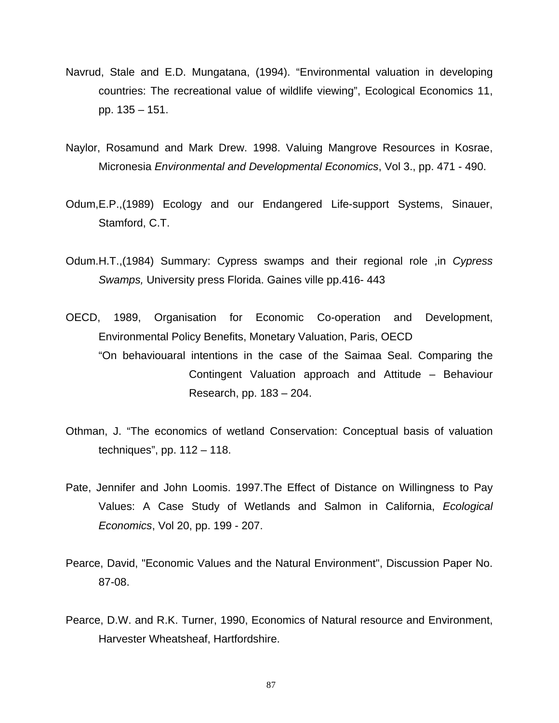- Navrud, Stale and E.D. Mungatana, (1994). "Environmental valuation in developing countries: The recreational value of wildlife viewing", Ecological Economics 11, pp. 135 – 151.
- Naylor, Rosamund and Mark Drew. 1998. Valuing Mangrove Resources in Kosrae, Micronesia *Environmental and Developmental Economics*, Vol 3., pp. 471 - 490.
- Odum,E.P.,(1989) Ecology and our Endangered Life-support Systems, Sinauer, Stamford, C.T.
- Odum.H.T.,(1984) Summary: Cypress swamps and their regional role ,in *Cypress Swamps,* University press Florida. Gaines ville pp.416- 443
- OECD, 1989, Organisation for Economic Co-operation and Development, Environmental Policy Benefits, Monetary Valuation, Paris, OECD "On behaviouaral intentions in the case of the Saimaa Seal. Comparing the Contingent Valuation approach and Attitude – Behaviour Research, pp. 183 – 204.
- Othman, J. "The economics of wetland Conservation: Conceptual basis of valuation techniques", pp. 112 – 118.
- Pate, Jennifer and John Loomis. 1997.The Effect of Distance on Willingness to Pay Values: A Case Study of Wetlands and Salmon in California, *Ecological Economics*, Vol 20, pp. 199 - 207.
- Pearce, David, "Economic Values and the Natural Environment", Discussion Paper No. 87-08.
- Pearce, D.W. and R.K. Turner, 1990, Economics of Natural resource and Environment, Harvester Wheatsheaf, Hartfordshire.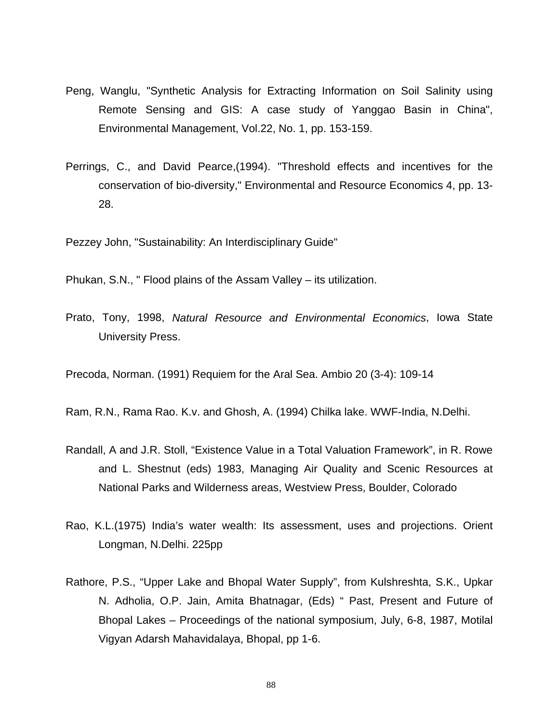- Peng, Wanglu, "Synthetic Analysis for Extracting Information on Soil Salinity using Remote Sensing and GIS: A case study of Yanggao Basin in China", Environmental Management, Vol.22, No. 1, pp. 153-159.
- Perrings, C., and David Pearce,(1994). "Threshold effects and incentives for the conservation of bio-diversity," Environmental and Resource Economics 4, pp. 13- 28.

Pezzey John, "Sustainability: An Interdisciplinary Guide"

Phukan, S.N., " Flood plains of the Assam Valley – its utilization.

Prato, Tony, 1998, *Natural Resource and Environmental Economics*, Iowa State University Press.

Precoda, Norman. (1991) Requiem for the Aral Sea. Ambio 20 (3-4): 109-14

Ram, R.N., Rama Rao. K.v. and Ghosh, A. (1994) Chilka lake. WWF-India, N.Delhi.

- Randall, A and J.R. Stoll, "Existence Value in a Total Valuation Framework", in R. Rowe and L. Shestnut (eds) 1983, Managing Air Quality and Scenic Resources at National Parks and Wilderness areas, Westview Press, Boulder, Colorado
- Rao, K.L.(1975) India's water wealth: Its assessment, uses and projections. Orient Longman, N.Delhi. 225pp
- Rathore, P.S., "Upper Lake and Bhopal Water Supply", from Kulshreshta, S.K., Upkar N. Adholia, O.P. Jain, Amita Bhatnagar, (Eds) " Past, Present and Future of Bhopal Lakes – Proceedings of the national symposium, July, 6-8, 1987, Motilal Vigyan Adarsh Mahavidalaya, Bhopal, pp 1-6.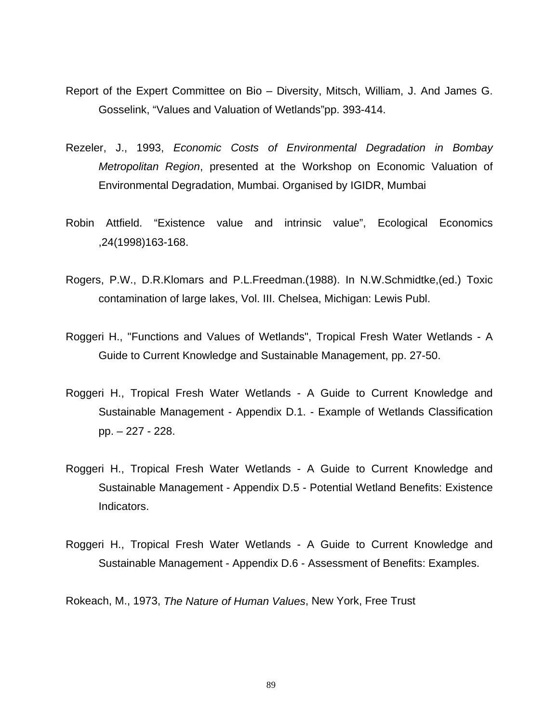- Report of the Expert Committee on Bio Diversity, Mitsch, William, J. And James G. Gosselink, "Values and Valuation of Wetlands"pp. 393-414.
- Rezeler, J., 1993, *Economic Costs of Environmental Degradation in Bombay Metropolitan Region*, presented at the Workshop on Economic Valuation of Environmental Degradation, Mumbai. Organised by IGIDR, Mumbai
- Robin Attfield. "Existence value and intrinsic value", Ecological Economics ,24(1998)163-168.
- Rogers, P.W., D.R.Klomars and P.L.Freedman.(1988). In N.W.Schmidtke,(ed.) Toxic contamination of large lakes, Vol. III. Chelsea, Michigan: Lewis Publ.
- Roggeri H., "Functions and Values of Wetlands", Tropical Fresh Water Wetlands A Guide to Current Knowledge and Sustainable Management, pp. 27-50.
- Roggeri H., Tropical Fresh Water Wetlands A Guide to Current Knowledge and Sustainable Management - Appendix D.1. - Example of Wetlands Classification pp. – 227 - 228.
- Roggeri H., Tropical Fresh Water Wetlands A Guide to Current Knowledge and Sustainable Management - Appendix D.5 - Potential Wetland Benefits: Existence Indicators.
- Roggeri H., Tropical Fresh Water Wetlands A Guide to Current Knowledge and Sustainable Management - Appendix D.6 - Assessment of Benefits: Examples.

Rokeach, M., 1973, *The Nature of Human Values*, New York, Free Trust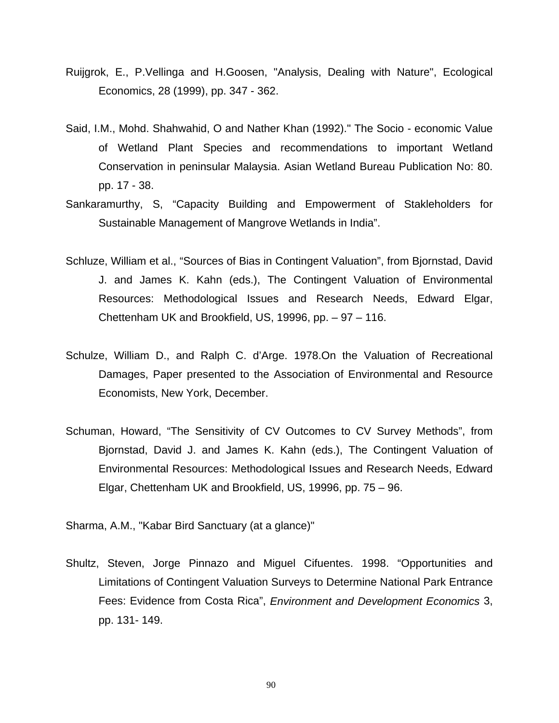- Ruijgrok, E., P.Vellinga and H.Goosen, "Analysis, Dealing with Nature", Ecological Economics, 28 (1999), pp. 347 - 362.
- Said, I.M., Mohd. Shahwahid, O and Nather Khan (1992)." The Socio economic Value of Wetland Plant Species and recommendations to important Wetland Conservation in peninsular Malaysia. Asian Wetland Bureau Publication No: 80. pp. 17 - 38.
- Sankaramurthy, S, "Capacity Building and Empowerment of Stakleholders for Sustainable Management of Mangrove Wetlands in India".
- Schluze, William et al., "Sources of Bias in Contingent Valuation", from Bjornstad, David J. and James K. Kahn (eds.), The Contingent Valuation of Environmental Resources: Methodological Issues and Research Needs, Edward Elgar, Chettenham UK and Brookfield, US, 19996, pp. – 97 – 116.
- Schulze, William D., and Ralph C. d'Arge. 1978.On the Valuation of Recreational Damages, Paper presented to the Association of Environmental and Resource Economists, New York, December.
- Schuman, Howard, "The Sensitivity of CV Outcomes to CV Survey Methods", from Bjornstad, David J. and James K. Kahn (eds.), The Contingent Valuation of Environmental Resources: Methodological Issues and Research Needs, Edward Elgar, Chettenham UK and Brookfield, US, 19996, pp. 75 – 96.

Sharma, A.M., "Kabar Bird Sanctuary (at a glance)"

Shultz, Steven, Jorge Pinnazo and Miguel Cifuentes. 1998. "Opportunities and Limitations of Contingent Valuation Surveys to Determine National Park Entrance Fees: Evidence from Costa Rica", *Environment and Development Economics* 3, pp. 131- 149.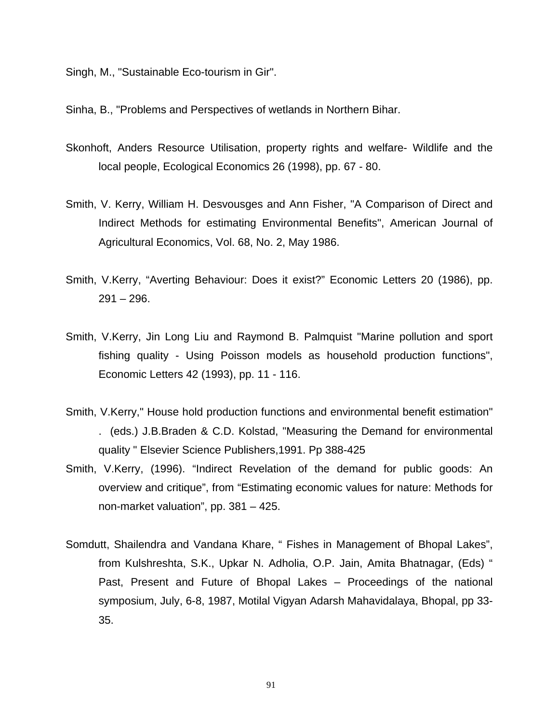Singh, M., "Sustainable Eco-tourism in Gir".

Sinha, B., "Problems and Perspectives of wetlands in Northern Bihar.

- Skonhoft, Anders Resource Utilisation, property rights and welfare- Wildlife and the local people, Ecological Economics 26 (1998), pp. 67 - 80.
- Smith, V. Kerry, William H. Desvousges and Ann Fisher, "A Comparison of Direct and Indirect Methods for estimating Environmental Benefits", American Journal of Agricultural Economics, Vol. 68, No. 2, May 1986.
- Smith, V.Kerry, "Averting Behaviour: Does it exist?" Economic Letters 20 (1986), pp.  $291 - 296.$
- Smith, V.Kerry, Jin Long Liu and Raymond B. Palmquist "Marine pollution and sport fishing quality - Using Poisson models as household production functions", Economic Letters 42 (1993), pp. 11 - 116.
- Smith, V.Kerry," House hold production functions and environmental benefit estimation" . (eds.) J.B.Braden & C.D. Kolstad, "Measuring the Demand for environmental quality " Elsevier Science Publishers,1991. Pp 388-425
- Smith, V.Kerry, (1996). "Indirect Revelation of the demand for public goods: An overview and critique", from "Estimating economic values for nature: Methods for non-market valuation", pp. 381 – 425.
- Somdutt, Shailendra and Vandana Khare, " Fishes in Management of Bhopal Lakes", from Kulshreshta, S.K., Upkar N. Adholia, O.P. Jain, Amita Bhatnagar, (Eds) " Past, Present and Future of Bhopal Lakes – Proceedings of the national symposium, July, 6-8, 1987, Motilal Vigyan Adarsh Mahavidalaya, Bhopal, pp 33- 35.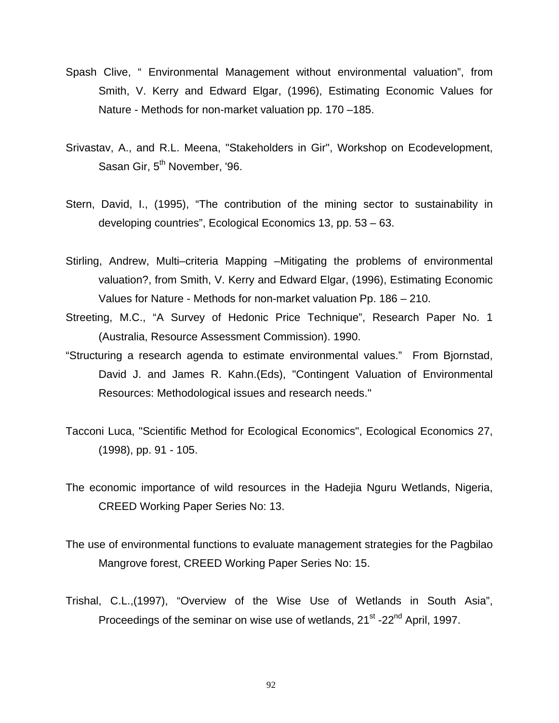- Spash Clive, " Environmental Management without environmental valuation", from Smith, V. Kerry and Edward Elgar, (1996), Estimating Economic Values for Nature - Methods for non-market valuation pp. 170 –185.
- Srivastav, A., and R.L. Meena, "Stakeholders in Gir", Workshop on Ecodevelopment, Sasan Gir, 5<sup>th</sup> November, '96.
- Stern, David, I., (1995), "The contribution of the mining sector to sustainability in developing countries", Ecological Economics 13, pp. 53 – 63.
- Stirling, Andrew, Multi–criteria Mapping –Mitigating the problems of environmental valuation?, from Smith, V. Kerry and Edward Elgar, (1996), Estimating Economic Values for Nature - Methods for non-market valuation Pp. 186 – 210.
- Streeting, M.C., "A Survey of Hedonic Price Technique", Research Paper No. 1 (Australia, Resource Assessment Commission). 1990.
- "Structuring a research agenda to estimate environmental values." From Bjornstad, David J. and James R. Kahn.(Eds), "Contingent Valuation of Environmental Resources: Methodological issues and research needs."
- Tacconi Luca, "Scientific Method for Ecological Economics", Ecological Economics 27, (1998), pp. 91 - 105.
- The economic importance of wild resources in the Hadejia Nguru Wetlands, Nigeria, CREED Working Paper Series No: 13.
- The use of environmental functions to evaluate management strategies for the Pagbilao Mangrove forest, CREED Working Paper Series No: 15.
- Trishal, C.L.,(1997), "Overview of the Wise Use of Wetlands in South Asia", Proceedings of the seminar on wise use of wetlands, 21<sup>st</sup> -22<sup>nd</sup> April, 1997.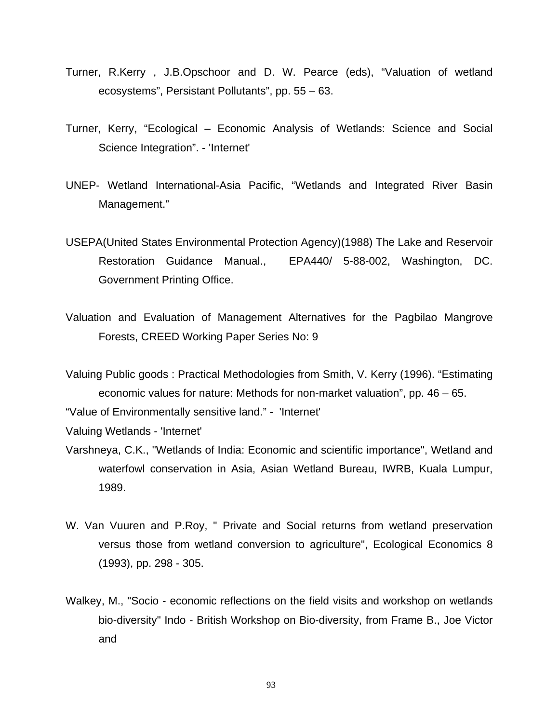- Turner, R.Kerry , J.B.Opschoor and D. W. Pearce (eds), "Valuation of wetland ecosystems", Persistant Pollutants", pp. 55 – 63.
- Turner, Kerry, "Ecological Economic Analysis of Wetlands: Science and Social Science Integration". - 'Internet'
- UNEP- Wetland International-Asia Pacific, "Wetlands and Integrated River Basin Management."
- USEPA(United States Environmental Protection Agency)(1988) The Lake and Reservoir Restoration Guidance Manual., EPA440/ 5-88-002, Washington, DC. Government Printing Office.
- Valuation and Evaluation of Management Alternatives for the Pagbilao Mangrove Forests, CREED Working Paper Series No: 9

Valuing Public goods : Practical Methodologies from Smith, V. Kerry (1996). "Estimating economic values for nature: Methods for non-market valuation", pp. 46 – 65. "Value of Environmentally sensitive land." - 'Internet'

Valuing Wetlands - 'Internet'

- Varshneya, C.K., "Wetlands of India: Economic and scientific importance", Wetland and waterfowl conservation in Asia, Asian Wetland Bureau, IWRB, Kuala Lumpur, 1989.
- W. Van Vuuren and P.Roy, " Private and Social returns from wetland preservation versus those from wetland conversion to agriculture", Ecological Economics 8 (1993), pp. 298 - 305.
- Walkey, M., "Socio economic reflections on the field visits and workshop on wetlands bio-diversity" Indo - British Workshop on Bio-diversity, from Frame B., Joe Victor and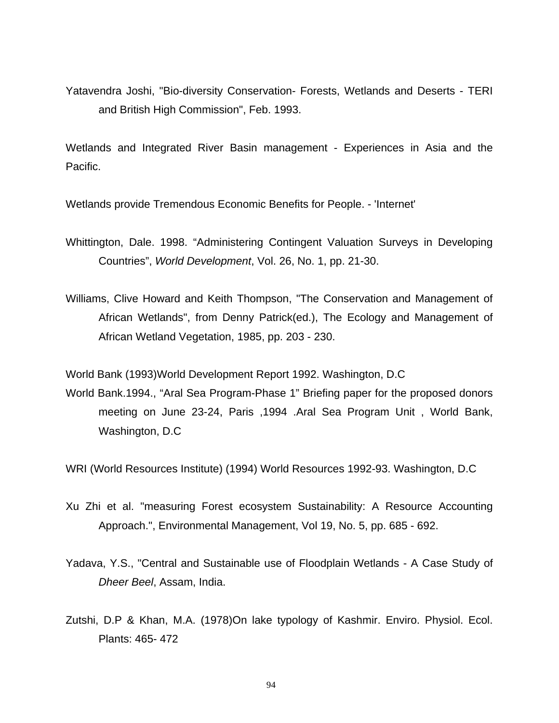Yatavendra Joshi, "Bio-diversity Conservation- Forests, Wetlands and Deserts - TERI and British High Commission", Feb. 1993.

Wetlands and Integrated River Basin management - Experiences in Asia and the Pacific.

Wetlands provide Tremendous Economic Benefits for People. - 'Internet'

Whittington, Dale. 1998. "Administering Contingent Valuation Surveys in Developing Countries", *World Development*, Vol. 26, No. 1, pp. 21-30.

Williams, Clive Howard and Keith Thompson, "The Conservation and Management of African Wetlands", from Denny Patrick(ed.), The Ecology and Management of African Wetland Vegetation, 1985, pp. 203 - 230.

World Bank (1993)World Development Report 1992. Washington, D.C

World Bank.1994., "Aral Sea Program-Phase 1" Briefing paper for the proposed donors meeting on June 23-24, Paris ,1994 .Aral Sea Program Unit , World Bank, Washington, D.C

WRI (World Resources Institute) (1994) World Resources 1992-93. Washington, D.C

- Xu Zhi et al. "measuring Forest ecosystem Sustainability: A Resource Accounting Approach.", Environmental Management, Vol 19, No. 5, pp. 685 - 692.
- Yadava, Y.S., "Central and Sustainable use of Floodplain Wetlands A Case Study of *Dheer Beel*, Assam, India.
- Zutshi, D.P & Khan, M.A. (1978)On lake typology of Kashmir. Enviro. Physiol. Ecol. Plants: 465- 472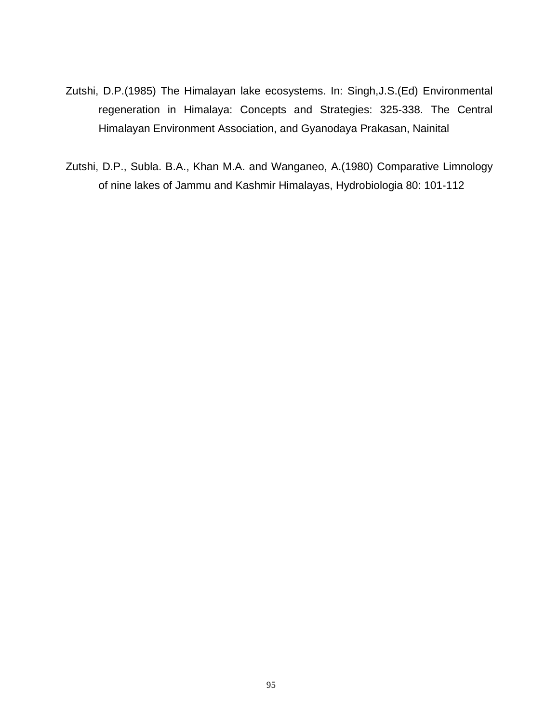- Zutshi, D.P.(1985) The Himalayan lake ecosystems. In: Singh,J.S.(Ed) Environmental regeneration in Himalaya: Concepts and Strategies: 325-338. The Central Himalayan Environment Association, and Gyanodaya Prakasan, Nainital
- Zutshi, D.P., Subla. B.A., Khan M.A. and Wanganeo, A.(1980) Comparative Limnology of nine lakes of Jammu and Kashmir Himalayas, Hydrobiologia 80: 101-112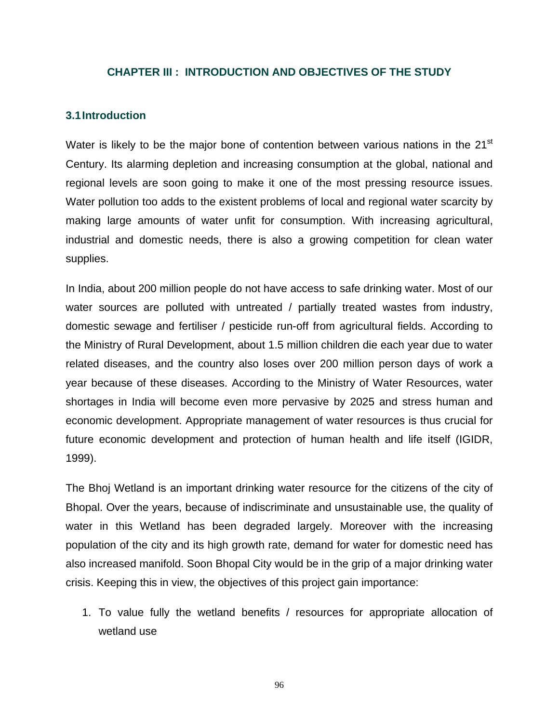#### **CHAPTER III : INTRODUCTION AND OBJECTIVES OF THE STUDY**

#### **3.1 Introduction**

Water is likely to be the major bone of contention between various nations in the 21<sup>st</sup> Century. Its alarming depletion and increasing consumption at the global, national and regional levels are soon going to make it one of the most pressing resource issues. Water pollution too adds to the existent problems of local and regional water scarcity by making large amounts of water unfit for consumption. With increasing agricultural, industrial and domestic needs, there is also a growing competition for clean water supplies.

In India, about 200 million people do not have access to safe drinking water. Most of our water sources are polluted with untreated / partially treated wastes from industry, domestic sewage and fertiliser / pesticide run-off from agricultural fields. According to the Ministry of Rural Development, about 1.5 million children die each year due to water related diseases, and the country also loses over 200 million person days of work a year because of these diseases. According to the Ministry of Water Resources, water shortages in India will become even more pervasive by 2025 and stress human and economic development. Appropriate management of water resources is thus crucial for future economic development and protection of human health and life itself (IGIDR, 1999).

The Bhoj Wetland is an important drinking water resource for the citizens of the city of Bhopal. Over the years, because of indiscriminate and unsustainable use, the quality of water in this Wetland has been degraded largely. Moreover with the increasing population of the city and its high growth rate, demand for water for domestic need has also increased manifold. Soon Bhopal City would be in the grip of a major drinking water crisis. Keeping this in view, the objectives of this project gain importance:

1. To value fully the wetland benefits / resources for appropriate allocation of wetland use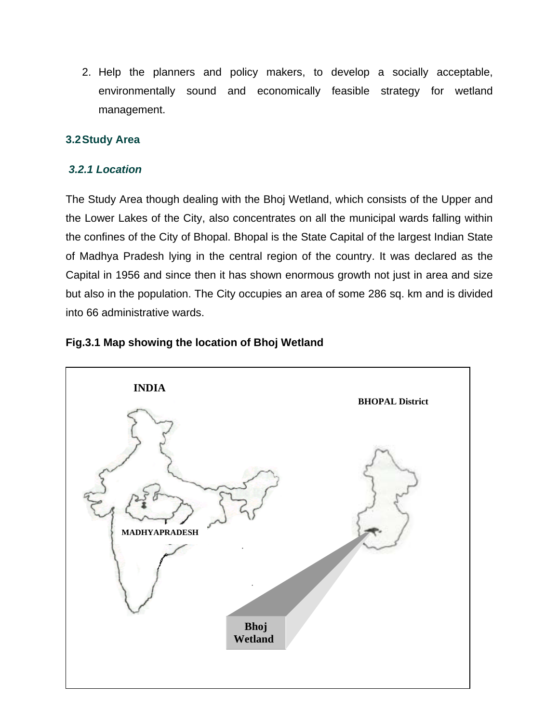2. Help the planners and policy makers, to develop a socially acceptable, environmentally sound and economically feasible strategy for wetland management.

# **3.2 Study Area**

## *3.2.1 Location*

The Study Area though dealing with the Bhoj Wetland, which consists of the Upper and the Lower Lakes of the City, also concentrates on all the municipal wards falling within the confines of the City of Bhopal. Bhopal is the State Capital of the largest Indian State of Madhya Pradesh lying in the central region of the country. It was declared as the Capital in 1956 and since then it has shown enormous growth not just in area and size but also in the population. The City occupies an area of some 286 sq. km and is divided into 66 administrative wards.



# **Fig.3.1 Map showing the location of Bhoj Wetland**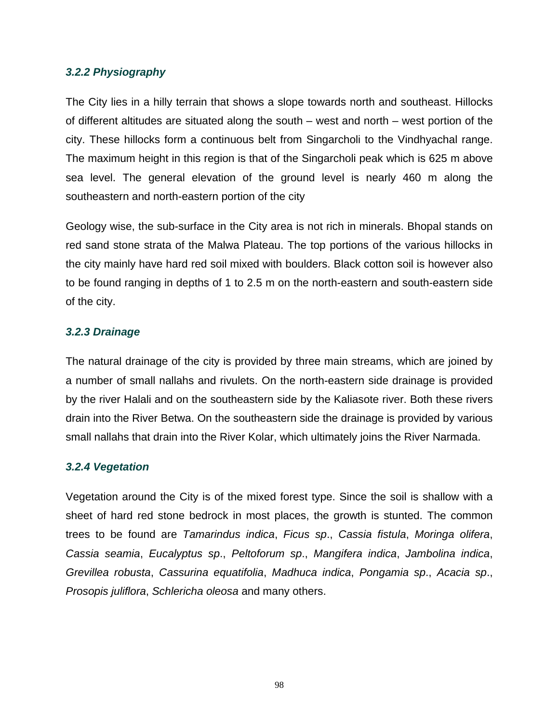## *3.2.2 Physiography*

The City lies in a hilly terrain that shows a slope towards north and southeast. Hillocks of different altitudes are situated along the south – west and north – west portion of the city. These hillocks form a continuous belt from Singarcholi to the Vindhyachal range. The maximum height in this region is that of the Singarcholi peak which is 625 m above sea level. The general elevation of the ground level is nearly 460 m along the southeastern and north-eastern portion of the city

Geology wise, the sub-surface in the City area is not rich in minerals. Bhopal stands on red sand stone strata of the Malwa Plateau. The top portions of the various hillocks in the city mainly have hard red soil mixed with boulders. Black cotton soil is however also to be found ranging in depths of 1 to 2.5 m on the north-eastern and south-eastern side of the city.

## *3.2.3 Drainage*

The natural drainage of the city is provided by three main streams, which are joined by a number of small nallahs and rivulets. On the north-eastern side drainage is provided by the river Halali and on the southeastern side by the Kaliasote river. Both these rivers drain into the River Betwa. On the southeastern side the drainage is provided by various small nallahs that drain into the River Kolar, which ultimately joins the River Narmada.

#### *3.2.4 Vegetation*

Vegetation around the City is of the mixed forest type. Since the soil is shallow with a sheet of hard red stone bedrock in most places, the growth is stunted. The common trees to be found are *Tamarindus indica*, *Ficus sp*., *Cassia fistula*, *Moringa olifera*, *Cassia seamia*, *Eucalyptus sp*., *Peltoforum sp*., *Mangifera indica*, *Jambolina indica*, *Grevillea robusta*, *Cassurina equatifolia*, *Madhuca indica*, *Pongamia sp*., *Acacia sp*., *Prosopis juliflora*, *Schlericha oleosa* and many others.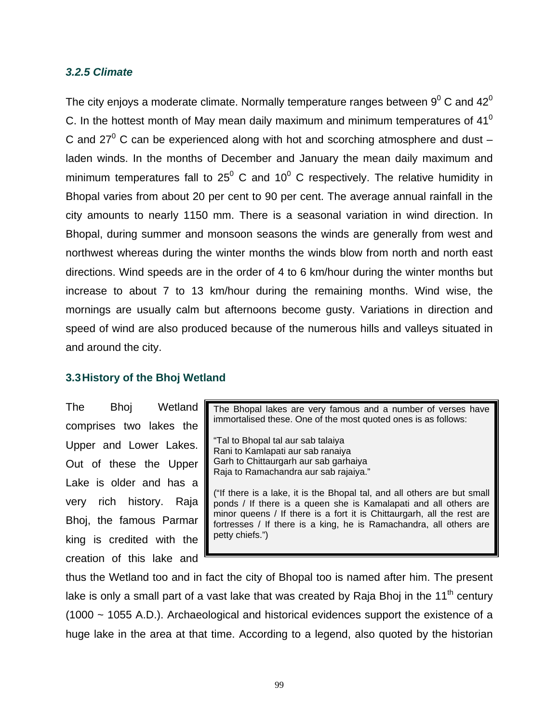#### *3.2.5 Climate*

The city enjoys a moderate climate. Normally temperature ranges between  $9^0$  C and 42 $^0$ C. In the hottest month of May mean daily maximum and minimum temperatures of  $41^{\circ}$ C and 27<sup>0</sup> C can be experienced along with hot and scorching atmosphere and dust  $$ laden winds. In the months of December and January the mean daily maximum and minimum temperatures fall to 25<sup>0</sup> C and 10<sup>0</sup> C respectively. The relative humidity in Bhopal varies from about 20 per cent to 90 per cent. The average annual rainfall in the city amounts to nearly 1150 mm. There is a seasonal variation in wind direction. In Bhopal, during summer and monsoon seasons the winds are generally from west and northwest whereas during the winter months the winds blow from north and north east directions. Wind speeds are in the order of 4 to 6 km/hour during the winter months but increase to about 7 to 13 km/hour during the remaining months. Wind wise, the mornings are usually calm but afternoons become gusty. Variations in direction and speed of wind are also produced because of the numerous hills and valleys situated in and around the city.

## **3.3 History of the Bhoj Wetland**

The Bhoj Wetland comprises two lakes the Upper and Lower Lakes. Out of these the Upper Lake is older and has a very rich history. Raja Bhoj, the famous Parmar king is credited with the creation of this lake and

The Bhopal lakes are very famous and a number of verses have immortalised these. One of the most quoted ones is as follows: "Tal to Bhopal tal aur sab talaiya Rani to Kamlapati aur sab ranaiya Garh to Chittaurgarh aur sab garhaiya Raja to Ramachandra aur sab rajaiya." ("If there is a lake, it is the Bhopal tal, and all others are but small ponds / If there is a queen she is Kamalapati and all others are minor queens / If there is a fort it is Chittaurgarh, all the rest are fortresses / If there is a king, he is Ramachandra, all others are petty chiefs.")

thus the Wetland too and in fact the city of Bhopal too is named after him. The present lake is only a small part of a vast lake that was created by Raja Bhoj in the  $11<sup>th</sup>$  century (1000 ~ 1055 A.D.). Archaeological and historical evidences support the existence of a huge lake in the area at that time. According to a legend, also quoted by the historian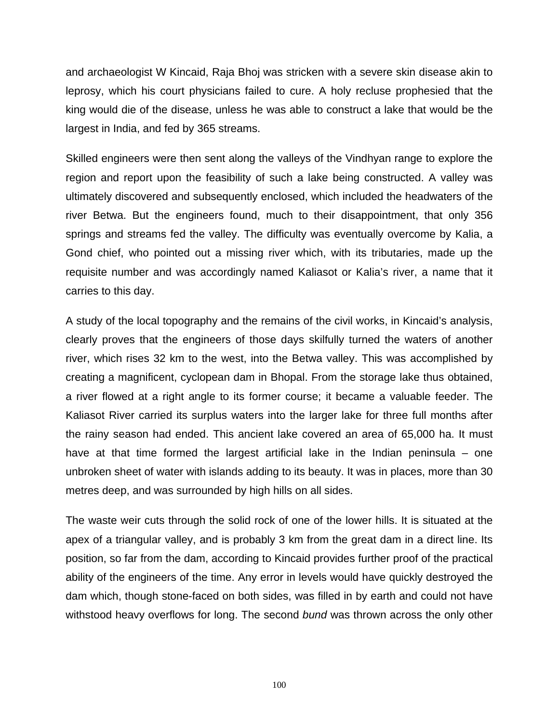and archaeologist W Kincaid, Raja Bhoj was stricken with a severe skin disease akin to leprosy, which his court physicians failed to cure. A holy recluse prophesied that the king would die of the disease, unless he was able to construct a lake that would be the largest in India, and fed by 365 streams.

Skilled engineers were then sent along the valleys of the Vindhyan range to explore the region and report upon the feasibility of such a lake being constructed. A valley was ultimately discovered and subsequently enclosed, which included the headwaters of the river Betwa. But the engineers found, much to their disappointment, that only 356 springs and streams fed the valley. The difficulty was eventually overcome by Kalia, a Gond chief, who pointed out a missing river which, with its tributaries, made up the requisite number and was accordingly named Kaliasot or Kalia's river, a name that it carries to this day.

A study of the local topography and the remains of the civil works, in Kincaid's analysis, clearly proves that the engineers of those days skilfully turned the waters of another river, which rises 32 km to the west, into the Betwa valley. This was accomplished by creating a magnificent, cyclopean dam in Bhopal. From the storage lake thus obtained, a river flowed at a right angle to its former course; it became a valuable feeder. The Kaliasot River carried its surplus waters into the larger lake for three full months after the rainy season had ended. This ancient lake covered an area of 65,000 ha. It must have at that time formed the largest artificial lake in the Indian peninsula – one unbroken sheet of water with islands adding to its beauty. It was in places, more than 30 metres deep, and was surrounded by high hills on all sides.

The waste weir cuts through the solid rock of one of the lower hills. It is situated at the apex of a triangular valley, and is probably 3 km from the great dam in a direct line. Its position, so far from the dam, according to Kincaid provides further proof of the practical ability of the engineers of the time. Any error in levels would have quickly destroyed the dam which, though stone-faced on both sides, was filled in by earth and could not have withstood heavy overflows for long. The second *bund* was thrown across the only other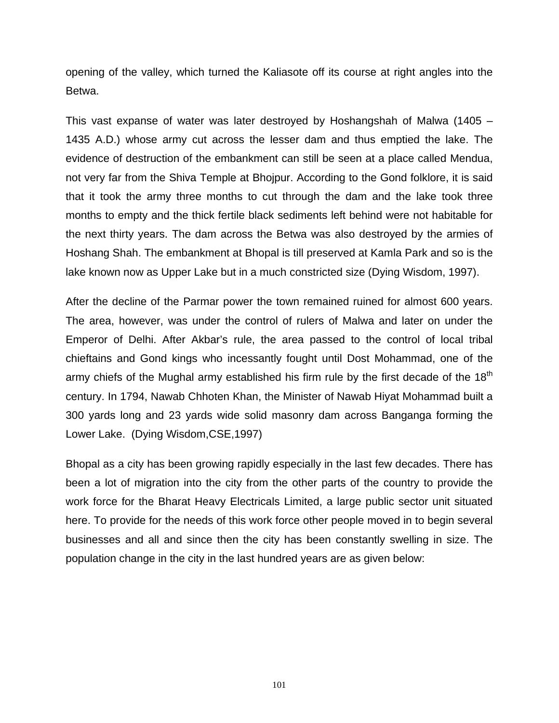opening of the valley, which turned the Kaliasote off its course at right angles into the Betwa.

This vast expanse of water was later destroyed by Hoshangshah of Malwa (1405 – 1435 A.D.) whose army cut across the lesser dam and thus emptied the lake. The evidence of destruction of the embankment can still be seen at a place called Mendua, not very far from the Shiva Temple at Bhojpur. According to the Gond folklore, it is said that it took the army three months to cut through the dam and the lake took three months to empty and the thick fertile black sediments left behind were not habitable for the next thirty years. The dam across the Betwa was also destroyed by the armies of Hoshang Shah. The embankment at Bhopal is till preserved at Kamla Park and so is the lake known now as Upper Lake but in a much constricted size (Dying Wisdom, 1997).

After the decline of the Parmar power the town remained ruined for almost 600 years. The area, however, was under the control of rulers of Malwa and later on under the Emperor of Delhi. After Akbar's rule, the area passed to the control of local tribal chieftains and Gond kings who incessantly fought until Dost Mohammad, one of the army chiefs of the Mughal army established his firm rule by the first decade of the  $18<sup>th</sup>$ century. In 1794, Nawab Chhoten Khan, the Minister of Nawab Hiyat Mohammad built a 300 yards long and 23 yards wide solid masonry dam across Banganga forming the Lower Lake. (Dying Wisdom,CSE,1997)

Bhopal as a city has been growing rapidly especially in the last few decades. There has been a lot of migration into the city from the other parts of the country to provide the work force for the Bharat Heavy Electricals Limited, a large public sector unit situated here. To provide for the needs of this work force other people moved in to begin several businesses and all and since then the city has been constantly swelling in size. The population change in the city in the last hundred years are as given below: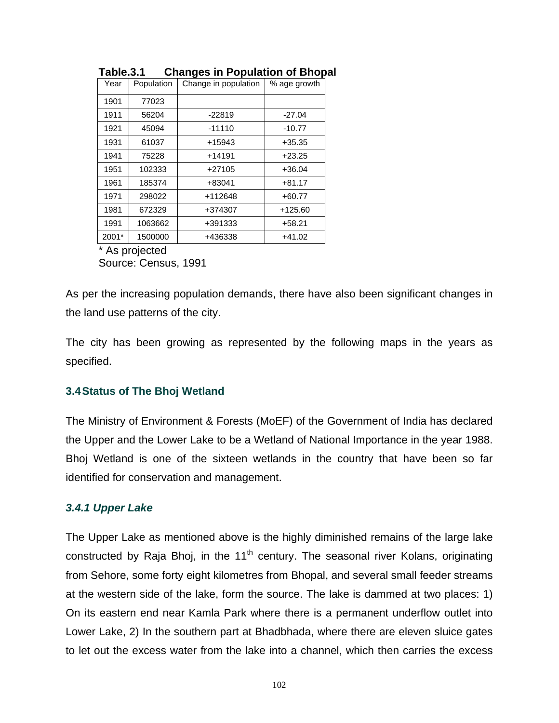| Year  | Population | Change in population | % age growth |  |
|-------|------------|----------------------|--------------|--|
| 1901  | 77023      |                      |              |  |
| 1911  | 56204      | $-22819$             | $-27.04$     |  |
| 1921  | 45094      | $-11110$             | $-10.77$     |  |
| 1931  | 61037      | +15943               | $+35.35$     |  |
| 1941  | 75228      | +14191               | $+23.25$     |  |
| 1951  | 102333     | $+27105$             | $+36.04$     |  |
| 1961  | 185374     | +83041               | $+81.17$     |  |
| 1971  | 298022     | +112648              | $+60.77$     |  |
| 1981  | 672329     | +374307              | $+125.60$    |  |
| 1991  | 1063662    | +391333              | $+58.21$     |  |
| 2001* | 1500000    | +436338              | $+41.02$     |  |

**Table.3.1 Changes in Population of Bhopal** 

As projected

Source: Census, 1991

As per the increasing population demands, there have also been significant changes in the land use patterns of the city.

The city has been growing as represented by the following maps in the years as specified.

## **3.4 Status of The Bhoj Wetland**

The Ministry of Environment & Forests (MoEF) of the Government of India has declared the Upper and the Lower Lake to be a Wetland of National Importance in the year 1988. Bhoj Wetland is one of the sixteen wetlands in the country that have been so far identified for conservation and management.

## *3.4.1 Upper Lake*

The Upper Lake as mentioned above is the highly diminished remains of the large lake constructed by Raja Bhoj, in the  $11<sup>th</sup>$  century. The seasonal river Kolans, originating from Sehore, some forty eight kilometres from Bhopal, and several small feeder streams at the western side of the lake, form the source. The lake is dammed at two places: 1) On its eastern end near Kamla Park where there is a permanent underflow outlet into Lower Lake, 2) In the southern part at Bhadbhada, where there are eleven sluice gates to let out the excess water from the lake into a channel, which then carries the excess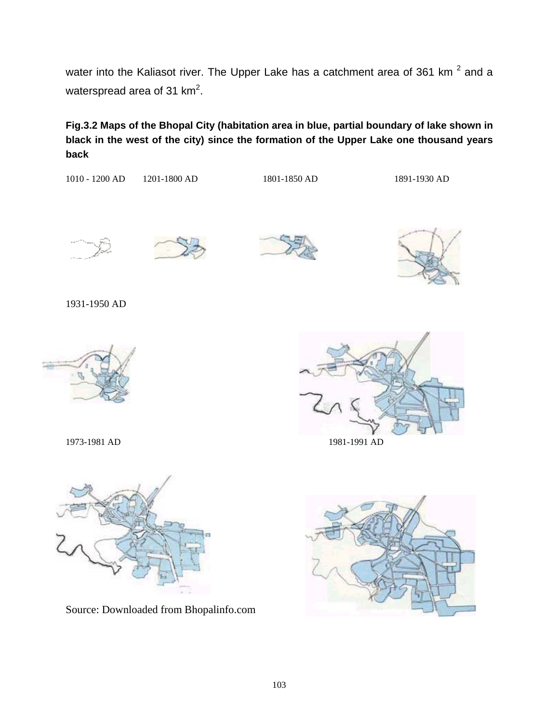water into the Kaliasot river. The Upper Lake has a catchment area of 361 km  $^2$  and a waterspread area of 31 km<sup>2</sup>.

**Fig.3.2 Maps of the Bhopal City (habitation area in blue, partial boundary of lake shown in black in the west of the city) since the formation of the Upper Lake one thousand years back** 

1010 - 1200 AD 1201-1800 AD 1801-1850 AD 1891-1930 AD



1931-1950 AD











Source: Downloaded from Bhopalinfo.com

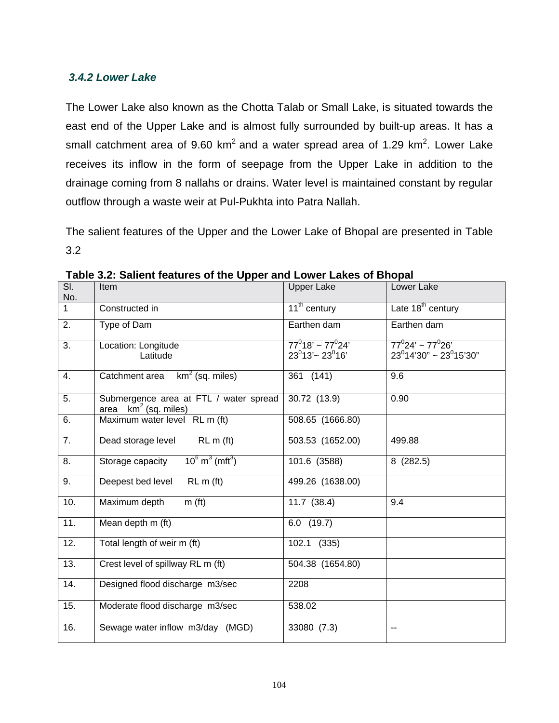# *3.4.2 Lower Lake*

The Lower Lake also known as the Chotta Talab or Small Lake, is situated towards the east end of the Upper Lake and is almost fully surrounded by built-up areas. It has a small catchment area of 9.60 km<sup>2</sup> and a water spread area of 1.29 km<sup>2</sup>. Lower Lake receives its inflow in the form of seepage from the Upper Lake in addition to the drainage coming from 8 nallahs or drains. Water level is maintained constant by regular outflow through a waste weir at Pul-Pukhta into Patra Nallah.

The salient features of the Upper and the Lower Lake of Bhopal are presented in Table 3.2

| SI.<br>No.   | Item                                                              | <b>Upper Lake</b>                                 | Lower Lake                                                 |
|--------------|-------------------------------------------------------------------|---------------------------------------------------|------------------------------------------------------------|
| $\mathbf{1}$ | Constructed in                                                    | 11 <sup>th</sup> century                          | Late 18 <sup>th</sup> century                              |
| 2.           | Type of Dam                                                       | Earthen dam                                       | Earthen dam                                                |
| 3.           | Location: Longitude<br>Latitude                                   | $77^018' \sim 77^024'$<br>$23^0$ 13'~ 23 $^0$ 16' | $77^0$ 24' ~ 77 $^0$ 26'<br>$23^0$ 14'30" ~ 23 $^0$ 15'30" |
| 4.           | $km^2$ (sq. miles)<br>Catchment area                              | 361 (141)                                         | 9.6                                                        |
| 5.           | Submergence area at FTL / water spread<br>area $km^2$ (sq. miles) | 30.72 (13.9)                                      | 0.90                                                       |
| 6.           | Maximum water level RL m (ft)                                     | 508.65 (1666.80)                                  |                                                            |
| 7.           | Dead storage level<br>RLm(ft)                                     | 503.53 (1652.00)                                  | 499.88                                                     |
| 8.           | $10^6$ m <sup>3</sup> (mft <sup>3</sup> )<br>Storage capacity     | 101.6 (3588)                                      | 8(282.5)                                                   |
| 9.           | Deepest bed level<br>RLm(ft)                                      | 499.26 (1638.00)                                  |                                                            |
| 10.          | Maximum depth<br>m(f <sub>t</sub> )                               | $11.7$ (38.4)                                     | 9.4                                                        |
| 11.          | Mean depth m (ft)                                                 | $6.0$ (19.7)                                      |                                                            |
| 12.          | Total length of weir m (ft)                                       | 102.1 (335)                                       |                                                            |
| 13.          | Crest level of spillway RL m (ft)                                 | 504.38 (1654.80)                                  |                                                            |
| 14.          | Designed flood discharge m3/sec                                   | 2208                                              |                                                            |
| 15.          | Moderate flood discharge m3/sec                                   | 538.02                                            |                                                            |
| 16.          | Sewage water inflow m3/day (MGD)                                  | 33080 (7.3)                                       | --                                                         |

**Table 3.2: Salient features of the Upper and Lower Lakes of Bhopal**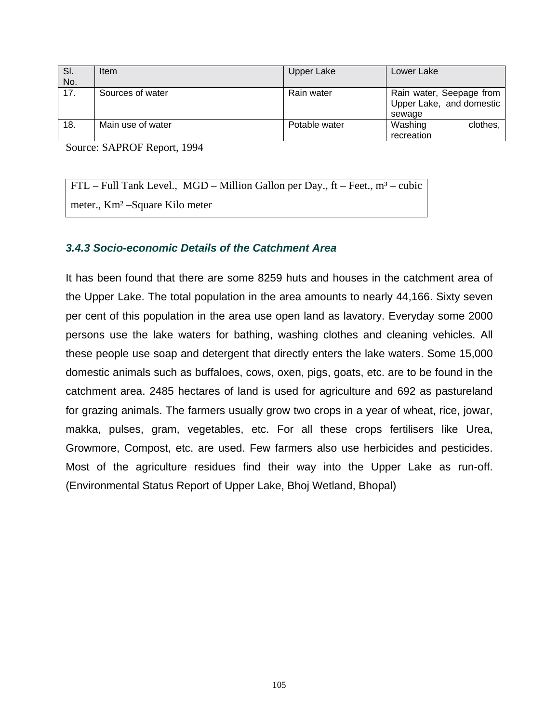| SI.<br>No. | Item              | Upper Lake    | Lower Lake                                                     |
|------------|-------------------|---------------|----------------------------------------------------------------|
| 17.        | Sources of water  | Rain water    | Rain water, Seepage from<br>Upper Lake, and domestic<br>sewage |
| 18.        | Main use of water | Potable water | Washing<br>clothes,<br>recreation                              |

Source: SAPROF Report, 1994

 $FTL$  – Full Tank Level., MGD – Million Gallon per Day., ft – Feet.,  $m^3$  – cubic meter., Km² –Square Kilo meter

## *3.4.3 Socio-economic Details of the Catchment Area*

It has been found that there are some 8259 huts and houses in the catchment area of the Upper Lake. The total population in the area amounts to nearly 44,166. Sixty seven per cent of this population in the area use open land as lavatory. Everyday some 2000 persons use the lake waters for bathing, washing clothes and cleaning vehicles. All these people use soap and detergent that directly enters the lake waters. Some 15,000 domestic animals such as buffaloes, cows, oxen, pigs, goats, etc. are to be found in the catchment area. 2485 hectares of land is used for agriculture and 692 as pastureland for grazing animals. The farmers usually grow two crops in a year of wheat, rice, jowar, makka, pulses, gram, vegetables, etc. For all these crops fertilisers like Urea, Growmore, Compost, etc. are used. Few farmers also use herbicides and pesticides. Most of the agriculture residues find their way into the Upper Lake as run-off. (Environmental Status Report of Upper Lake, Bhoj Wetland, Bhopal)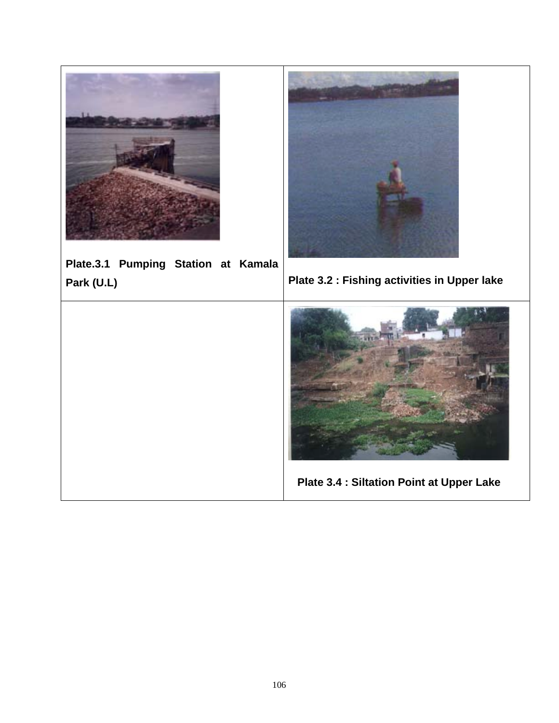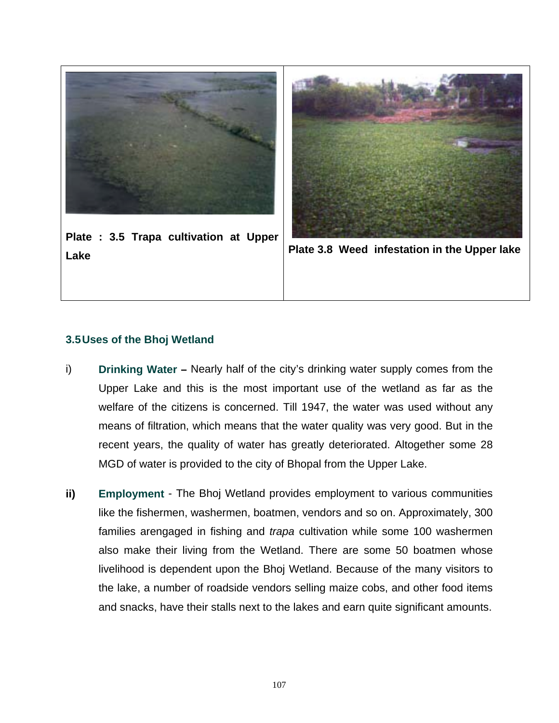

**Plate : 3.5 Trapa cultivation at Upper Lake Plate 3.8 Weed infestation in the Upper lake**



# **3.5 Uses of the Bhoj Wetland**

- i) **Drinking Water –** Nearly half of the city's drinking water supply comes from the Upper Lake and this is the most important use of the wetland as far as the welfare of the citizens is concerned. Till 1947, the water was used without any means of filtration, which means that the water quality was very good. But in the recent years, the quality of water has greatly deteriorated. Altogether some 28 MGD of water is provided to the city of Bhopal from the Upper Lake.
- **ii) Employment** The Bhoj Wetland provides employment to various communities like the fishermen, washermen, boatmen, vendors and so on. Approximately, 300 families arengaged in fishing and *trapa* cultivation while some 100 washermen also make their living from the Wetland. There are some 50 boatmen whose livelihood is dependent upon the Bhoj Wetland. Because of the many visitors to the lake, a number of roadside vendors selling maize cobs, and other food items and snacks, have their stalls next to the lakes and earn quite significant amounts.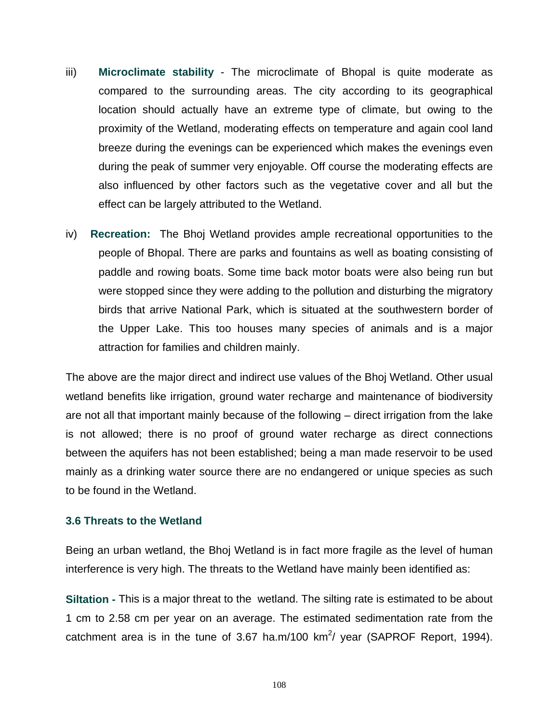- iii) **Microclimate stability** The microclimate of Bhopal is quite moderate as compared to the surrounding areas. The city according to its geographical location should actually have an extreme type of climate, but owing to the proximity of the Wetland, moderating effects on temperature and again cool land breeze during the evenings can be experienced which makes the evenings even during the peak of summer very enjoyable. Off course the moderating effects are also influenced by other factors such as the vegetative cover and all but the effect can be largely attributed to the Wetland.
- iv) **Recreation:** The Bhoj Wetland provides ample recreational opportunities to the people of Bhopal. There are parks and fountains as well as boating consisting of paddle and rowing boats. Some time back motor boats were also being run but were stopped since they were adding to the pollution and disturbing the migratory birds that arrive National Park, which is situated at the southwestern border of the Upper Lake. This too houses many species of animals and is a major attraction for families and children mainly.

The above are the major direct and indirect use values of the Bhoj Wetland. Other usual wetland benefits like irrigation, ground water recharge and maintenance of biodiversity are not all that important mainly because of the following – direct irrigation from the lake is not allowed; there is no proof of ground water recharge as direct connections between the aquifers has not been established; being a man made reservoir to be used mainly as a drinking water source there are no endangered or unique species as such to be found in the Wetland.

#### **3.6 Threats to the Wetland**

Being an urban wetland, the Bhoj Wetland is in fact more fragile as the level of human interference is very high. The threats to the Wetland have mainly been identified as:

**Siltation -** This is a major threat to the wetland. The silting rate is estimated to be about 1 cm to 2.58 cm per year on an average. The estimated sedimentation rate from the catchment area is in the tune of 3.67 ha.m/100 km<sup>2</sup>/ year (SAPROF Report, 1994).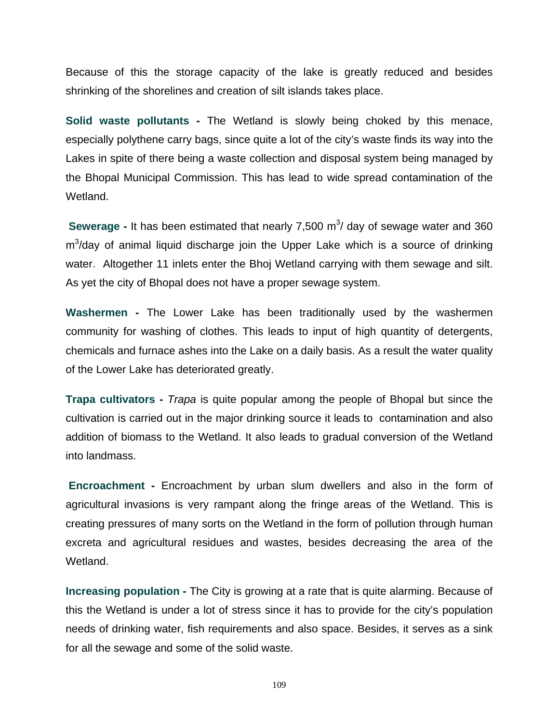Because of this the storage capacity of the lake is greatly reduced and besides shrinking of the shorelines and creation of silt islands takes place.

**Solid waste pollutants -** The Wetland is slowly being choked by this menace, especially polythene carry bags, since quite a lot of the city's waste finds its way into the Lakes in spite of there being a waste collection and disposal system being managed by the Bhopal Municipal Commission. This has lead to wide spread contamination of the Wetland.

**Sewerage -** It has been estimated that nearly 7,500 m<sup>3</sup>/ day of sewage water and 360  $m<sup>3</sup>/day$  of animal liquid discharge join the Upper Lake which is a source of drinking water. Altogether 11 inlets enter the Bhoj Wetland carrying with them sewage and silt. As yet the city of Bhopal does not have a proper sewage system.

**Washermen -** The Lower Lake has been traditionally used by the washermen community for washing of clothes. This leads to input of high quantity of detergents, chemicals and furnace ashes into the Lake on a daily basis. As a result the water quality of the Lower Lake has deteriorated greatly.

**Trapa cultivators -** *Trapa* is quite popular among the people of Bhopal but since the cultivation is carried out in the major drinking source it leads to contamination and also addition of biomass to the Wetland. It also leads to gradual conversion of the Wetland into landmass.

 **Encroachment -** Encroachment by urban slum dwellers and also in the form of agricultural invasions is very rampant along the fringe areas of the Wetland. This is creating pressures of many sorts on the Wetland in the form of pollution through human excreta and agricultural residues and wastes, besides decreasing the area of the Wetland.

**Increasing population -** The City is growing at a rate that is quite alarming. Because of this the Wetland is under a lot of stress since it has to provide for the city's population needs of drinking water, fish requirements and also space. Besides, it serves as a sink for all the sewage and some of the solid waste.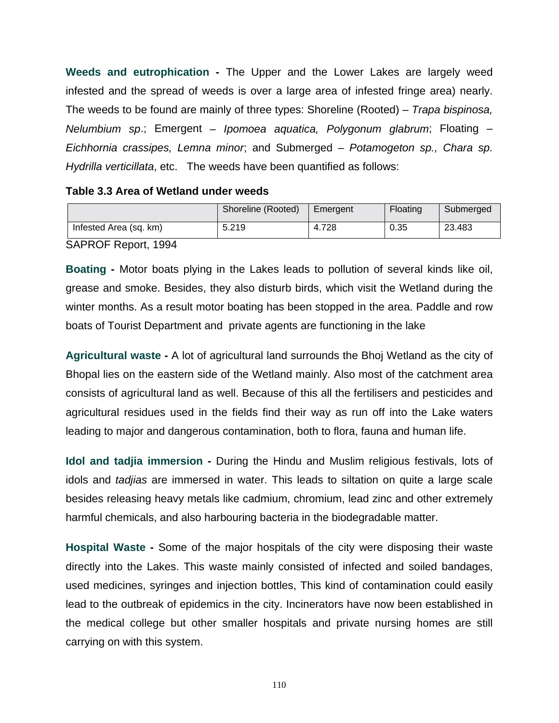**Weeds and eutrophication -** The Upper and the Lower Lakes are largely weed infested and the spread of weeds is over a large area of infested fringe area) nearly. The weeds to be found are mainly of three types: Shoreline (Rooted) – *Trapa bispinosa, Nelumbium sp*.; Emergent *– Ipomoea aquatica, Polygonum glabrum*; Floating – *Eichhornia crassipes, Lemna minor*; and Submerged – *Potamogeton sp., Chara sp. Hydrilla verticillata*, etc. The weeds have been quantified as follows:

#### **Table 3.3 Area of Wetland under weeds**

|                        | Shoreline (Rooted) | Emergent | Floating | Submerged |
|------------------------|--------------------|----------|----------|-----------|
| Infested Area (sq. km) | 5.219              | 4.728    | 0.35     | 23.483    |

SAPROF Report, 1994

**Boating -** Motor boats plying in the Lakes leads to pollution of several kinds like oil, grease and smoke. Besides, they also disturb birds, which visit the Wetland during the winter months. As a result motor boating has been stopped in the area. Paddle and row boats of Tourist Department and private agents are functioning in the lake

**Agricultural waste -** A lot of agricultural land surrounds the Bhoj Wetland as the city of Bhopal lies on the eastern side of the Wetland mainly. Also most of the catchment area consists of agricultural land as well. Because of this all the fertilisers and pesticides and agricultural residues used in the fields find their way as run off into the Lake waters leading to major and dangerous contamination, both to flora, fauna and human life.

**Idol and tadjia immersion -** During the Hindu and Muslim religious festivals, lots of idols and *tadjias* are immersed in water. This leads to siltation on quite a large scale besides releasing heavy metals like cadmium, chromium, lead zinc and other extremely harmful chemicals, and also harbouring bacteria in the biodegradable matter.

**Hospital Waste -** Some of the major hospitals of the city were disposing their waste directly into the Lakes. This waste mainly consisted of infected and soiled bandages, used medicines, syringes and injection bottles, This kind of contamination could easily lead to the outbreak of epidemics in the city. Incinerators have now been established in the medical college but other smaller hospitals and private nursing homes are still carrying on with this system.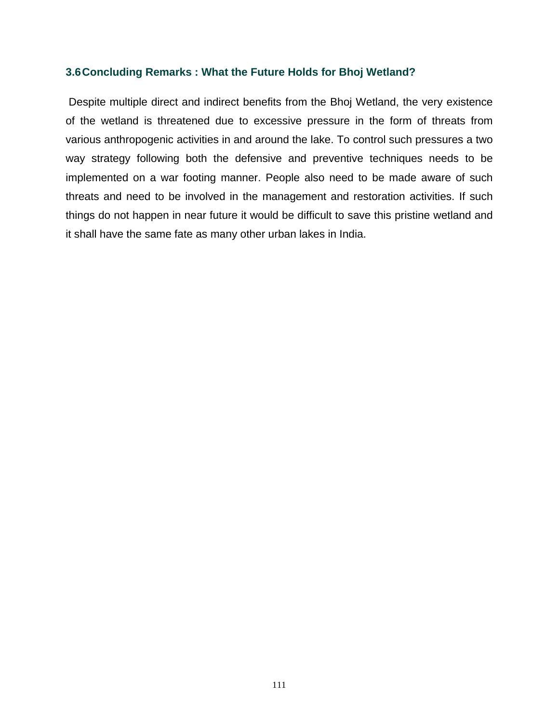#### **3.6 Concluding Remarks : What the Future Holds for Bhoj Wetland?**

 Despite multiple direct and indirect benefits from the Bhoj Wetland, the very existence of the wetland is threatened due to excessive pressure in the form of threats from various anthropogenic activities in and around the lake. To control such pressures a two way strategy following both the defensive and preventive techniques needs to be implemented on a war footing manner. People also need to be made aware of such threats and need to be involved in the management and restoration activities. If such things do not happen in near future it would be difficult to save this pristine wetland and it shall have the same fate as many other urban lakes in India.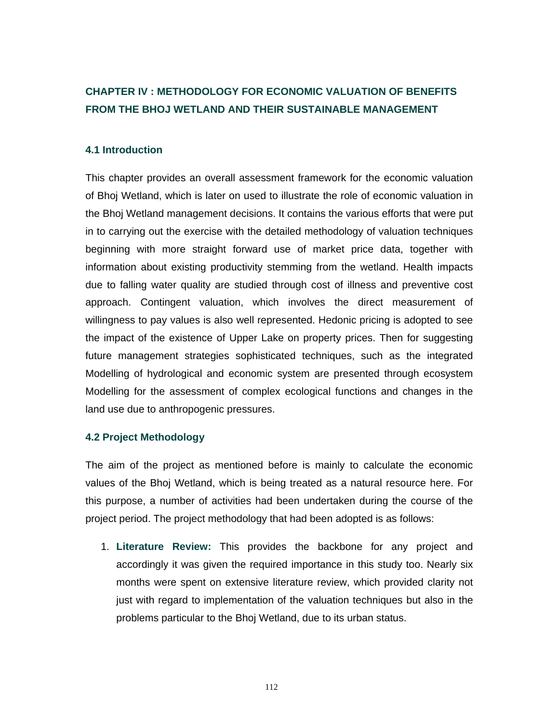# **CHAPTER IV : METHODOLOGY FOR ECONOMIC VALUATION OF BENEFITS FROM THE BHOJ WETLAND AND THEIR SUSTAINABLE MANAGEMENT**

#### **4.1 Introduction**

This chapter provides an overall assessment framework for the economic valuation of Bhoj Wetland, which is later on used to illustrate the role of economic valuation in the Bhoj Wetland management decisions. It contains the various efforts that were put in to carrying out the exercise with the detailed methodology of valuation techniques beginning with more straight forward use of market price data, together with information about existing productivity stemming from the wetland. Health impacts due to falling water quality are studied through cost of illness and preventive cost approach. Contingent valuation, which involves the direct measurement of willingness to pay values is also well represented. Hedonic pricing is adopted to see the impact of the existence of Upper Lake on property prices. Then for suggesting future management strategies sophisticated techniques, such as the integrated Modelling of hydrological and economic system are presented through ecosystem Modelling for the assessment of complex ecological functions and changes in the land use due to anthropogenic pressures.

#### **4.2 Project Methodology**

The aim of the project as mentioned before is mainly to calculate the economic values of the Bhoj Wetland, which is being treated as a natural resource here. For this purpose, a number of activities had been undertaken during the course of the project period. The project methodology that had been adopted is as follows:

1. **Literature Review:** This provides the backbone for any project and accordingly it was given the required importance in this study too. Nearly six months were spent on extensive literature review, which provided clarity not just with regard to implementation of the valuation techniques but also in the problems particular to the Bhoj Wetland, due to its urban status.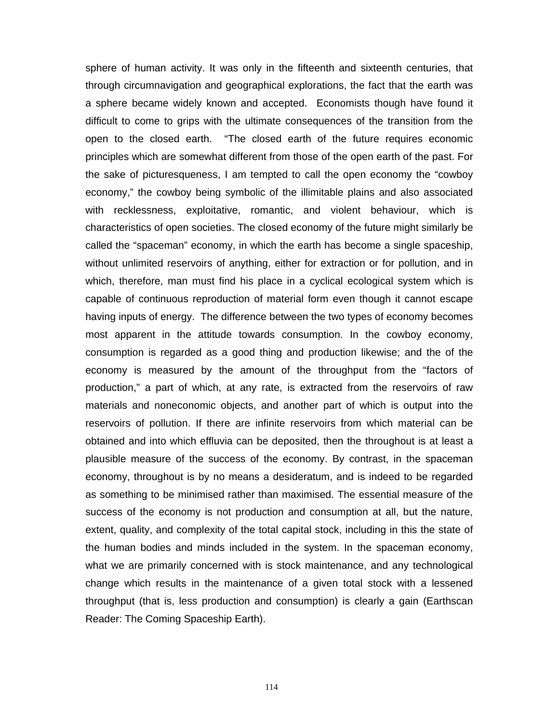sphere of human activity. It was only in the fifteenth and sixteenth centuries, that through circumnavigation and geographical explorations, the fact that the earth was a sphere became widely known and accepted. Economists though have found it difficult to come to grips with the ultimate consequences of the transition from the open to the closed earth. "The closed earth of the future requires economic principles which are somewhat different from those of the open earth of the past. For the sake of picturesqueness, I am tempted to call the open economy the "cowboy economy," the cowboy being symbolic of the illimitable plains and also associated with recklessness, exploitative, romantic, and violent behaviour, which is characteristics of open societies. The closed economy of the future might similarly be called the "spaceman" economy, in which the earth has become a single spaceship, without unlimited reservoirs of anything, either for extraction or for pollution, and in which, therefore, man must find his place in a cyclical ecological system which is capable of continuous reproduction of material form even though it cannot escape having inputs of energy. The difference between the two types of economy becomes most apparent in the attitude towards consumption. In the cowboy economy, consumption is regarded as a good thing and production likewise; and the of the economy is measured by the amount of the throughput from the "factors of production," a part of which, at any rate, is extracted from the reservoirs of raw materials and noneconomic objects, and another part of which is output into the reservoirs of pollution. If there are infinite reservoirs from which material can be obtained and into which effluvia can be deposited, then the throughout is at least a plausible measure of the success of the economy. By contrast, in the spaceman economy, throughout is by no means a desideratum, and is indeed to be regarded as something to be minimised rather than maximised. The essential measure of the success of the economy is not production and consumption at all, but the nature, extent, quality, and complexity of the total capital stock, including in this the state of the human bodies and minds included in the system. In the spaceman economy, what we are primarily concerned with is stock maintenance, and any technological change which results in the maintenance of a given total stock with a lessened throughput (that is, less production and consumption) is clearly a gain (Earthscan Reader: The Coming Spaceship Earth).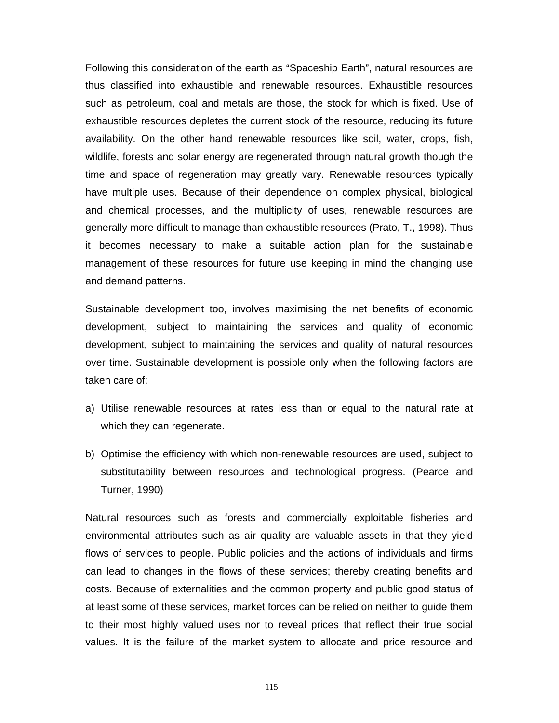Following this consideration of the earth as "Spaceship Earth", natural resources are thus classified into exhaustible and renewable resources. Exhaustible resources such as petroleum, coal and metals are those, the stock for which is fixed. Use of exhaustible resources depletes the current stock of the resource, reducing its future availability. On the other hand renewable resources like soil, water, crops, fish, wildlife, forests and solar energy are regenerated through natural growth though the time and space of regeneration may greatly vary. Renewable resources typically have multiple uses. Because of their dependence on complex physical, biological and chemical processes, and the multiplicity of uses, renewable resources are generally more difficult to manage than exhaustible resources (Prato, T., 1998). Thus it becomes necessary to make a suitable action plan for the sustainable management of these resources for future use keeping in mind the changing use and demand patterns.

Sustainable development too, involves maximising the net benefits of economic development, subject to maintaining the services and quality of economic development, subject to maintaining the services and quality of natural resources over time. Sustainable development is possible only when the following factors are taken care of:

- a) Utilise renewable resources at rates less than or equal to the natural rate at which they can regenerate.
- b) Optimise the efficiency with which non-renewable resources are used, subject to substitutability between resources and technological progress. (Pearce and Turner, 1990)

Natural resources such as forests and commercially exploitable fisheries and environmental attributes such as air quality are valuable assets in that they yield flows of services to people. Public policies and the actions of individuals and firms can lead to changes in the flows of these services; thereby creating benefits and costs. Because of externalities and the common property and public good status of at least some of these services, market forces can be relied on neither to guide them to their most highly valued uses nor to reveal prices that reflect their true social values. It is the failure of the market system to allocate and price resource and

115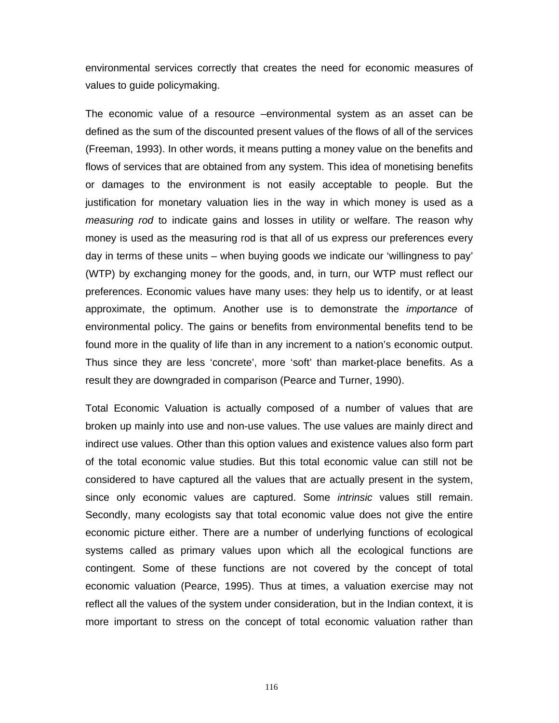environmental services correctly that creates the need for economic measures of values to guide policymaking.

The economic value of a resource –environmental system as an asset can be defined as the sum of the discounted present values of the flows of all of the services (Freeman, 1993). In other words, it means putting a money value on the benefits and flows of services that are obtained from any system. This idea of monetising benefits or damages to the environment is not easily acceptable to people. But the justification for monetary valuation lies in the way in which money is used as a *measuring rod* to indicate gains and losses in utility or welfare. The reason why money is used as the measuring rod is that all of us express our preferences every day in terms of these units – when buying goods we indicate our 'willingness to pay' (WTP) by exchanging money for the goods, and, in turn, our WTP must reflect our preferences. Economic values have many uses: they help us to identify, or at least approximate, the optimum. Another use is to demonstrate the *importance* of environmental policy. The gains or benefits from environmental benefits tend to be found more in the quality of life than in any increment to a nation's economic output. Thus since they are less 'concrete', more 'soft' than market-place benefits. As a result they are downgraded in comparison (Pearce and Turner, 1990).

Total Economic Valuation is actually composed of a number of values that are broken up mainly into use and non-use values. The use values are mainly direct and indirect use values. Other than this option values and existence values also form part of the total economic value studies. But this total economic value can still not be considered to have captured all the values that are actually present in the system, since only economic values are captured. Some *intrinsic* values still remain. Secondly, many ecologists say that total economic value does not give the entire economic picture either. There are a number of underlying functions of ecological systems called as primary values upon which all the ecological functions are contingent. Some of these functions are not covered by the concept of total economic valuation (Pearce, 1995). Thus at times, a valuation exercise may not reflect all the values of the system under consideration, but in the Indian context, it is more important to stress on the concept of total economic valuation rather than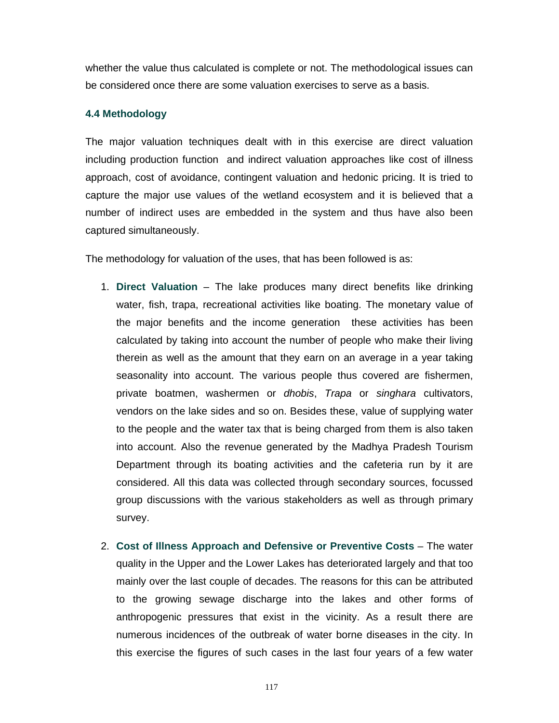whether the value thus calculated is complete or not. The methodological issues can be considered once there are some valuation exercises to serve as a basis.

#### **4.4 Methodology**

The major valuation techniques dealt with in this exercise are direct valuation including production function and indirect valuation approaches like cost of illness approach, cost of avoidance, contingent valuation and hedonic pricing. It is tried to capture the major use values of the wetland ecosystem and it is believed that a number of indirect uses are embedded in the system and thus have also been captured simultaneously.

The methodology for valuation of the uses, that has been followed is as:

- 1. **Direct Valuation** The lake produces many direct benefits like drinking water, fish, trapa, recreational activities like boating. The monetary value of the major benefits and the income generation these activities has been calculated by taking into account the number of people who make their living therein as well as the amount that they earn on an average in a year taking seasonality into account. The various people thus covered are fishermen, private boatmen, washermen or *dhobis*, *Trapa* or *singhara* cultivators, vendors on the lake sides and so on. Besides these, value of supplying water to the people and the water tax that is being charged from them is also taken into account. Also the revenue generated by the Madhya Pradesh Tourism Department through its boating activities and the cafeteria run by it are considered. All this data was collected through secondary sources, focussed group discussions with the various stakeholders as well as through primary survey.
- 2. **Cost of Illness Approach and Defensive or Preventive Costs** The water quality in the Upper and the Lower Lakes has deteriorated largely and that too mainly over the last couple of decades. The reasons for this can be attributed to the growing sewage discharge into the lakes and other forms of anthropogenic pressures that exist in the vicinity. As a result there are numerous incidences of the outbreak of water borne diseases in the city. In this exercise the figures of such cases in the last four years of a few water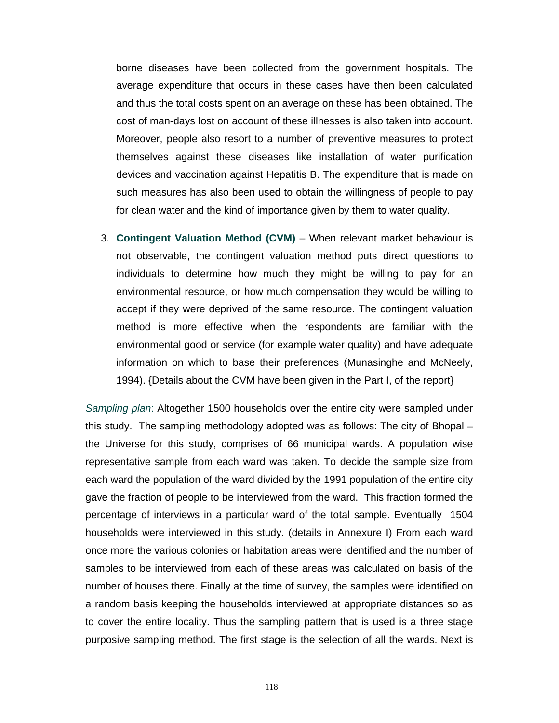borne diseases have been collected from the government hospitals. The average expenditure that occurs in these cases have then been calculated and thus the total costs spent on an average on these has been obtained. The cost of man-days lost on account of these illnesses is also taken into account. Moreover, people also resort to a number of preventive measures to protect themselves against these diseases like installation of water purification devices and vaccination against Hepatitis B. The expenditure that is made on such measures has also been used to obtain the willingness of people to pay for clean water and the kind of importance given by them to water quality.

3. **Contingent Valuation Method (CVM)** – When relevant market behaviour is not observable, the contingent valuation method puts direct questions to individuals to determine how much they might be willing to pay for an environmental resource, or how much compensation they would be willing to accept if they were deprived of the same resource. The contingent valuation method is more effective when the respondents are familiar with the environmental good or service (for example water quality) and have adequate information on which to base their preferences (Munasinghe and McNeely, 1994). {Details about the CVM have been given in the Part I, of the report}

*Sampling plan*: Altogether 1500 households over the entire city were sampled under this study. The sampling methodology adopted was as follows: The city of Bhopal – the Universe for this study, comprises of 66 municipal wards. A population wise representative sample from each ward was taken. To decide the sample size from each ward the population of the ward divided by the 1991 population of the entire city gave the fraction of people to be interviewed from the ward. This fraction formed the percentage of interviews in a particular ward of the total sample. Eventually 1504 households were interviewed in this study. (details in Annexure I) From each ward once more the various colonies or habitation areas were identified and the number of samples to be interviewed from each of these areas was calculated on basis of the number of houses there. Finally at the time of survey, the samples were identified on a random basis keeping the households interviewed at appropriate distances so as to cover the entire locality. Thus the sampling pattern that is used is a three stage purposive sampling method. The first stage is the selection of all the wards. Next is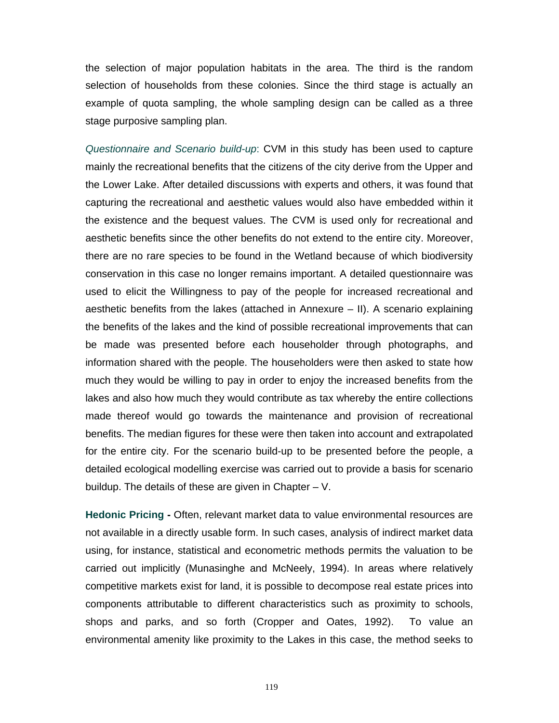the selection of major population habitats in the area. The third is the random selection of households from these colonies. Since the third stage is actually an example of quota sampling, the whole sampling design can be called as a three stage purposive sampling plan.

*Questionnaire and Scenario build-up*: CVM in this study has been used to capture mainly the recreational benefits that the citizens of the city derive from the Upper and the Lower Lake. After detailed discussions with experts and others, it was found that capturing the recreational and aesthetic values would also have embedded within it the existence and the bequest values. The CVM is used only for recreational and aesthetic benefits since the other benefits do not extend to the entire city. Moreover, there are no rare species to be found in the Wetland because of which biodiversity conservation in this case no longer remains important. A detailed questionnaire was used to elicit the Willingness to pay of the people for increased recreational and aesthetic benefits from the lakes (attached in Annexure – II). A scenario explaining the benefits of the lakes and the kind of possible recreational improvements that can be made was presented before each householder through photographs, and information shared with the people. The householders were then asked to state how much they would be willing to pay in order to enjoy the increased benefits from the lakes and also how much they would contribute as tax whereby the entire collections made thereof would go towards the maintenance and provision of recreational benefits. The median figures for these were then taken into account and extrapolated for the entire city. For the scenario build-up to be presented before the people, a detailed ecological modelling exercise was carried out to provide a basis for scenario buildup. The details of these are given in Chapter – V.

**Hedonic Pricing -** Often, relevant market data to value environmental resources are not available in a directly usable form. In such cases, analysis of indirect market data using, for instance, statistical and econometric methods permits the valuation to be carried out implicitly (Munasinghe and McNeely, 1994). In areas where relatively competitive markets exist for land, it is possible to decompose real estate prices into components attributable to different characteristics such as proximity to schools, shops and parks, and so forth (Cropper and Oates, 1992). To value an environmental amenity like proximity to the Lakes in this case, the method seeks to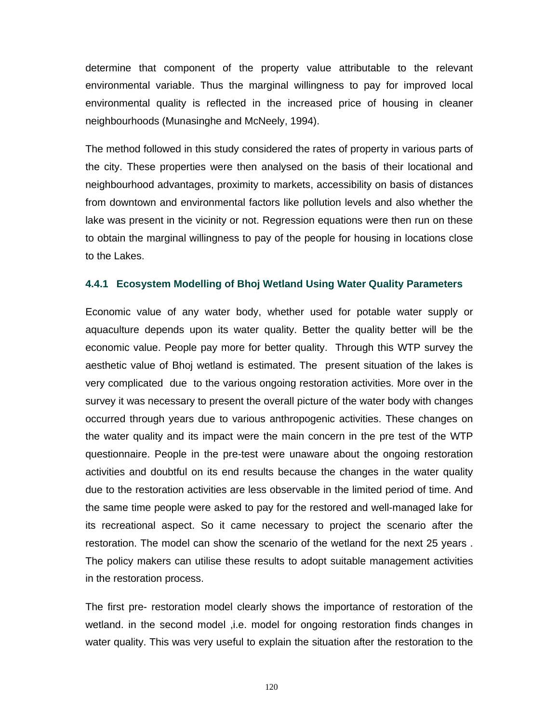determine that component of the property value attributable to the relevant environmental variable. Thus the marginal willingness to pay for improved local environmental quality is reflected in the increased price of housing in cleaner neighbourhoods (Munasinghe and McNeely, 1994).

The method followed in this study considered the rates of property in various parts of the city. These properties were then analysed on the basis of their locational and neighbourhood advantages, proximity to markets, accessibility on basis of distances from downtown and environmental factors like pollution levels and also whether the lake was present in the vicinity or not. Regression equations were then run on these to obtain the marginal willingness to pay of the people for housing in locations close to the Lakes.

#### **4.4.1 Ecosystem Modelling of Bhoj Wetland Using Water Quality Parameters**

Economic value of any water body, whether used for potable water supply or aquaculture depends upon its water quality. Better the quality better will be the economic value. People pay more for better quality. Through this WTP survey the aesthetic value of Bhoj wetland is estimated. The present situation of the lakes is very complicated due to the various ongoing restoration activities. More over in the survey it was necessary to present the overall picture of the water body with changes occurred through years due to various anthropogenic activities. These changes on the water quality and its impact were the main concern in the pre test of the WTP questionnaire. People in the pre-test were unaware about the ongoing restoration activities and doubtful on its end results because the changes in the water quality due to the restoration activities are less observable in the limited period of time. And the same time people were asked to pay for the restored and well-managed lake for its recreational aspect. So it came necessary to project the scenario after the restoration. The model can show the scenario of the wetland for the next 25 years . The policy makers can utilise these results to adopt suitable management activities in the restoration process.

The first pre- restoration model clearly shows the importance of restoration of the wetland. in the second model , i.e. model for ongoing restoration finds changes in water quality. This was very useful to explain the situation after the restoration to the

120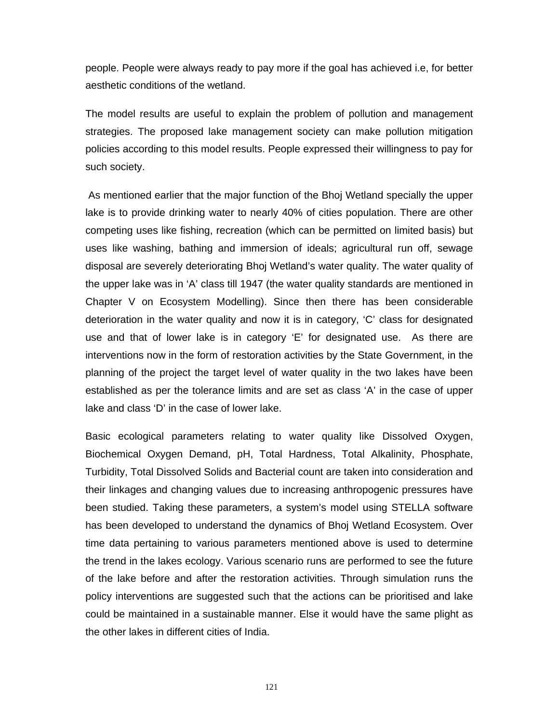people. People were always ready to pay more if the goal has achieved i.e, for better aesthetic conditions of the wetland.

The model results are useful to explain the problem of pollution and management strategies. The proposed lake management society can make pollution mitigation policies according to this model results. People expressed their willingness to pay for such society.

 As mentioned earlier that the major function of the Bhoj Wetland specially the upper lake is to provide drinking water to nearly 40% of cities population. There are other competing uses like fishing, recreation (which can be permitted on limited basis) but uses like washing, bathing and immersion of ideals; agricultural run off, sewage disposal are severely deteriorating Bhoj Wetland's water quality. The water quality of the upper lake was in 'A' class till 1947 (the water quality standards are mentioned in Chapter V on Ecosystem Modelling). Since then there has been considerable deterioration in the water quality and now it is in category, 'C' class for designated use and that of lower lake is in category 'E' for designated use. As there are interventions now in the form of restoration activities by the State Government, in the planning of the project the target level of water quality in the two lakes have been established as per the tolerance limits and are set as class 'A' in the case of upper lake and class 'D' in the case of lower lake.

Basic ecological parameters relating to water quality like Dissolved Oxygen, Biochemical Oxygen Demand, pH, Total Hardness, Total Alkalinity, Phosphate, Turbidity, Total Dissolved Solids and Bacterial count are taken into consideration and their linkages and changing values due to increasing anthropogenic pressures have been studied. Taking these parameters, a system's model using STELLA software has been developed to understand the dynamics of Bhoj Wetland Ecosystem. Over time data pertaining to various parameters mentioned above is used to determine the trend in the lakes ecology. Various scenario runs are performed to see the future of the lake before and after the restoration activities. Through simulation runs the policy interventions are suggested such that the actions can be prioritised and lake could be maintained in a sustainable manner. Else it would have the same plight as the other lakes in different cities of India.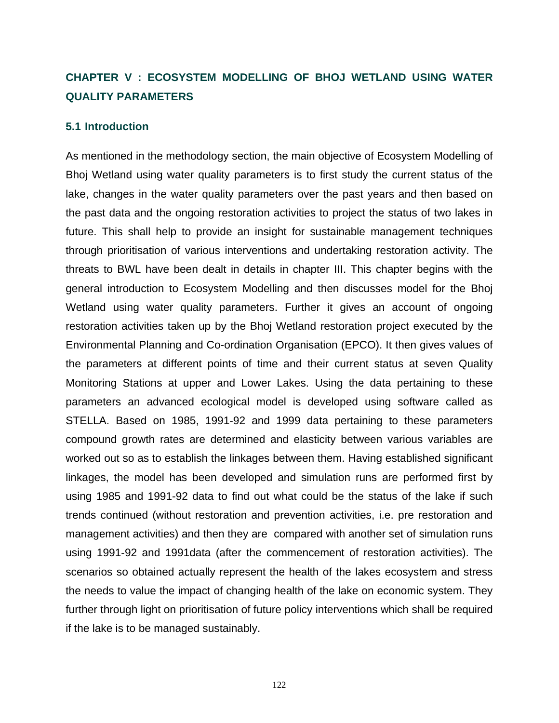# **CHAPTER V : ECOSYSTEM MODELLING OF BHOJ WETLAND USING WATER QUALITY PARAMETERS**

#### **5.1 Introduction**

As mentioned in the methodology section, the main objective of Ecosystem Modelling of Bhoj Wetland using water quality parameters is to first study the current status of the lake, changes in the water quality parameters over the past years and then based on the past data and the ongoing restoration activities to project the status of two lakes in future. This shall help to provide an insight for sustainable management techniques through prioritisation of various interventions and undertaking restoration activity. The threats to BWL have been dealt in details in chapter III. This chapter begins with the general introduction to Ecosystem Modelling and then discusses model for the Bhoj Wetland using water quality parameters. Further it gives an account of ongoing restoration activities taken up by the Bhoj Wetland restoration project executed by the Environmental Planning and Co-ordination Organisation (EPCO). It then gives values of the parameters at different points of time and their current status at seven Quality Monitoring Stations at upper and Lower Lakes. Using the data pertaining to these parameters an advanced ecological model is developed using software called as STELLA. Based on 1985, 1991-92 and 1999 data pertaining to these parameters compound growth rates are determined and elasticity between various variables are worked out so as to establish the linkages between them. Having established significant linkages, the model has been developed and simulation runs are performed first by using 1985 and 1991-92 data to find out what could be the status of the lake if such trends continued (without restoration and prevention activities, i.e. pre restoration and management activities) and then they are compared with another set of simulation runs using 1991-92 and 1991data (after the commencement of restoration activities). The scenarios so obtained actually represent the health of the lakes ecosystem and stress the needs to value the impact of changing health of the lake on economic system. They further through light on prioritisation of future policy interventions which shall be required if the lake is to be managed sustainably.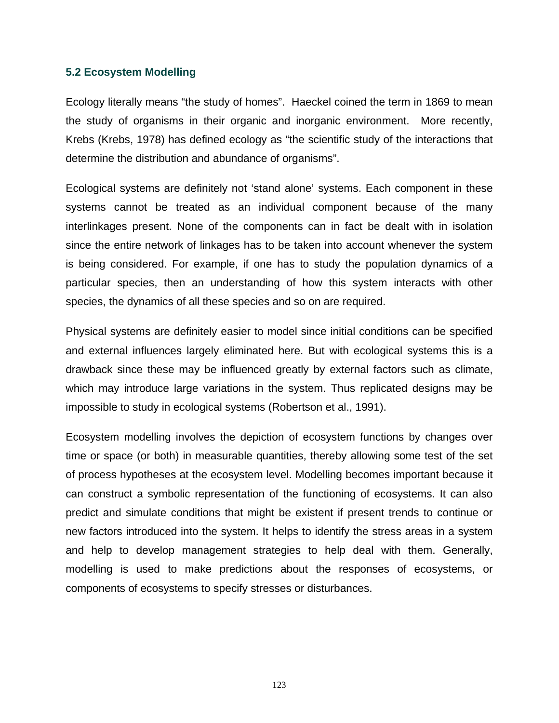#### **5.2 Ecosystem Modelling**

Ecology literally means "the study of homes". Haeckel coined the term in 1869 to mean the study of organisms in their organic and inorganic environment. More recently, Krebs (Krebs, 1978) has defined ecology as "the scientific study of the interactions that determine the distribution and abundance of organisms".

Ecological systems are definitely not 'stand alone' systems. Each component in these systems cannot be treated as an individual component because of the many interlinkages present. None of the components can in fact be dealt with in isolation since the entire network of linkages has to be taken into account whenever the system is being considered. For example, if one has to study the population dynamics of a particular species, then an understanding of how this system interacts with other species, the dynamics of all these species and so on are required.

Physical systems are definitely easier to model since initial conditions can be specified and external influences largely eliminated here. But with ecological systems this is a drawback since these may be influenced greatly by external factors such as climate, which may introduce large variations in the system. Thus replicated designs may be impossible to study in ecological systems (Robertson et al., 1991).

Ecosystem modelling involves the depiction of ecosystem functions by changes over time or space (or both) in measurable quantities, thereby allowing some test of the set of process hypotheses at the ecosystem level. Modelling becomes important because it can construct a symbolic representation of the functioning of ecosystems. It can also predict and simulate conditions that might be existent if present trends to continue or new factors introduced into the system. It helps to identify the stress areas in a system and help to develop management strategies to help deal with them. Generally, modelling is used to make predictions about the responses of ecosystems, or components of ecosystems to specify stresses or disturbances.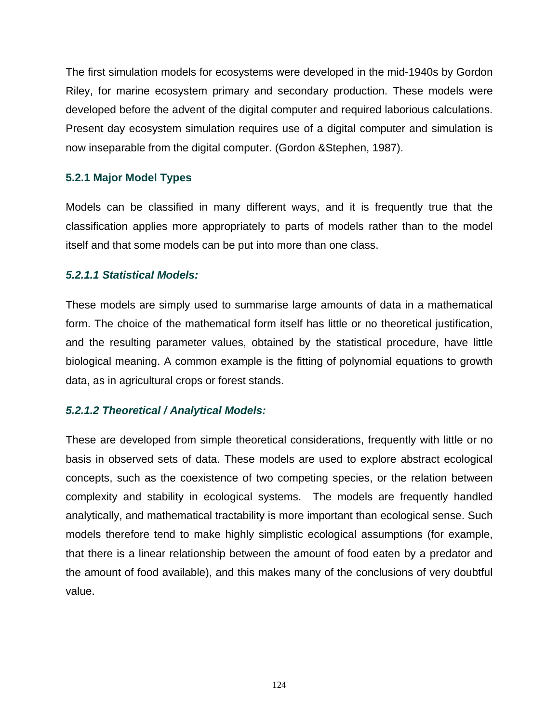The first simulation models for ecosystems were developed in the mid-1940s by Gordon Riley, for marine ecosystem primary and secondary production. These models were developed before the advent of the digital computer and required laborious calculations. Present day ecosystem simulation requires use of a digital computer and simulation is now inseparable from the digital computer. (Gordon &Stephen, 1987).

# **5.2.1 Major Model Types**

Models can be classified in many different ways, and it is frequently true that the classification applies more appropriately to parts of models rather than to the model itself and that some models can be put into more than one class.

# *5.2.1.1 Statistical Models:*

These models are simply used to summarise large amounts of data in a mathematical form. The choice of the mathematical form itself has little or no theoretical justification, and the resulting parameter values, obtained by the statistical procedure, have little biological meaning. A common example is the fitting of polynomial equations to growth data, as in agricultural crops or forest stands.

# *5.2.1.2 Theoretical / Analytical Models:*

These are developed from simple theoretical considerations, frequently with little or no basis in observed sets of data. These models are used to explore abstract ecological concepts, such as the coexistence of two competing species, or the relation between complexity and stability in ecological systems. The models are frequently handled analytically, and mathematical tractability is more important than ecological sense. Such models therefore tend to make highly simplistic ecological assumptions (for example, that there is a linear relationship between the amount of food eaten by a predator and the amount of food available), and this makes many of the conclusions of very doubtful value.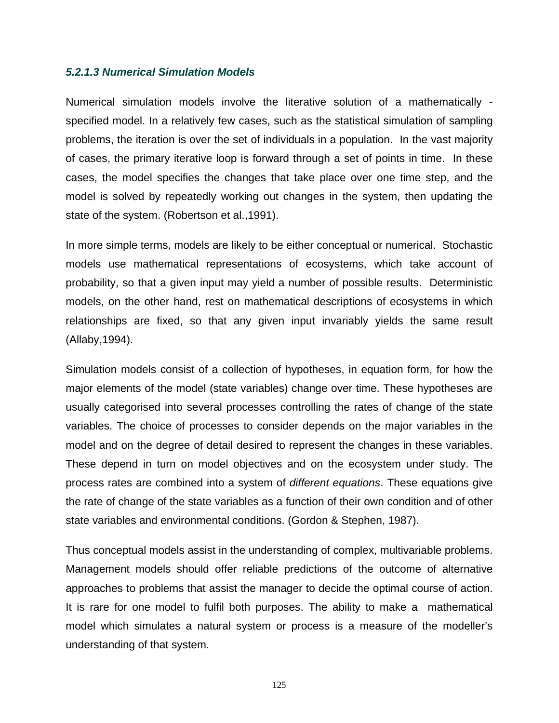#### *5.2.1.3 Numerical Simulation Models*

Numerical simulation models involve the literative solution of a mathematically specified model. In a relatively few cases, such as the statistical simulation of sampling problems, the iteration is over the set of individuals in a population. In the vast majority of cases, the primary iterative loop is forward through a set of points in time. In these cases, the model specifies the changes that take place over one time step, and the model is solved by repeatedly working out changes in the system, then updating the state of the system. (Robertson et al.,1991).

In more simple terms, models are likely to be either conceptual or numerical. Stochastic models use mathematical representations of ecosystems, which take account of probability, so that a given input may yield a number of possible results. Deterministic models, on the other hand, rest on mathematical descriptions of ecosystems in which relationships are fixed, so that any given input invariably yields the same result (Allaby,1994).

Simulation models consist of a collection of hypotheses, in equation form, for how the major elements of the model (state variables) change over time. These hypotheses are usually categorised into several processes controlling the rates of change of the state variables. The choice of processes to consider depends on the major variables in the model and on the degree of detail desired to represent the changes in these variables. These depend in turn on model objectives and on the ecosystem under study. The process rates are combined into a system of *different equations*. These equations give the rate of change of the state variables as a function of their own condition and of other state variables and environmental conditions. (Gordon & Stephen, 1987).

Thus conceptual models assist in the understanding of complex, multivariable problems. Management models should offer reliable predictions of the outcome of alternative approaches to problems that assist the manager to decide the optimal course of action. It is rare for one model to fulfil both purposes. The ability to make a mathematical model which simulates a natural system or process is a measure of the modeller's understanding of that system.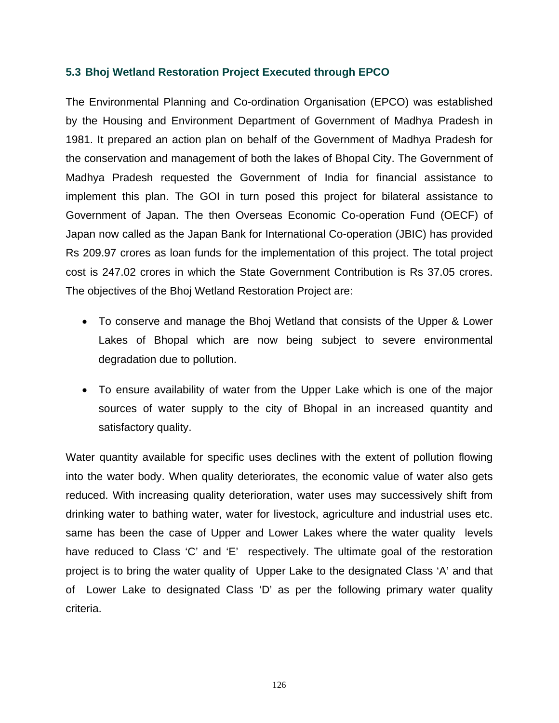## **5.3 Bhoj Wetland Restoration Project Executed through EPCO**

The Environmental Planning and Co-ordination Organisation (EPCO) was established by the Housing and Environment Department of Government of Madhya Pradesh in 1981. It prepared an action plan on behalf of the Government of Madhya Pradesh for the conservation and management of both the lakes of Bhopal City. The Government of Madhya Pradesh requested the Government of India for financial assistance to implement this plan. The GOI in turn posed this project for bilateral assistance to Government of Japan. The then Overseas Economic Co-operation Fund (OECF) of Japan now called as the Japan Bank for International Co-operation (JBIC) has provided Rs 209.97 crores as loan funds for the implementation of this project. The total project cost is 247.02 crores in which the State Government Contribution is Rs 37.05 crores. The objectives of the Bhoj Wetland Restoration Project are:

- To conserve and manage the Bhoj Wetland that consists of the Upper & Lower Lakes of Bhopal which are now being subject to severe environmental degradation due to pollution.
- To ensure availability of water from the Upper Lake which is one of the major sources of water supply to the city of Bhopal in an increased quantity and satisfactory quality.

Water quantity available for specific uses declines with the extent of pollution flowing into the water body. When quality deteriorates, the economic value of water also gets reduced. With increasing quality deterioration, water uses may successively shift from drinking water to bathing water, water for livestock, agriculture and industrial uses etc. same has been the case of Upper and Lower Lakes where the water quality levels have reduced to Class 'C' and 'E' respectively. The ultimate goal of the restoration project is to bring the water quality of Upper Lake to the designated Class 'A' and that of Lower Lake to designated Class 'D' as per the following primary water quality criteria.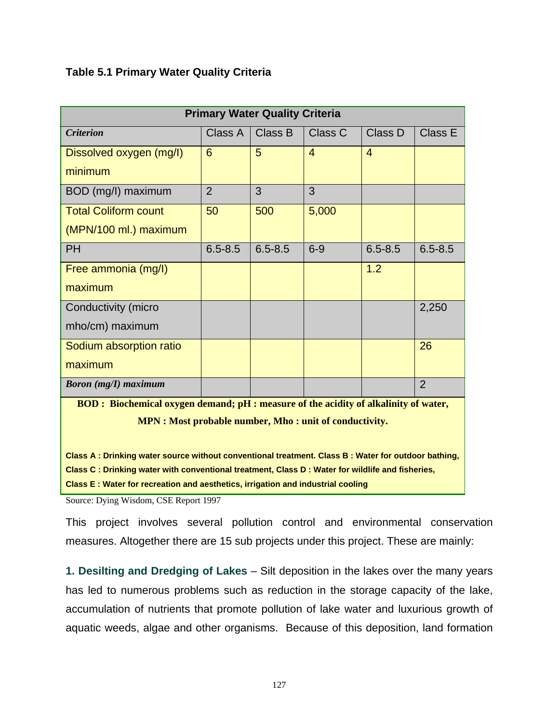# **Table 5.1 Primary Water Quality Criteria**

| <b>Primary Water Quality Criteria</b>                                                                                                                                                                   |                |             |                |                |                |
|---------------------------------------------------------------------------------------------------------------------------------------------------------------------------------------------------------|----------------|-------------|----------------|----------------|----------------|
| <b>Criterion</b>                                                                                                                                                                                        | Class A        | Class B     | Class C        | Class D        | Class E        |
| Dissolved oxygen (mg/l)                                                                                                                                                                                 | 6              | 5           | $\overline{4}$ | $\overline{4}$ |                |
| minimum                                                                                                                                                                                                 |                |             |                |                |                |
| BOD (mg/l) maximum                                                                                                                                                                                      | $\overline{2}$ | 3           | 3              |                |                |
| <b>Total Coliform count</b>                                                                                                                                                                             | 50             | 500         | 5,000          |                |                |
| (MPN/100 ml.) maximum                                                                                                                                                                                   |                |             |                |                |                |
| <b>PH</b>                                                                                                                                                                                               | $6.5 - 8.5$    | $6.5 - 8.5$ | $6-9$          | $6.5 - 8.5$    | $6.5 - 8.5$    |
| Free ammonia (mg/l)                                                                                                                                                                                     |                |             |                | 1.2            |                |
| maximum                                                                                                                                                                                                 |                |             |                |                |                |
| Conductivity (micro                                                                                                                                                                                     |                |             |                |                | 2,250          |
| mho/cm) maximum                                                                                                                                                                                         |                |             |                |                |                |
| Sodium absorption ratio                                                                                                                                                                                 |                |             |                |                | 26             |
| maximum                                                                                                                                                                                                 |                |             |                |                |                |
| <b>Boron</b> (mg/I) maximum                                                                                                                                                                             |                |             |                |                | $\overline{2}$ |
| BOD: Biochemical oxygen demand; pH : measure of the acidity of alkalinity of water,                                                                                                                     |                |             |                |                |                |
| <b>MPN</b> : Most probable number, Mho : unit of conductivity.                                                                                                                                          |                |             |                |                |                |
|                                                                                                                                                                                                         |                |             |                |                |                |
| Class A: Drinking water source without conventional treatment. Class B: Water for outdoor bathing,<br>Class C : Drinking water with conventional treatment, Class D : Water for wildlife and fisheries, |                |             |                |                |                |
| Class E : Water for recreation and aesthetics, irrigation and industrial cooling                                                                                                                        |                |             |                |                |                |

Source: Dying Wisdom, CSE Report 1997

This project involves several pollution control and environmental conservation measures. Altogether there are 15 sub projects under this project. These are mainly:

**1. Desilting and Dredging of Lakes** – Silt deposition in the lakes over the many years has led to numerous problems such as reduction in the storage capacity of the lake, accumulation of nutrients that promote pollution of lake water and luxurious growth of aquatic weeds, algae and other organisms. Because of this deposition, land formation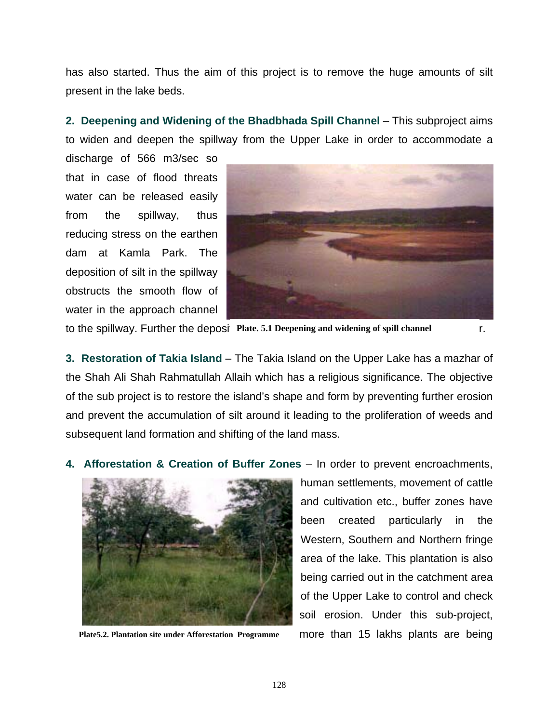has also started. Thus the aim of this project is to remove the huge amounts of silt present in the lake beds.

**2. Deepening and Widening of the Bhadbhada Spill Channel** – This subproject aims to widen and deepen the spillway from the Upper Lake in order to accommodate a

discharge of 566 m3/sec so that in case of flood threats water can be released easily from the spillway, thus reducing stress on the earthen dam at Kamla Park. The deposition of silt in the spillway obstructs the smooth flow of water in the approach channel



to the spillway. Further the deposi Plate. 5.1 Deepening and widening of spill channel **Fig.** 

**3. Restoration of Takia Island** – The Takia Island on the Upper Lake has a mazhar of the Shah Ali Shah Rahmatullah Allaih which has a religious significance. The objective of the sub project is to restore the island's shape and form by preventing further erosion and prevent the accumulation of silt around it leading to the proliferation of weeds and subsequent land formation and shifting of the land mass.

**4. Afforestation & Creation of Buffer Zones** – In order to prevent encroachments,



**Plate5.2. Plantation site under Afforestation Programme** 

human settlements, movement of cattle and cultivation etc., buffer zones have been created particularly in the Western, Southern and Northern fringe area of the lake. This plantation is also being carried out in the catchment area of the Upper Lake to control and check soil erosion. Under this sub-project, more than 15 lakhs plants are being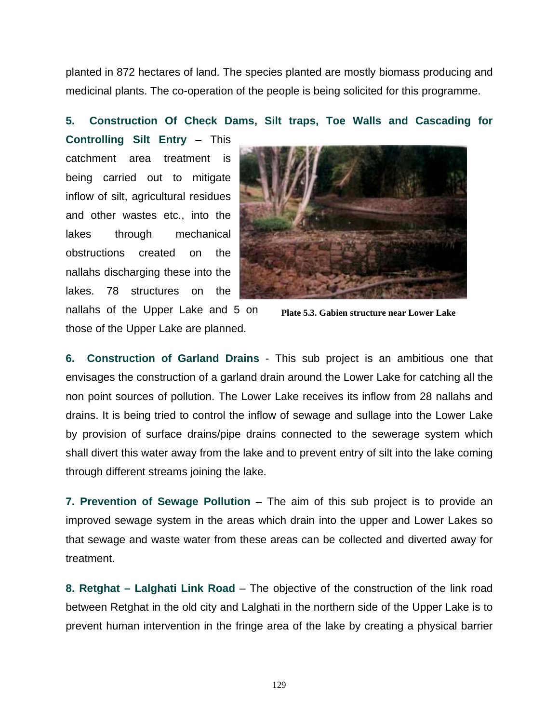planted in 872 hectares of land. The species planted are mostly biomass producing and medicinal plants. The co-operation of the people is being solicited for this programme.

#### **5. Construction Of Check Dams, Silt traps, Toe Walls and Cascading for**

**Controlling Silt Entry** – This catchment area treatment is being carried out to mitigate inflow of silt, agricultural residues and other wastes etc., into the lakes through mechanical obstructions created on the nallahs discharging these into the lakes. 78 structures on the nallahs of the Upper Lake and 5 on those of the Upper Lake are planned.



**Plate 5.3. Gabien structure near Lower Lake** 

**6. Construction of Garland Drains** - This sub project is an ambitious one that envisages the construction of a garland drain around the Lower Lake for catching all the non point sources of pollution. The Lower Lake receives its inflow from 28 nallahs and drains. It is being tried to control the inflow of sewage and sullage into the Lower Lake by provision of surface drains/pipe drains connected to the sewerage system which shall divert this water away from the lake and to prevent entry of silt into the lake coming through different streams joining the lake.

**7. Prevention of Sewage Pollution** – The aim of this sub project is to provide an improved sewage system in the areas which drain into the upper and Lower Lakes so that sewage and waste water from these areas can be collected and diverted away for treatment.

**8. Retghat – Lalghati Link Road** – The objective of the construction of the link road between Retghat in the old city and Lalghati in the northern side of the Upper Lake is to prevent human intervention in the fringe area of the lake by creating a physical barrier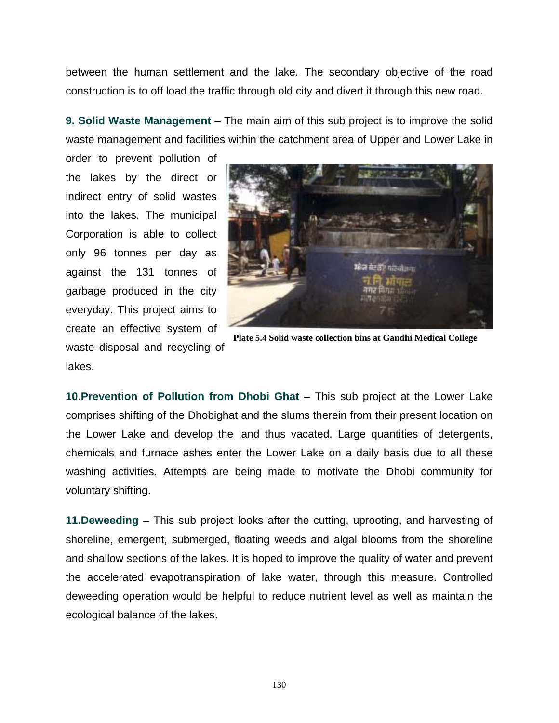between the human settlement and the lake. The secondary objective of the road construction is to off load the traffic through old city and divert it through this new road.

**9. Solid Waste Management** – The main aim of this sub project is to improve the solid waste management and facilities within the catchment area of Upper and Lower Lake in

order to prevent pollution of the lakes by the direct or indirect entry of solid wastes into the lakes. The municipal Corporation is able to collect only 96 tonnes per day as against the 131 tonnes of garbage produced in the city everyday. This project aims to create an effective system of waste disposal and recycling of lakes.



**Plate 5.4 Solid waste collection bins at Gandhi Medical College** 

**10. Prevention of Pollution from Dhobi Ghat** – This sub project at the Lower Lake comprises shifting of the Dhobighat and the slums therein from their present location on the Lower Lake and develop the land thus vacated. Large quantities of detergents, chemicals and furnace ashes enter the Lower Lake on a daily basis due to all these washing activities. Attempts are being made to motivate the Dhobi community for voluntary shifting.

**11.Deweeding** – This sub project looks after the cutting, uprooting, and harvesting of shoreline, emergent, submerged, floating weeds and algal blooms from the shoreline and shallow sections of the lakes. It is hoped to improve the quality of water and prevent the accelerated evapotranspiration of lake water, through this measure. Controlled deweeding operation would be helpful to reduce nutrient level as well as maintain the ecological balance of the lakes.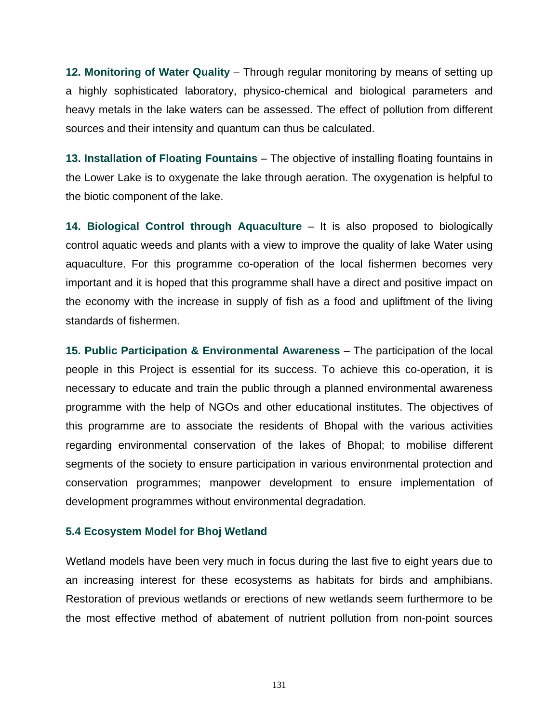**12. Monitoring of Water Quality** – Through regular monitoring by means of setting up a highly sophisticated laboratory, physico-chemical and biological parameters and heavy metals in the lake waters can be assessed. The effect of pollution from different sources and their intensity and quantum can thus be calculated.

**13. Installation of Floating Fountains** – The objective of installing floating fountains in the Lower Lake is to oxygenate the lake through aeration. The oxygenation is helpful to the biotic component of the lake.

**14. Biological Control through Aquaculture** – It is also proposed to biologically control aquatic weeds and plants with a view to improve the quality of lake Water using aquaculture. For this programme co-operation of the local fishermen becomes very important and it is hoped that this programme shall have a direct and positive impact on the economy with the increase in supply of fish as a food and upliftment of the living standards of fishermen.

**15. Public Participation & Environmental Awareness** – The participation of the local people in this Project is essential for its success. To achieve this co-operation, it is necessary to educate and train the public through a planned environmental awareness programme with the help of NGOs and other educational institutes. The objectives of this programme are to associate the residents of Bhopal with the various activities regarding environmental conservation of the lakes of Bhopal; to mobilise different segments of the society to ensure participation in various environmental protection and conservation programmes; manpower development to ensure implementation of development programmes without environmental degradation.

### **5.4 Ecosystem Model for Bhoj Wetland**

Wetland models have been very much in focus during the last five to eight years due to an increasing interest for these ecosystems as habitats for birds and amphibians. Restoration of previous wetlands or erections of new wetlands seem furthermore to be the most effective method of abatement of nutrient pollution from non-point sources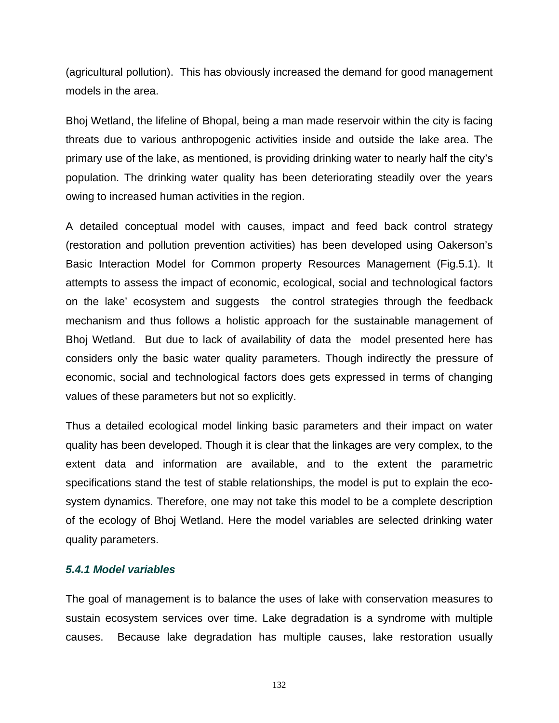(agricultural pollution). This has obviously increased the demand for good management models in the area.

Bhoj Wetland, the lifeline of Bhopal, being a man made reservoir within the city is facing threats due to various anthropogenic activities inside and outside the lake area. The primary use of the lake, as mentioned, is providing drinking water to nearly half the city's population. The drinking water quality has been deteriorating steadily over the years owing to increased human activities in the region.

A detailed conceptual model with causes, impact and feed back control strategy (restoration and pollution prevention activities) has been developed using Oakerson's Basic Interaction Model for Common property Resources Management (Fig.5.1). It attempts to assess the impact of economic, ecological, social and technological factors on the lake' ecosystem and suggests the control strategies through the feedback mechanism and thus follows a holistic approach for the sustainable management of Bhoj Wetland. But due to lack of availability of data the model presented here has considers only the basic water quality parameters. Though indirectly the pressure of economic, social and technological factors does gets expressed in terms of changing values of these parameters but not so explicitly.

Thus a detailed ecological model linking basic parameters and their impact on water quality has been developed. Though it is clear that the linkages are very complex, to the extent data and information are available, and to the extent the parametric specifications stand the test of stable relationships, the model is put to explain the ecosystem dynamics. Therefore, one may not take this model to be a complete description of the ecology of Bhoj Wetland. Here the model variables are selected drinking water quality parameters.

### *5.4.1 Model variables*

The goal of management is to balance the uses of lake with conservation measures to sustain ecosystem services over time. Lake degradation is a syndrome with multiple causes. Because lake degradation has multiple causes, lake restoration usually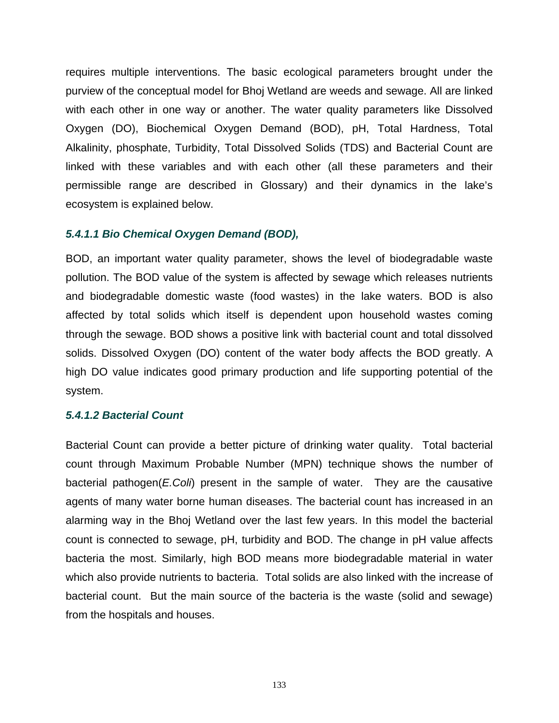requires multiple interventions. The basic ecological parameters brought under the purview of the conceptual model for Bhoj Wetland are weeds and sewage. All are linked with each other in one way or another. The water quality parameters like Dissolved Oxygen (DO), Biochemical Oxygen Demand (BOD), pH, Total Hardness, Total Alkalinity, phosphate, Turbidity, Total Dissolved Solids (TDS) and Bacterial Count are linked with these variables and with each other (all these parameters and their permissible range are described in Glossary) and their dynamics in the lake's ecosystem is explained below.

#### *5.4.1.1 Bio Chemical Oxygen Demand (BOD),*

BOD, an important water quality parameter, shows the level of biodegradable waste pollution. The BOD value of the system is affected by sewage which releases nutrients and biodegradable domestic waste (food wastes) in the lake waters. BOD is also affected by total solids which itself is dependent upon household wastes coming through the sewage. BOD shows a positive link with bacterial count and total dissolved solids. Dissolved Oxygen (DO) content of the water body affects the BOD greatly. A high DO value indicates good primary production and life supporting potential of the system.

#### *5.4.1.2 Bacterial Count*

Bacterial Count can provide a better picture of drinking water quality. Total bacterial count through Maximum Probable Number (MPN) technique shows the number of bacterial pathogen(*E.Coli*) present in the sample of water. They are the causative agents of many water borne human diseases. The bacterial count has increased in an alarming way in the Bhoj Wetland over the last few years. In this model the bacterial count is connected to sewage, pH, turbidity and BOD. The change in pH value affects bacteria the most. Similarly, high BOD means more biodegradable material in water which also provide nutrients to bacteria. Total solids are also linked with the increase of bacterial count. But the main source of the bacteria is the waste (solid and sewage) from the hospitals and houses.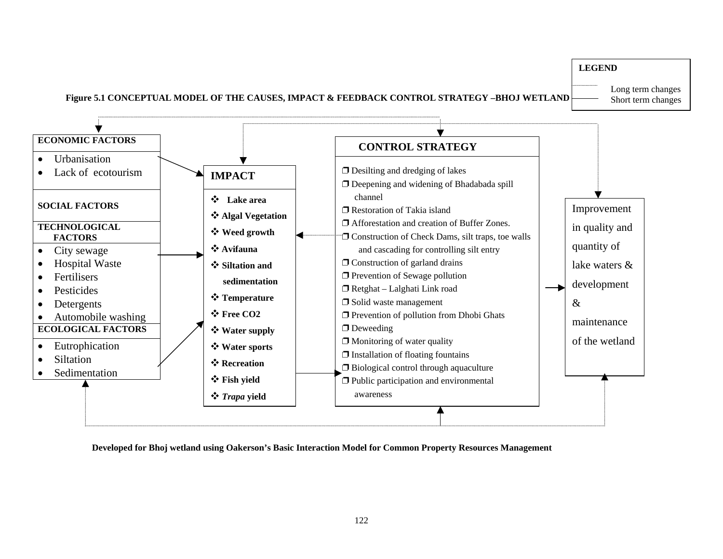

**Developed for Bhoj wetland using Oakerson's Basic Interaction Model for Common Property Resources Management**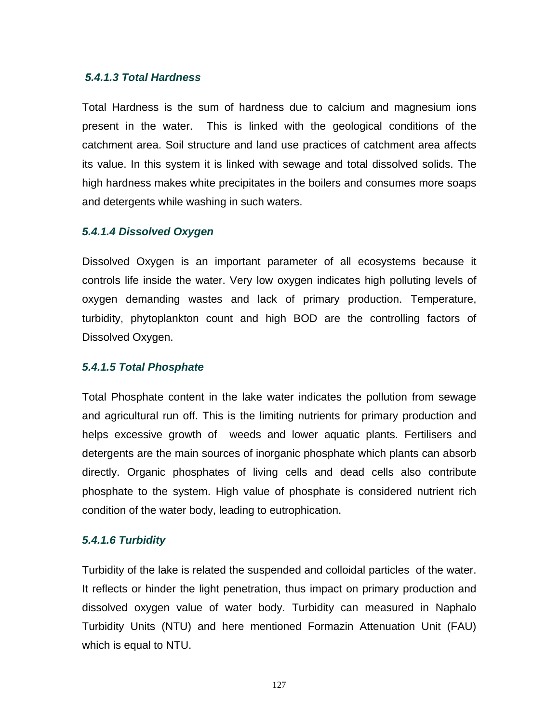#### *5.4.1.3 Total Hardness*

Total Hardness is the sum of hardness due to calcium and magnesium ions present in the water. This is linked with the geological conditions of the catchment area. Soil structure and land use practices of catchment area affects its value. In this system it is linked with sewage and total dissolved solids. The high hardness makes white precipitates in the boilers and consumes more soaps and detergents while washing in such waters.

#### *5.4.1.4 Dissolved Oxygen*

Dissolved Oxygen is an important parameter of all ecosystems because it controls life inside the water. Very low oxygen indicates high polluting levels of oxygen demanding wastes and lack of primary production. Temperature, turbidity, phytoplankton count and high BOD are the controlling factors of Dissolved Oxygen.

#### *5.4.1.5 Total Phosphate*

Total Phosphate content in the lake water indicates the pollution from sewage and agricultural run off. This is the limiting nutrients for primary production and helps excessive growth of weeds and lower aquatic plants. Fertilisers and detergents are the main sources of inorganic phosphate which plants can absorb directly. Organic phosphates of living cells and dead cells also contribute phosphate to the system. High value of phosphate is considered nutrient rich condition of the water body, leading to eutrophication.

### *5.4.1.6 Turbidity*

Turbidity of the lake is related the suspended and colloidal particles of the water. It reflects or hinder the light penetration, thus impact on primary production and dissolved oxygen value of water body. Turbidity can measured in Naphalo Turbidity Units (NTU) and here mentioned Formazin Attenuation Unit (FAU) which is equal to NTU.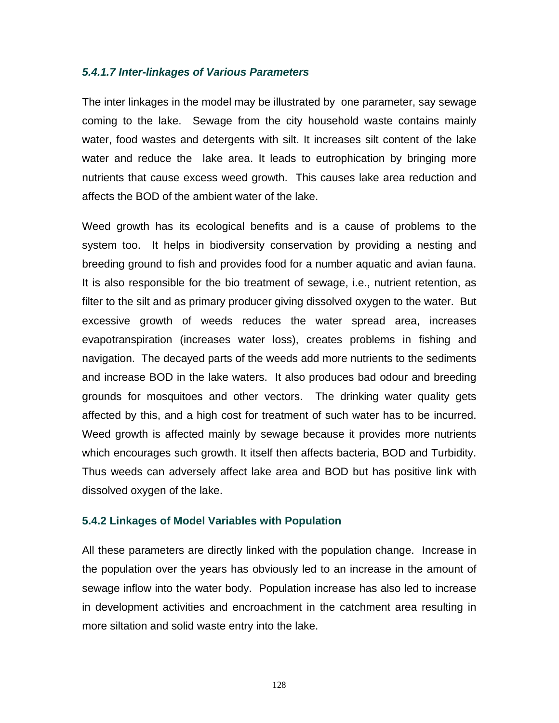#### *5.4.1.7 Inter-linkages of Various Parameters*

The inter linkages in the model may be illustrated by one parameter, say sewage coming to the lake. Sewage from the city household waste contains mainly water, food wastes and detergents with silt. It increases silt content of the lake water and reduce the lake area. It leads to eutrophication by bringing more nutrients that cause excess weed growth. This causes lake area reduction and affects the BOD of the ambient water of the lake.

Weed growth has its ecological benefits and is a cause of problems to the system too. It helps in biodiversity conservation by providing a nesting and breeding ground to fish and provides food for a number aquatic and avian fauna. It is also responsible for the bio treatment of sewage, i.e., nutrient retention, as filter to the silt and as primary producer giving dissolved oxygen to the water. But excessive growth of weeds reduces the water spread area, increases evapotranspiration (increases water loss), creates problems in fishing and navigation. The decayed parts of the weeds add more nutrients to the sediments and increase BOD in the lake waters. It also produces bad odour and breeding grounds for mosquitoes and other vectors. The drinking water quality gets affected by this, and a high cost for treatment of such water has to be incurred. Weed growth is affected mainly by sewage because it provides more nutrients which encourages such growth. It itself then affects bacteria, BOD and Turbidity. Thus weeds can adversely affect lake area and BOD but has positive link with dissolved oxygen of the lake.

#### **5.4.2 Linkages of Model Variables with Population**

All these parameters are directly linked with the population change. Increase in the population over the years has obviously led to an increase in the amount of sewage inflow into the water body. Population increase has also led to increase in development activities and encroachment in the catchment area resulting in more siltation and solid waste entry into the lake.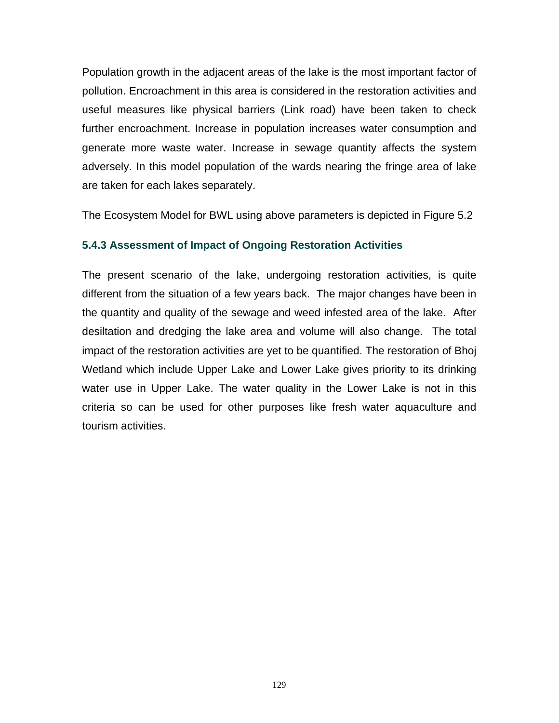Population growth in the adjacent areas of the lake is the most important factor of pollution. Encroachment in this area is considered in the restoration activities and useful measures like physical barriers (Link road) have been taken to check further encroachment. Increase in population increases water consumption and generate more waste water. Increase in sewage quantity affects the system adversely. In this model population of the wards nearing the fringe area of lake are taken for each lakes separately.

The Ecosystem Model for BWL using above parameters is depicted in Figure 5.2

# **5.4.3 Assessment of Impact of Ongoing Restoration Activities**

The present scenario of the lake, undergoing restoration activities, is quite different from the situation of a few years back. The major changes have been in the quantity and quality of the sewage and weed infested area of the lake. After desiltation and dredging the lake area and volume will also change. The total impact of the restoration activities are yet to be quantified. The restoration of Bhoj Wetland which include Upper Lake and Lower Lake gives priority to its drinking water use in Upper Lake. The water quality in the Lower Lake is not in this criteria so can be used for other purposes like fresh water aquaculture and tourism activities.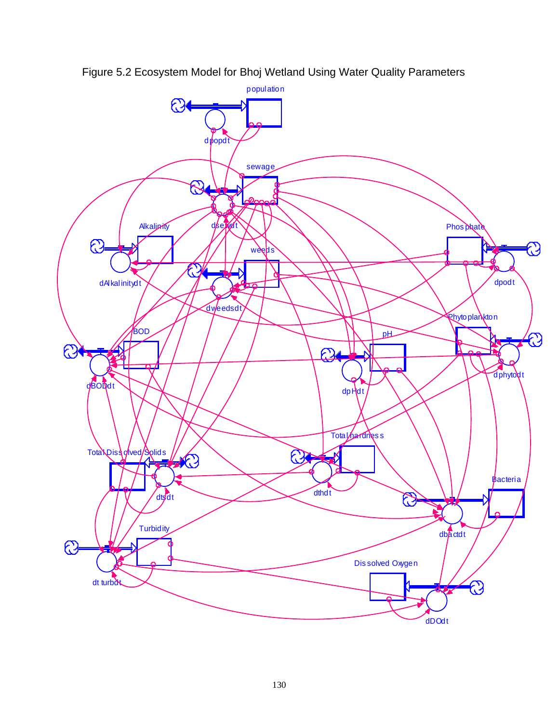

Figure 5.2 Ecosystem Model for Bhoj Wetland Using Water Quality Parameters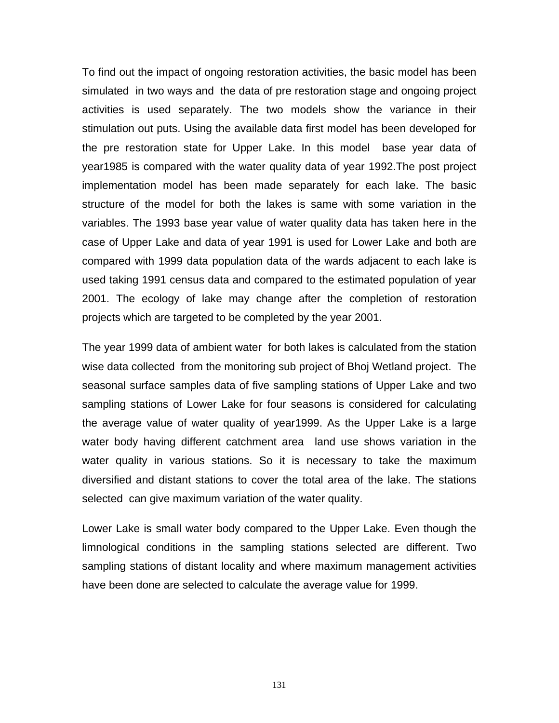To find out the impact of ongoing restoration activities, the basic model has been simulated in two ways and the data of pre restoration stage and ongoing project activities is used separately. The two models show the variance in their stimulation out puts. Using the available data first model has been developed for the pre restoration state for Upper Lake. In this model base year data of year1985 is compared with the water quality data of year 1992.The post project implementation model has been made separately for each lake. The basic structure of the model for both the lakes is same with some variation in the variables. The 1993 base year value of water quality data has taken here in the case of Upper Lake and data of year 1991 is used for Lower Lake and both are compared with 1999 data population data of the wards adjacent to each lake is used taking 1991 census data and compared to the estimated population of year 2001. The ecology of lake may change after the completion of restoration projects which are targeted to be completed by the year 2001.

The year 1999 data of ambient water for both lakes is calculated from the station wise data collected from the monitoring sub project of Bhoj Wetland project. The seasonal surface samples data of five sampling stations of Upper Lake and two sampling stations of Lower Lake for four seasons is considered for calculating the average value of water quality of year1999. As the Upper Lake is a large water body having different catchment area land use shows variation in the water quality in various stations. So it is necessary to take the maximum diversified and distant stations to cover the total area of the lake. The stations selected can give maximum variation of the water quality.

Lower Lake is small water body compared to the Upper Lake. Even though the limnological conditions in the sampling stations selected are different. Two sampling stations of distant locality and where maximum management activities have been done are selected to calculate the average value for 1999.

131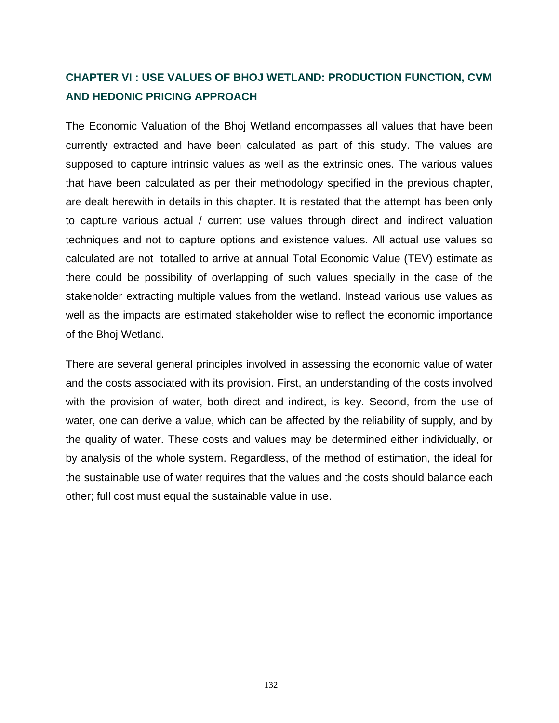# **CHAPTER VI : USE VALUES OF BHOJ WETLAND: PRODUCTION FUNCTION, CVM AND HEDONIC PRICING APPROACH**

The Economic Valuation of the Bhoj Wetland encompasses all values that have been currently extracted and have been calculated as part of this study. The values are supposed to capture intrinsic values as well as the extrinsic ones. The various values that have been calculated as per their methodology specified in the previous chapter, are dealt herewith in details in this chapter. It is restated that the attempt has been only to capture various actual / current use values through direct and indirect valuation techniques and not to capture options and existence values. All actual use values so calculated are not totalled to arrive at annual Total Economic Value (TEV) estimate as there could be possibility of overlapping of such values specially in the case of the stakeholder extracting multiple values from the wetland. Instead various use values as well as the impacts are estimated stakeholder wise to reflect the economic importance of the Bhoj Wetland.

There are several general principles involved in assessing the economic value of water and the costs associated with its provision. First, an understanding of the costs involved with the provision of water, both direct and indirect, is key. Second, from the use of water, one can derive a value, which can be affected by the reliability of supply, and by the quality of water. These costs and values may be determined either individually, or by analysis of the whole system. Regardless, of the method of estimation, the ideal for the sustainable use of water requires that the values and the costs should balance each other; full cost must equal the sustainable value in use.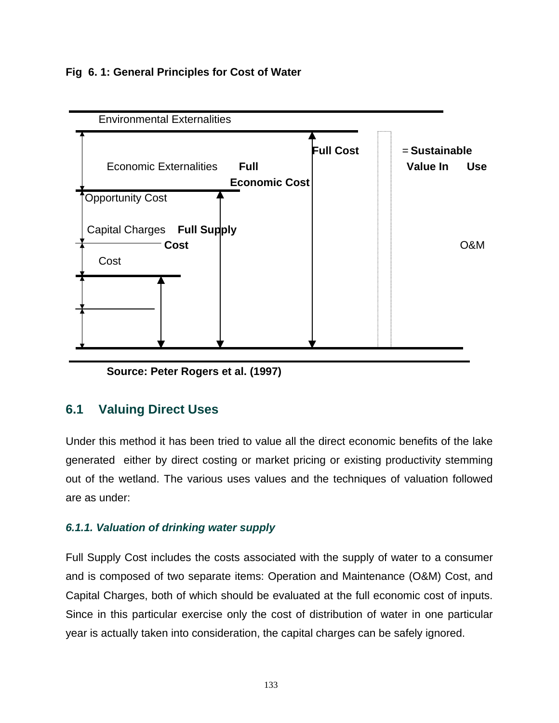## **Fig 6. 1: General Principles for Cost of Water**



**Source: Peter Rogers et al. (1997)** 

# **6.1 Valuing Direct Uses**

Under this method it has been tried to value all the direct economic benefits of the lake generated either by direct costing or market pricing or existing productivity stemming out of the wetland. The various uses values and the techniques of valuation followed are as under:

# *6.1.1. Valuation of drinking water supply*

Full Supply Cost includes the costs associated with the supply of water to a consumer and is composed of two separate items: Operation and Maintenance (O&M) Cost, and Capital Charges, both of which should be evaluated at the full economic cost of inputs. Since in this particular exercise only the cost of distribution of water in one particular year is actually taken into consideration, the capital charges can be safely ignored.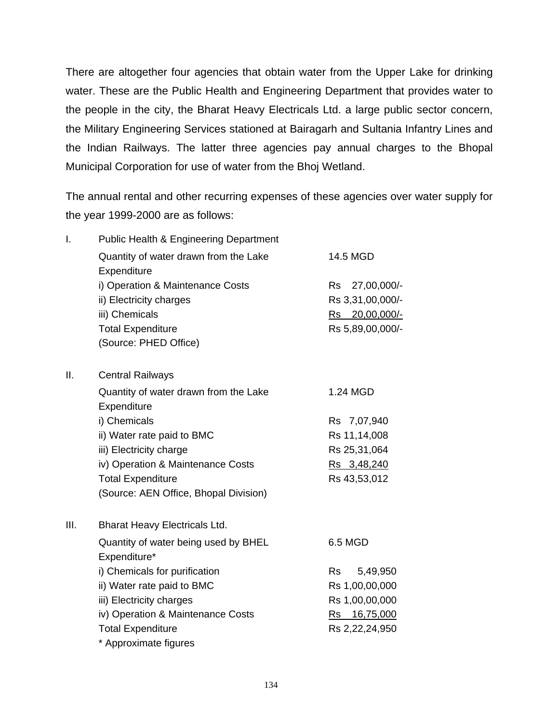There are altogether four agencies that obtain water from the Upper Lake for drinking water. These are the Public Health and Engineering Department that provides water to the people in the city, the Bharat Heavy Electricals Ltd. a large public sector concern, the Military Engineering Services stationed at Bairagarh and Sultania Infantry Lines and the Indian Railways. The latter three agencies pay annual charges to the Bhopal Municipal Corporation for use of water from the Bhoj Wetland.

The annual rental and other recurring expenses of these agencies over water supply for the year 1999-2000 are as follows:

| I.  | <b>Public Health &amp; Engineering Department</b> |                          |
|-----|---------------------------------------------------|--------------------------|
|     | Quantity of water drawn from the Lake             | 14.5 MGD                 |
|     | Expenditure                                       |                          |
|     | i) Operation & Maintenance Costs                  | 27,00,000/-<br><b>Rs</b> |
|     | ii) Electricity charges                           | Rs 3,31,00,000/-         |
|     | iii) Chemicals                                    | Rs 20,00,000/-           |
|     | <b>Total Expenditure</b>                          | Rs 5,89,00,000/-         |
|     | (Source: PHED Office)                             |                          |
| ΙΙ. | <b>Central Railways</b>                           |                          |
|     | Quantity of water drawn from the Lake             | 1.24 MGD                 |
|     | Expenditure                                       |                          |
|     | i) Chemicals                                      | Rs 7,07,940              |
|     | ii) Water rate paid to BMC                        | Rs 11,14,008             |
|     | iii) Electricity charge                           | Rs 25,31,064             |
|     | iv) Operation & Maintenance Costs                 | Rs 3,48,240              |
|     | <b>Total Expenditure</b>                          | Rs 43,53,012             |
|     | (Source: AEN Office, Bhopal Division)             |                          |
| Ш.  | <b>Bharat Heavy Electricals Ltd.</b>              |                          |
|     | Quantity of water being used by BHEL              | 6.5 MGD                  |
|     | Expenditure*                                      |                          |
|     | i) Chemicals for purification                     | <b>Rs</b><br>5,49,950    |
|     | ii) Water rate paid to BMC                        | Rs 1,00,00,000           |
|     | iii) Electricity charges                          | Rs 1,00,00,000           |
|     | iv) Operation & Maintenance Costs                 | Rs 16,75,000             |
|     | <b>Total Expenditure</b>                          | Rs 2,22,24,950           |
|     | * Approximate figures                             |                          |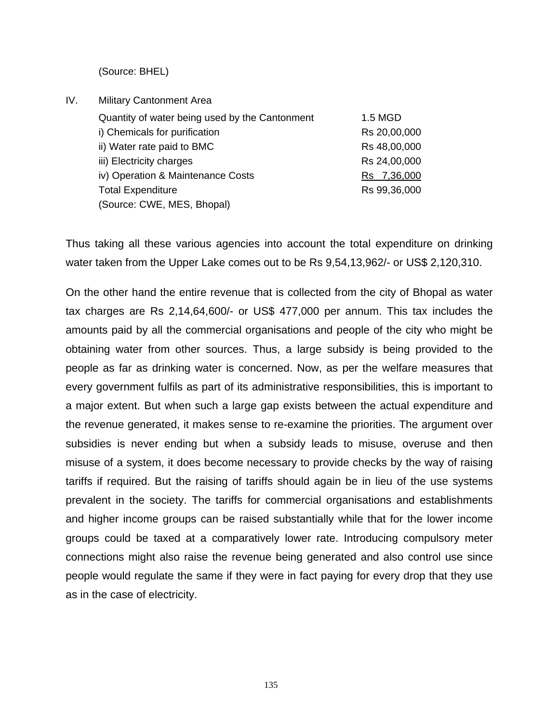(Source: BHEL)

IV. Military Cantonment Area Quantity of water being used by the Cantonment 1.5 MGD i) Chemicals for purification **RS** 20,00,000 ii) Water rate paid to BMC Rs 48,00,000 iii) Electricity charges **Rs** 24,00,000 iv) Operation & Maintenance Costs Rs 7,36,000 Total Expenditure **RS** 99,36,000 (Source: CWE, MES, Bhopal)

Thus taking all these various agencies into account the total expenditure on drinking water taken from the Upper Lake comes out to be Rs 9,54,13,962/- or US\$ 2,120,310.

On the other hand the entire revenue that is collected from the city of Bhopal as water tax charges are Rs 2,14,64,600/- or US\$ 477,000 per annum. This tax includes the amounts paid by all the commercial organisations and people of the city who might be obtaining water from other sources. Thus, a large subsidy is being provided to the people as far as drinking water is concerned. Now, as per the welfare measures that every government fulfils as part of its administrative responsibilities, this is important to a major extent. But when such a large gap exists between the actual expenditure and the revenue generated, it makes sense to re-examine the priorities. The argument over subsidies is never ending but when a subsidy leads to misuse, overuse and then misuse of a system, it does become necessary to provide checks by the way of raising tariffs if required. But the raising of tariffs should again be in lieu of the use systems prevalent in the society. The tariffs for commercial organisations and establishments and higher income groups can be raised substantially while that for the lower income groups could be taxed at a comparatively lower rate. Introducing compulsory meter connections might also raise the revenue being generated and also control use since people would regulate the same if they were in fact paying for every drop that they use as in the case of electricity.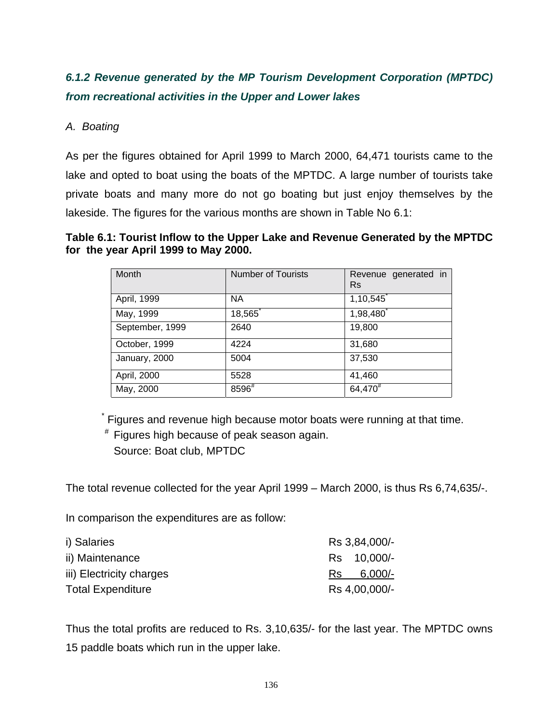# *6.1.2 Revenue generated by the MP Tourism Development Corporation (MPTDC) from recreational activities in the Upper and Lower lakes*

# *A. Boating*

As per the figures obtained for April 1999 to March 2000, 64,471 tourists came to the lake and opted to boat using the boats of the MPTDC. A large number of tourists take private boats and many more do not go boating but just enjoy themselves by the lakeside. The figures for the various months are shown in Table No 6.1:

**Table 6.1: Tourist Inflow to the Upper Lake and Revenue Generated by the MPTDC for the year April 1999 to May 2000.** 

| Month           | <b>Number of Tourists</b> | Revenue generated in<br>Rs |
|-----------------|---------------------------|----------------------------|
| April, 1999     | <b>NA</b>                 | 1,10,545                   |
| May, 1999       | 18,565 <sup>1</sup>       | 1,98,480                   |
| September, 1999 | 2640                      | 19,800                     |
| October, 1999   | 4224                      | 31,680                     |
| January, 2000   | 5004                      | 37,530                     |
| April, 2000     | 5528                      | 41,460                     |
| May, 2000       | 8596#                     | 64,470 <sup>#</sup>        |

 \* Figures and revenue high because motor boats were running at that time.

 # Figures high because of peak season again. Source: Boat club, MPTDC

The total revenue collected for the year April 1999 – March 2000, is thus Rs 6,74,635/-.

In comparison the expenditures are as follow:

| i) Salaries              |     | Rs 3,84,000/- |
|--------------------------|-----|---------------|
| ii) Maintenance          |     | Rs 10,000/-   |
| iii) Electricity charges | Rs. | $6,000/-$     |
| <b>Total Expenditure</b> |     | Rs 4,00,000/- |

Thus the total profits are reduced to Rs. 3,10,635/- for the last year. The MPTDC owns 15 paddle boats which run in the upper lake.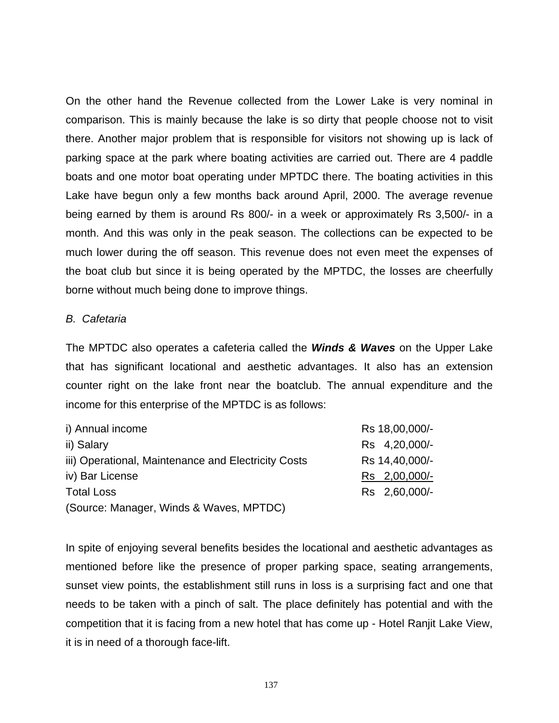On the other hand the Revenue collected from the Lower Lake is very nominal in comparison. This is mainly because the lake is so dirty that people choose not to visit there. Another major problem that is responsible for visitors not showing up is lack of parking space at the park where boating activities are carried out. There are 4 paddle boats and one motor boat operating under MPTDC there. The boating activities in this Lake have begun only a few months back around April, 2000. The average revenue being earned by them is around Rs 800/- in a week or approximately Rs 3,500/- in a month. And this was only in the peak season. The collections can be expected to be much lower during the off season. This revenue does not even meet the expenses of the boat club but since it is being operated by the MPTDC, the losses are cheerfully borne without much being done to improve things.

#### *B. Cafetaria*

The MPTDC also operates a cafeteria called the *Winds & Waves* on the Upper Lake that has significant locational and aesthetic advantages. It also has an extension counter right on the lake front near the boatclub. The annual expenditure and the income for this enterprise of the MPTDC is as follows:

| i) Annual income                                    | Rs 18,00,000/- |
|-----------------------------------------------------|----------------|
| ii) Salary                                          | Rs 4,20,000/-  |
| iii) Operational, Maintenance and Electricity Costs | Rs 14,40,000/- |
| iv) Bar License                                     | Rs 2,00,000/-  |
| <b>Total Loss</b>                                   | Rs 2,60,000/-  |
| (Source: Manager, Winds & Waves, MPTDC)             |                |

In spite of enjoying several benefits besides the locational and aesthetic advantages as mentioned before like the presence of proper parking space, seating arrangements, sunset view points, the establishment still runs in loss is a surprising fact and one that needs to be taken with a pinch of salt. The place definitely has potential and with the competition that it is facing from a new hotel that has come up - Hotel Ranjit Lake View, it is in need of a thorough face-lift.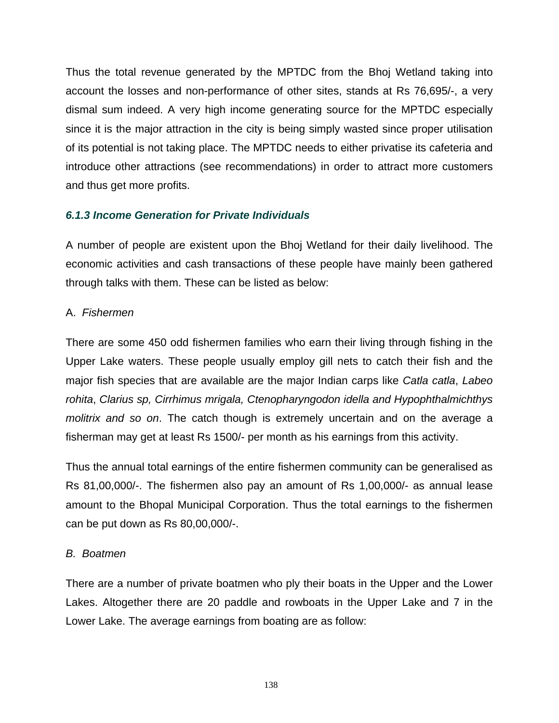Thus the total revenue generated by the MPTDC from the Bhoj Wetland taking into account the losses and non-performance of other sites, stands at Rs 76,695/-, a very dismal sum indeed. A very high income generating source for the MPTDC especially since it is the major attraction in the city is being simply wasted since proper utilisation of its potential is not taking place. The MPTDC needs to either privatise its cafeteria and introduce other attractions (see recommendations) in order to attract more customers and thus get more profits.

# *6.1.3 Income Generation for Private Individuals*

A number of people are existent upon the Bhoj Wetland for their daily livelihood. The economic activities and cash transactions of these people have mainly been gathered through talks with them. These can be listed as below:

# A. *Fishermen*

There are some 450 odd fishermen families who earn their living through fishing in the Upper Lake waters. These people usually employ gill nets to catch their fish and the major fish species that are available are the major Indian carps like *Catla catla*, *Labeo rohita*, *Clarius sp, Cirrhimus mrigala, Ctenopharyngodon idella and Hypophthalmichthys molitrix and so on*. The catch though is extremely uncertain and on the average a fisherman may get at least Rs 1500/- per month as his earnings from this activity.

Thus the annual total earnings of the entire fishermen community can be generalised as Rs 81,00,000/-. The fishermen also pay an amount of Rs 1,00,000/- as annual lease amount to the Bhopal Municipal Corporation. Thus the total earnings to the fishermen can be put down as Rs 80,00,000/-.

### *B. Boatmen*

There are a number of private boatmen who ply their boats in the Upper and the Lower Lakes. Altogether there are 20 paddle and rowboats in the Upper Lake and 7 in the Lower Lake. The average earnings from boating are as follow: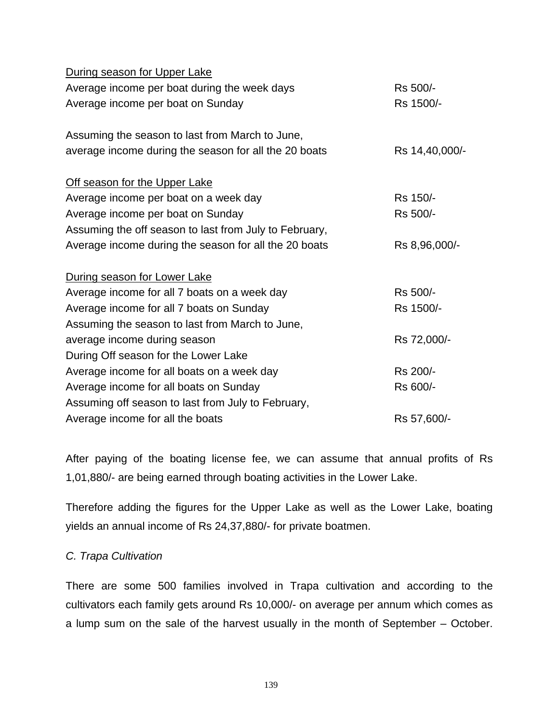| During season for Upper Lake                           |                |
|--------------------------------------------------------|----------------|
| Average income per boat during the week days           | Rs 500/-       |
| Average income per boat on Sunday                      | Rs 1500/-      |
|                                                        |                |
| Assuming the season to last from March to June,        |                |
| average income during the season for all the 20 boats  | Rs 14,40,000/- |
| Off season for the Upper Lake                          |                |
| Average income per boat on a week day                  | Rs 150/-       |
| Average income per boat on Sunday                      | Rs 500/-       |
| Assuming the off season to last from July to February, |                |
| Average income during the season for all the 20 boats  | Rs 8,96,000/-  |
|                                                        |                |
| During season for Lower Lake                           |                |
| Average income for all 7 boats on a week day           | Rs 500/-       |
| Average income for all 7 boats on Sunday               | Rs 1500/-      |
| Assuming the season to last from March to June,        |                |
| average income during season                           | Rs 72,000/-    |
| During Off season for the Lower Lake                   |                |
| Average income for all boats on a week day             | Rs 200/-       |
| Average income for all boats on Sunday                 | Rs 600/-       |
| Assuming off season to last from July to February,     |                |
| Average income for all the boats                       | Rs 57,600/-    |

After paying of the boating license fee, we can assume that annual profits of Rs 1,01,880/- are being earned through boating activities in the Lower Lake.

Therefore adding the figures for the Upper Lake as well as the Lower Lake, boating yields an annual income of Rs 24,37,880/- for private boatmen.

## *C. Trapa Cultivation*

There are some 500 families involved in Trapa cultivation and according to the cultivators each family gets around Rs 10,000/- on average per annum which comes as a lump sum on the sale of the harvest usually in the month of September – October.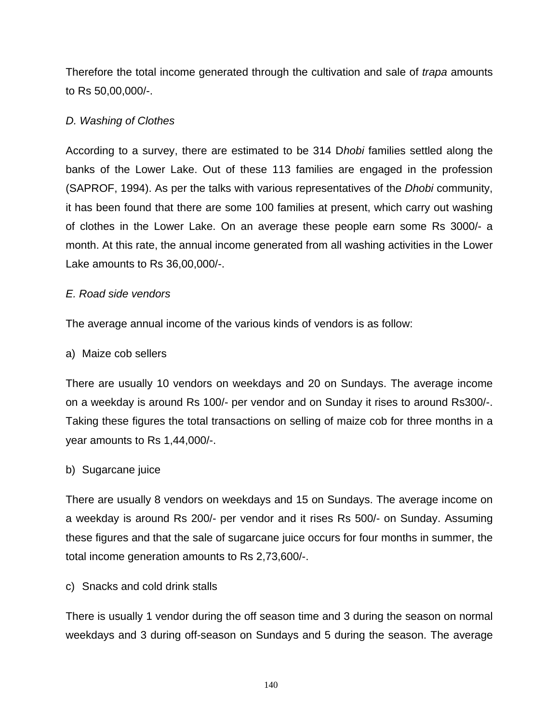Therefore the total income generated through the cultivation and sale of *trapa* amounts to Rs 50,00,000/-.

# *D. Washing of Clothes*

According to a survey, there are estimated to be 314 D*hobi* families settled along the banks of the Lower Lake. Out of these 113 families are engaged in the profession (SAPROF, 1994). As per the talks with various representatives of the *Dhobi* community, it has been found that there are some 100 families at present, which carry out washing of clothes in the Lower Lake. On an average these people earn some Rs 3000/- a month. At this rate, the annual income generated from all washing activities in the Lower Lake amounts to Rs 36,00,000/-.

# *E. Road side vendors*

The average annual income of the various kinds of vendors is as follow:

# a) Maize cob sellers

There are usually 10 vendors on weekdays and 20 on Sundays. The average income on a weekday is around Rs 100/- per vendor and on Sunday it rises to around Rs300/-. Taking these figures the total transactions on selling of maize cob for three months in a year amounts to Rs 1,44,000/-.

# b) Sugarcane juice

There are usually 8 vendors on weekdays and 15 on Sundays. The average income on a weekday is around Rs 200/- per vendor and it rises Rs 500/- on Sunday. Assuming these figures and that the sale of sugarcane juice occurs for four months in summer, the total income generation amounts to Rs 2,73,600/-.

# c) Snacks and cold drink stalls

There is usually 1 vendor during the off season time and 3 during the season on normal weekdays and 3 during off-season on Sundays and 5 during the season. The average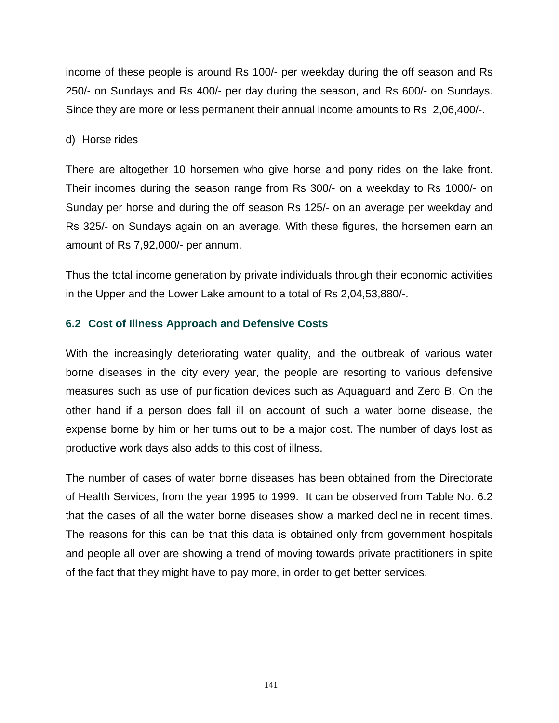income of these people is around Rs 100/- per weekday during the off season and Rs 250/- on Sundays and Rs 400/- per day during the season, and Rs 600/- on Sundays. Since they are more or less permanent their annual income amounts to Rs 2,06,400/-.

#### d) Horse rides

There are altogether 10 horsemen who give horse and pony rides on the lake front. Their incomes during the season range from Rs 300/- on a weekday to Rs 1000/- on Sunday per horse and during the off season Rs 125/- on an average per weekday and Rs 325/- on Sundays again on an average. With these figures, the horsemen earn an amount of Rs 7,92,000/- per annum.

Thus the total income generation by private individuals through their economic activities in the Upper and the Lower Lake amount to a total of Rs 2,04,53,880/-.

# **6.2 Cost of Illness Approach and Defensive Costs**

With the increasingly deteriorating water quality, and the outbreak of various water borne diseases in the city every year, the people are resorting to various defensive measures such as use of purification devices such as Aquaguard and Zero B. On the other hand if a person does fall ill on account of such a water borne disease, the expense borne by him or her turns out to be a major cost. The number of days lost as productive work days also adds to this cost of illness.

The number of cases of water borne diseases has been obtained from the Directorate of Health Services, from the year 1995 to 1999. It can be observed from Table No. 6.2 that the cases of all the water borne diseases show a marked decline in recent times. The reasons for this can be that this data is obtained only from government hospitals and people all over are showing a trend of moving towards private practitioners in spite of the fact that they might have to pay more, in order to get better services.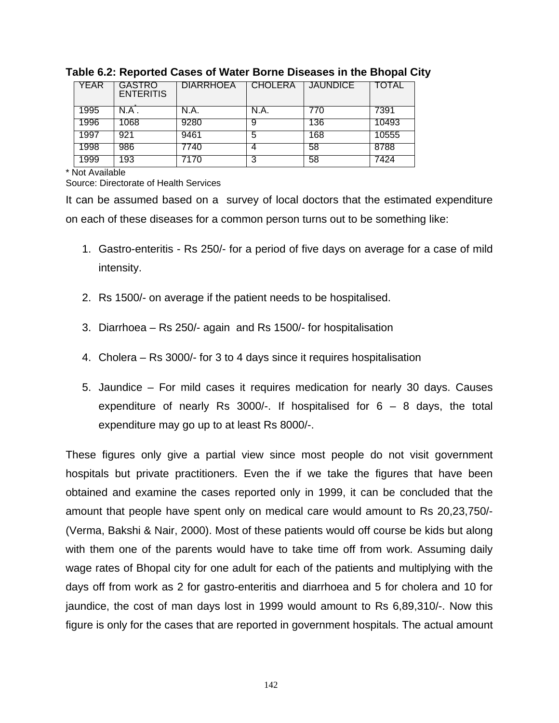| YEAR | GASTRO<br><b>ENTERITIS</b> | <b>DIARRHOEA</b> | <b>CHOLERA</b> | <b>JAUNDICE</b> | TOTAL |
|------|----------------------------|------------------|----------------|-----------------|-------|
| 1995 | N.A .                      | N.A.             | N.A.           | 770             | 7391  |
| 1996 | 1068                       | 9280             |                | 136             | 10493 |
| 1997 | 921                        | 9461             | b              | 168             | 10555 |
| 1998 | 986                        | 7740             |                | 58              | 8788  |
| 1999 | 193                        | 170.             | 3              | 58              | 7424  |

#### **Table 6.2: Reported Cases of Water Borne Diseases in the Bhopal City**

\* Not Available

Source: Directorate of Health Services

It can be assumed based on a survey of local doctors that the estimated expenditure on each of these diseases for a common person turns out to be something like:

- 1. Gastro-enteritis Rs 250/- for a period of five days on average for a case of mild intensity.
- 2. Rs 1500/- on average if the patient needs to be hospitalised.
- 3. Diarrhoea Rs 250/- again and Rs 1500/- for hospitalisation
- 4. Cholera Rs 3000/- for 3 to 4 days since it requires hospitalisation
- 5. Jaundice For mild cases it requires medication for nearly 30 days. Causes expenditure of nearly Rs 3000/-. If hospitalised for  $6 - 8$  days, the total expenditure may go up to at least Rs 8000/-.

These figures only give a partial view since most people do not visit government hospitals but private practitioners. Even the if we take the figures that have been obtained and examine the cases reported only in 1999, it can be concluded that the amount that people have spent only on medical care would amount to Rs 20,23,750/- (Verma, Bakshi & Nair, 2000). Most of these patients would off course be kids but along with them one of the parents would have to take time off from work. Assuming daily wage rates of Bhopal city for one adult for each of the patients and multiplying with the days off from work as 2 for gastro-enteritis and diarrhoea and 5 for cholera and 10 for jaundice, the cost of man days lost in 1999 would amount to Rs 6,89,310/-. Now this figure is only for the cases that are reported in government hospitals. The actual amount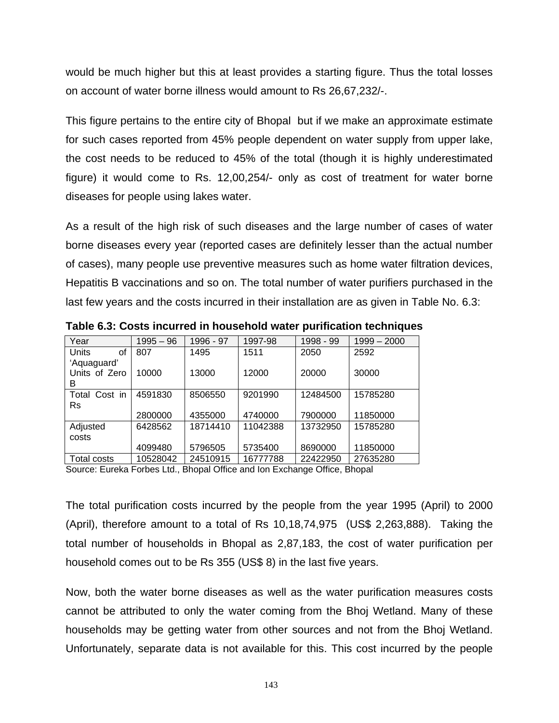would be much higher but this at least provides a starting figure. Thus the total losses on account of water borne illness would amount to Rs 26,67,232/-.

This figure pertains to the entire city of Bhopal but if we make an approximate estimate for such cases reported from 45% people dependent on water supply from upper lake, the cost needs to be reduced to 45% of the total (though it is highly underestimated figure) it would come to Rs. 12,00,254/- only as cost of treatment for water borne diseases for people using lakes water.

As a result of the high risk of such diseases and the large number of cases of water borne diseases every year (reported cases are definitely lesser than the actual number of cases), many people use preventive measures such as home water filtration devices, Hepatitis B vaccinations and so on. The total number of water purifiers purchased in the last few years and the costs incurred in their installation are as given in Table No. 6.3:

| Year               | $1995 - 96$ | 1996 - 97 | 1997-98  | 1998 - 99 | $1999 - 2000$ |
|--------------------|-------------|-----------|----------|-----------|---------------|
| <b>Units</b><br>οf | 807         | 1495      | 1511     | 2050      | 2592          |
| 'Aquaguard'        |             |           |          |           |               |
| Units of Zero      | 10000       | 13000     | 12000    | 20000     | 30000         |
| В                  |             |           |          |           |               |
| Total Cost in      | 4591830     | 8506550   | 9201990  | 12484500  | 15785280      |
| Rs                 |             |           |          |           |               |
|                    | 2800000     | 4355000   | 4740000  | 7900000   | 11850000      |
| Adjusted           | 6428562     | 18714410  | 11042388 | 13732950  | 15785280      |
| costs              |             |           |          |           |               |
|                    | 4099480     | 5796505   | 5735400  | 8690000   | 11850000      |
| <b>Total costs</b> | 10528042    | 24510915  | 16777788 | 22422950  | 27635280      |

**Table 6.3: Costs incurred in household water purification techniques** 

Source: Eureka Forbes Ltd., Bhopal Office and Ion Exchange Office, Bhopal

The total purification costs incurred by the people from the year 1995 (April) to 2000 (April), therefore amount to a total of Rs 10,18,74,975 (US\$ 2,263,888). Taking the total number of households in Bhopal as 2,87,183, the cost of water purification per household comes out to be Rs 355 (US\$ 8) in the last five years.

Now, both the water borne diseases as well as the water purification measures costs cannot be attributed to only the water coming from the Bhoj Wetland. Many of these households may be getting water from other sources and not from the Bhoj Wetland. Unfortunately, separate data is not available for this. This cost incurred by the people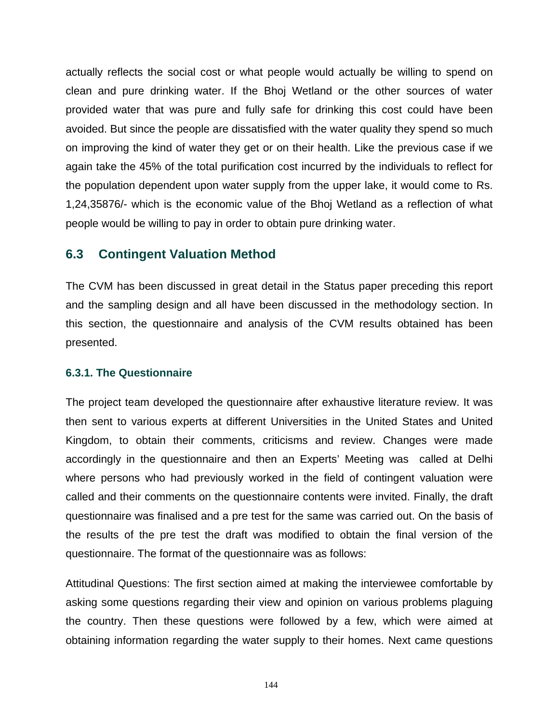actually reflects the social cost or what people would actually be willing to spend on clean and pure drinking water. If the Bhoj Wetland or the other sources of water provided water that was pure and fully safe for drinking this cost could have been avoided. But since the people are dissatisfied with the water quality they spend so much on improving the kind of water they get or on their health. Like the previous case if we again take the 45% of the total purification cost incurred by the individuals to reflect for the population dependent upon water supply from the upper lake, it would come to Rs. 1,24,35876/- which is the economic value of the Bhoj Wetland as a reflection of what people would be willing to pay in order to obtain pure drinking water.

# **6.3 Contingent Valuation Method**

The CVM has been discussed in great detail in the Status paper preceding this report and the sampling design and all have been discussed in the methodology section. In this section, the questionnaire and analysis of the CVM results obtained has been presented.

### **6.3.1. The Questionnaire**

The project team developed the questionnaire after exhaustive literature review. It was then sent to various experts at different Universities in the United States and United Kingdom, to obtain their comments, criticisms and review. Changes were made accordingly in the questionnaire and then an Experts' Meeting was called at Delhi where persons who had previously worked in the field of contingent valuation were called and their comments on the questionnaire contents were invited. Finally, the draft questionnaire was finalised and a pre test for the same was carried out. On the basis of the results of the pre test the draft was modified to obtain the final version of the questionnaire. The format of the questionnaire was as follows:

Attitudinal Questions: The first section aimed at making the interviewee comfortable by asking some questions regarding their view and opinion on various problems plaguing the country. Then these questions were followed by a few, which were aimed at obtaining information regarding the water supply to their homes. Next came questions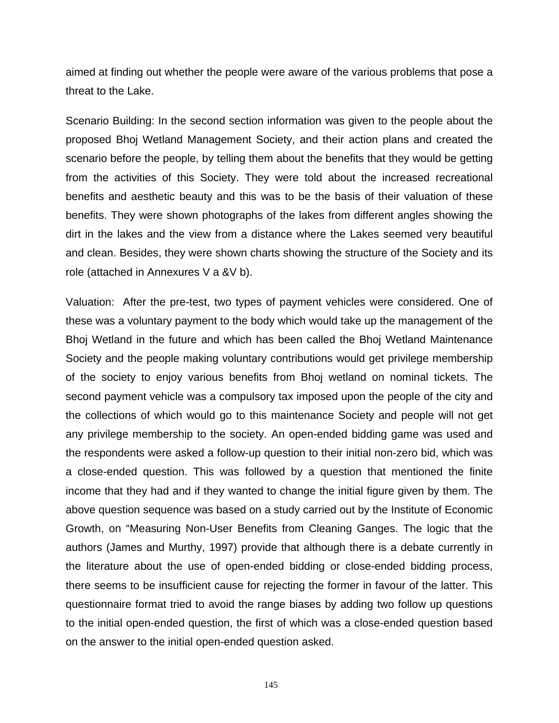aimed at finding out whether the people were aware of the various problems that pose a threat to the Lake.

Scenario Building: In the second section information was given to the people about the proposed Bhoj Wetland Management Society, and their action plans and created the scenario before the people, by telling them about the benefits that they would be getting from the activities of this Society. They were told about the increased recreational benefits and aesthetic beauty and this was to be the basis of their valuation of these benefits. They were shown photographs of the lakes from different angles showing the dirt in the lakes and the view from a distance where the Lakes seemed very beautiful and clean. Besides, they were shown charts showing the structure of the Society and its role (attached in Annexures V a &V b).

Valuation: After the pre-test, two types of payment vehicles were considered. One of these was a voluntary payment to the body which would take up the management of the Bhoj Wetland in the future and which has been called the Bhoj Wetland Maintenance Society and the people making voluntary contributions would get privilege membership of the society to enjoy various benefits from Bhoj wetland on nominal tickets. The second payment vehicle was a compulsory tax imposed upon the people of the city and the collections of which would go to this maintenance Society and people will not get any privilege membership to the society. An open-ended bidding game was used and the respondents were asked a follow-up question to their initial non-zero bid, which was a close-ended question. This was followed by a question that mentioned the finite income that they had and if they wanted to change the initial figure given by them. The above question sequence was based on a study carried out by the Institute of Economic Growth, on "Measuring Non-User Benefits from Cleaning Ganges. The logic that the authors (James and Murthy, 1997) provide that although there is a debate currently in the literature about the use of open-ended bidding or close-ended bidding process, there seems to be insufficient cause for rejecting the former in favour of the latter. This questionnaire format tried to avoid the range biases by adding two follow up questions to the initial open-ended question, the first of which was a close-ended question based on the answer to the initial open-ended question asked.

145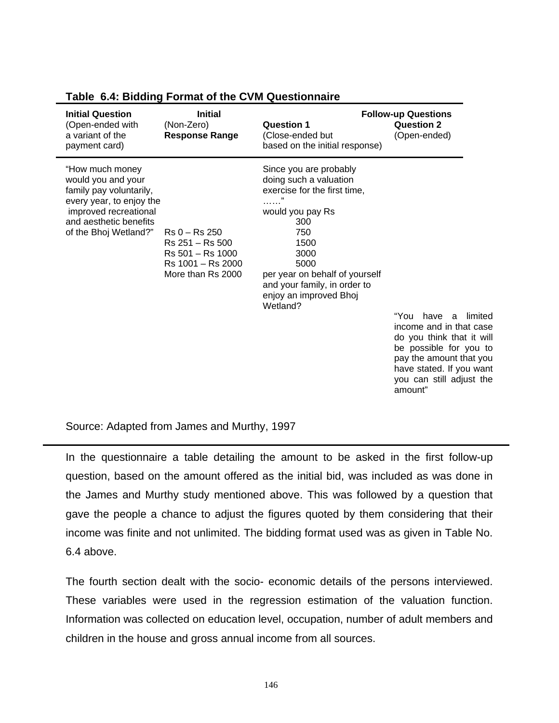| <b>Initial Question</b><br>(Open-ended with<br>a variant of the<br>payment card)                                                                                         | <b>Initial</b><br>(Non-Zero)<br><b>Response Range</b>                                                  | Question 1<br>(Close-ended but<br>based on the initial response)                                                                                                                                                                                        | <b>Follow-up Questions</b><br><b>Question 2</b><br>(Open-ended)                                                                                                                                        |
|--------------------------------------------------------------------------------------------------------------------------------------------------------------------------|--------------------------------------------------------------------------------------------------------|---------------------------------------------------------------------------------------------------------------------------------------------------------------------------------------------------------------------------------------------------------|--------------------------------------------------------------------------------------------------------------------------------------------------------------------------------------------------------|
| "How much money<br>would you and your<br>family pay voluntarily,<br>every year, to enjoy the<br>improved recreational<br>and aesthetic benefits<br>of the Bhoj Wetland?" | $Rs 0 - Rs 250$<br>$Rs$ 251 $-$ Rs 500<br>$Rs 501 - Rs 1000$<br>Rs 1001 - Rs 2000<br>More than Rs 2000 | Since you are probably<br>doing such a valuation<br>exercise for the first time,<br>.<br>would you pay Rs<br>300<br>750<br>1500<br>3000<br>5000<br>per year on behalf of yourself<br>and your family, in order to<br>enjoy an improved Bhoj<br>Wetland? | "You<br>have a limited<br>income and in that case<br>do you think that it will<br>be possible for you to<br>pay the amount that you<br>have stated. If you want<br>you can still adjust the<br>amount" |

#### **Table 6.4: Bidding Format of the CVM Questionnaire**

Source: Adapted from James and Murthy, 1997

In the questionnaire a table detailing the amount to be asked in the first follow-up question, based on the amount offered as the initial bid, was included as was done in the James and Murthy study mentioned above. This was followed by a question that gave the people a chance to adjust the figures quoted by them considering that their income was finite and not unlimited. The bidding format used was as given in Table No. 6.4 above.

The fourth section dealt with the socio- economic details of the persons interviewed. These variables were used in the regression estimation of the valuation function. Information was collected on education level, occupation, number of adult members and children in the house and gross annual income from all sources.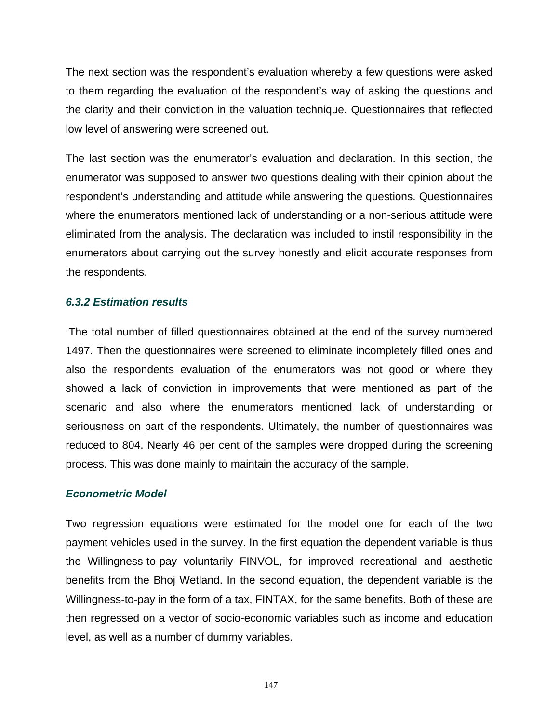The next section was the respondent's evaluation whereby a few questions were asked to them regarding the evaluation of the respondent's way of asking the questions and the clarity and their conviction in the valuation technique. Questionnaires that reflected low level of answering were screened out.

The last section was the enumerator's evaluation and declaration. In this section, the enumerator was supposed to answer two questions dealing with their opinion about the respondent's understanding and attitude while answering the questions. Questionnaires where the enumerators mentioned lack of understanding or a non-serious attitude were eliminated from the analysis. The declaration was included to instil responsibility in the enumerators about carrying out the survey honestly and elicit accurate responses from the respondents.

### *6.3.2 Estimation results*

 The total number of filled questionnaires obtained at the end of the survey numbered 1497. Then the questionnaires were screened to eliminate incompletely filled ones and also the respondents evaluation of the enumerators was not good or where they showed a lack of conviction in improvements that were mentioned as part of the scenario and also where the enumerators mentioned lack of understanding or seriousness on part of the respondents. Ultimately, the number of questionnaires was reduced to 804. Nearly 46 per cent of the samples were dropped during the screening process. This was done mainly to maintain the accuracy of the sample.

### *Econometric Model*

Two regression equations were estimated for the model one for each of the two payment vehicles used in the survey. In the first equation the dependent variable is thus the Willingness-to-pay voluntarily FINVOL, for improved recreational and aesthetic benefits from the Bhoj Wetland. In the second equation, the dependent variable is the Willingness-to-pay in the form of a tax, FINTAX, for the same benefits. Both of these are then regressed on a vector of socio-economic variables such as income and education level, as well as a number of dummy variables.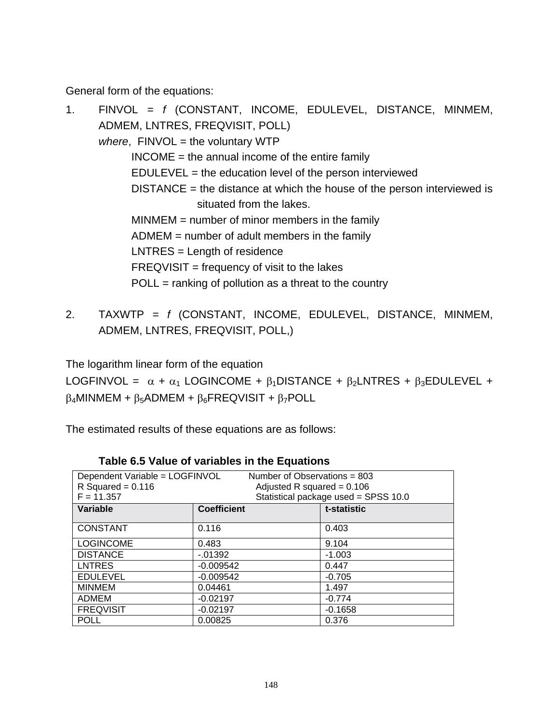General form of the equations:

- 1. FINVOL = *f* (CONSTANT, INCOME, EDULEVEL, DISTANCE, MINMEM, ADMEM, LNTRES, FREQVISIT, POLL) *where*, FINVOL = the voluntary WTP INCOME = the annual income of the entire family EDULEVEL = the education level of the person interviewed DISTANCE = the distance at which the house of the person interviewed is situated from the lakes. MINMEM = number of minor members in the family ADMEM = number of adult members in the family LNTRES = Length of residence  $FREGVISIT = frequency of visit to the lakes$  $POL =$  ranking of pollution as a threat to the country
- 2. TAXWTP = *f* (CONSTANT, INCOME, EDULEVEL, DISTANCE, MINMEM, ADMEM, LNTRES, FREQVISIT, POLL,)

The logarithm linear form of the equation

LOGFINVOL =  $\alpha + \alpha_1$  LOGINCOME +  $\beta_1$ DISTANCE +  $\beta_2$ LNTRES +  $\beta_3$ EDULEVEL +  $\beta_4$ MINMEM +  $\beta_5$ ADMEM +  $\beta_6$ FREQVISIT +  $\beta_7$ POLL

The estimated results of these equations are as follows:

| Dependent Variable = LOGFINVOL<br>R Squared = $0.116$<br>$F = 11.357$ | Number of Observations = 803<br>Adjusted R squared = $0.106$<br>Statistical package used = SPSS 10.0 |             |  |
|-----------------------------------------------------------------------|------------------------------------------------------------------------------------------------------|-------------|--|
| Variable                                                              | <b>Coefficient</b>                                                                                   | t-statistic |  |
| <b>CONSTANT</b>                                                       | 0.116                                                                                                | 0.403       |  |
| <b>LOGINCOME</b>                                                      | 0.483                                                                                                | 9.104       |  |
| <b>DISTANCE</b>                                                       | $-0.01392$                                                                                           | $-1.003$    |  |
| <b>LNTRES</b>                                                         | $-0.009542$                                                                                          | 0.447       |  |
| <b>EDULEVEL</b>                                                       | $-0.009542$                                                                                          | $-0.705$    |  |
| <b>MINMEM</b>                                                         | 0.04461                                                                                              | 1.497       |  |
| <b>ADMEM</b>                                                          | $-0.02197$                                                                                           | $-0.774$    |  |
| <b>FREQVISIT</b>                                                      | $-0.02197$                                                                                           | $-0.1658$   |  |
| <b>POLL</b>                                                           | 0.00825                                                                                              | 0.376       |  |

### **Table 6.5 Value of variables in the Equations**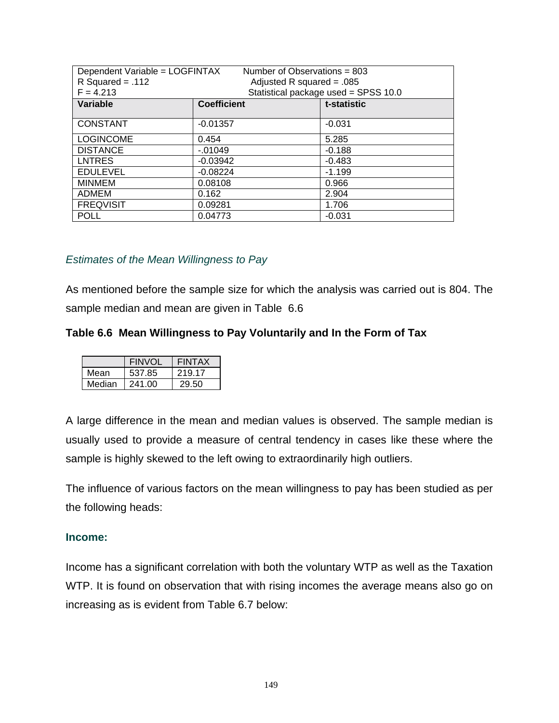| Dependent Variable = LOGFINTAX<br>$R$ Squared = .112<br>$F = 4.213$ | Number of Observations = $803$<br>Adjusted R squared = $.085$ | Statistical package used = SPSS 10.0 |
|---------------------------------------------------------------------|---------------------------------------------------------------|--------------------------------------|
| <b>Variable</b>                                                     | <b>Coefficient</b>                                            | t-statistic                          |
| <b>CONSTANT</b>                                                     | $-0.01357$                                                    | $-0.031$                             |
| <b>LOGINCOME</b>                                                    | 0.454                                                         | 5.285                                |
| <b>DISTANCE</b>                                                     | $-.01049$                                                     | $-0.188$                             |
| <b>LNTRES</b>                                                       | $-0.03942$                                                    | $-0.483$                             |
| <b>EDULEVEL</b>                                                     | $-0.08224$                                                    | $-1.199$                             |
| <b>MINMEM</b>                                                       | 0.08108                                                       | 0.966                                |
| <b>ADMEM</b>                                                        | 0.162                                                         | 2.904                                |
| <b>FREQVISIT</b>                                                    | 0.09281                                                       | 1.706                                |
| <b>POLL</b>                                                         | 0.04773                                                       | $-0.031$                             |

### *Estimates of the Mean Willingness to Pay*

As mentioned before the sample size for which the analysis was carried out is 804. The sample median and mean are given in Table 6.6

# **Table 6.6 Mean Willingness to Pay Voluntarily and In the Form of Tax**

|        | <b>FINVOL</b> | <b>FINTAX</b> |
|--------|---------------|---------------|
| Mean   | 537.85        | 219.17        |
| Median | 241.00        | 29.50         |

A large difference in the mean and median values is observed. The sample median is usually used to provide a measure of central tendency in cases like these where the sample is highly skewed to the left owing to extraordinarily high outliers.

The influence of various factors on the mean willingness to pay has been studied as per the following heads:

### **Income:**

Income has a significant correlation with both the voluntary WTP as well as the Taxation WTP. It is found on observation that with rising incomes the average means also go on increasing as is evident from Table 6.7 below: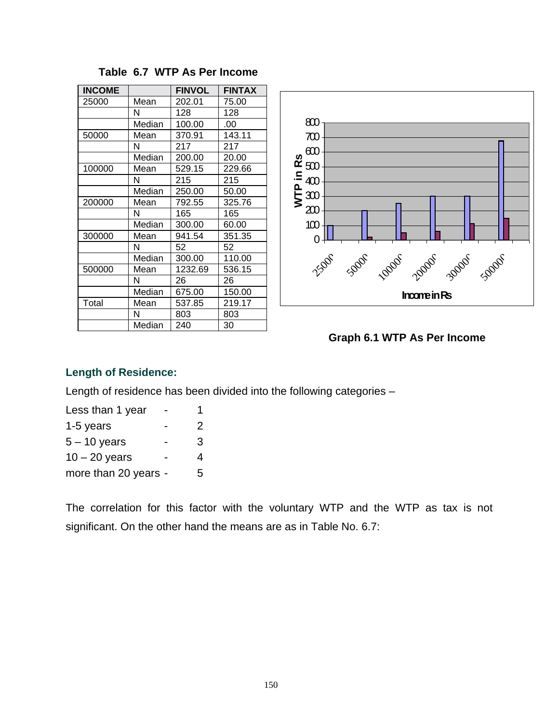| <b>INCOME</b> |        | <b>FINVOL</b> | <b>FINTAX</b> |
|---------------|--------|---------------|---------------|
| 25000         | Mean   | 202.01        | 75.00         |
|               | N      | 128           | 128           |
|               | Median | 100.00        | .00           |
| 50000         | Mean   | 370.91        | 143.11        |
|               | N      | 217           | 217           |
|               | Median | 200.00        | 20.00         |
| 100000        | Mean   | 529.15        | 229.66        |
|               | N      | 215           | 215           |
|               | Median | 250.00        | 50.00         |
| 200000        | Mean   | 792.55        | 325.76        |
|               | N      | 165           | 165           |
|               | Median | 300.00        | 60.00         |
| 300000        | Mean   | 941.54        | 351.35        |
|               | N      | 52            | 52            |
|               | Median | 300.00        | 110.00        |
| 500000        | Mean   | 1232.69       | 536.15        |
|               | N      | 26            | 26            |
|               | Median | 675.00        | 150.00        |
| Total         | Mean   | 537.85        | 219.17        |
|               | N      | 803           | 803           |
|               | Median | 240           | 30            |

# **Table 6.7 WTP As Per Income**



**Graph 6.1 WTP As Per Income** 

# **Length of Residence:**

Length of residence has been divided into the following categories –

| Less than 1 year     |   |
|----------------------|---|
| 1-5 years            | 2 |
| $5 - 10$ years       | 3 |
| $10 - 20$ years      | 4 |
| more than 20 years - | 5 |
|                      |   |

The correlation for this factor with the voluntary WTP and the WTP as tax is not significant. On the other hand the means are as in Table No. 6.7: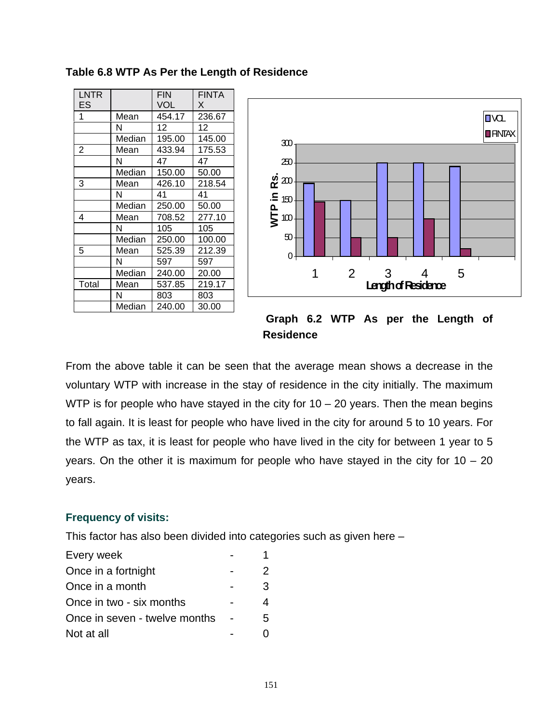| <b>LNTR</b><br>ES |        | <b>FIN</b><br><b>VOL</b> | <b>FINTA</b><br>X |
|-------------------|--------|--------------------------|-------------------|
| 1                 | Mean   | 454.17                   | 236.67            |
|                   | N      | 12                       | 12                |
|                   | Median | 195.00                   | 145.00            |
| 2                 | Mean   | 433.94                   | 175.53            |
|                   | N      | 47                       | 47                |
|                   | Median | 150.00                   | 50.00             |
| 3                 | Mean   | 426.10                   | 218.54            |
|                   | N      | 41                       | 41                |
|                   | Median | 250.00                   | 50.00             |
| 4                 | Mean   | 708.52                   | 277.10            |
|                   | N      | 105                      | 105               |
|                   | Median | 250.00                   | 100.00            |
| 5                 | Mean   | 525.39                   | 212.39            |
|                   | N      | 597                      | 597               |
|                   | Median | 240.00                   | 20.00             |
| Total             | Mean   | 537.85                   | 219.17            |
|                   | N      | 803                      | 803               |
|                   | Median | 240.00                   | 30.00             |



 **Graph 6.2 WTP As per the Length of Residence** 

From the above table it can be seen that the average mean shows a decrease in the voluntary WTP with increase in the stay of residence in the city initially. The maximum WTP is for people who have stayed in the city for  $10 - 20$  years. Then the mean begins to fall again. It is least for people who have lived in the city for around 5 to 10 years. For the WTP as tax, it is least for people who have lived in the city for between 1 year to 5 years. On the other it is maximum for people who have stayed in the city for  $10 - 20$ years.

# **Frequency of visits:**

This factor has also been divided into categories such as given here –

| Every week                    |   |
|-------------------------------|---|
| Once in a fortnight           | 2 |
| Once in a month               | 3 |
| Once in two - six months      |   |
| Once in seven - twelve months | 5 |
| Not at all                    |   |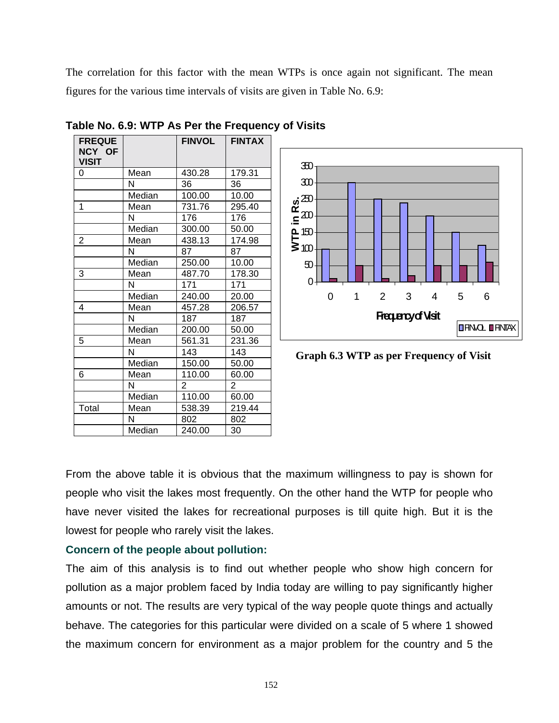The correlation for this factor with the mean WTPs is once again not significant. The mean figures for the various time intervals of visits are given in Table No. 6.9:

| <b>FREQUE</b><br>NCY OF<br><b>VISIT</b> |        | <b>FINVOL</b>  | <b>FINTAX</b>  |
|-----------------------------------------|--------|----------------|----------------|
| 0                                       | Mean   | 430.28         | 179.31         |
|                                         | N      | 36             | 36             |
|                                         | Median | 100.00         | 10.00          |
| 1                                       | Mean   | 731.76         | 295.40         |
|                                         | N      | 176            | 176            |
|                                         | Median | 300.00         | 50.00          |
| $\overline{2}$                          | Mean   | 438.13         | 174.98         |
|                                         | N      | 87             | 87             |
|                                         | Median | 250.00         | 10.00          |
| 3                                       | Mean   | 487.70         | 178.30         |
|                                         | N      | 171            | 171            |
|                                         | Median | 240.00         | 20.00          |
| 4                                       | Mean   | 457.28         | 206.57         |
|                                         | N      | 187            | 187            |
|                                         | Median | 200.00         | 50.00          |
| 5                                       | Mean   | 561.31         | 231.36         |
|                                         | N      | 143            | 143            |
|                                         | Median | 150.00         | 50.00          |
| 6                                       | Mean   | 110.00         | 60.00          |
|                                         | N      | $\overline{2}$ | $\overline{2}$ |
|                                         | Median | 110.00         | 60.00          |
| Total                                   | Mean   | 538.39         | 219.44         |
|                                         | N      | 802            | 802            |
|                                         | Median | 240.00         | 30             |

**Table No. 6.9: WTP As Per the Frequency of Visits** 



**Graph 6.3 WTP as per Frequency of Visit**

From the above table it is obvious that the maximum willingness to pay is shown for people who visit the lakes most frequently. On the other hand the WTP for people who have never visited the lakes for recreational purposes is till quite high. But it is the lowest for people who rarely visit the lakes.

# **Concern of the people about pollution:**

The aim of this analysis is to find out whether people who show high concern for pollution as a major problem faced by India today are willing to pay significantly higher amounts or not. The results are very typical of the way people quote things and actually behave. The categories for this particular were divided on a scale of 5 where 1 showed the maximum concern for environment as a major problem for the country and 5 the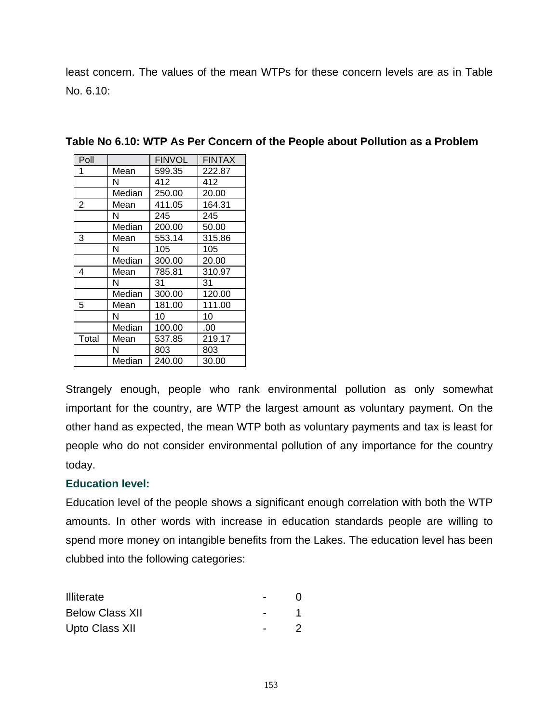least concern. The values of the mean WTPs for these concern levels are as in Table No. 6.10:

| Poll  |        | <b>FINVOL</b> | <b>FINTAX</b> |
|-------|--------|---------------|---------------|
| 1     | Mean   | 599.35        | 222.87        |
|       | N      | 412           | 412           |
|       | Median | 250.00        | 20.00         |
| 2     | Mean   | 411.05        | 164.31        |
|       | N      | 245           | 245           |
|       | Median | 200.00        | 50.00         |
| 3     | Mean   | 553.14        | 315.86        |
|       | N      | 105           | 105           |
|       | Median | 300.00        | 20.00         |
| 4     | Mean   | 785.81        | 310.97        |
|       | N      | 31            | 31            |
|       | Median | 300.00        | 120.00        |
| 5     | Mean   | 181.00        | 111.00        |
|       | N      | 10            | 10            |
|       | Median | 100.00        | .00           |
| Total | Mean   | 537.85        | 219.17        |
|       | N      | 803           | 803           |
|       | Median | 240.00        | 30.00         |

**Table No 6.10: WTP As Per Concern of the People about Pollution as a Problem** 

Strangely enough, people who rank environmental pollution as only somewhat important for the country, are WTP the largest amount as voluntary payment. On the other hand as expected, the mean WTP both as voluntary payments and tax is least for people who do not consider environmental pollution of any importance for the country today.

### **Education level:**

Education level of the people shows a significant enough correlation with both the WTP amounts. In other words with increase in education standards people are willing to spend more money on intangible benefits from the Lakes. The education level has been clubbed into the following categories:

| <b>Illiterate</b>      |  |
|------------------------|--|
| <b>Below Class XII</b> |  |
| Upto Class XII         |  |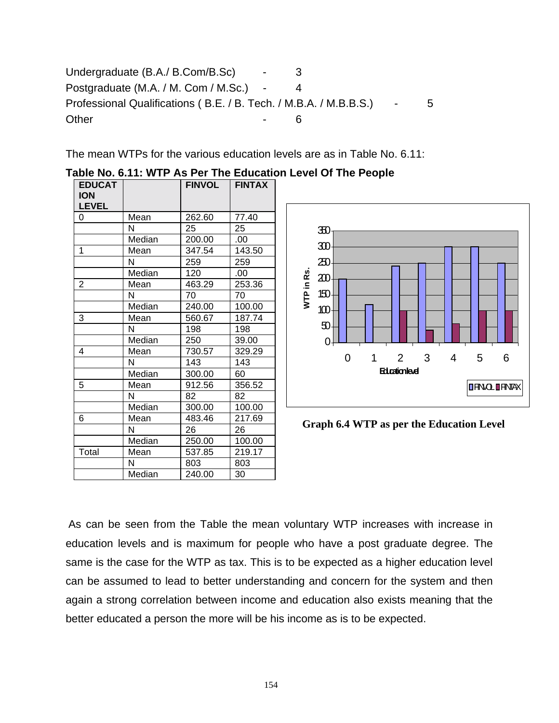Undergraduate (B.A./ B.Com/B.Sc) - 3 Postgraduate (M.A. / M. Com / M.Sc.) - 4 Professional Qualifications (B.E. / B. Tech. / M.B.A. / M.B.B.S.) - 5 Other 6

The mean WTPs for the various education levels are as in Table No. 6.11:

| <b>EDUCAT</b><br><b>ION</b><br><b>LEVEL</b> |        | <b>FINVOL</b> | <b>FINTAX</b> |
|---------------------------------------------|--------|---------------|---------------|
| 0                                           | Mean   | 262.60        | 77.40         |
|                                             | N      | 25            | 25            |
|                                             | Median | 200.00        | .00           |
| 1                                           | Mean   | 347.54        | 143.50        |
|                                             | N      | 259           | 259           |
|                                             | Median | 120           | .00           |
| $\overline{2}$                              | Mean   | 463.29        | 253.36        |
|                                             | N      | 70            | 70            |
|                                             | Median | 240.00        | 100.00        |
| 3                                           | Mean   | 560.67        | 187.74        |
|                                             | N      | 198           | 198           |
|                                             | Median | 250           | 39.00         |
| 4                                           | Mean   | 730.57        | 329.29        |
|                                             | N      | 143           | 143           |
|                                             | Median | 300.00        | 60            |
| 5                                           | Mean   | 912.56        | 356.52        |
|                                             | N      | 82            | 82            |
|                                             | Median | 300.00        | 100.00        |
| 6                                           | Mean   | 483.46        | 217.69        |
|                                             | Ν      | 26            | 26            |
|                                             | Median | 250.00        | 100.00        |
| Total                                       | Mean   | 537.85        | 219.17        |
|                                             | N      | 803           | 803           |
|                                             | Median | 240.00        | 30            |

# **Table No. 6.11: WTP As Per The Education Level Of The People**



**Graph 6.4 WTP as per the Education Level**

As can be seen from the Table the mean voluntary WTP increases with increase in education levels and is maximum for people who have a post graduate degree. The same is the case for the WTP as tax. This is to be expected as a higher education level can be assumed to lead to better understanding and concern for the system and then again a strong correlation between income and education also exists meaning that the better educated a person the more will be his income as is to be expected.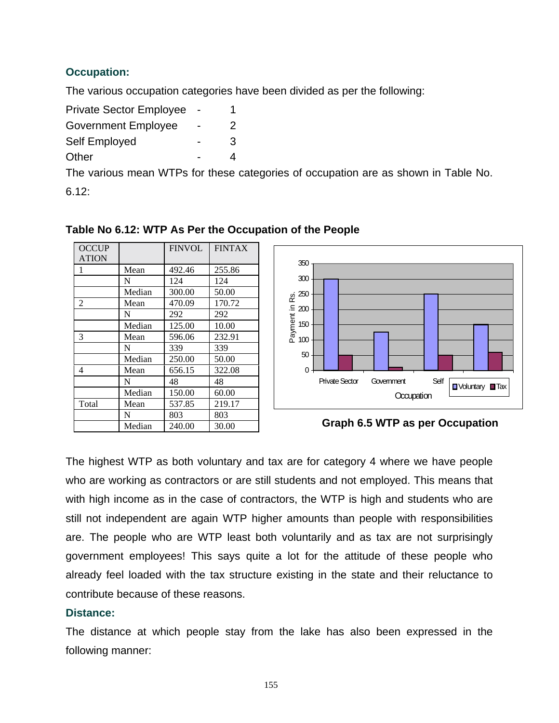# **Occupation:**

The various occupation categories have been divided as per the following:

| <b>Private Sector Employee</b> |               |
|--------------------------------|---------------|
| <b>Government Employee</b>     | $\mathcal{P}$ |
| Self Employed                  | 3             |
| Other                          | Δ             |

The various mean WTPs for these categories of occupation are as shown in Table No.

6.12:

| <b>OCCUP</b><br><b>ATION</b> |        | <b>FINVOL</b> | <b>FINTAX</b> |
|------------------------------|--------|---------------|---------------|
| 1                            | Mean   | 492.46        | 255.86        |
|                              | N      | 124           | 124           |
|                              | Median | 300.00        | 50.00         |
| 2                            | Mean   | 470.09        | 170.72        |
|                              | N      | 292           | 292           |
|                              | Median | 125.00        | 10.00         |
| 3                            | Mean   | 596.06        | 232.91        |
|                              | N      | 339           | 339           |
|                              | Median | 250.00        | 50.00         |
| 4                            | Mean   | 656.15        | 322.08        |
|                              | N      | 48            | 48            |
|                              | Median | 150.00        | 60.00         |
| Total                        | Mean   | 537.85        | 219.17        |
|                              | N      | 803           | 803           |
|                              | Median | 240.00        | 30.00         |

# **Table No 6.12: WTP As Per the Occupation of the People**



**Graph 6.5 WTP as per Occupation**

The highest WTP as both voluntary and tax are for category 4 where we have people who are working as contractors or are still students and not employed. This means that with high income as in the case of contractors, the WTP is high and students who are still not independent are again WTP higher amounts than people with responsibilities are. The people who are WTP least both voluntarily and as tax are not surprisingly government employees! This says quite a lot for the attitude of these people who already feel loaded with the tax structure existing in the state and their reluctance to contribute because of these reasons.

### **Distance:**

The distance at which people stay from the lake has also been expressed in the following manner: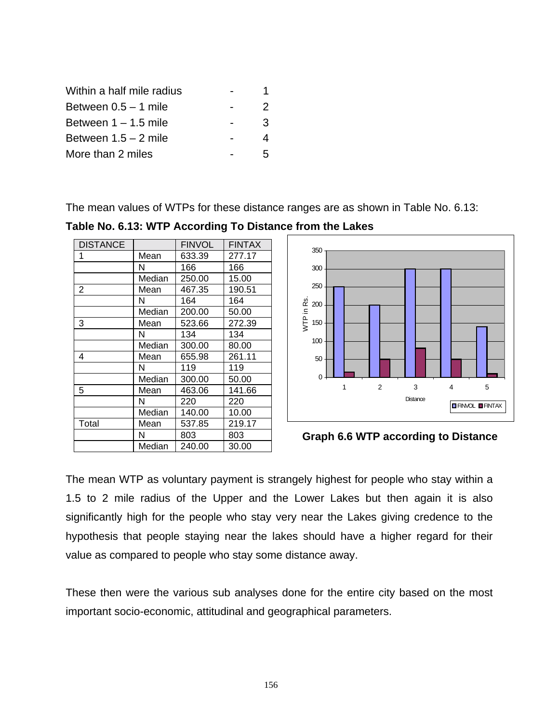| Within a half mile radius |   |
|---------------------------|---|
| Between $0.5 - 1$ mile    | 2 |
| Between $1 - 1.5$ mile    | 3 |
| Between $1.5 - 2$ mile    | 4 |
| More than 2 miles         | ҕ |

The mean values of WTPs for these distance ranges are as shown in Table No. 6.13:

**Table No. 6.13: WTP According To Distance from the Lakes** 

| <b>DISTANCE</b> |        | <b>FINVOL</b> | <b>FINTAX</b> |
|-----------------|--------|---------------|---------------|
| 1               | Mean   | 633.39        | 277.17        |
|                 | N      | 166           | 166           |
|                 | Median | 250.00        | 15.00         |
| 2               | Mean   | 467.35        | 190.51        |
|                 | N      | 164           | 164           |
|                 | Median | 200.00        | 50.00         |
| 3               | Mean   | 523.66        | 272.39        |
|                 | N      | 134           | 134           |
|                 | Median | 300.00        | 80.00         |
| 4               | Mean   | 655.98        | 261.11        |
|                 | N      | 119           | 119           |
|                 | Median | 300.00        | 50.00         |
| 5               | Mean   | 463.06        | 141.66        |
|                 | N      | 220           | 220           |
|                 | Median | 140.00        | 10.00         |
| Total           | Mean   | 537.85        | 219.17        |
|                 | N      | 803           | 803           |
|                 | Median | 240.00        | 30.00         |



# **Graph 6.6 WTP according to Distance**

The mean WTP as voluntary payment is strangely highest for people who stay within a 1.5 to 2 mile radius of the Upper and the Lower Lakes but then again it is also significantly high for the people who stay very near the Lakes giving credence to the hypothesis that people staying near the lakes should have a higher regard for their value as compared to people who stay some distance away.

These then were the various sub analyses done for the entire city based on the most important socio-economic, attitudinal and geographical parameters.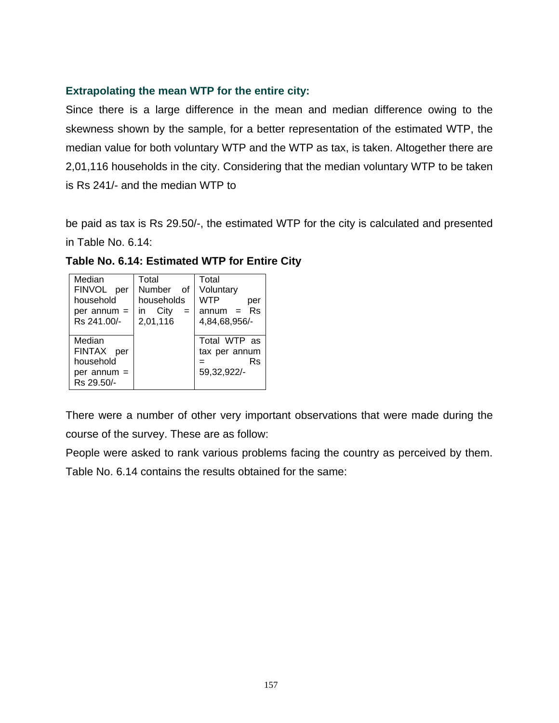# **Extrapolating the mean WTP for the entire city:**

Since there is a large difference in the mean and median difference owing to the skewness shown by the sample, for a better representation of the estimated WTP, the median value for both voluntary WTP and the WTP as tax, is taken. Altogether there are 2,01,116 households in the city. Considering that the median voluntary WTP to be taken is Rs 241/- and the median WTP to

be paid as tax is Rs 29.50/-, the estimated WTP for the city is calculated and presented in Table No. 6.14:

| Median        | Total          | Total         |
|---------------|----------------|---------------|
| FINVOL per    | Number of      | Voluntary     |
| household     | households     | WTP<br>per    |
| per annum $=$ | in City<br>$=$ | $annum = Rs$  |
| Rs 241.00/-   | 2,01,116       | 4,84,68,956/- |
|               |                |               |
| Median        |                | Total WTP as  |
| FINTAX per    |                | tax per annum |
| household     |                | Rs            |
| per annum =   |                | 59,32,922/-   |
| Rs 29.50/-    |                |               |

**Table No. 6.14: Estimated WTP for Entire City** 

There were a number of other very important observations that were made during the course of the survey. These are as follow:

People were asked to rank various problems facing the country as perceived by them.

Table No. 6.14 contains the results obtained for the same: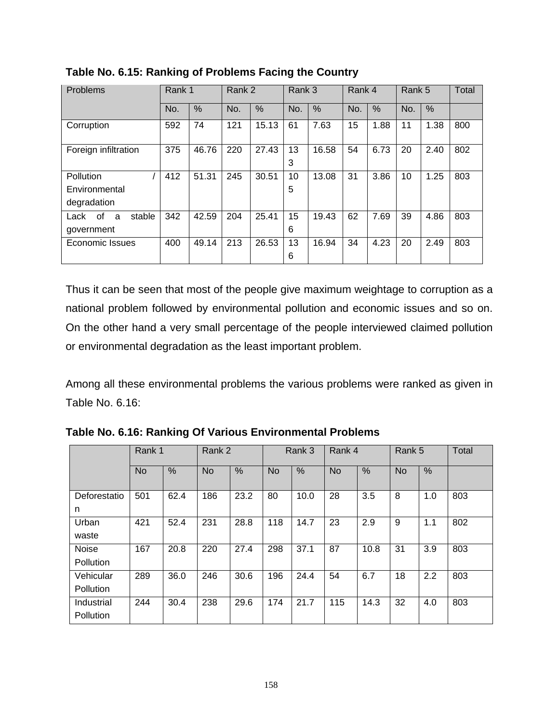| Problems                  | Rank 1 |       | Rank 2 |               | Rank 3 |       | Rank 4 |      | Rank 5 |      | Total |
|---------------------------|--------|-------|--------|---------------|--------|-------|--------|------|--------|------|-------|
|                           | No.    | $\%$  | No.    | $\frac{0}{0}$ | No.    | %     | No.    | %    | No.    | %    |       |
| Corruption                | 592    | 74    | 121    | 15.13         | 61     | 7.63  | 15     | 1.88 | 11     | 1.38 | 800   |
| Foreign infiltration      | 375    | 46.76 | 220    | 27.43         | 13     | 16.58 | 54     | 6.73 | 20     | 2.40 | 802   |
|                           |        |       |        |               | 3      |       |        |      |        |      |       |
| Pollution                 | 412    | 51.31 | 245    | 30.51         | 10     | 13.08 | 31     | 3.86 | 10     | 1.25 | 803   |
| Environmental             |        |       |        |               | 5      |       |        |      |        |      |       |
| degradation               |        |       |        |               |        |       |        |      |        |      |       |
| stable<br>Lack<br>of<br>a | 342    | 42.59 | 204    | 25.41         | 15     | 19.43 | 62     | 7.69 | 39     | 4.86 | 803   |
| government                |        |       |        |               | 6      |       |        |      |        |      |       |
| <b>Economic Issues</b>    | 400    | 49.14 | 213    | 26.53         | 13     | 16.94 | 34     | 4.23 | 20     | 2.49 | 803   |
|                           |        |       |        |               | 6      |       |        |      |        |      |       |

**Table No. 6.15: Ranking of Problems Facing the Country** 

Thus it can be seen that most of the people give maximum weightage to corruption as a national problem followed by environmental pollution and economic issues and so on. On the other hand a very small percentage of the people interviewed claimed pollution or environmental degradation as the least important problem.

Among all these environmental problems the various problems were ranked as given in Table No. 6.16:

|                                | Rank 1    |               | Rank 2    |      | Rank 3    |      | Rank 4    |      | Rank 5    |     | Total |
|--------------------------------|-----------|---------------|-----------|------|-----------|------|-----------|------|-----------|-----|-------|
|                                | <b>No</b> | $\frac{0}{0}$ | <b>No</b> | %    | <b>No</b> | %    | <b>No</b> | %    | <b>No</b> | %   |       |
| Deforestatio<br>n              | 501       | 62.4          | 186       | 23.2 | 80        | 10.0 | 28        | 3.5  | 8         | 1.0 | 803   |
| Urban<br>waste                 | 421       | 52.4          | 231       | 28.8 | 118       | 14.7 | 23        | 2.9  | 9         | 1.1 | 802   |
| Noise<br>Pollution             | 167       | 20.8          | 220       | 27.4 | 298       | 37.1 | 87        | 10.8 | 31        | 3.9 | 803   |
| Vehicular<br>Pollution         | 289       | 36.0          | 246       | 30.6 | 196       | 24.4 | 54        | 6.7  | 18        | 2.2 | 803   |
| Industrial<br><b>Pollution</b> | 244       | 30.4          | 238       | 29.6 | 174       | 21.7 | 115       | 14.3 | 32        | 4.0 | 803   |

**Table No. 6.16: Ranking Of Various Environmental Problems**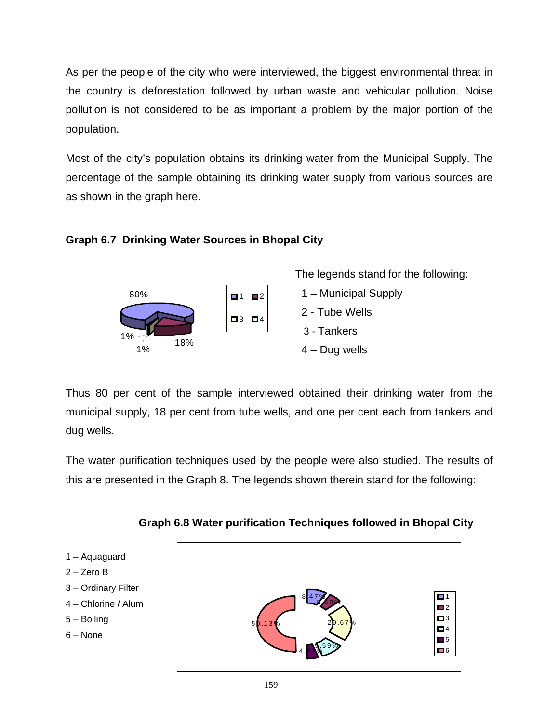As per the people of the city who were interviewed, the biggest environmental threat in the country is deforestation followed by urban waste and vehicular pollution. Noise pollution is not considered to be as important a problem by the major portion of the population.

Most of the city's population obtains its drinking water from the Municipal Supply. The percentage of the sample obtaining its drinking water supply from various sources are as shown in the graph here.



# **Graph 6.7 Drinking Water Sources in Bhopal City**

The legends stand for the following:

- 1 Municipal Supply
- 2 Tube Wells
- 3 Tankers
- 4 Dug wells

Thus 80 per cent of the sample interviewed obtained their drinking water from the municipal supply, 18 per cent from tube wells, and one per cent each from tankers and dug wells.

The water purification techniques used by the people were also studied. The results of this are presented in the Graph 8. The legends shown therein stand for the following:



 **Graph 6.8 Water purification Techniques followed in Bhopal City**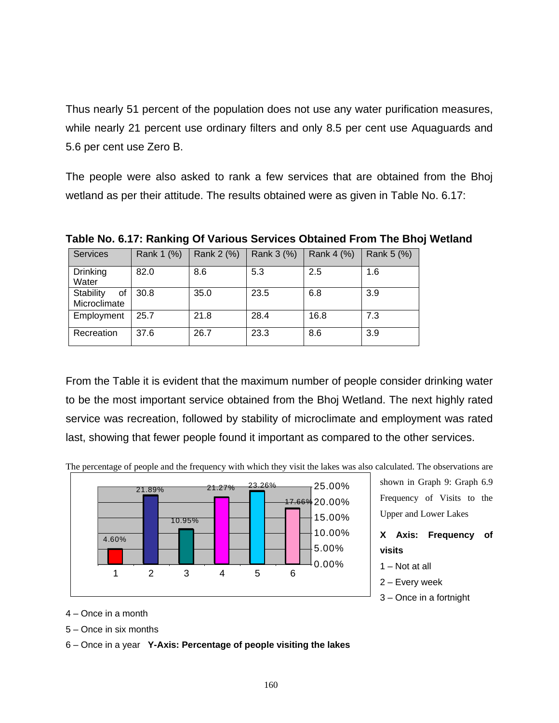Thus nearly 51 percent of the population does not use any water purification measures, while nearly 21 percent use ordinary filters and only 8.5 per cent use Aquaguards and 5.6 per cent use Zero B.

The people were also asked to rank a few services that are obtained from the Bhoj wetland as per their attitude. The results obtained were as given in Table No. 6.17:

| <b>Services</b>                 | Rank 1 (%) | Rank 2 (%) | Rank 3 (%) | Rank 4 (%) | Rank 5 (%) |
|---------------------------------|------------|------------|------------|------------|------------|
| <b>Drinking</b><br>Water        | 82.0       | 8.6        | 5.3        | 2.5        | 1.6        |
| Stability<br>οf<br>Microclimate | 30.8       | 35.0       | 23.5       | 6.8        | 3.9        |
| Employment                      | 25.7       | 21.8       | 28.4       | 16.8       | 7.3        |
| Recreation                      | 37.6       | 26.7       | 23.3       | 8.6        | 3.9        |

**Table No. 6.17: Ranking Of Various Services Obtained From The Bhoj Wetland** 

From the Table it is evident that the maximum number of people consider drinking water to be the most important service obtained from the Bhoj Wetland. The next highly rated service was recreation, followed by stability of microclimate and employment was rated last, showing that fewer people found it important as compared to the other services.



The percentage of people and the frequency with which they visit the lakes was also calculated. The observations are

4 – Once in a month

5 – Once in six months

6 – Once in a year **Y-Axis: Percentage of people visiting the lakes**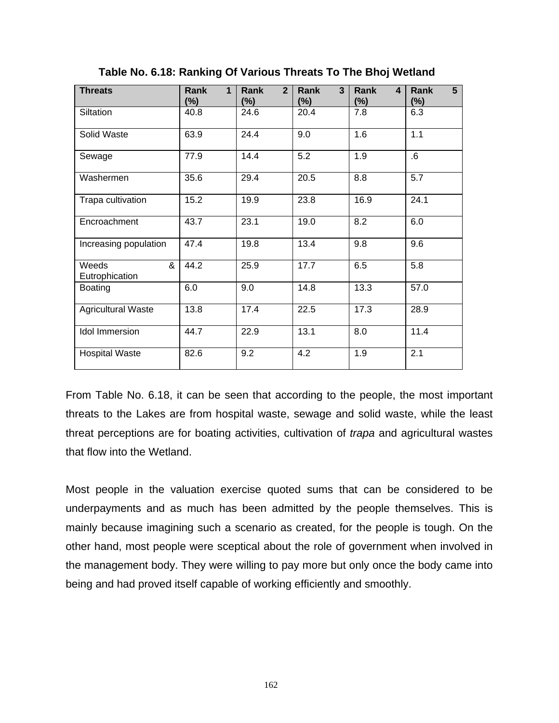| <b>Threats</b>               | Rank<br>$\mathbf 1$<br>(%) | 2 <sup>1</sup><br>Rank<br>$(\%)$ | 3<br>Rank<br>(%) | Rank<br>$\overline{\mathbf{4}}$<br>$(\%)$ | 5 <sup>5</sup><br>Rank<br>$(\%)$ |
|------------------------------|----------------------------|----------------------------------|------------------|-------------------------------------------|----------------------------------|
| Siltation                    | 40.8                       | 24.6                             | 20.4             | 7.8                                       | 6.3                              |
| Solid Waste                  | 63.9                       | 24.4                             | 9.0              | 1.6                                       | 1.1                              |
| Sewage                       | 77.9                       | 14.4                             | $\overline{5.2}$ | $\overline{1.9}$                          | $6 \cdot$                        |
| Washermen                    | 35.6                       | 29.4                             | 20.5             | 8.8                                       | 5.7                              |
| Trapa cultivation            | 15.2                       | 19.9                             | 23.8             | 16.9                                      | 24.1                             |
| Encroachment                 | 43.7                       | 23.1                             | 19.0             | 8.2                                       | 6.0                              |
| Increasing population        | 47.4                       | 19.8                             | 13.4             | 9.8                                       | 9.6                              |
| &<br>Weeds<br>Eutrophication | 44.2                       | 25.9                             | 17.7             | 6.5                                       | 5.8                              |
| <b>Boating</b>               | 6.0                        | 9.0                              | 14.8             | 13.3                                      | 57.0                             |
| <b>Agricultural Waste</b>    | 13.8                       | 17.4                             | 22.5             | 17.3                                      | 28.9                             |
| <b>Idol Immersion</b>        | 44.7                       | 22.9                             | 13.1             | 8.0                                       | 11.4                             |
| <b>Hospital Waste</b>        | 82.6                       | 9.2                              | 4.2              | 1.9                                       | 2.1                              |

**Table No. 6.18: Ranking Of Various Threats To The Bhoj Wetland** 

From Table No. 6.18, it can be seen that according to the people, the most important threats to the Lakes are from hospital waste, sewage and solid waste, while the least threat perceptions are for boating activities, cultivation of *trapa* and agricultural wastes that flow into the Wetland.

Most people in the valuation exercise quoted sums that can be considered to be underpayments and as much has been admitted by the people themselves. This is mainly because imagining such a scenario as created, for the people is tough. On the other hand, most people were sceptical about the role of government when involved in the management body. They were willing to pay more but only once the body came into being and had proved itself capable of working efficiently and smoothly.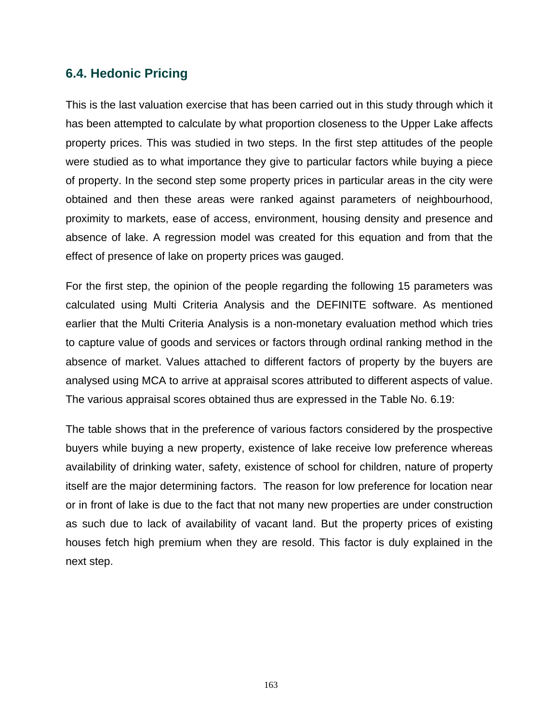# **6.4. Hedonic Pricing**

This is the last valuation exercise that has been carried out in this study through which it has been attempted to calculate by what proportion closeness to the Upper Lake affects property prices. This was studied in two steps. In the first step attitudes of the people were studied as to what importance they give to particular factors while buying a piece of property. In the second step some property prices in particular areas in the city were obtained and then these areas were ranked against parameters of neighbourhood, proximity to markets, ease of access, environment, housing density and presence and absence of lake. A regression model was created for this equation and from that the effect of presence of lake on property prices was gauged.

For the first step, the opinion of the people regarding the following 15 parameters was calculated using Multi Criteria Analysis and the DEFINITE software. As mentioned earlier that the Multi Criteria Analysis is a non-monetary evaluation method which tries to capture value of goods and services or factors through ordinal ranking method in the absence of market. Values attached to different factors of property by the buyers are analysed using MCA to arrive at appraisal scores attributed to different aspects of value. The various appraisal scores obtained thus are expressed in the Table No. 6.19:

The table shows that in the preference of various factors considered by the prospective buyers while buying a new property, existence of lake receive low preference whereas availability of drinking water, safety, existence of school for children, nature of property itself are the major determining factors. The reason for low preference for location near or in front of lake is due to the fact that not many new properties are under construction as such due to lack of availability of vacant land. But the property prices of existing houses fetch high premium when they are resold. This factor is duly explained in the next step.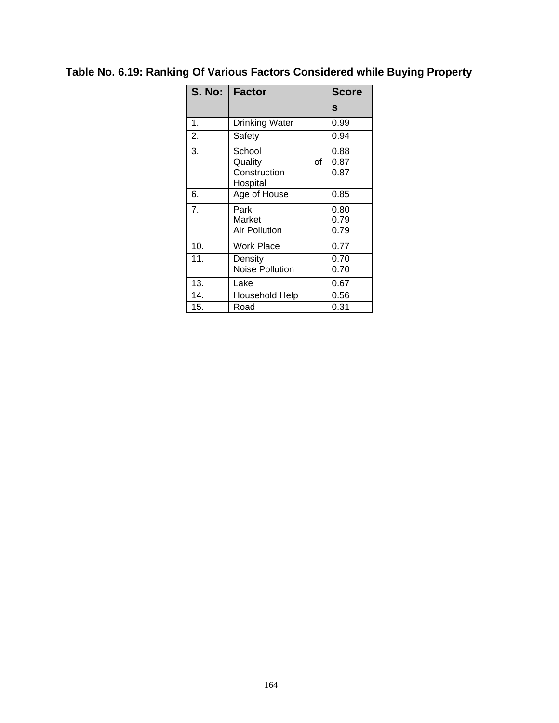# **Table No. 6.19: Ranking Of Various Factors Considered while Buying Property**

| <b>S. No:</b>    | <b>Factor</b>          | <b>Score</b> |
|------------------|------------------------|--------------|
|                  |                        | S            |
| 1.               | <b>Drinking Water</b>  | 0.99         |
| 2.               | Safety                 | 0.94         |
| 3.               | School                 | 0.88         |
|                  | Quality<br>of          | 0.87         |
|                  | Construction           | 0.87         |
|                  | Hospital               |              |
| 6.               | Age of House           | 0.85         |
| $\overline{7}$ . | Park                   | 0.80         |
|                  | Market                 | 0.79         |
|                  | Air Pollution          | 0.79         |
| 10.              | Work Place             | 0.77         |
| 11.              | Density                | 0.70         |
|                  | <b>Noise Pollution</b> | 0.70         |
| 13.              | Lake                   | 0.67         |
| 14.              | Household Help         | 0.56         |
| 15.              | Road                   | 0.31         |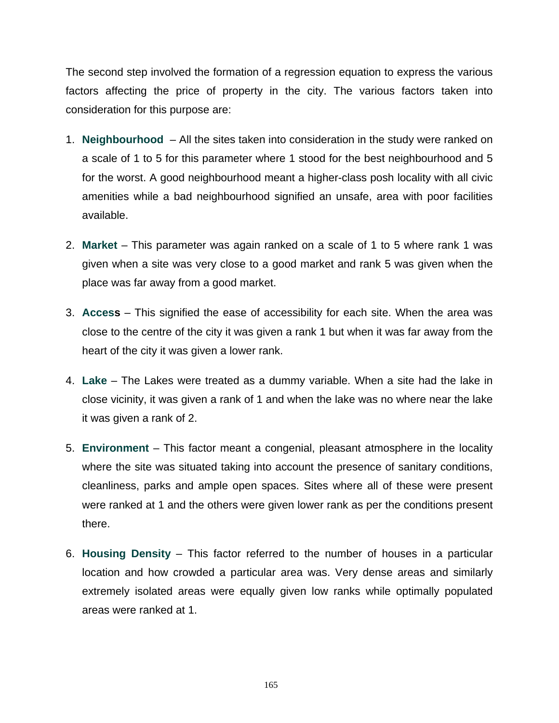The second step involved the formation of a regression equation to express the various factors affecting the price of property in the city. The various factors taken into consideration for this purpose are:

- 1. **Neighbourhood** All the sites taken into consideration in the study were ranked on a scale of 1 to 5 for this parameter where 1 stood for the best neighbourhood and 5 for the worst. A good neighbourhood meant a higher-class posh locality with all civic amenities while a bad neighbourhood signified an unsafe, area with poor facilities available.
- 2. **Market** This parameter was again ranked on a scale of 1 to 5 where rank 1 was given when a site was very close to a good market and rank 5 was given when the place was far away from a good market.
- 3. **Access**  This signified the ease of accessibility for each site. When the area was close to the centre of the city it was given a rank 1 but when it was far away from the heart of the city it was given a lower rank.
- 4. **Lake** The Lakes were treated as a dummy variable. When a site had the lake in close vicinity, it was given a rank of 1 and when the lake was no where near the lake it was given a rank of 2.
- 5. **Environment** This factor meant a congenial, pleasant atmosphere in the locality where the site was situated taking into account the presence of sanitary conditions, cleanliness, parks and ample open spaces. Sites where all of these were present were ranked at 1 and the others were given lower rank as per the conditions present there.
- 6. **Housing Density** This factor referred to the number of houses in a particular location and how crowded a particular area was. Very dense areas and similarly extremely isolated areas were equally given low ranks while optimally populated areas were ranked at 1.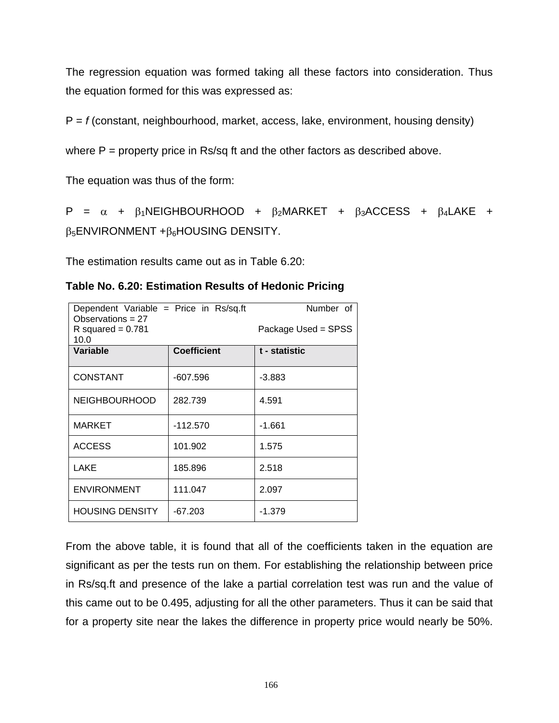The regression equation was formed taking all these factors into consideration. Thus the equation formed for this was expressed as:

P = *f* (constant, neighbourhood, market, access, lake, environment, housing density)

where  $P =$  property price in Rs/sq ft and the other factors as described above.

The equation was thus of the form:

P =  $\alpha$  +  $\beta_1$ NEIGHBOURHOOD +  $\beta_2$ MARKET +  $\beta_3$ ACCESS +  $\beta_4$ LAKE +  $β<sub>5</sub>ENVIRONMENT + β<sub>6</sub>HOUSING DENSITY.$ 

The estimation results came out as in Table 6.20:

| Dependent Variable = Price in $Rs/sq.ft$<br>Observations $= 27$<br>R squared = $0.781$<br>10.0 | Number of<br>Package Used = SPSS |               |
|------------------------------------------------------------------------------------------------|----------------------------------|---------------|
| Variable                                                                                       | <b>Coefficient</b>               | t - statistic |
| <b>CONSTANT</b>                                                                                | $-607.596$                       | -3.883        |
| <b>NEIGHBOURHOOD</b>                                                                           | 282.739                          | 4.591         |
| <b>MARKET</b>                                                                                  | $-112.570$                       | $-1.661$      |
| <b>ACCESS</b>                                                                                  | 101.902                          | 1.575         |
| LAKE                                                                                           | 185.896                          | 2.518         |
| <b>ENVIRONMENT</b>                                                                             | 111.047                          | 2.097         |
| <b>HOUSING DENSITY</b>                                                                         | $-67.203$                        | $-1.379$      |

**Table No. 6.20: Estimation Results of Hedonic Pricing** 

From the above table, it is found that all of the coefficients taken in the equation are significant as per the tests run on them. For establishing the relationship between price in Rs/sq.ft and presence of the lake a partial correlation test was run and the value of this came out to be 0.495, adjusting for all the other parameters. Thus it can be said that for a property site near the lakes the difference in property price would nearly be 50%.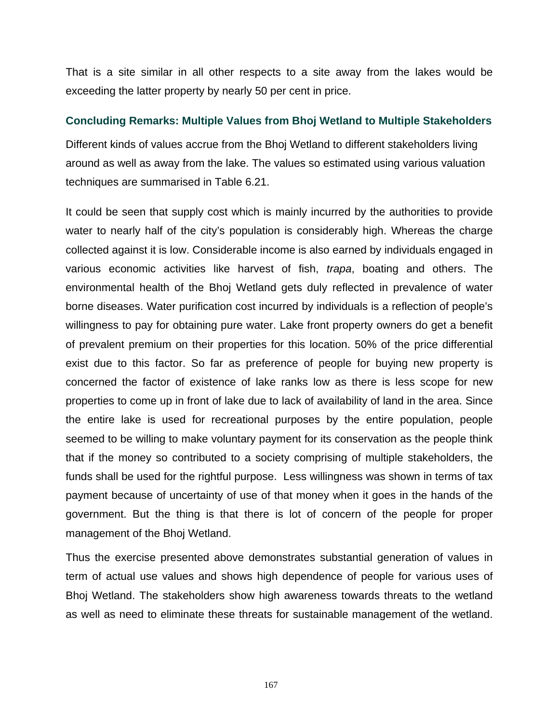That is a site similar in all other respects to a site away from the lakes would be exceeding the latter property by nearly 50 per cent in price.

## **Concluding Remarks: Multiple Values from Bhoj Wetland to Multiple Stakeholders**

Different kinds of values accrue from the Bhoj Wetland to different stakeholders living around as well as away from the lake. The values so estimated using various valuation techniques are summarised in Table 6.21.

It could be seen that supply cost which is mainly incurred by the authorities to provide water to nearly half of the city's population is considerably high. Whereas the charge collected against it is low. Considerable income is also earned by individuals engaged in various economic activities like harvest of fish, *trapa*, boating and others. The environmental health of the Bhoj Wetland gets duly reflected in prevalence of water borne diseases. Water purification cost incurred by individuals is a reflection of people's willingness to pay for obtaining pure water. Lake front property owners do get a benefit of prevalent premium on their properties for this location. 50% of the price differential exist due to this factor. So far as preference of people for buying new property is concerned the factor of existence of lake ranks low as there is less scope for new properties to come up in front of lake due to lack of availability of land in the area. Since the entire lake is used for recreational purposes by the entire population, people seemed to be willing to make voluntary payment for its conservation as the people think that if the money so contributed to a society comprising of multiple stakeholders, the funds shall be used for the rightful purpose. Less willingness was shown in terms of tax payment because of uncertainty of use of that money when it goes in the hands of the government. But the thing is that there is lot of concern of the people for proper management of the Bhoj Wetland.

Thus the exercise presented above demonstrates substantial generation of values in term of actual use values and shows high dependence of people for various uses of Bhoj Wetland. The stakeholders show high awareness towards threats to the wetland as well as need to eliminate these threats for sustainable management of the wetland.

167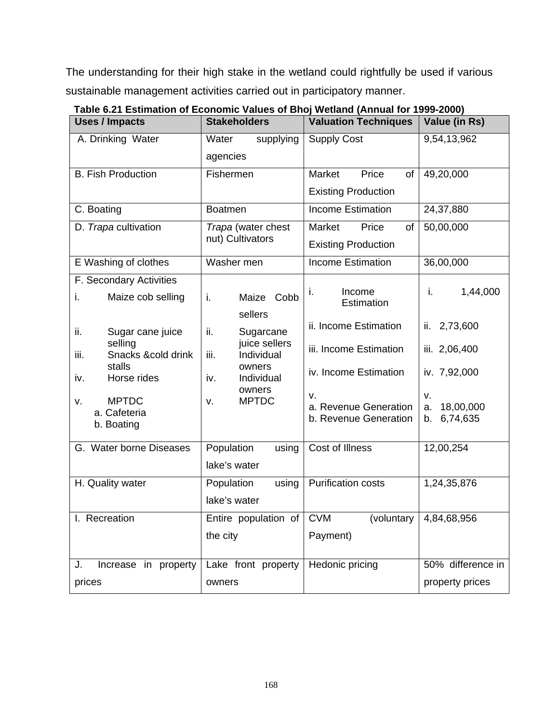The understanding for their high stake in the wetland could rightfully be used if various sustainable management activities carried out in participatory manner.

| <b>Uses / Impacts</b>              | <b>Stakeholders</b>               | <b>Valuation Techniques</b>                    | Value (in Rs)                     |
|------------------------------------|-----------------------------------|------------------------------------------------|-----------------------------------|
| A. Drinking Water                  | Water<br>supplying                | <b>Supply Cost</b>                             | 9,54,13,962                       |
|                                    | agencies                          |                                                |                                   |
| <b>B. Fish Production</b>          | Fishermen                         | Market<br>Price<br>of                          | 49,20,000                         |
|                                    |                                   | <b>Existing Production</b>                     |                                   |
| C. Boating                         | <b>Boatmen</b>                    | <b>Income Estimation</b>                       | 24,37,880                         |
| D. Trapa cultivation               | Trapa (water chest                | Market<br>Price<br>of                          | 50,00,000                         |
|                                    | nut) Cultivators                  | <b>Existing Production</b>                     |                                   |
| E Washing of clothes               | Washer men                        | <b>Income Estimation</b>                       | 36,00,000                         |
| F. Secondary Activities            |                                   |                                                |                                   |
| i.<br>Maize cob selling            | i.<br>Maize Cobb                  | Income<br>i.<br>Estimation                     | 1,44,000<br>i.                    |
|                                    | sellers                           | ii. Income Estimation                          | 2,73,600<br>ii.                   |
| ii.<br>Sugar cane juice<br>selling | ii.<br>Sugarcane<br>juice sellers |                                                |                                   |
| iii.<br>Snacks &cold drink         | iii.<br>Individual                | iii. Income Estimation                         | iii. 2,06,400                     |
| stalls<br>Horse rides<br>iv.       | owners<br>iv.<br>Individual       | iv. Income Estimation                          | iv. 7,92,000                      |
| <b>MPTDC</b><br>٧.                 | owners<br><b>MPTDC</b><br>v.      | v.                                             | v.                                |
| a. Cafeteria                       |                                   | a. Revenue Generation<br>b. Revenue Generation | 18,00,000<br>a.<br>6,74,635<br>b. |
| b. Boating                         |                                   |                                                |                                   |
| G. Water borne Diseases            | Population<br>using               | Cost of Illness                                | 12,00,254                         |
|                                    | lake's water                      |                                                |                                   |
| H. Quality water                   | Population<br>using               | <b>Purification costs</b>                      | 1,24,35,876                       |
|                                    | lake's water                      |                                                |                                   |
| I. Recreation                      | Entire population of              | <b>CVM</b><br>(voluntary                       | 4,84,68,956                       |
|                                    | the city                          | Payment)                                       |                                   |
| Increase in property<br>J.         | Lake front property               | Hedonic pricing                                | 50% difference in                 |
|                                    |                                   |                                                |                                   |
| prices                             | owners                            |                                                | property prices                   |

**Table 6.21 Estimation of Economic Values of Bhoj Wetland (Annual for 1999-2000)**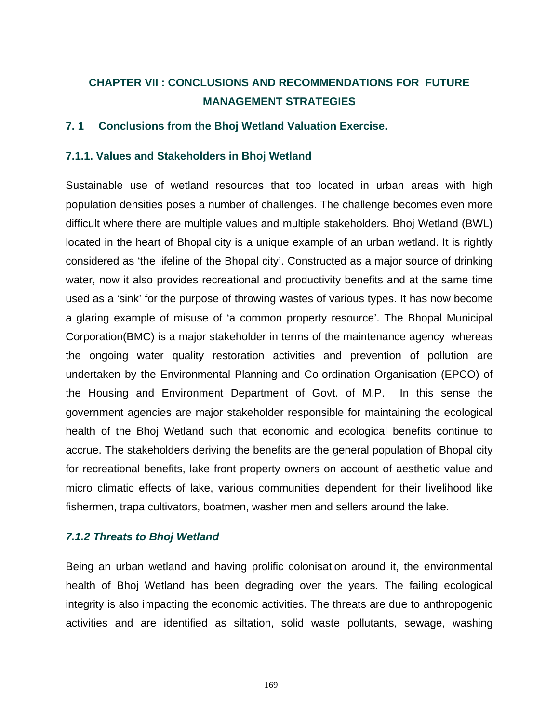# **CHAPTER VII : CONCLUSIONS AND RECOMMENDATIONS FOR FUTURE MANAGEMENT STRATEGIES**

# **7. 1 Conclusions from the Bhoj Wetland Valuation Exercise.**

## **7.1.1. Values and Stakeholders in Bhoj Wetland**

Sustainable use of wetland resources that too located in urban areas with high population densities poses a number of challenges. The challenge becomes even more difficult where there are multiple values and multiple stakeholders. Bhoj Wetland (BWL) located in the heart of Bhopal city is a unique example of an urban wetland. It is rightly considered as 'the lifeline of the Bhopal city'. Constructed as a major source of drinking water, now it also provides recreational and productivity benefits and at the same time used as a 'sink' for the purpose of throwing wastes of various types. It has now become a glaring example of misuse of 'a common property resource'. The Bhopal Municipal Corporation(BMC) is a major stakeholder in terms of the maintenance agency whereas the ongoing water quality restoration activities and prevention of pollution are undertaken by the Environmental Planning and Co-ordination Organisation (EPCO) of the Housing and Environment Department of Govt. of M.P. In this sense the government agencies are major stakeholder responsible for maintaining the ecological health of the Bhoj Wetland such that economic and ecological benefits continue to accrue. The stakeholders deriving the benefits are the general population of Bhopal city for recreational benefits, lake front property owners on account of aesthetic value and micro climatic effects of lake, various communities dependent for their livelihood like fishermen, trapa cultivators, boatmen, washer men and sellers around the lake.

### *7.1.2 Threats to Bhoj Wetland*

Being an urban wetland and having prolific colonisation around it, the environmental health of Bhoj Wetland has been degrading over the years. The failing ecological integrity is also impacting the economic activities. The threats are due to anthropogenic activities and are identified as siltation, solid waste pollutants, sewage, washing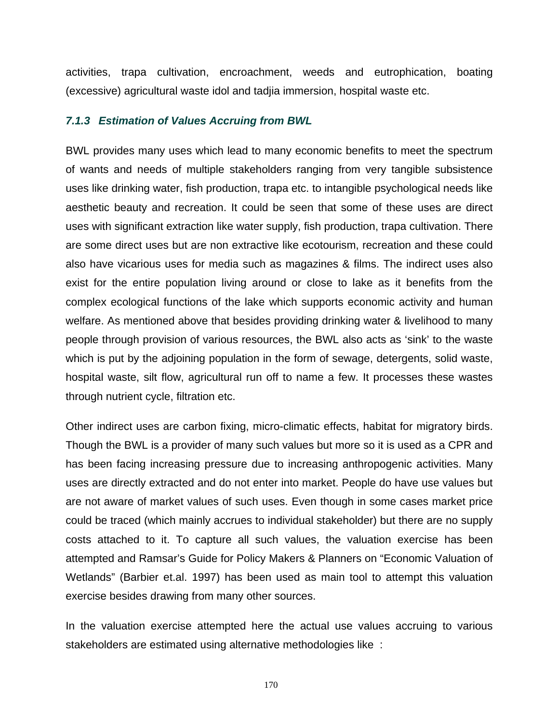activities, trapa cultivation, encroachment, weeds and eutrophication, boating (excessive) agricultural waste idol and tadjia immersion, hospital waste etc.

### *7.1.3 Estimation of Values Accruing from BWL*

BWL provides many uses which lead to many economic benefits to meet the spectrum of wants and needs of multiple stakeholders ranging from very tangible subsistence uses like drinking water, fish production, trapa etc. to intangible psychological needs like aesthetic beauty and recreation. It could be seen that some of these uses are direct uses with significant extraction like water supply, fish production, trapa cultivation. There are some direct uses but are non extractive like ecotourism, recreation and these could also have vicarious uses for media such as magazines & films. The indirect uses also exist for the entire population living around or close to lake as it benefits from the complex ecological functions of the lake which supports economic activity and human welfare. As mentioned above that besides providing drinking water & livelihood to many people through provision of various resources, the BWL also acts as 'sink' to the waste which is put by the adjoining population in the form of sewage, detergents, solid waste, hospital waste, silt flow, agricultural run off to name a few. It processes these wastes through nutrient cycle, filtration etc.

Other indirect uses are carbon fixing, micro-climatic effects, habitat for migratory birds. Though the BWL is a provider of many such values but more so it is used as a CPR and has been facing increasing pressure due to increasing anthropogenic activities. Many uses are directly extracted and do not enter into market. People do have use values but are not aware of market values of such uses. Even though in some cases market price could be traced (which mainly accrues to individual stakeholder) but there are no supply costs attached to it. To capture all such values, the valuation exercise has been attempted and Ramsar's Guide for Policy Makers & Planners on "Economic Valuation of Wetlands" (Barbier et.al. 1997) has been used as main tool to attempt this valuation exercise besides drawing from many other sources.

In the valuation exercise attempted here the actual use values accruing to various stakeholders are estimated using alternative methodologies like :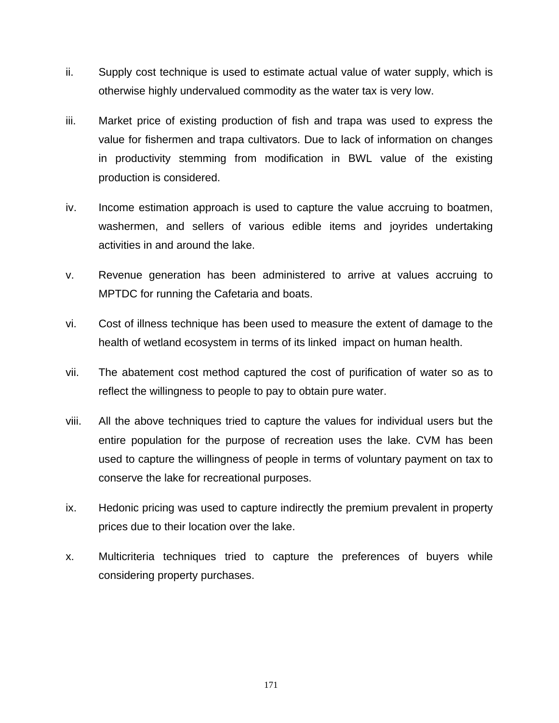- ii. Supply cost technique is used to estimate actual value of water supply, which is otherwise highly undervalued commodity as the water tax is very low.
- iii. Market price of existing production of fish and trapa was used to express the value for fishermen and trapa cultivators. Due to lack of information on changes in productivity stemming from modification in BWL value of the existing production is considered.
- iv. Income estimation approach is used to capture the value accruing to boatmen, washermen, and sellers of various edible items and joyrides undertaking activities in and around the lake.
- v. Revenue generation has been administered to arrive at values accruing to MPTDC for running the Cafetaria and boats.
- vi. Cost of illness technique has been used to measure the extent of damage to the health of wetland ecosystem in terms of its linked impact on human health.
- vii. The abatement cost method captured the cost of purification of water so as to reflect the willingness to people to pay to obtain pure water.
- viii. All the above techniques tried to capture the values for individual users but the entire population for the purpose of recreation uses the lake. CVM has been used to capture the willingness of people in terms of voluntary payment on tax to conserve the lake for recreational purposes.
- ix. Hedonic pricing was used to capture indirectly the premium prevalent in property prices due to their location over the lake.
- x. Multicriteria techniques tried to capture the preferences of buyers while considering property purchases.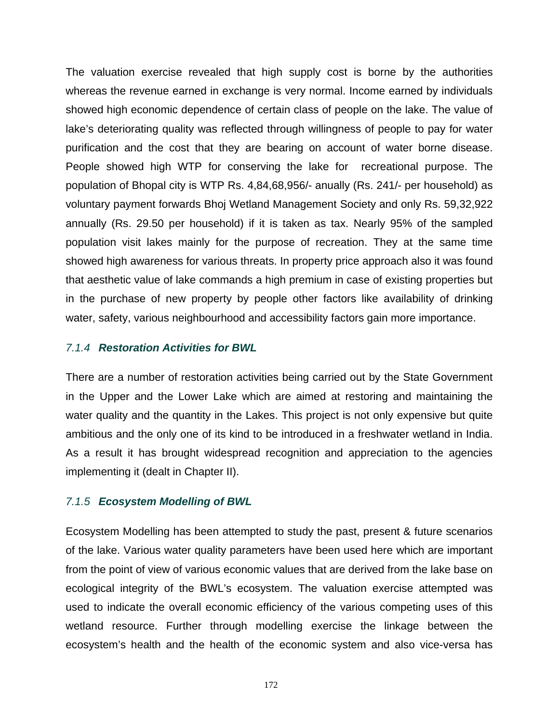The valuation exercise revealed that high supply cost is borne by the authorities whereas the revenue earned in exchange is very normal. Income earned by individuals showed high economic dependence of certain class of people on the lake. The value of lake's deteriorating quality was reflected through willingness of people to pay for water purification and the cost that they are bearing on account of water borne disease. People showed high WTP for conserving the lake for recreational purpose. The population of Bhopal city is WTP Rs. 4,84,68,956/- anually (Rs. 241/- per household) as voluntary payment forwards Bhoj Wetland Management Society and only Rs. 59,32,922 annually (Rs. 29.50 per household) if it is taken as tax. Nearly 95% of the sampled population visit lakes mainly for the purpose of recreation. They at the same time showed high awareness for various threats. In property price approach also it was found that aesthetic value of lake commands a high premium in case of existing properties but in the purchase of new property by people other factors like availability of drinking water, safety, various neighbourhood and accessibility factors gain more importance.

## *7.1.4 Restoration Activities for BWL*

There are a number of restoration activities being carried out by the State Government in the Upper and the Lower Lake which are aimed at restoring and maintaining the water quality and the quantity in the Lakes. This project is not only expensive but quite ambitious and the only one of its kind to be introduced in a freshwater wetland in India. As a result it has brought widespread recognition and appreciation to the agencies implementing it (dealt in Chapter II).

# *7.1.5 Ecosystem Modelling of BWL*

Ecosystem Modelling has been attempted to study the past, present & future scenarios of the lake. Various water quality parameters have been used here which are important from the point of view of various economic values that are derived from the lake base on ecological integrity of the BWL's ecosystem. The valuation exercise attempted was used to indicate the overall economic efficiency of the various competing uses of this wetland resource. Further through modelling exercise the linkage between the ecosystem's health and the health of the economic system and also vice-versa has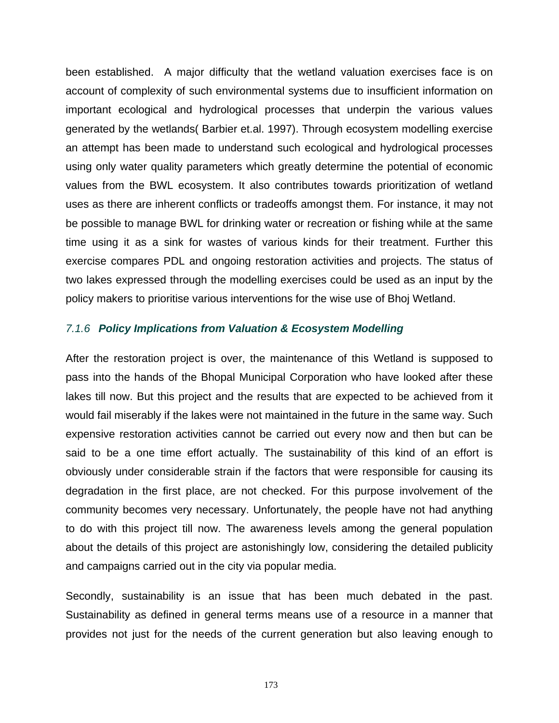been established. A major difficulty that the wetland valuation exercises face is on account of complexity of such environmental systems due to insufficient information on important ecological and hydrological processes that underpin the various values generated by the wetlands( Barbier et.al. 1997). Through ecosystem modelling exercise an attempt has been made to understand such ecological and hydrological processes using only water quality parameters which greatly determine the potential of economic values from the BWL ecosystem. It also contributes towards prioritization of wetland uses as there are inherent conflicts or tradeoffs amongst them. For instance, it may not be possible to manage BWL for drinking water or recreation or fishing while at the same time using it as a sink for wastes of various kinds for their treatment. Further this exercise compares PDL and ongoing restoration activities and projects. The status of two lakes expressed through the modelling exercises could be used as an input by the policy makers to prioritise various interventions for the wise use of Bhoj Wetland.

## *7.1.6 Policy Implications from Valuation & Ecosystem Modelling*

After the restoration project is over, the maintenance of this Wetland is supposed to pass into the hands of the Bhopal Municipal Corporation who have looked after these lakes till now. But this project and the results that are expected to be achieved from it would fail miserably if the lakes were not maintained in the future in the same way. Such expensive restoration activities cannot be carried out every now and then but can be said to be a one time effort actually. The sustainability of this kind of an effort is obviously under considerable strain if the factors that were responsible for causing its degradation in the first place, are not checked. For this purpose involvement of the community becomes very necessary. Unfortunately, the people have not had anything to do with this project till now. The awareness levels among the general population about the details of this project are astonishingly low, considering the detailed publicity and campaigns carried out in the city via popular media.

Secondly, sustainability is an issue that has been much debated in the past. Sustainability as defined in general terms means use of a resource in a manner that provides not just for the needs of the current generation but also leaving enough to

173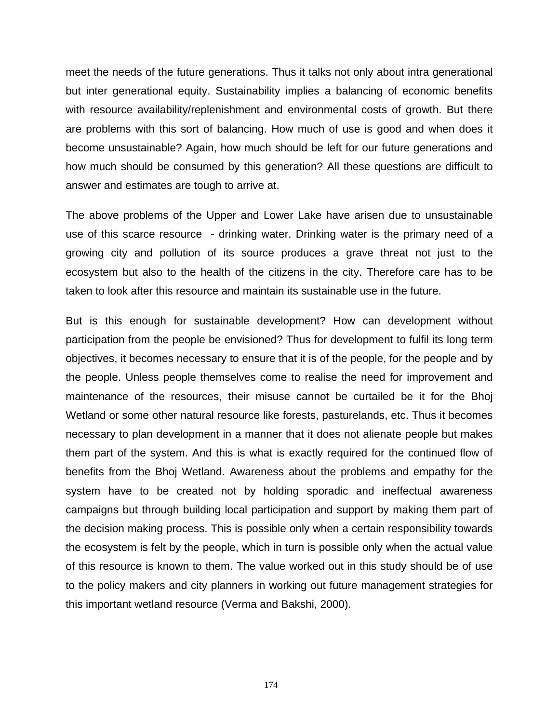meet the needs of the future generations. Thus it talks not only about intra generational but inter generational equity. Sustainability implies a balancing of economic benefits with resource availability/replenishment and environmental costs of growth. But there are problems with this sort of balancing. How much of use is good and when does it become unsustainable? Again, how much should be left for our future generations and how much should be consumed by this generation? All these questions are difficult to answer and estimates are tough to arrive at.

The above problems of the Upper and Lower Lake have arisen due to unsustainable use of this scarce resource - drinking water. Drinking water is the primary need of a growing city and pollution of its source produces a grave threat not just to the ecosystem but also to the health of the citizens in the city. Therefore care has to be taken to look after this resource and maintain its sustainable use in the future.

But is this enough for sustainable development? How can development without participation from the people be envisioned? Thus for development to fulfil its long term objectives, it becomes necessary to ensure that it is of the people, for the people and by the people. Unless people themselves come to realise the need for improvement and maintenance of the resources, their misuse cannot be curtailed be it for the Bhoj Wetland or some other natural resource like forests, pasturelands, etc. Thus it becomes necessary to plan development in a manner that it does not alienate people but makes them part of the system. And this is what is exactly required for the continued flow of benefits from the Bhoj Wetland. Awareness about the problems and empathy for the system have to be created not by holding sporadic and ineffectual awareness campaigns but through building local participation and support by making them part of the decision making process. This is possible only when a certain responsibility towards the ecosystem is felt by the people, which in turn is possible only when the actual value of this resource is known to them. The value worked out in this study should be of use to the policy makers and city planners in working out future management strategies for this important wetland resource (Verma and Bakshi, 2000).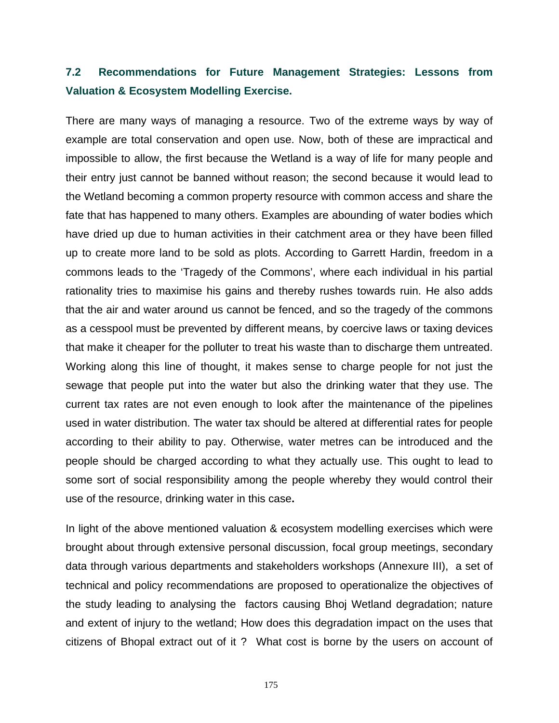# **7.2 Recommendations for Future Management Strategies: Lessons from Valuation & Ecosystem Modelling Exercise.**

There are many ways of managing a resource. Two of the extreme ways by way of example are total conservation and open use. Now, both of these are impractical and impossible to allow, the first because the Wetland is a way of life for many people and their entry just cannot be banned without reason; the second because it would lead to the Wetland becoming a common property resource with common access and share the fate that has happened to many others. Examples are abounding of water bodies which have dried up due to human activities in their catchment area or they have been filled up to create more land to be sold as plots. According to Garrett Hardin, freedom in a commons leads to the 'Tragedy of the Commons', where each individual in his partial rationality tries to maximise his gains and thereby rushes towards ruin. He also adds that the air and water around us cannot be fenced, and so the tragedy of the commons as a cesspool must be prevented by different means, by coercive laws or taxing devices that make it cheaper for the polluter to treat his waste than to discharge them untreated. Working along this line of thought, it makes sense to charge people for not just the sewage that people put into the water but also the drinking water that they use. The current tax rates are not even enough to look after the maintenance of the pipelines used in water distribution. The water tax should be altered at differential rates for people according to their ability to pay. Otherwise, water metres can be introduced and the people should be charged according to what they actually use. This ought to lead to some sort of social responsibility among the people whereby they would control their use of the resource, drinking water in this case**.** 

In light of the above mentioned valuation & ecosystem modelling exercises which were brought about through extensive personal discussion, focal group meetings, secondary data through various departments and stakeholders workshops (Annexure III), a set of technical and policy recommendations are proposed to operationalize the objectives of the study leading to analysing the factors causing Bhoj Wetland degradation; nature and extent of injury to the wetland; How does this degradation impact on the uses that citizens of Bhopal extract out of it ? What cost is borne by the users on account of

175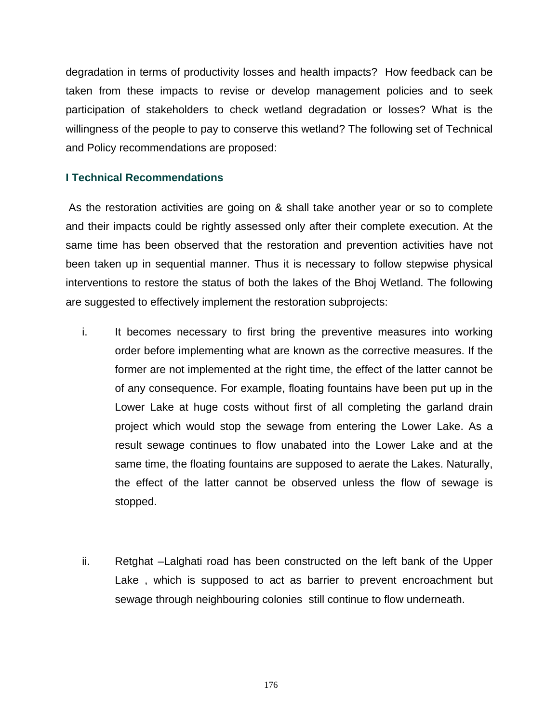degradation in terms of productivity losses and health impacts? How feedback can be taken from these impacts to revise or develop management policies and to seek participation of stakeholders to check wetland degradation or losses? What is the willingness of the people to pay to conserve this wetland? The following set of Technical and Policy recommendations are proposed:

# **I Technical Recommendations**

 As the restoration activities are going on & shall take another year or so to complete and their impacts could be rightly assessed only after their complete execution. At the same time has been observed that the restoration and prevention activities have not been taken up in sequential manner. Thus it is necessary to follow stepwise physical interventions to restore the status of both the lakes of the Bhoj Wetland. The following are suggested to effectively implement the restoration subprojects:

- i. It becomes necessary to first bring the preventive measures into working order before implementing what are known as the corrective measures. If the former are not implemented at the right time, the effect of the latter cannot be of any consequence. For example, floating fountains have been put up in the Lower Lake at huge costs without first of all completing the garland drain project which would stop the sewage from entering the Lower Lake. As a result sewage continues to flow unabated into the Lower Lake and at the same time, the floating fountains are supposed to aerate the Lakes. Naturally, the effect of the latter cannot be observed unless the flow of sewage is stopped.
- ii. Retghat –Lalghati road has been constructed on the left bank of the Upper Lake , which is supposed to act as barrier to prevent encroachment but sewage through neighbouring colonies still continue to flow underneath.

176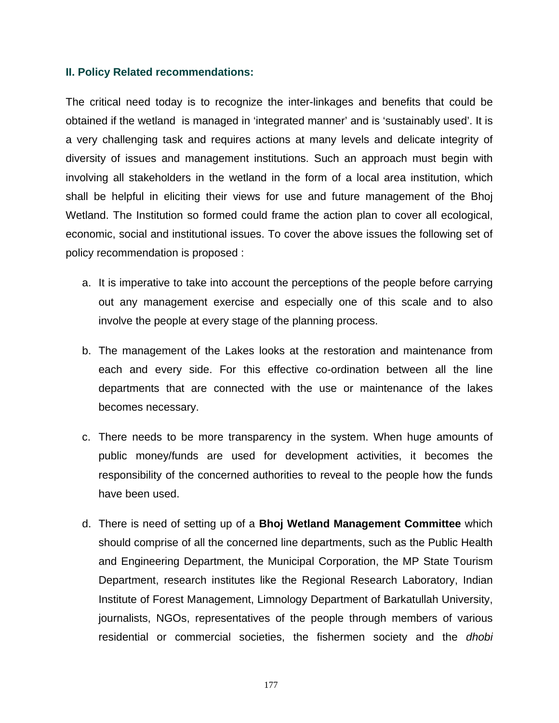### **II. Policy Related recommendations:**

The critical need today is to recognize the inter-linkages and benefits that could be obtained if the wetland is managed in 'integrated manner' and is 'sustainably used'. It is a very challenging task and requires actions at many levels and delicate integrity of diversity of issues and management institutions. Such an approach must begin with involving all stakeholders in the wetland in the form of a local area institution, which shall be helpful in eliciting their views for use and future management of the Bhoj Wetland. The Institution so formed could frame the action plan to cover all ecological, economic, social and institutional issues. To cover the above issues the following set of policy recommendation is proposed :

- a. It is imperative to take into account the perceptions of the people before carrying out any management exercise and especially one of this scale and to also involve the people at every stage of the planning process.
- b. The management of the Lakes looks at the restoration and maintenance from each and every side. For this effective co-ordination between all the line departments that are connected with the use or maintenance of the lakes becomes necessary.
- c. There needs to be more transparency in the system. When huge amounts of public money/funds are used for development activities, it becomes the responsibility of the concerned authorities to reveal to the people how the funds have been used.
- d. There is need of setting up of a **Bhoj Wetland Management Committee** which should comprise of all the concerned line departments, such as the Public Health and Engineering Department, the Municipal Corporation, the MP State Tourism Department, research institutes like the Regional Research Laboratory, Indian Institute of Forest Management, Limnology Department of Barkatullah University, journalists, NGOs, representatives of the people through members of various residential or commercial societies, the fishermen society and the *dhobi*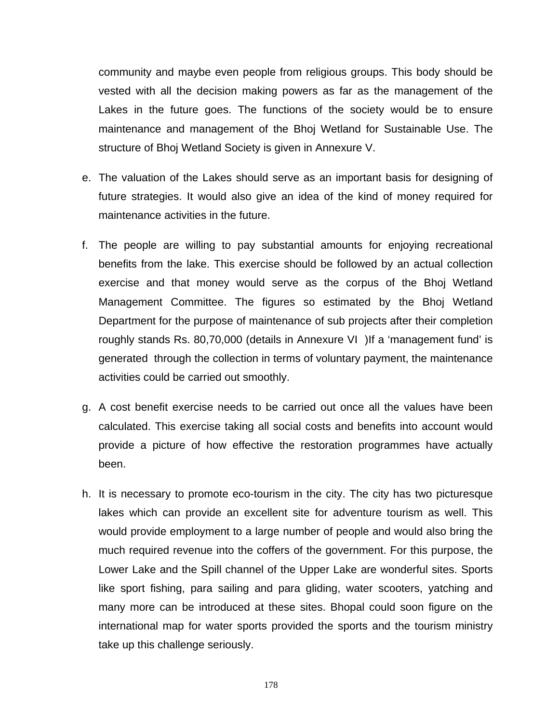community and maybe even people from religious groups. This body should be vested with all the decision making powers as far as the management of the Lakes in the future goes. The functions of the society would be to ensure maintenance and management of the Bhoj Wetland for Sustainable Use. The structure of Bhoj Wetland Society is given in Annexure V.

- e. The valuation of the Lakes should serve as an important basis for designing of future strategies. It would also give an idea of the kind of money required for maintenance activities in the future.
- f. The people are willing to pay substantial amounts for enjoying recreational benefits from the lake. This exercise should be followed by an actual collection exercise and that money would serve as the corpus of the Bhoj Wetland Management Committee. The figures so estimated by the Bhoj Wetland Department for the purpose of maintenance of sub projects after their completion roughly stands Rs. 80,70,000 (details in Annexure VI )If a 'management fund' is generated through the collection in terms of voluntary payment, the maintenance activities could be carried out smoothly.
- g. A cost benefit exercise needs to be carried out once all the values have been calculated. This exercise taking all social costs and benefits into account would provide a picture of how effective the restoration programmes have actually been.
- h. It is necessary to promote eco-tourism in the city. The city has two picturesque lakes which can provide an excellent site for adventure tourism as well. This would provide employment to a large number of people and would also bring the much required revenue into the coffers of the government. For this purpose, the Lower Lake and the Spill channel of the Upper Lake are wonderful sites. Sports like sport fishing, para sailing and para gliding, water scooters, yatching and many more can be introduced at these sites. Bhopal could soon figure on the international map for water sports provided the sports and the tourism ministry take up this challenge seriously.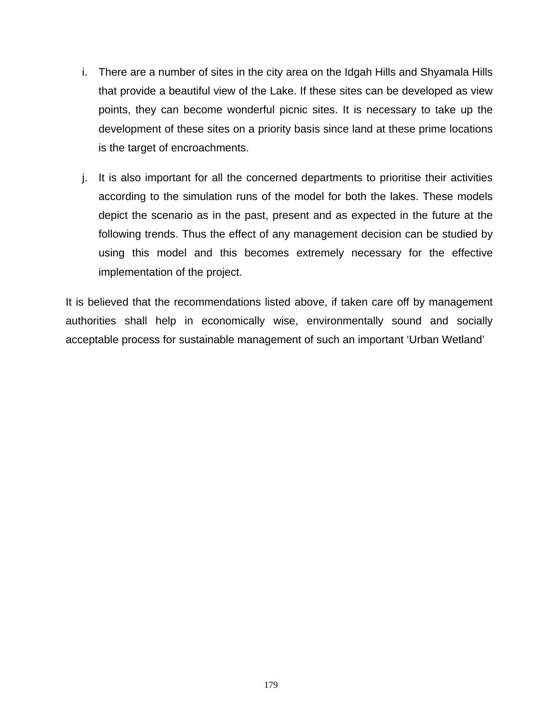- i. There are a number of sites in the city area on the Idgah Hills and Shyamala Hills that provide a beautiful view of the Lake. If these sites can be developed as view points, they can become wonderful picnic sites. It is necessary to take up the development of these sites on a priority basis since land at these prime locations is the target of encroachments.
- j. It is also important for all the concerned departments to prioritise their activities according to the simulation runs of the model for both the lakes. These models depict the scenario as in the past, present and as expected in the future at the following trends. Thus the effect of any management decision can be studied by using this model and this becomes extremely necessary for the effective implementation of the project.

It is believed that the recommendations listed above, if taken care off by management authorities shall help in economically wise, environmentally sound and socially acceptable process for sustainable management of such an important 'Urban Wetland'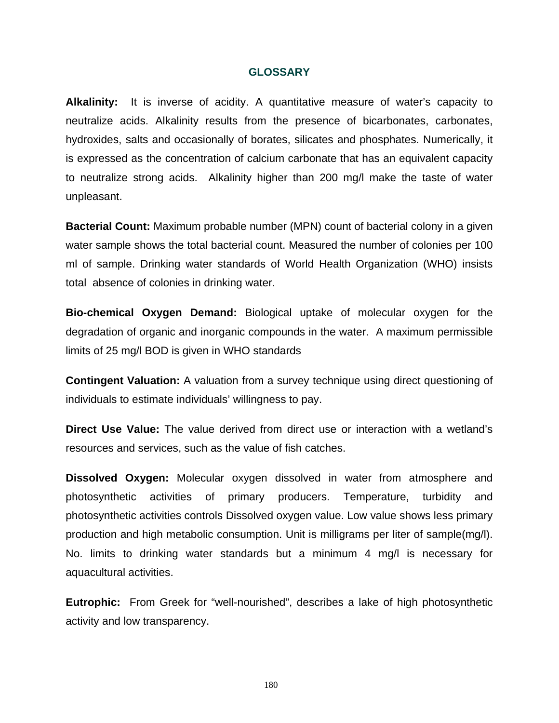#### **GLOSSARY**

**Alkalinity:** It is inverse of acidity. A quantitative measure of water's capacity to neutralize acids. Alkalinity results from the presence of bicarbonates, carbonates, hydroxides, salts and occasionally of borates, silicates and phosphates. Numerically, it is expressed as the concentration of calcium carbonate that has an equivalent capacity to neutralize strong acids. Alkalinity higher than 200 mg/l make the taste of water unpleasant.

**Bacterial Count:** Maximum probable number (MPN) count of bacterial colony in a given water sample shows the total bacterial count. Measured the number of colonies per 100 ml of sample. Drinking water standards of World Health Organization (WHO) insists total absence of colonies in drinking water.

**Bio-chemical Oxygen Demand:** Biological uptake of molecular oxygen for the degradation of organic and inorganic compounds in the water. A maximum permissible limits of 25 mg/l BOD is given in WHO standards

**Contingent Valuation:** A valuation from a survey technique using direct questioning of individuals to estimate individuals' willingness to pay.

**Direct Use Value:** The value derived from direct use or interaction with a wetland's resources and services, such as the value of fish catches.

**Dissolved Oxygen:** Molecular oxygen dissolved in water from atmosphere and photosynthetic activities of primary producers. Temperature, turbidity and photosynthetic activities controls Dissolved oxygen value. Low value shows less primary production and high metabolic consumption. Unit is milligrams per liter of sample(mg/l). No. limits to drinking water standards but a minimum 4 mg/l is necessary for aquacultural activities.

**Eutrophic:** From Greek for "well-nourished", describes a lake of high photosynthetic activity and low transparency.

180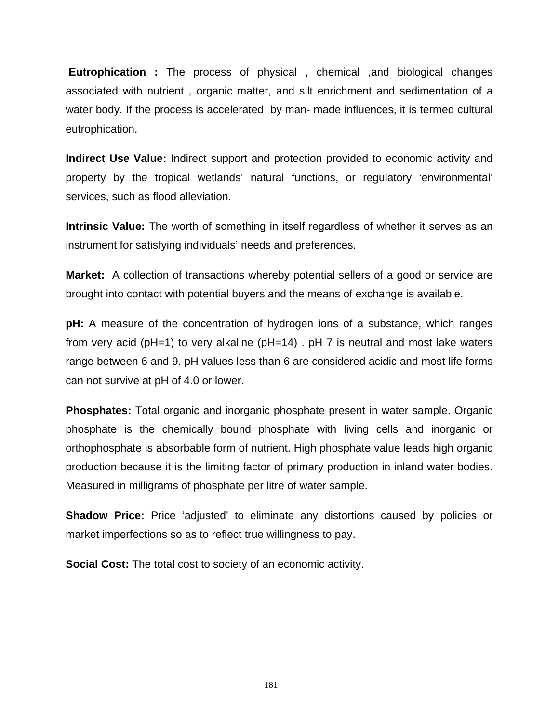**Eutrophication :** The process of physical , chemical ,and biological changes associated with nutrient , organic matter, and silt enrichment and sedimentation of a water body. If the process is accelerated by man- made influences, it is termed cultural eutrophication.

**Indirect Use Value:** Indirect support and protection provided to economic activity and property by the tropical wetlands' natural functions, or regulatory 'environmental' services, such as flood alleviation.

**Intrinsic Value:** The worth of something in itself regardless of whether it serves as an instrument for satisfying individuals' needs and preferences.

**Market:** A collection of transactions whereby potential sellers of a good or service are brought into contact with potential buyers and the means of exchange is available.

**pH:** A measure of the concentration of hydrogen ions of a substance, which ranges from very acid (pH=1) to very alkaline (pH=14) . pH 7 is neutral and most lake waters range between 6 and 9. pH values less than 6 are considered acidic and most life forms can not survive at pH of 4.0 or lower.

**Phosphates:** Total organic and inorganic phosphate present in water sample. Organic phosphate is the chemically bound phosphate with living cells and inorganic or orthophosphate is absorbable form of nutrient. High phosphate value leads high organic production because it is the limiting factor of primary production in inland water bodies. Measured in milligrams of phosphate per litre of water sample.

**Shadow Price:** Price 'adjusted' to eliminate any distortions caused by policies or market imperfections so as to reflect true willingness to pay.

**Social Cost:** The total cost to society of an economic activity.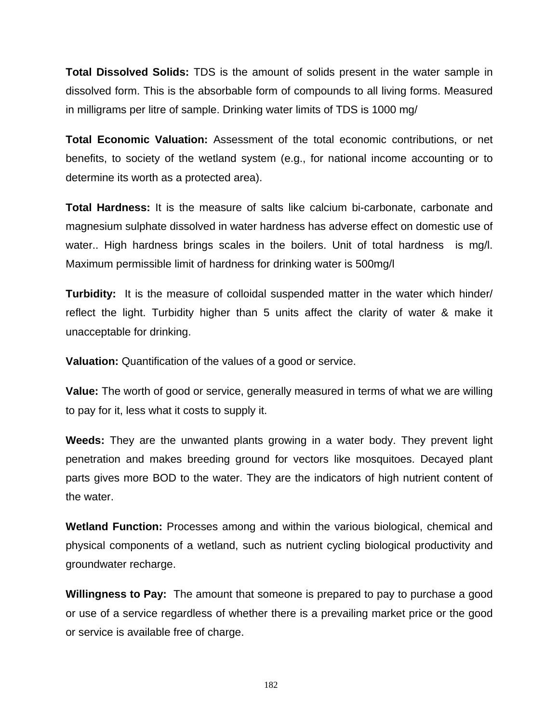**Total Dissolved Solids:** TDS is the amount of solids present in the water sample in dissolved form. This is the absorbable form of compounds to all living forms. Measured in milligrams per litre of sample. Drinking water limits of TDS is 1000 mg/

**Total Economic Valuation:** Assessment of the total economic contributions, or net benefits, to society of the wetland system (e.g., for national income accounting or to determine its worth as a protected area).

**Total Hardness:** It is the measure of salts like calcium bi-carbonate, carbonate and magnesium sulphate dissolved in water hardness has adverse effect on domestic use of water.. High hardness brings scales in the boilers. Unit of total hardness is mg/l. Maximum permissible limit of hardness for drinking water is 500mg/l

**Turbidity:** It is the measure of colloidal suspended matter in the water which hinder/ reflect the light. Turbidity higher than 5 units affect the clarity of water & make it unacceptable for drinking.

**Valuation:** Quantification of the values of a good or service.

**Value:** The worth of good or service, generally measured in terms of what we are willing to pay for it, less what it costs to supply it.

**Weeds:** They are the unwanted plants growing in a water body. They prevent light penetration and makes breeding ground for vectors like mosquitoes. Decayed plant parts gives more BOD to the water. They are the indicators of high nutrient content of the water.

**Wetland Function:** Processes among and within the various biological, chemical and physical components of a wetland, such as nutrient cycling biological productivity and groundwater recharge.

**Willingness to Pay:** The amount that someone is prepared to pay to purchase a good or use of a service regardless of whether there is a prevailing market price or the good or service is available free of charge.

182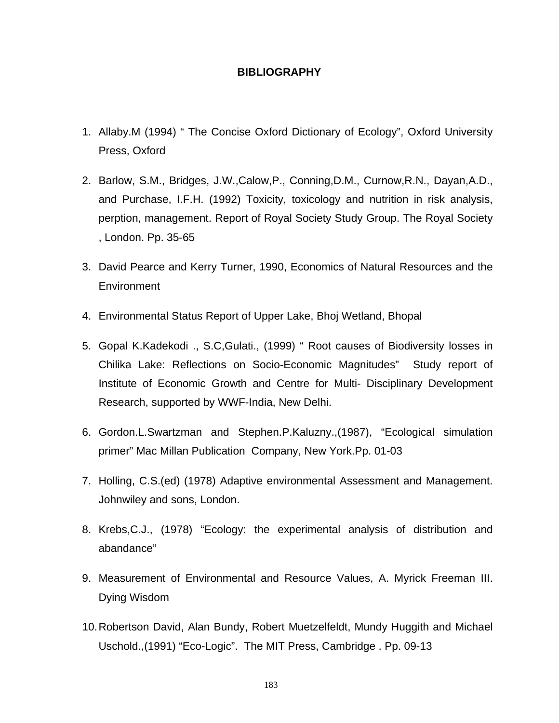# **BIBLIOGRAPHY**

- 1. Allaby.M (1994) " The Concise Oxford Dictionary of Ecology", Oxford University Press, Oxford
- 2. Barlow, S.M., Bridges, J.W.,Calow,P., Conning,D.M., Curnow,R.N., Dayan,A.D., and Purchase, I.F.H. (1992) Toxicity, toxicology and nutrition in risk analysis, perption, management. Report of Royal Society Study Group. The Royal Society , London. Pp. 35-65
- 3. David Pearce and Kerry Turner, 1990, Economics of Natural Resources and the **Environment**
- 4. Environmental Status Report of Upper Lake, Bhoj Wetland, Bhopal
- 5. Gopal K.Kadekodi ., S.C,Gulati., (1999) " Root causes of Biodiversity losses in Chilika Lake: Reflections on Socio-Economic Magnitudes" Study report of Institute of Economic Growth and Centre for Multi- Disciplinary Development Research, supported by WWF-India, New Delhi.
- 6. Gordon.L.Swartzman and Stephen.P.Kaluzny.,(1987), "Ecological simulation primer" Mac Millan Publication Company, New York.Pp. 01-03
- 7. Holling, C.S.(ed) (1978) Adaptive environmental Assessment and Management. Johnwiley and sons, London.
- 8. Krebs,C.J., (1978) "Ecology: the experimental analysis of distribution and abandance"
- 9. Measurement of Environmental and Resource Values, A. Myrick Freeman III. Dying Wisdom
- 10. Robertson David, Alan Bundy, Robert Muetzelfeldt, Mundy Huggith and Michael Uschold.,(1991) "Eco-Logic". The MIT Press, Cambridge . Pp. 09-13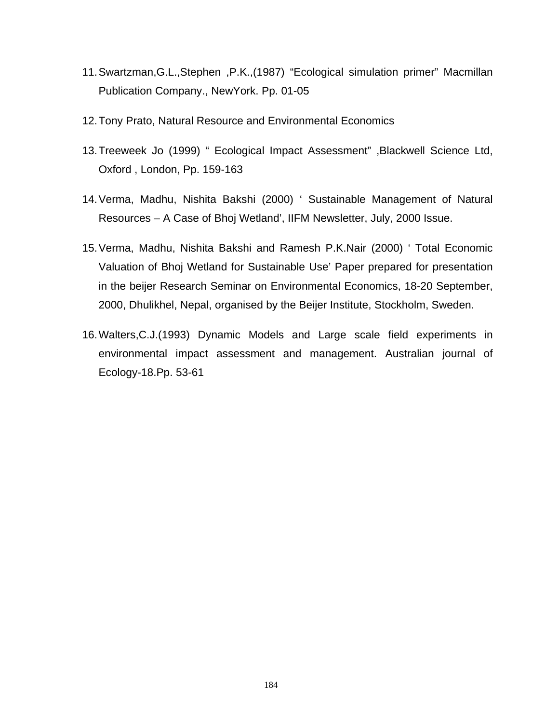- 11. Swartzman,G.L.,Stephen ,P.K.,(1987) "Ecological simulation primer" Macmillan Publication Company., NewYork. Pp. 01-05
- 12. Tony Prato, Natural Resource and Environmental Economics
- 13. Treeweek Jo (1999) " Ecological Impact Assessment" ,Blackwell Science Ltd, Oxford , London, Pp. 159-163
- 14. Verma, Madhu, Nishita Bakshi (2000) ' Sustainable Management of Natural Resources – A Case of Bhoj Wetland', IIFM Newsletter, July, 2000 Issue.
- 15. Verma, Madhu, Nishita Bakshi and Ramesh P.K.Nair (2000) ' Total Economic Valuation of Bhoj Wetland for Sustainable Use' Paper prepared for presentation in the beijer Research Seminar on Environmental Economics, 18-20 September, 2000, Dhulikhel, Nepal, organised by the Beijer Institute, Stockholm, Sweden.
- 16. Walters,C.J.(1993) Dynamic Models and Large scale field experiments in environmental impact assessment and management. Australian journal of Ecology-18.Pp. 53-61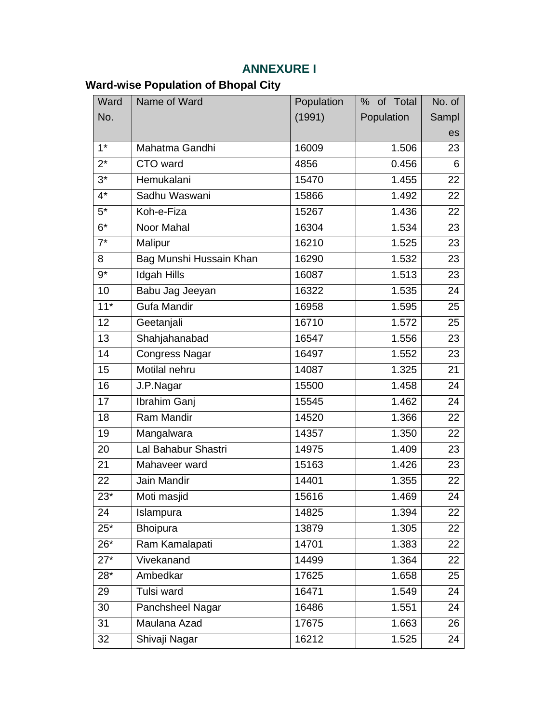# **ANNEXURE I**

# **Ward-wise Population of Bhopal City**

| Ward             | Name of Ward            | Population | % of Total | No. of |
|------------------|-------------------------|------------|------------|--------|
| No.              |                         | (1991)     | Population | Sampl  |
|                  |                         |            |            | es     |
| $\overline{1^*}$ | Mahatma Gandhi          | 16009      | 1.506      | 23     |
| $2^*$            | CTO ward                | 4856       | 0.456      | 6      |
| $3^*$            | Hemukalani              | 15470      | 1.455      | 22     |
| $4*$             | Sadhu Waswani           | 15866      | 1.492      | 22     |
| $5^*$            | Koh-e-Fiza              | 15267      | 1.436      | 22     |
| $6*$             | Noor Mahal              | 16304      | 1.534      | 23     |
| $7^*$            | Malipur                 | 16210      | 1.525      | 23     |
| 8                | Bag Munshi Hussain Khan | 16290      | 1.532      | 23     |
| $9*$             | <b>Idgah Hills</b>      | 16087      | 1.513      | 23     |
| 10               | Babu Jag Jeeyan         | 16322      | 1.535      | 24     |
| $11*$            | <b>Gufa Mandir</b>      | 16958      | 1.595      | 25     |
| 12               | Geetanjali              | 16710      | 1.572      | 25     |
| 13               | Shahjahanabad           | 16547      | 1.556      | 23     |
| 14               | <b>Congress Nagar</b>   | 16497      | 1.552      | 23     |
| 15               | Motilal nehru           | 14087      | 1.325      | 21     |
| 16               | J.P.Nagar               | 15500      | 1.458      | 24     |
| 17               | Ibrahim Ganj            | 15545      | 1.462      | 24     |
| 18               | Ram Mandir              | 14520      | 1.366      | 22     |
| 19               | Mangalwara              | 14357      | 1.350      | 22     |
| 20               | Lal Bahabur Shastri     | 14975      | 1.409      | 23     |
| 21               | Mahaveer ward           | 15163      | 1.426      | 23     |
| 22               | Jain Mandir             | 14401      | 1.355      | 22     |
| $23*$            | Moti masjid             | 15616      | 1.469      | 24     |
| 24               | Islampura               | 14825      | 1.394      | 22     |
| $25^*$           | Bhoipura                | 13879      | 1.305      | 22     |
| $26*$            | Ram Kamalapati          | 14701      | 1.383      | 22     |
| $27*$            | Vivekanand              | 14499      | 1.364      | 22     |
| $28*$            | Ambedkar                | 17625      | 1.658      | 25     |
| 29               | Tulsi ward              | 16471      | 1.549      | 24     |
| 30               | Panchsheel Nagar        | 16486      | 1.551      | 24     |
| 31               | Maulana Azad            | 17675      | 1.663      | 26     |
| 32               | Shivaji Nagar           | 16212      | 1.525      | 24     |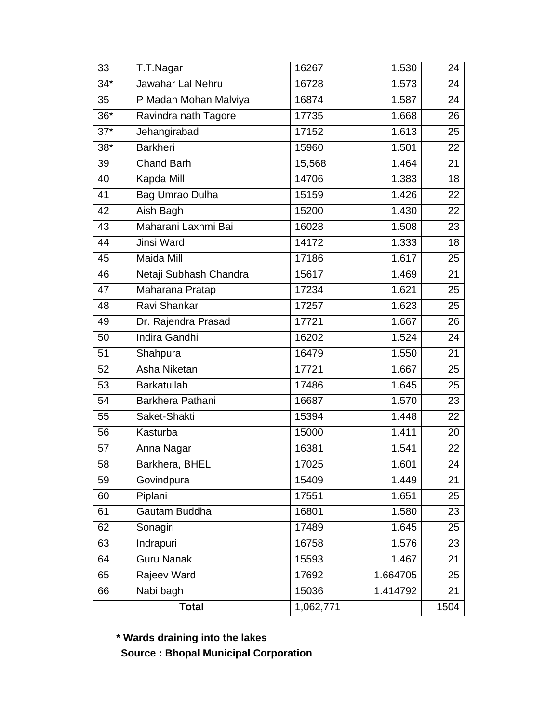| 33           | T.T.Nagar              | 16267     | 1.530    | 24   |
|--------------|------------------------|-----------|----------|------|
| $34*$        | Jawahar Lal Nehru      | 16728     | 1.573    | 24   |
| 35           | P Madan Mohan Malviya  | 16874     | 1.587    | 24   |
| $36*$        | Ravindra nath Tagore   | 17735     | 1.668    | 26   |
| $37*$        | Jehangirabad           | 17152     | 1.613    | 25   |
| $38*$        | <b>Barkheri</b>        | 15960     | 1.501    | 22   |
| 39           | <b>Chand Barh</b>      | 15,568    | 1.464    | 21   |
| 40           | Kapda Mill             | 14706     | 1.383    | 18   |
| 41           | Bag Umrao Dulha        | 15159     | 1.426    | 22   |
| 42           | Aish Bagh              | 15200     | 1.430    | 22   |
| 43           | Maharani Laxhmi Bai    | 16028     | 1.508    | 23   |
| 44           | Jinsi Ward             | 14172     | 1.333    | 18   |
| 45           | Maida Mill             | 17186     | 1.617    | 25   |
| 46           | Netaji Subhash Chandra | 15617     | 1.469    | 21   |
| 47           | Maharana Pratap        | 17234     | 1.621    | 25   |
| 48           | Ravi Shankar           | 17257     | 1.623    | 25   |
| 49           | Dr. Rajendra Prasad    | 17721     | 1.667    | 26   |
| 50           | Indira Gandhi          | 16202     | 1.524    | 24   |
| 51           | Shahpura               | 16479     | 1.550    | 21   |
| 52           | Asha Niketan           | 17721     | 1.667    | 25   |
| 53           | Barkatullah            | 17486     | 1.645    | 25   |
| 54           | Barkhera Pathani       | 16687     | 1.570    | 23   |
| 55           | Saket-Shakti           | 15394     | 1.448    | 22   |
| 56           | Kasturba               | 15000     | 1.411    | 20   |
| 57           | Anna Nagar             | 16381     | 1.541    | 22   |
| 58           | Barkhera, BHEL         | 17025     | 1.601    | 24   |
| 59           | Govindpura             | 15409     | 1.449    | 21   |
| 60           | Piplani                | 17551     | 1.651    | 25   |
| 61           | Gautam Buddha          | 16801     | 1.580    | 23   |
| 62           | Sonagiri               | 17489     | 1.645    | 25   |
| 63           | Indrapuri              | 16758     | 1.576    | 23   |
| 64           | <b>Guru Nanak</b>      | 15593     | 1.467    | 21   |
| 65           | Rajeev Ward            | 17692     | 1.664705 | 25   |
| 66           | Nabi bagh              | 15036     | 1.414792 | 21   |
| <b>Total</b> |                        | 1,062,771 |          | 1504 |

 **\* Wards draining into the lakes** 

 **Source : Bhopal Municipal Corporation**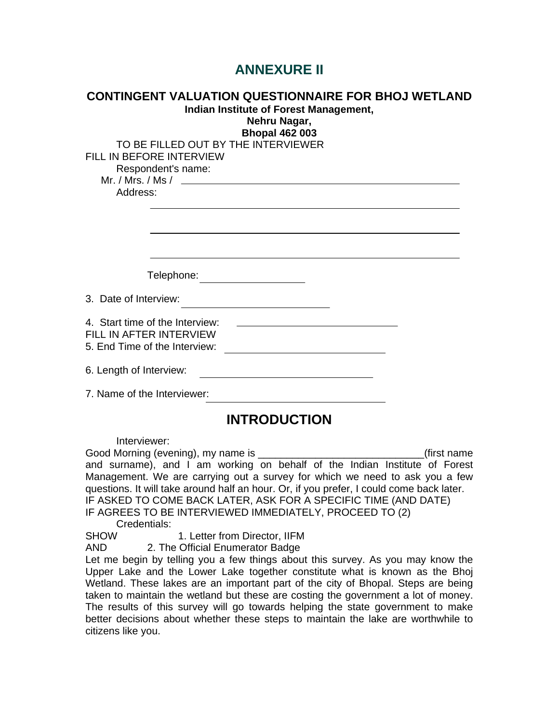# **ANNEXURE II**

| <b>CONTINGENT VALUATION QUESTIONNAIRE FOR BHOJ WETLAND</b><br>Indian Institute of Forest Management,<br>Nehru Nagar,<br><b>Bhopal 462 003</b>                                                                                                                                                                                                                                                                      |
|--------------------------------------------------------------------------------------------------------------------------------------------------------------------------------------------------------------------------------------------------------------------------------------------------------------------------------------------------------------------------------------------------------------------|
| TO BE FILLED OUT BY THE INTERVIEWER<br>FILL IN BEFORE INTERVIEW<br>Respondent's name:<br>Mr. / Mrs. / Ms / $\qquad \qquad$<br>Address:                                                                                                                                                                                                                                                                             |
| Telephone:                                                                                                                                                                                                                                                                                                                                                                                                         |
| 3. Date of Interview:                                                                                                                                                                                                                                                                                                                                                                                              |
| 4. Start time of the Interview:<br>FILL IN AFTER INTERVIEW<br>5. End Time of the Interview:                                                                                                                                                                                                                                                                                                                        |
| 6. Length of Interview:                                                                                                                                                                                                                                                                                                                                                                                            |
| 7. Name of the Interviewer:<br>the control of the control of the control of the control of the control of the control of                                                                                                                                                                                                                                                                                           |
| <b>INTRODUCTION</b>                                                                                                                                                                                                                                                                                                                                                                                                |
| Interviewer:<br>(first name<br>and surname), and I am working on behalf of the Indian Institute of Forest<br>Management. We are carrying out a survey for which we need to ask you a few<br>questions. It will take around half an hour. Or, if you prefer, I could come back later.<br>IF ASKED TO COME BACK LATER, ASK FOR A SPECIFIC TIME (AND DATE)<br>IF AGREES TO BE INTERVIEWED IMMEDIATELY, PROCEED TO (2) |

Credentials:

SHOW 1. Letter from Director, IIFM

AND 2. The Official Enumerator Badge

Let me begin by telling you a few things about this survey. As you may know the Upper Lake and the Lower Lake together constitute what is known as the Bhoj Wetland. These lakes are an important part of the city of Bhopal. Steps are being taken to maintain the wetland but these are costing the government a lot of money. The results of this survey will go towards helping the state government to make better decisions about whether these steps to maintain the lake are worthwhile to citizens like you.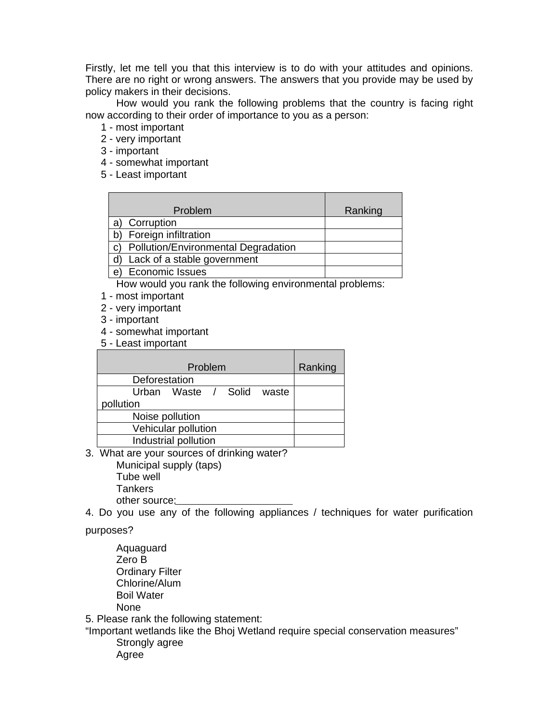Firstly, let me tell you that this interview is to do with your attitudes and opinions. There are no right or wrong answers. The answers that you provide may be used by policy makers in their decisions.

 How would you rank the following problems that the country is facing right now according to their order of importance to you as a person:

- 1 most important
- 2 very important
- 3 important
- 4 somewhat important
- 5 Least important

| Problem                             | Ranking |
|-------------------------------------|---------|
| Corruption                          |         |
| Foreign infiltration                |         |
| Pollution/Environmental Degradation |         |
| Lack of a stable government         |         |
| Economic Issues<br>e                |         |

How would you rank the following environmental problems:

- 1 most important
- 2 very important
- 3 important
- 4 somewhat important
- 5 Least important

| Problem                      | Ranking |
|------------------------------|---------|
| Deforestation                |         |
| Urban Waste / Solid<br>waste |         |
| pollution                    |         |
| Noise pollution              |         |
| Vehicular pollution          |         |
| Industrial pollution         |         |
| <br>-                        |         |

3. What are your sources of drinking water?

 Municipal supply (taps) Tube well **Tankers** other source:

4. Do you use any of the following appliances / techniques for water purification

purposes?

 Aquaguard Zero B Ordinary Filter Chlorine/Alum Boil Water None

5. Please rank the following statement:

"Important wetlands like the Bhoj Wetland require special conservation measures" Strongly agree

Agree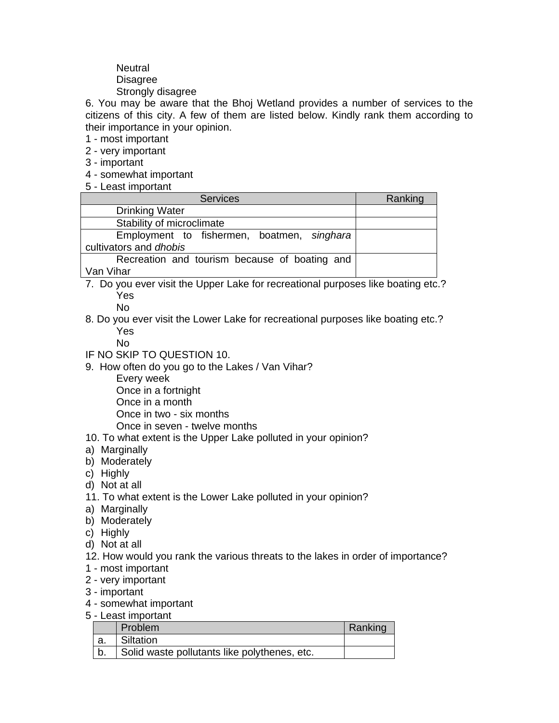# **Neutral**  Disagree Strongly disagree

6. You may be aware that the Bhoj Wetland provides a number of services to the citizens of this city. A few of them are listed below. Kindly rank them according to their importance in your opinion.

1 - most important

- 2 very important
- 3 important
- 4 somewhat important
- 5 Least important

| <b>Services</b>                               | Ranking |
|-----------------------------------------------|---------|
| <b>Drinking Water</b>                         |         |
| Stability of microclimate                     |         |
| Employment to fishermen, boatmen, singhara    |         |
| cultivators and dhobis                        |         |
| Recreation and tourism because of boating and |         |
| Van Vihar                                     |         |

7. Do you ever visit the Upper Lake for recreational purposes like boating etc.? Yes

No

8. Do you ever visit the Lower Lake for recreational purposes like boating etc.? Yes

No

- IF NO SKIP TO QUESTION 10.
- 9. How often do you go to the Lakes / Van Vihar?
	- Every week
	- Once in a fortnight
	- Once in a month
	- Once in two six months
	- Once in seven twelve months
- 10. To what extent is the Upper Lake polluted in your opinion?
- a) Marginally
- b) Moderately
- c) Highly
- d) Not at all
- 11. To what extent is the Lower Lake polluted in your opinion?
- a) Marginally
- b) Moderately
- c) Highly
- d) Not at all
- 12. How would you rank the various threats to the lakes in order of importance?
- 1 most important
- 2 very important
- 3 important
- 4 somewhat important
- 5 Least important

|    | Problem                                      | Ranking |
|----|----------------------------------------------|---------|
| a. | Siltation                                    |         |
|    | Solid waste pollutants like polythenes, etc. |         |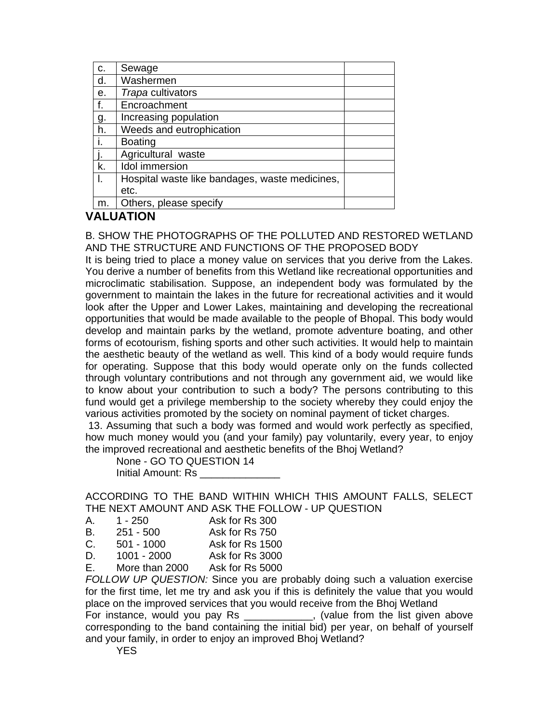| C.        | Sewage                                         |  |
|-----------|------------------------------------------------|--|
| d.        | Washermen                                      |  |
| е.        | Trapa cultivators                              |  |
| f.        | Encroachment                                   |  |
| <u>g.</u> | Increasing population                          |  |
| h.        | Weeds and eutrophication                       |  |
|           | <b>Boating</b>                                 |  |
|           | Agricultural waste                             |  |
| k.        | <b>Idol</b> immersion                          |  |
|           | Hospital waste like bandages, waste medicines, |  |
|           | etc.                                           |  |
| m.        | Others, please specify                         |  |

# **VALUATION**

#### B. SHOW THE PHOTOGRAPHS OF THE POLLUTED AND RESTORED WETLAND AND THE STRUCTURE AND FUNCTIONS OF THE PROPOSED BODY

It is being tried to place a money value on services that you derive from the Lakes. You derive a number of benefits from this Wetland like recreational opportunities and microclimatic stabilisation. Suppose, an independent body was formulated by the government to maintain the lakes in the future for recreational activities and it would look after the Upper and Lower Lakes, maintaining and developing the recreational opportunities that would be made available to the people of Bhopal. This body would develop and maintain parks by the wetland, promote adventure boating, and other forms of ecotourism, fishing sports and other such activities. It would help to maintain the aesthetic beauty of the wetland as well. This kind of a body would require funds for operating. Suppose that this body would operate only on the funds collected through voluntary contributions and not through any government aid, we would like to know about your contribution to such a body? The persons contributing to this fund would get a privilege membership to the society whereby they could enjoy the various activities promoted by the society on nominal payment of ticket charges.

 13. Assuming that such a body was formed and would work perfectly as specified, how much money would you (and your family) pay voluntarily, every year, to enjoy the improved recreational and aesthetic benefits of the Bhoj Wetland?

 None - GO TO QUESTION 14 Initial Amount: Rs \_\_\_\_\_\_\_\_\_\_\_\_\_\_

ACCORDING TO THE BAND WITHIN WHICH THIS AMOUNT FALLS, SELECT THE NEXT AMOUNT AND ASK THE FOLLOW - UP QUESTION

| А. | 1 - 250 | Ask for Rs 300 |
|----|---------|----------------|
|    |         |                |

| В. | $251 - 500$ | Ask for Rs 750 |
|----|-------------|----------------|
|    |             |                |

- C. 501 1000 Ask for Rs 1500
- D. 1001 2000 Ask for Rs 3000
- E. More than 2000 Ask for Rs 5000

*FOLLOW UP QUESTION:* Since you are probably doing such a valuation exercise for the first time, let me try and ask you if this is definitely the value that you would place on the improved services that you would receive from the Bhoj Wetland For instance, would you pay Rs \_\_\_\_\_\_\_\_\_\_\_, (value from the list given above corresponding to the band containing the initial bid) per year, on behalf of yourself and your family, in order to enjoy an improved Bhoj Wetland?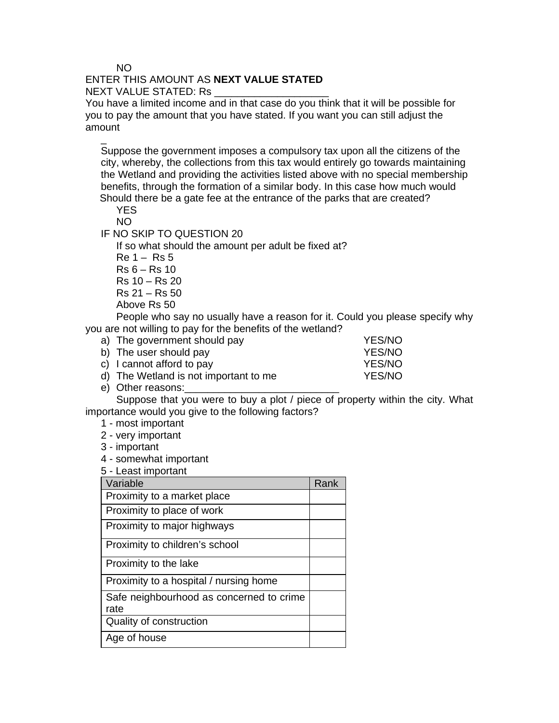#### NO

 $\overline{a}$ 

# ENTER THIS AMOUNT AS **NEXT VALUE STATED**

#### NEXT VALUE STATED: Rs

You have a limited income and in that case do you think that it will be possible for you to pay the amount that you have stated. If you want you can still adjust the amount

Suppose the government imposes a compulsory tax upon all the citizens of the city, whereby, the collections from this tax would entirely go towards maintaining the Wetland and providing the activities listed above with no special membership benefits, through the formation of a similar body. In this case how much would Should there be a gate fee at the entrance of the parks that are created?

 YES NO

IF NO SKIP TO QUESTION 20

If so what should the amount per adult be fixed at?

 $Re 1 - Rs 5$  $Rs 6 - Rs 10$ 

Rs 10 – Rs 20

Rs 21 – Rs 50

Above Rs 50

 People who say no usually have a reason for it. Could you please specify why you are not willing to pay for the benefits of the wetland?

| a) The government should pay          | <b>YES/NO</b> |
|---------------------------------------|---------------|
| b) The user should pay                | YES/NO        |
| c) I cannot afford to pay             | YES/NO        |
| d) The Wetland is not important to me | YES/NO        |

e) Other reasons:

 Suppose that you were to buy a plot / piece of property within the city. What importance would you give to the following factors?

1 - most important

2 - very important

3 - important

4 - somewhat important

5 - Least important

| Variable                                         | Rank |
|--------------------------------------------------|------|
| Proximity to a market place                      |      |
| Proximity to place of work                       |      |
| Proximity to major highways                      |      |
| Proximity to children's school                   |      |
| Proximity to the lake                            |      |
| Proximity to a hospital / nursing home           |      |
| Safe neighbourhood as concerned to crime<br>rate |      |
| Quality of construction                          |      |
| Age of house                                     |      |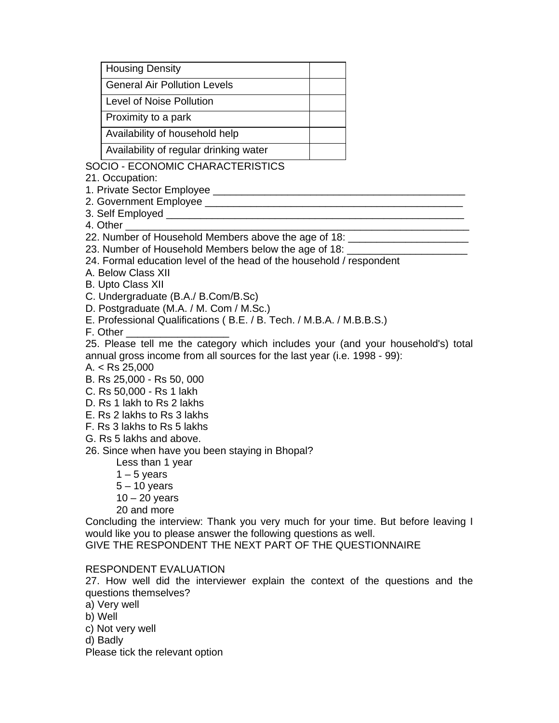| <b>Housing Density</b>                 |  |
|----------------------------------------|--|
| <b>General Air Pollution Levels</b>    |  |
| Level of Noise Pollution               |  |
| Proximity to a park                    |  |
| Availability of household help         |  |
| Availability of regular drinking water |  |

#### SOCIO - ECONOMIC CHARACTERISTICS

21. Occupation:

1. Private Sector Employee \_\_\_\_\_\_\_\_\_\_\_\_\_\_\_\_\_\_\_\_\_\_\_\_\_\_\_\_\_\_\_\_\_\_\_\_\_\_\_\_\_\_\_\_

2. Government Employee \_\_\_\_\_\_\_\_\_\_\_\_\_\_\_\_\_\_\_\_\_\_\_\_\_\_\_\_\_\_\_\_\_\_\_\_\_\_\_\_\_\_\_\_\_

3. Self Employed **Employed** 

4. Other

22. Number of Household Members above the age of 18:

23. Number of Household Members below the age of 18:

- 24. Formal education level of the head of the household / respondent
- A. Below Class XII

B. Upto Class XII

C. Undergraduate (B.A./ B.Com/B.Sc)

- D. Postgraduate (M.A. / M. Com / M.Sc.)
- E. Professional Qualifications ( B.E. / B. Tech. / M.B.A. / M.B.B.S.)

F. Other \_\_\_\_\_\_\_\_\_\_\_\_\_\_\_\_\_\_

25. Please tell me the category which includes your (and your household's) total annual gross income from all sources for the last year (i.e. 1998 - 99):

- A. < Rs 25,000
- B. Rs 25,000 Rs 50, 000
- C. Rs 50,000 Rs 1 lakh
- D. Rs 1 lakh to Rs 2 lakhs
- E. Rs 2 lakhs to Rs 3 lakhs
- F. Rs 3 lakhs to Rs 5 lakhs
- G. Rs 5 lakhs and above.

26. Since when have you been staying in Bhopal?

- Less than 1 year
- $1 5$  years

 $5 - 10$  years

 $10 - 20$  years

20 and more

Concluding the interview: Thank you very much for your time. But before leaving I would like you to please answer the following questions as well.

GIVE THE RESPONDENT THE NEXT PART OF THE QUESTIONNAIRE

#### RESPONDENT EVALUATION

27. How well did the interviewer explain the context of the questions and the questions themselves?

- a) Very well
- b) Well

c) Not very well

d) Badly

Please tick the relevant option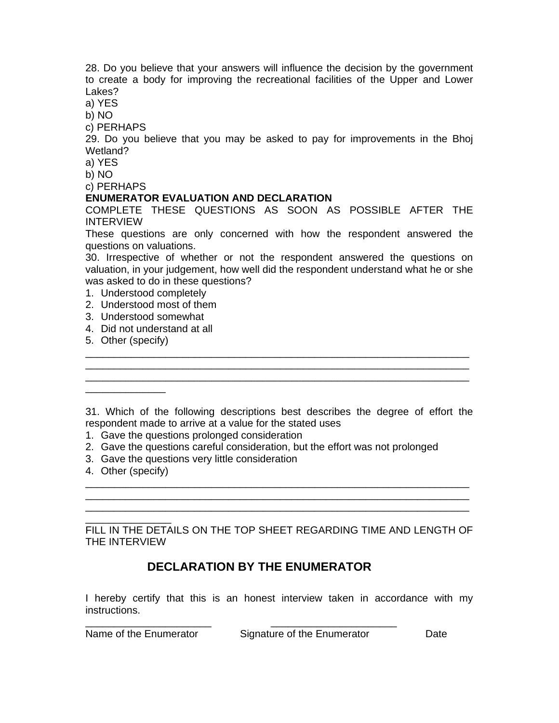28. Do you believe that your answers will influence the decision by the government to create a body for improving the recreational facilities of the Upper and Lower Lakes?

a) YES

b) NO

c) PERHAPS

29. Do you believe that you may be asked to pay for improvements in the Bhoj Wetland?

a) YES

b) NO

c) PERHAPS

#### **ENUMERATOR EVALUATION AND DECLARATION**

COMPLETE THESE QUESTIONS AS SOON AS POSSIBLE AFTER THE INTERVIEW

These questions are only concerned with how the respondent answered the questions on valuations.

30. Irrespective of whether or not the respondent answered the questions on valuation, in your judgement, how well did the respondent understand what he or she was asked to do in these questions?

- 1. Understood completely
- 2. Understood most of them
- 3. Understood somewhat
- 4. Did not understand at all
- 5. Other (specify)

\_\_\_\_\_\_\_\_\_\_\_\_\_\_

31. Which of the following descriptions best describes the degree of effort the respondent made to arrive at a value for the stated uses

\_\_\_\_\_\_\_\_\_\_\_\_\_\_\_\_\_\_\_\_\_\_\_\_\_\_\_\_\_\_\_\_\_\_\_\_\_\_\_\_\_\_\_\_\_\_\_\_\_\_\_\_\_\_\_\_\_\_\_\_\_\_\_\_\_\_\_

\_\_\_\_\_\_\_\_\_\_\_\_\_\_\_\_\_\_\_\_\_\_\_\_\_\_\_\_\_\_\_\_\_\_\_\_\_\_\_\_\_\_\_\_\_\_\_\_\_\_\_\_\_\_\_\_\_\_\_\_\_\_\_\_\_\_\_

- 1. Gave the questions prolonged consideration
- 2. Gave the questions careful consideration, but the effort was not prolonged
- 3. Gave the questions very little consideration
- 4. Other (specify)

\_\_\_\_\_\_\_\_\_\_\_\_\_\_\_ FILL IN THE DETAILS ON THE TOP SHEET REGARDING TIME AND LENGTH OF THE INTERVIEW

\_\_\_\_\_\_\_\_\_\_\_\_\_\_\_\_\_\_\_\_\_\_\_\_\_\_\_\_\_\_\_\_\_\_\_\_\_\_\_\_\_\_\_\_\_\_\_\_\_\_\_\_\_\_\_\_\_\_\_\_\_\_\_\_\_\_\_ \_\_\_\_\_\_\_\_\_\_\_\_\_\_\_\_\_\_\_\_\_\_\_\_\_\_\_\_\_\_\_\_\_\_\_\_\_\_\_\_\_\_\_\_\_\_\_\_\_\_\_\_\_\_\_\_\_\_\_\_\_\_\_\_\_\_\_ \_\_\_\_\_\_\_\_\_\_\_\_\_\_\_\_\_\_\_\_\_\_\_\_\_\_\_\_\_\_\_\_\_\_\_\_\_\_\_\_\_\_\_\_\_\_\_\_\_\_\_\_\_\_\_\_\_\_\_\_\_\_\_\_\_\_\_

### **DECLARATION BY THE ENUMERATOR**

\_\_\_\_\_\_\_\_\_\_\_\_\_\_\_\_\_\_\_\_\_\_ \_\_\_\_\_\_\_\_\_\_\_\_\_\_\_\_\_\_\_\_\_\_

I hereby certify that this is an honest interview taken in accordance with my instructions.

Name of the Enumerator Signature of the Enumerator Date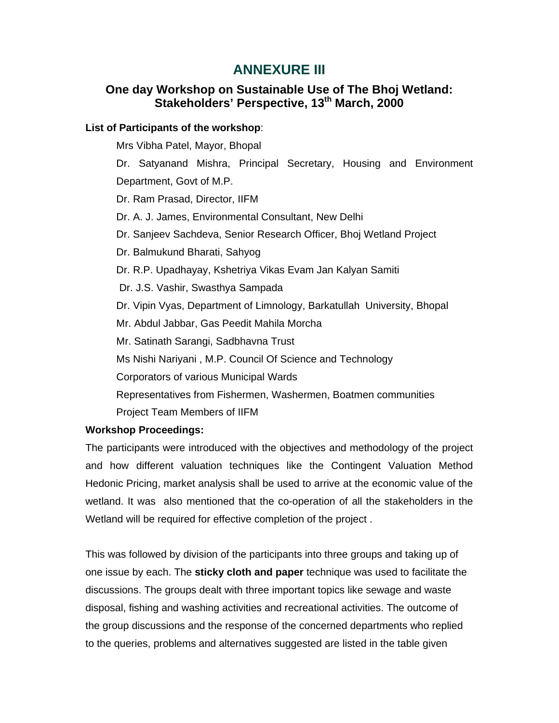### **ANNEXURE III**

### **One day Workshop on Sustainable Use of The Bhoj Wetland: Stakeholders' Perspective, 13th March, 2000**

#### **List of Participants of the workshop**:

Mrs Vibha Patel, Mayor, Bhopal

 Dr. Satyanand Mishra, Principal Secretary, Housing and Environment Department, Govt of M.P.

Dr. Ram Prasad, Director, IIFM

Dr. A. J. James, Environmental Consultant, New Delhi

Dr. Sanjeev Sachdeva, Senior Research Officer, Bhoj Wetland Project

Dr. Balmukund Bharati, Sahyog

Dr. R.P. Upadhayay, Kshetriya Vikas Evam Jan Kalyan Samiti

Dr. J.S. Vashir, Swasthya Sampada

Dr. Vipin Vyas, Department of Limnology, Barkatullah University, Bhopal

Mr. Abdul Jabbar, Gas Peedit Mahila Morcha

Mr. Satinath Sarangi, Sadbhavna Trust

Ms Nishi Nariyani , M.P. Council Of Science and Technology

Corporators of various Municipal Wards

Representatives from Fishermen, Washermen, Boatmen communities

Project Team Members of IIFM

#### **Workshop Proceedings:**

The participants were introduced with the objectives and methodology of the project and how different valuation techniques like the Contingent Valuation Method Hedonic Pricing, market analysis shall be used to arrive at the economic value of the wetland. It was also mentioned that the co-operation of all the stakeholders in the Wetland will be required for effective completion of the project .

This was followed by division of the participants into three groups and taking up of one issue by each. The **sticky cloth and paper** technique was used to facilitate the discussions. The groups dealt with three important topics like sewage and waste disposal, fishing and washing activities and recreational activities. The outcome of the group discussions and the response of the concerned departments who replied to the queries, problems and alternatives suggested are listed in the table given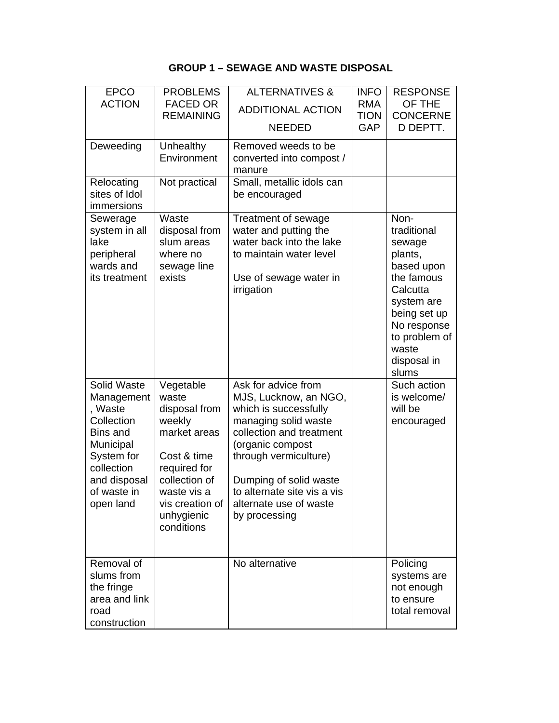### **GROUP 1 – SEWAGE AND WASTE DISPOSAL**

| <b>EPCO</b><br><b>ACTION</b>                                                                                                                               | <b>PROBLEMS</b><br><b>FACED OR</b><br><b>REMAINING</b>                                                                                                                      | <b>ALTERNATIVES &amp;</b><br><b>ADDITIONAL ACTION</b><br><b>NEEDED</b>                                                                                                                                                                                                     | <b>INFO</b><br><b>RMA</b><br><b>TION</b><br>GAP | <b>RESPONSE</b><br>OF THE<br><b>CONCERNE</b><br>D DEPTT.                                                                                                                        |
|------------------------------------------------------------------------------------------------------------------------------------------------------------|-----------------------------------------------------------------------------------------------------------------------------------------------------------------------------|----------------------------------------------------------------------------------------------------------------------------------------------------------------------------------------------------------------------------------------------------------------------------|-------------------------------------------------|---------------------------------------------------------------------------------------------------------------------------------------------------------------------------------|
| Deweeding                                                                                                                                                  | Unhealthy<br>Environment                                                                                                                                                    | Removed weeds to be<br>converted into compost /<br>manure                                                                                                                                                                                                                  |                                                 |                                                                                                                                                                                 |
| Relocating<br>sites of Idol<br>immersions                                                                                                                  | Not practical                                                                                                                                                               | Small, metallic idols can<br>be encouraged                                                                                                                                                                                                                                 |                                                 |                                                                                                                                                                                 |
| Sewerage<br>system in all<br>lake<br>peripheral<br>wards and<br>its treatment                                                                              | Waste<br>disposal from<br>slum areas<br>where no<br>sewage line<br>exists                                                                                                   | Treatment of sewage<br>water and putting the<br>water back into the lake<br>to maintain water level<br>Use of sewage water in<br>irrigation                                                                                                                                |                                                 | Non-<br>traditional<br>sewage<br>plants,<br>based upon<br>the famous<br>Calcutta<br>system are<br>being set up<br>No response<br>to problem of<br>waste<br>disposal in<br>slums |
| Solid Waste<br>Management<br>, Waste<br>Collection<br><b>Bins and</b><br>Municipal<br>System for<br>collection<br>and disposal<br>of waste in<br>open land | Vegetable<br>waste<br>disposal from<br>weekly<br>market areas<br>Cost & time<br>required for<br>collection of<br>waste vis a<br>vis creation of<br>unhygienic<br>conditions | Ask for advice from<br>MJS, Lucknow, an NGO,<br>which is successfully<br>managing solid waste<br>collection and treatment<br>(organic compost<br>through vermiculture)<br>Dumping of solid waste<br>to alternate site vis a vis<br>alternate use of waste<br>by processing |                                                 | Such action<br>is welcome/<br>will be<br>encouraged                                                                                                                             |
| Removal of<br>slums from<br>the fringe<br>area and link<br>road<br>construction                                                                            |                                                                                                                                                                             | No alternative                                                                                                                                                                                                                                                             |                                                 | Policing<br>systems are<br>not enough<br>to ensure<br>total removal                                                                                                             |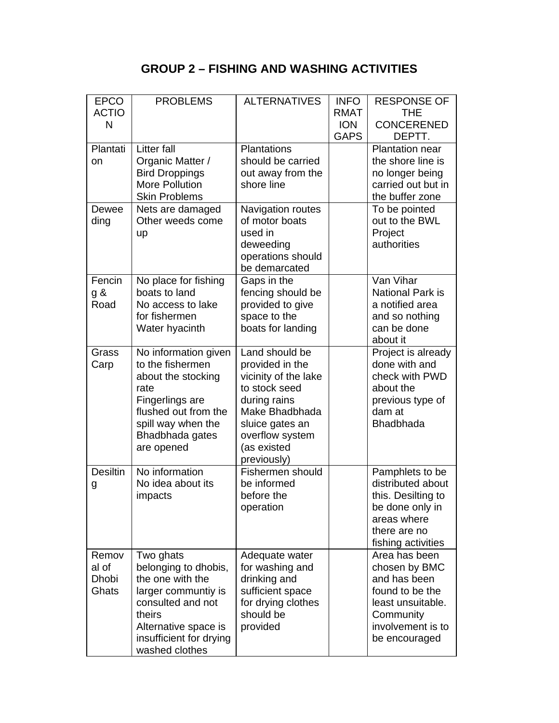## **GROUP 2 – FISHING AND WASHING ACTIVITIES**

| <b>EPCO</b><br><b>ACTIO</b><br>N        | <b>PROBLEMS</b>                                                                                                                                                                  | <b>ALTERNATIVES</b>                                                                                                                                                              | <b>INFO</b><br><b>RMAT</b><br><b>ION</b> | <b>RESPONSE OF</b><br><b>THE</b><br><b>CONCERENED</b>                                                                                     |
|-----------------------------------------|----------------------------------------------------------------------------------------------------------------------------------------------------------------------------------|----------------------------------------------------------------------------------------------------------------------------------------------------------------------------------|------------------------------------------|-------------------------------------------------------------------------------------------------------------------------------------------|
| Plantati<br>on                          | <b>Litter fall</b><br>Organic Matter /<br><b>Bird Droppings</b><br><b>More Pollution</b><br><b>Skin Problems</b>                                                                 | <b>Plantations</b><br>should be carried<br>out away from the<br>shore line                                                                                                       | <b>GAPS</b>                              | DEPTT.<br><b>Plantation near</b><br>the shore line is<br>no longer being<br>carried out but in<br>the buffer zone                         |
| Dewee<br>ding                           | Nets are damaged<br>Other weeds come<br>up                                                                                                                                       | Navigation routes<br>of motor boats<br>used in<br>deweeding<br>operations should<br>be demarcated                                                                                |                                          | To be pointed<br>out to the BWL<br>Project<br>authorities                                                                                 |
| Fencin<br>g &<br>Road                   | No place for fishing<br>boats to land<br>No access to lake<br>for fishermen<br>Water hyacinth                                                                                    | Gaps in the<br>fencing should be<br>provided to give<br>space to the<br>boats for landing                                                                                        |                                          | Van Vihar<br><b>National Park is</b><br>a notified area<br>and so nothing<br>can be done<br>about it                                      |
| Grass<br>Carp                           | No information given<br>to the fishermen<br>about the stocking<br>rate<br>Fingerlings are<br>flushed out from the<br>spill way when the<br>Bhadbhada gates<br>are opened         | Land should be<br>provided in the<br>vicinity of the lake<br>to stock seed<br>during rains<br>Make Bhadbhada<br>sluice gates an<br>overflow system<br>(as existed<br>previously) |                                          | Project is already<br>done with and<br>check with PWD<br>about the<br>previous type of<br>dam at<br><b>Bhadbhada</b>                      |
| <b>Desiltin</b><br>g                    | No information<br>No idea about its<br>impacts                                                                                                                                   | Fishermen should<br>be informed<br>before the<br>operation                                                                                                                       |                                          | Pamphlets to be<br>distributed about<br>this. Desilting to<br>be done only in<br>areas where<br>there are no<br>fishing activities        |
| Remov<br>al of<br><b>Dhobi</b><br>Ghats | Two ghats<br>belonging to dhobis,<br>the one with the<br>larger communtiy is<br>consulted and not<br>theirs<br>Alternative space is<br>insufficient for drying<br>washed clothes | Adequate water<br>for washing and<br>drinking and<br>sufficient space<br>for drying clothes<br>should be<br>provided                                                             |                                          | Area has been<br>chosen by BMC<br>and has been<br>found to be the<br>least unsuitable.<br>Community<br>involvement is to<br>be encouraged |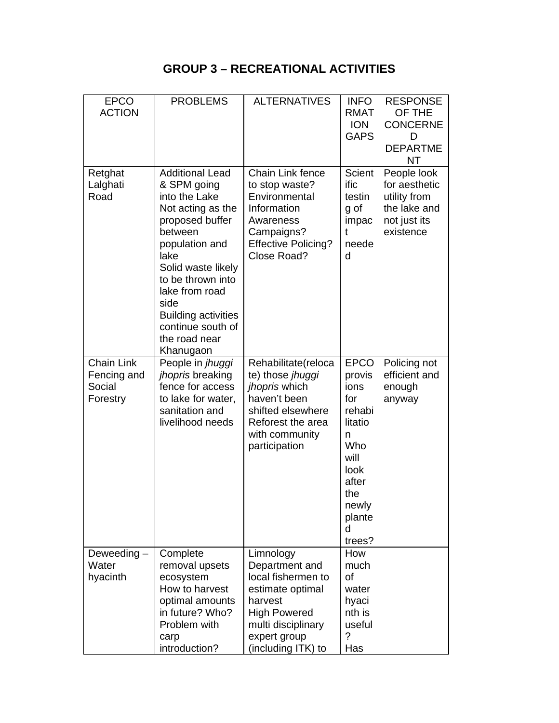## **GROUP 3 – RECREATIONAL ACTIVITIES**

| <b>EPCO</b><br><b>ACTION</b>                           | <b>PROBLEMS</b>                                                                                                                                                                                                                                                                           | <b>ALTERNATIVES</b>                                                                                                                                                 | <b>INFO</b><br><b>RMAT</b><br><b>ION</b><br><b>GAPS</b>                                                                                 | <b>RESPONSE</b><br>OF THE<br><b>CONCERNE</b><br>D<br><b>DEPARTME</b><br><b>NT</b>         |
|--------------------------------------------------------|-------------------------------------------------------------------------------------------------------------------------------------------------------------------------------------------------------------------------------------------------------------------------------------------|---------------------------------------------------------------------------------------------------------------------------------------------------------------------|-----------------------------------------------------------------------------------------------------------------------------------------|-------------------------------------------------------------------------------------------|
| Retghat<br>Lalghati<br>Road                            | <b>Additional Lead</b><br>& SPM going<br>into the Lake<br>Not acting as the<br>proposed buffer<br>between<br>population and<br>lake<br>Solid waste likely<br>to be thrown into<br>lake from road<br>side<br><b>Building activities</b><br>continue south of<br>the road near<br>Khanugaon | Chain Link fence<br>to stop waste?<br>Environmental<br>Information<br>Awareness<br>Campaigns?<br><b>Effective Policing?</b><br>Close Road?                          | <b>Scient</b><br>ific<br>testin<br>g of<br>impac<br>t<br>neede<br>d                                                                     | People look<br>for aesthetic<br>utility from<br>the lake and<br>not just its<br>existence |
| <b>Chain Link</b><br>Fencing and<br>Social<br>Forestry | People in jhuggi<br>jhopris breaking<br>fence for access<br>to lake for water,<br>sanitation and<br>livelihood needs                                                                                                                                                                      | Rehabilitate(reloca<br>te) those jhuggi<br>jhopris which<br>haven't been<br>shifted elsewhere<br>Reforest the area<br>with community<br>participation               | <b>EPCO</b><br>provis<br>ions<br>for<br>rehabi<br>litatio<br>n<br>Who<br>will<br>look<br>after<br>the<br>newly<br>plante<br>d<br>trees? | Policing not<br>efficient and<br>enough<br>anyway                                         |
| Deweeding-<br>Water<br>hyacinth                        | Complete<br>removal upsets<br>ecosystem<br>How to harvest<br>optimal amounts<br>in future? Who?<br>Problem with<br>carp<br>introduction?                                                                                                                                                  | Limnology<br>Department and<br>local fishermen to<br>estimate optimal<br>harvest<br><b>High Powered</b><br>multi disciplinary<br>expert group<br>(including ITK) to | How<br>much<br>of<br>water<br>hyaci<br>nth is<br>useful<br>?<br>Has                                                                     |                                                                                           |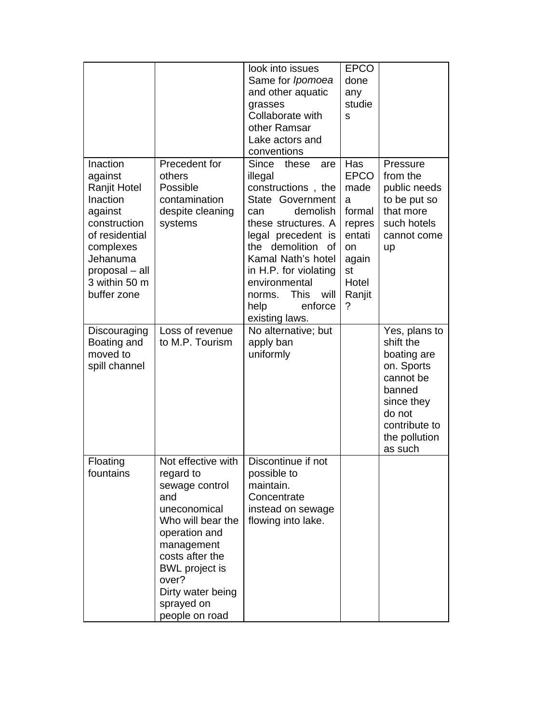|                                                                                                                                                                                |                                                                                                                                                                                                                                        | look into issues<br>Same for Ipomoea<br>and other aquatic<br>grasses<br>Collaborate with<br>other Ramsar<br>Lake actors and<br>conventions                                                                                                                                                                      | <b>EPCO</b><br>done<br>any<br>studie<br>S                                                                         |                                                                                                                                                     |
|--------------------------------------------------------------------------------------------------------------------------------------------------------------------------------|----------------------------------------------------------------------------------------------------------------------------------------------------------------------------------------------------------------------------------------|-----------------------------------------------------------------------------------------------------------------------------------------------------------------------------------------------------------------------------------------------------------------------------------------------------------------|-------------------------------------------------------------------------------------------------------------------|-----------------------------------------------------------------------------------------------------------------------------------------------------|
| Inaction<br>against<br><b>Ranjit Hotel</b><br>Inaction<br>against<br>construction<br>of residential<br>complexes<br>Jehanuma<br>proposal - all<br>3 within 50 m<br>buffer zone | Precedent for<br>others<br>Possible<br>contamination<br>despite cleaning<br>systems                                                                                                                                                    | <b>Since</b><br>these<br>are<br>illegal<br>constructions, the<br>State Government<br>demolish<br>can<br>these structures. A<br>legal precedent is<br>the demolition<br>of<br>Kamal Nath's hotel<br>in H.P. for violating<br>environmental<br><b>This</b><br>will<br>norms.<br>enforce<br>help<br>existing laws. | Has<br><b>EPCO</b><br>made<br>a<br>formal<br>repres<br>entati<br><b>on</b><br>again<br>st<br>Hotel<br>Ranjit<br>? | Pressure<br>from the<br>public needs<br>to be put so<br>that more<br>such hotels<br>cannot come<br>up                                               |
| Discouraging<br>Boating and<br>moved to<br>spill channel                                                                                                                       | Loss of revenue<br>to M.P. Tourism                                                                                                                                                                                                     | No alternative; but<br>apply ban<br>uniformly                                                                                                                                                                                                                                                                   |                                                                                                                   | Yes, plans to<br>shift the<br>boating are<br>on. Sports<br>cannot be<br>banned<br>since they<br>do not<br>contribute to<br>the pollution<br>as such |
| Floating<br>fountains                                                                                                                                                          | Not effective with<br>regard to<br>sewage control<br>and<br>uneconomical<br>Who will bear the<br>operation and<br>management<br>costs after the<br><b>BWL</b> project is<br>over?<br>Dirty water being<br>sprayed on<br>people on road | Discontinue if not<br>possible to<br>maintain.<br>Concentrate<br>instead on sewage<br>flowing into lake.                                                                                                                                                                                                        |                                                                                                                   |                                                                                                                                                     |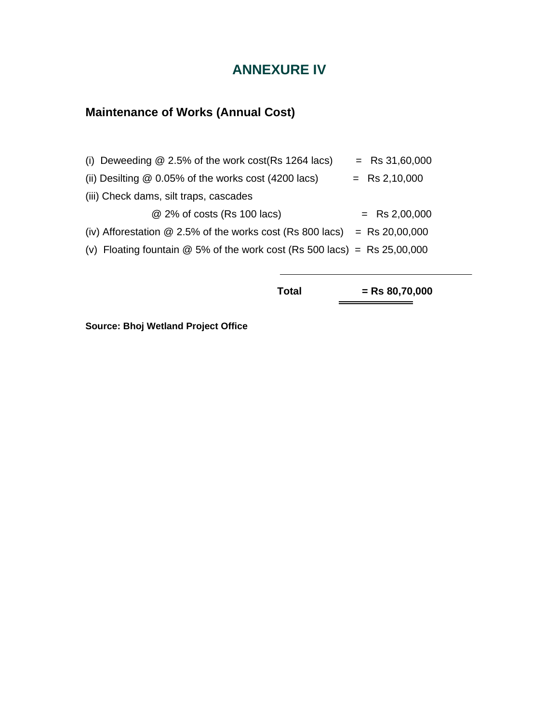## **ANNEXURE IV**

## **Maintenance of Works (Annual Cost)**

| (i) Deweeding $@$ 2.5% of the work cost (Rs 1264 lacs)                     | $=$ Rs 31,60,000 |
|----------------------------------------------------------------------------|------------------|
| (ii) Desilting $@$ 0.05% of the works cost (4200 lacs)                     | $=$ Rs 2,10,000  |
| (iii) Check dams, silt traps, cascades                                     |                  |
| @ 2% of costs (Rs 100 lacs)                                                | $=$ Rs 2,00,000  |
| (iv) Afforestation $@$ 2.5% of the works cost (Rs 800 lacs)                | $=$ Rs 20,00,000 |
| (v) Floating fountain $@$ 5% of the work cost (Rs 500 lacs) = Rs 25,00,000 |                  |

**Total = Rs 80,70,000** 

**Source: Bhoj Wetland Project Office**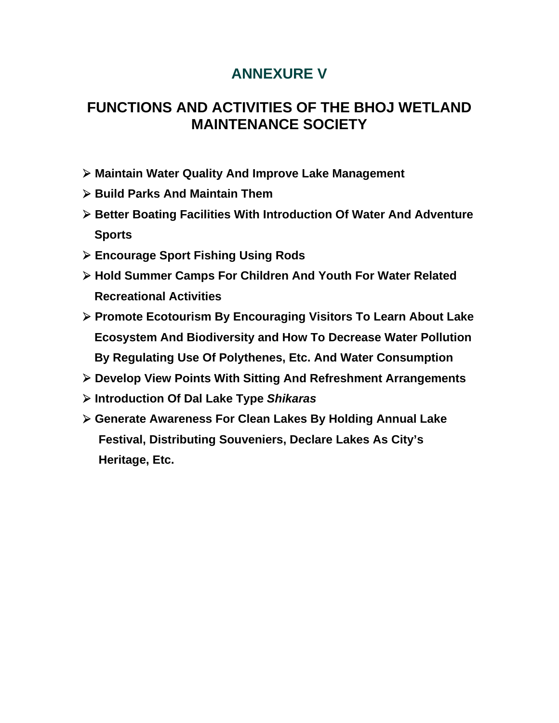# **ANNEXURE V**

# **FUNCTIONS AND ACTIVITIES OF THE BHOJ WETLAND MAINTENANCE SOCIETY**

- ! **Maintain Water Quality And Improve Lake Management**
- ! **Build Parks And Maintain Them**
- ! **Better Boating Facilities With Introduction Of Water And Adventure Sports**
- ! **Encourage Sport Fishing Using Rods**
- ! **Hold Summer Camps For Children And Youth For Water Related Recreational Activities**
- ! **Promote Ecotourism By Encouraging Visitors To Learn About Lake Ecosystem And Biodiversity and How To Decrease Water Pollution By Regulating Use Of Polythenes, Etc. And Water Consumption**
- ! **Develop View Points With Sitting And Refreshment Arrangements**
- ! **Introduction Of Dal Lake Type** *Shikaras*
- ! **Generate Awareness For Clean Lakes By Holding Annual Lake Festival, Distributing Souveniers, Declare Lakes As City's Heritage, Etc.**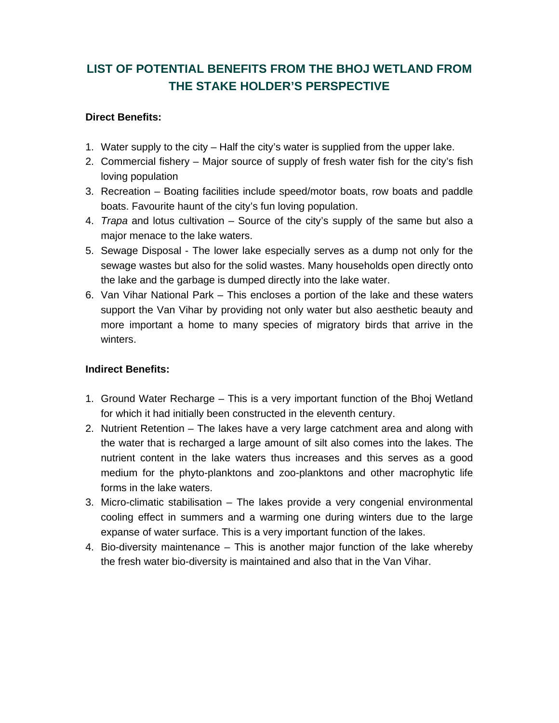## **LIST OF POTENTIAL BENEFITS FROM THE BHOJ WETLAND FROM THE STAKE HOLDER'S PERSPECTIVE**

### **Direct Benefits:**

- 1. Water supply to the city Half the city's water is supplied from the upper lake.
- 2. Commercial fishery Major source of supply of fresh water fish for the city's fish loving population
- 3. Recreation Boating facilities include speed/motor boats, row boats and paddle boats. Favourite haunt of the city's fun loving population.
- 4. *Trapa* and lotus cultivation Source of the city's supply of the same but also a major menace to the lake waters.
- 5. Sewage Disposal The lower lake especially serves as a dump not only for the sewage wastes but also for the solid wastes. Many households open directly onto the lake and the garbage is dumped directly into the lake water.
- 6. Van Vihar National Park This encloses a portion of the lake and these waters support the Van Vihar by providing not only water but also aesthetic beauty and more important a home to many species of migratory birds that arrive in the winters.

### **Indirect Benefits:**

- 1. Ground Water Recharge This is a very important function of the Bhoj Wetland for which it had initially been constructed in the eleventh century.
- 2. Nutrient Retention The lakes have a very large catchment area and along with the water that is recharged a large amount of silt also comes into the lakes. The nutrient content in the lake waters thus increases and this serves as a good medium for the phyto-planktons and zoo-planktons and other macrophytic life forms in the lake waters.
- 3. Micro-climatic stabilisation The lakes provide a very congenial environmental cooling effect in summers and a warming one during winters due to the large expanse of water surface. This is a very important function of the lakes.
- 4. Bio-diversity maintenance This is another major function of the lake whereby the fresh water bio-diversity is maintained and also that in the Van Vihar.